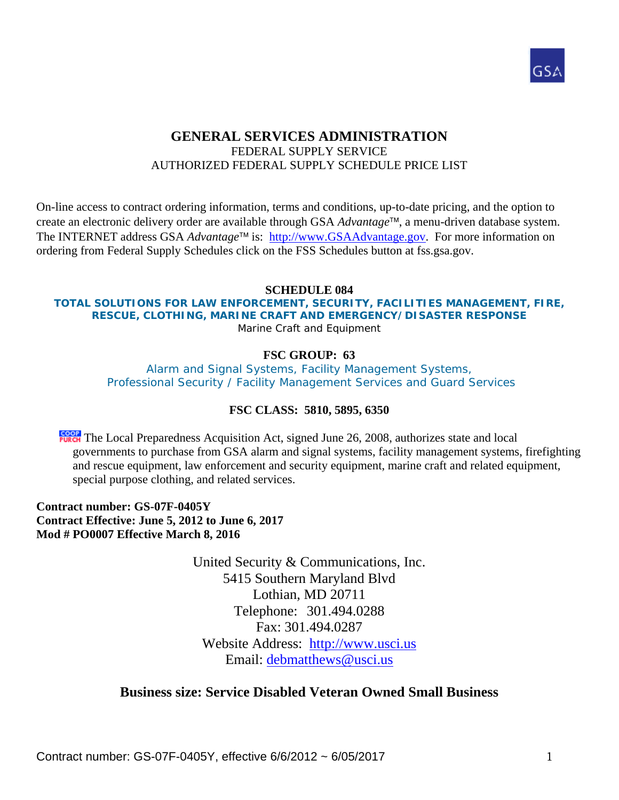

## **GENERAL SERVICES ADMINISTRATION**  FEDERAL SUPPLY SERVICE AUTHORIZED FEDERAL SUPPLY SCHEDULE PRICE LIST

On-line access to contract ordering information, terms and conditions, up-to-date pricing, and the option to create an electronic delivery order are available through GSA *Advantage*™, a menu-driven database system. The INTERNET address GSA *Advantage*<sup>™</sup> is: http://www.GSAAdvantage.gov. For more information on ordering from Federal Supply Schedules click on the FSS Schedules button at fss.gsa.gov.

#### **SCHEDULE 084**

#### **TOTAL SOLUTIONS FOR LAW ENFORCEMENT, SECURITY, FACILITIES MANAGEMENT, FIRE, RESCUE, CLOTHING, MARINE CRAFT AND EMERGENCY/DISASTER RESPONSE**  Marine Craft and Equipment

#### **FSC GROUP: 63**

Alarm and Signal Systems, Facility Management Systems, Professional Security / Facility Management Services and Guard Services

#### **FSC CLASS: 5810, 5895, 6350**

**FORT** The Local Preparedness Acquisition Act, signed June 26, 2008, authorizes state and local governments to purchase from GSA alarm and signal systems, facility management systems, firefighting and rescue equipment, law enforcement and security equipment, marine craft and related equipment, special purpose clothing, and related services.

**Contract number: GS-07F-0405Y Contract Effective: June 5, 2012 to June 6, 2017 Mod # PO0007 Effective March 8, 2016** 

> United Security & Communications, Inc. 5415 Southern Maryland Blvd Lothian, MD 20711 Telephone: 301.494.0288 Fax: 301.494.0287 Website Address: http://www.usci.us Email: debmatthews@usci.us

#### **Business size: Service Disabled Veteran Owned Small Business**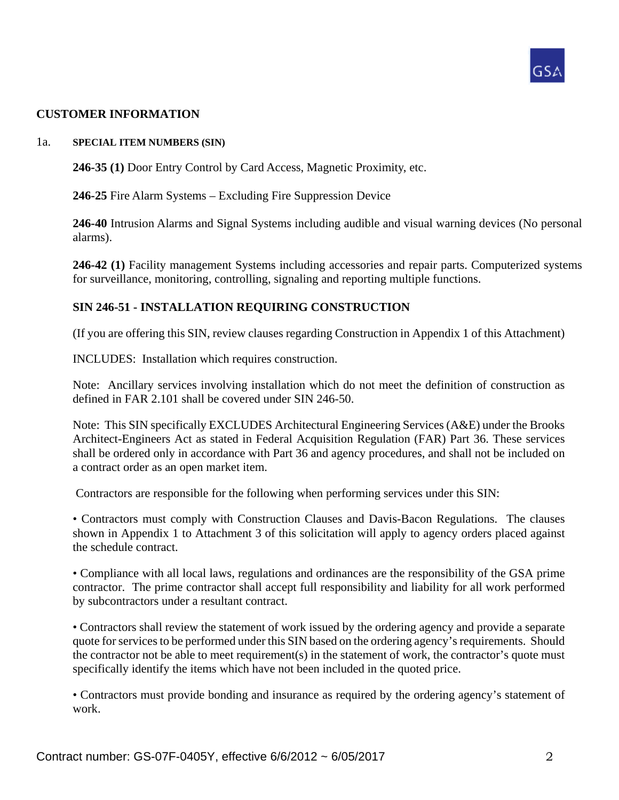

#### **CUSTOMER INFORMATION**

#### 1a. **SPECIAL ITEM NUMBERS (SIN)**

**246-35 (1)** Door Entry Control by Card Access, Magnetic Proximity, etc.

**246-25** Fire Alarm Systems – Excluding Fire Suppression Device

**246-40** Intrusion Alarms and Signal Systems including audible and visual warning devices (No personal alarms).

**246-42 (1)** Facility management Systems including accessories and repair parts. Computerized systems for surveillance, monitoring, controlling, signaling and reporting multiple functions.

#### **SIN 246-51 - INSTALLATION REQUIRING CONSTRUCTION**

(If you are offering this SIN, review clauses regarding Construction in Appendix 1 of this Attachment)

INCLUDES: Installation which requires construction.

Note: Ancillary services involving installation which do not meet the definition of construction as defined in FAR 2.101 shall be covered under SIN 246-50.

Note: This SIN specifically EXCLUDES Architectural Engineering Services (A&E) under the Brooks Architect-Engineers Act as stated in Federal Acquisition Regulation (FAR) Part 36. These services shall be ordered only in accordance with Part 36 and agency procedures, and shall not be included on a contract order as an open market item.

Contractors are responsible for the following when performing services under this SIN:

• Contractors must comply with Construction Clauses and Davis-Bacon Regulations. The clauses shown in Appendix 1 to Attachment 3 of this solicitation will apply to agency orders placed against the schedule contract.

• Compliance with all local laws, regulations and ordinances are the responsibility of the GSA prime contractor. The prime contractor shall accept full responsibility and liability for all work performed by subcontractors under a resultant contract.

• Contractors shall review the statement of work issued by the ordering agency and provide a separate quote for services to be performed under this SIN based on the ordering agency's requirements. Should the contractor not be able to meet requirement(s) in the statement of work, the contractor's quote must specifically identify the items which have not been included in the quoted price.

• Contractors must provide bonding and insurance as required by the ordering agency's statement of work.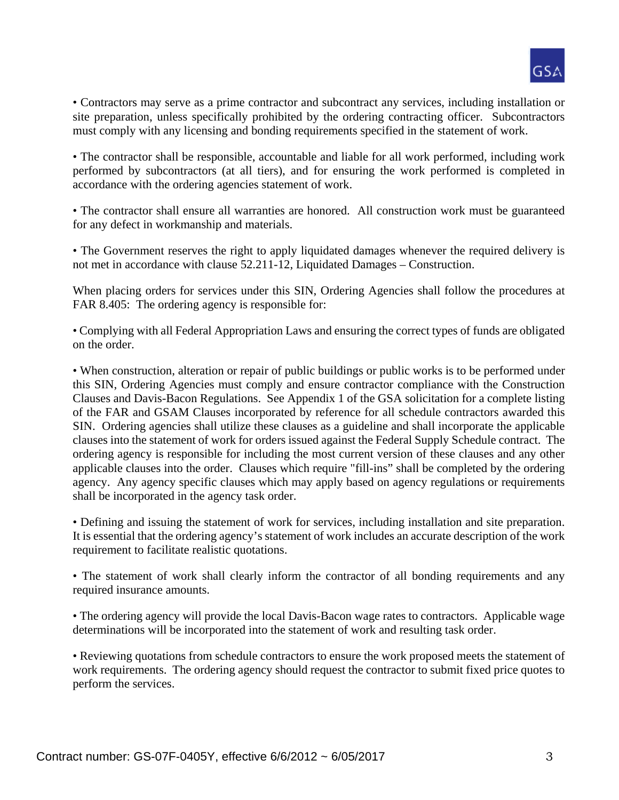

• Contractors may serve as a prime contractor and subcontract any services, including installation or site preparation, unless specifically prohibited by the ordering contracting officer. Subcontractors must comply with any licensing and bonding requirements specified in the statement of work.

• The contractor shall be responsible, accountable and liable for all work performed, including work performed by subcontractors (at all tiers), and for ensuring the work performed is completed in accordance with the ordering agencies statement of work.

• The contractor shall ensure all warranties are honored. All construction work must be guaranteed for any defect in workmanship and materials.

• The Government reserves the right to apply liquidated damages whenever the required delivery is not met in accordance with clause 52.211-12, Liquidated Damages – Construction.

When placing orders for services under this SIN, Ordering Agencies shall follow the procedures at FAR 8.405: The ordering agency is responsible for:

• Complying with all Federal Appropriation Laws and ensuring the correct types of funds are obligated on the order.

• When construction, alteration or repair of public buildings or public works is to be performed under this SIN, Ordering Agencies must comply and ensure contractor compliance with the Construction Clauses and Davis-Bacon Regulations. See Appendix 1 of the GSA solicitation for a complete listing of the FAR and GSAM Clauses incorporated by reference for all schedule contractors awarded this SIN. Ordering agencies shall utilize these clauses as a guideline and shall incorporate the applicable clauses into the statement of work for orders issued against the Federal Supply Schedule contract. The ordering agency is responsible for including the most current version of these clauses and any other applicable clauses into the order. Clauses which require "fill-ins" shall be completed by the ordering agency. Any agency specific clauses which may apply based on agency regulations or requirements shall be incorporated in the agency task order.

• Defining and issuing the statement of work for services, including installation and site preparation. It is essential that the ordering agency's statement of work includes an accurate description of the work requirement to facilitate realistic quotations.

• The statement of work shall clearly inform the contractor of all bonding requirements and any required insurance amounts.

• The ordering agency will provide the local Davis-Bacon wage rates to contractors. Applicable wage determinations will be incorporated into the statement of work and resulting task order.

• Reviewing quotations from schedule contractors to ensure the work proposed meets the statement of work requirements. The ordering agency should request the contractor to submit fixed price quotes to perform the services.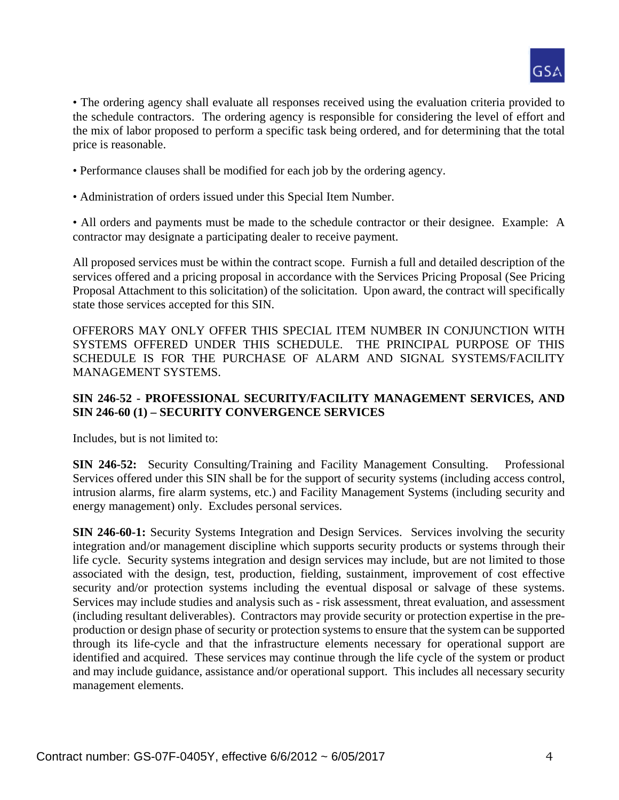

• The ordering agency shall evaluate all responses received using the evaluation criteria provided to the schedule contractors. The ordering agency is responsible for considering the level of effort and the mix of labor proposed to perform a specific task being ordered, and for determining that the total price is reasonable.

- Performance clauses shall be modified for each job by the ordering agency.
- Administration of orders issued under this Special Item Number.

• All orders and payments must be made to the schedule contractor or their designee. Example: A contractor may designate a participating dealer to receive payment.

All proposed services must be within the contract scope. Furnish a full and detailed description of the services offered and a pricing proposal in accordance with the Services Pricing Proposal (See Pricing Proposal Attachment to this solicitation) of the solicitation. Upon award, the contract will specifically state those services accepted for this SIN.

OFFERORS MAY ONLY OFFER THIS SPECIAL ITEM NUMBER IN CONJUNCTION WITH SYSTEMS OFFERED UNDER THIS SCHEDULE. THE PRINCIPAL PURPOSE OF THIS SCHEDULE IS FOR THE PURCHASE OF ALARM AND SIGNAL SYSTEMS/FACILITY MANAGEMENT SYSTEMS.

#### **SIN 246-52 - PROFESSIONAL SECURITY/FACILITY MANAGEMENT SERVICES, AND SIN 246-60 (1) – SECURITY CONVERGENCE SERVICES**

Includes, but is not limited to:

**SIN 246-52:** Security Consulting/Training and Facility Management Consulting. Professional Services offered under this SIN shall be for the support of security systems (including access control, intrusion alarms, fire alarm systems, etc.) and Facility Management Systems (including security and energy management) only. Excludes personal services.

**SIN 246-60-1:** Security Systems Integration and Design Services. Services involving the security integration and/or management discipline which supports security products or systems through their life cycle. Security systems integration and design services may include, but are not limited to those associated with the design, test, production, fielding, sustainment, improvement of cost effective security and/or protection systems including the eventual disposal or salvage of these systems. Services may include studies and analysis such as - risk assessment, threat evaluation, and assessment (including resultant deliverables). Contractors may provide security or protection expertise in the preproduction or design phase of security or protection systems to ensure that the system can be supported through its life-cycle and that the infrastructure elements necessary for operational support are identified and acquired. These services may continue through the life cycle of the system or product and may include guidance, assistance and/or operational support. This includes all necessary security management elements.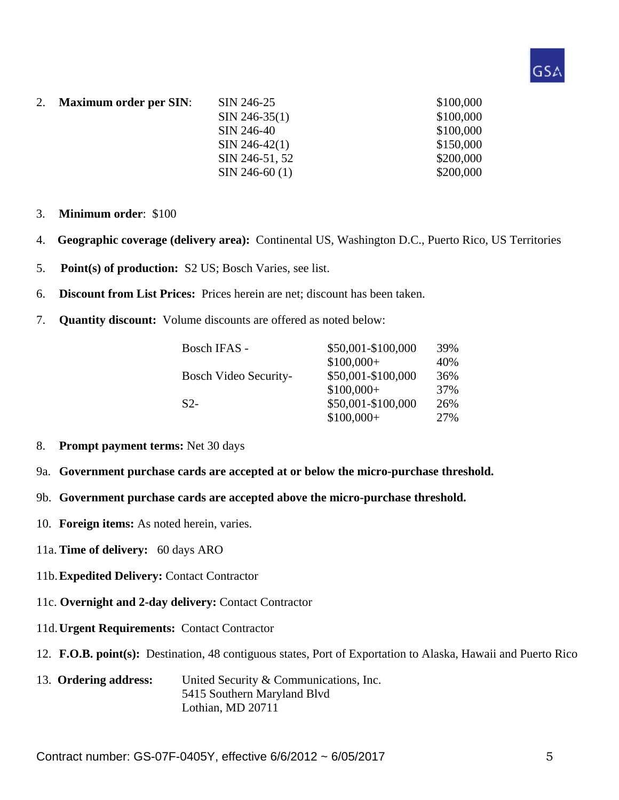

- 2. **Maximum order per SIN**: SIN 246-25 \$100,000  $\text{SIN } 246 - 35(1)$  \$100,000 SIN 246-40 \$100,000  $\text{SIN } 246-42(1)$  \$150,000 SIN 246-51, 52 \$200,000  $\text{SIN } 246-60 \text{ (1)}$  \$200,000
- 3. **Minimum order**: \$100
- 4. **Geographic coverage (delivery area):** Continental US, Washington D.C., Puerto Rico, US Territories
- 5. **Point(s) of production:** S2 US; Bosch Varies, see list.
- 6. **Discount from List Prices:** Prices herein are net; discount has been taken.
- 7. **Quantity discount:** Volume discounts are offered as noted below:

| Bosch IFAS -   | \$50,001-\$100,000                          | 39% |
|----------------|---------------------------------------------|-----|
|                | $$100,000+$                                 | 40% |
|                | \$50,001-\$100,000<br>Bosch Video Security- | 36% |
|                | $$100,000+$                                 | 37% |
| S <sub>2</sub> | \$50,001-\$100,000                          | 26% |
|                | $$100,000+$                                 | 27% |

- 8. **Prompt payment terms:** Net 30 days
- 9a. **Government purchase cards are accepted at or below the micro-purchase threshold.**
- 9b. **Government purchase cards are accepted above the micro-purchase threshold.**
- 10. **Foreign items:** As noted herein, varies.
- 11a. **Time of delivery:** 60 days ARO
- 11b. **Expedited Delivery:** Contact Contractor
- 11c. **Overnight and 2-day delivery:** Contact Contractor
- 11d. **Urgent Requirements:** Contact Contractor
- 12. **F.O.B. point(s):** Destination, 48 contiguous states, Port of Exportation to Alaska, Hawaii and Puerto Rico
- 13. **Ordering address:** United Security & Communications, Inc. 5415 Southern Maryland Blvd Lothian, MD 20711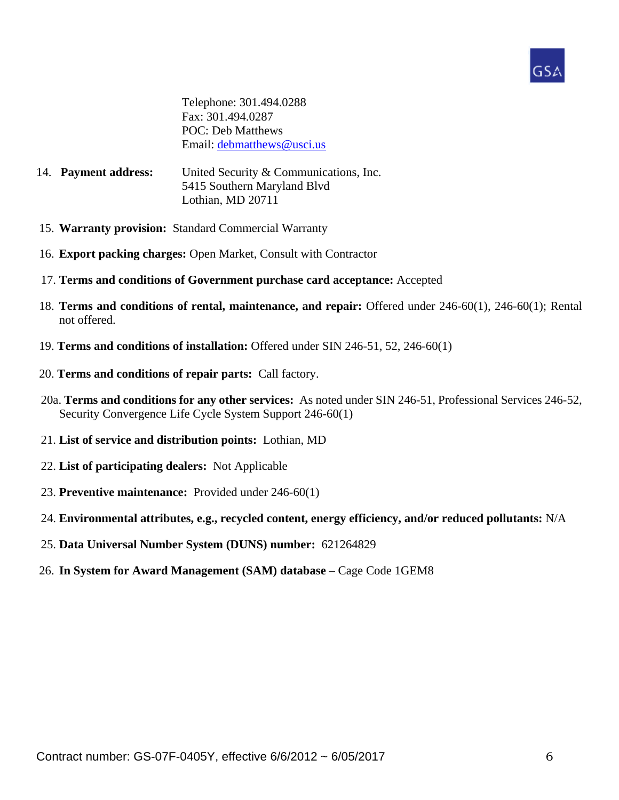

 Telephone: 301.494.0288 Fax: 301.494.0287 POC: Deb Matthews Email: debmatthews@usci.us

- 14. **Payment address:** United Security & Communications, Inc. 5415 Southern Maryland Blvd Lothian, MD 20711
- 15. **Warranty provision:** Standard Commercial Warranty
- 16. **Export packing charges:** Open Market, Consult with Contractor
- 17. **Terms and conditions of Government purchase card acceptance:** Accepted
- 18. **Terms and conditions of rental, maintenance, and repair:** Offered under 246-60(1), 246-60(1); Rental not offered.
- 19. **Terms and conditions of installation:** Offered under SIN 246-51, 52, 246-60(1)
- 20. **Terms and conditions of repair parts:** Call factory.
- 20a. **Terms and conditions for any other services:** As noted under SIN 246-51, Professional Services 246-52, Security Convergence Life Cycle System Support 246-60(1)
- 21. **List of service and distribution points:** Lothian, MD
- 22. **List of participating dealers:** Not Applicable
- 23. **Preventive maintenance:** Provided under 246-60(1)
- 24. **Environmental attributes, e.g., recycled content, energy efficiency, and/or reduced pollutants:** N/A
- 25. **Data Universal Number System (DUNS) number:** 621264829
- 26. **In System for Award Management (SAM) database** Cage Code 1GEM8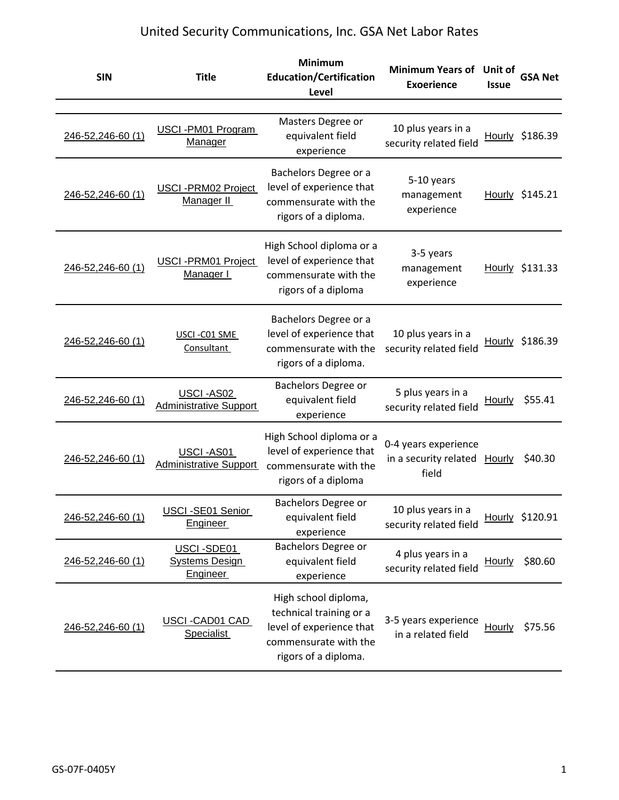| <b>SIN</b>        | <b>Title</b>                                           | <b>Minimum</b><br><b>Education/Certification</b><br>Level                                                                    | <b>Minimum Years of</b><br><b>Exoerience</b>                  | Unit of<br><b>Issue</b> | <b>GSA Net</b>  |
|-------------------|--------------------------------------------------------|------------------------------------------------------------------------------------------------------------------------------|---------------------------------------------------------------|-------------------------|-----------------|
|                   |                                                        |                                                                                                                              |                                                               |                         |                 |
| 246-52,246-60 (1) | USCI-PM01 Program<br><b>Manager</b>                    | Masters Degree or<br>equivalent field<br>experience                                                                          | 10 plus years in a<br>security related field                  |                         | Hourly \$186.39 |
| 246-52,246-60 (1) | <b>USCI-PRM02 Project</b><br>Manager II                | Bachelors Degree or a<br>level of experience that<br>commensurate with the<br>rigors of a diploma.                           | 5-10 years<br>management<br>experience                        |                         | Hourly \$145.21 |
| 246-52,246-60 (1) | <b>USCI-PRM01 Project</b><br>Manager I                 | High School diploma or a<br>level of experience that<br>commensurate with the<br>rigors of a diploma                         | 3-5 years<br>management<br>experience                         |                         | Hourly \$131.33 |
| 246-52,246-60 (1) | USCI-C01 SME<br>Consultant                             | Bachelors Degree or a<br>level of experience that<br>commensurate with the<br>rigors of a diploma.                           | 10 plus years in a<br>security related field                  |                         | Hourly \$186.39 |
| 246-52,246-60 (1) | USCI-AS02<br><b>Administrative Support</b>             | Bachelors Degree or<br>equivalent field<br>experience                                                                        | 5 plus years in a<br>security related field                   | Hourly                  | \$55.41         |
| 246-52,246-60 (1) | USCI-AS01<br><b>Administrative Support</b>             | High School diploma or a<br>level of experience that<br>commensurate with the<br>rigors of a diploma                         | 0-4 years experience<br>in a security related Hourly<br>field |                         | \$40.30         |
| 246-52,246-60 (1) | USCI-SE01 Senior<br><b>Engineer</b>                    | Bachelors Degree or<br>equivalent field<br>experience                                                                        | 10 plus years in a<br>security related field                  |                         | Hourly \$120.91 |
| 246-52,246-60 (1) | USCI-SDE01<br><b>Systems Design</b><br><b>Engineer</b> | Bachelors Degree or<br>equivalent field<br>experience                                                                        | 4 plus years in a<br>security related field                   | <b>Hourly</b>           | \$80.60         |
| 246-52,246-60 (1) | USCI-CAD01 CAD<br><b>Specialist</b>                    | High school diploma,<br>technical training or a<br>level of experience that<br>commensurate with the<br>rigors of a diploma. | 3-5 years experience<br>in a related field                    | Hourly                  | \$75.56         |

# United Security Communications, Inc. GSA Net Labor Rates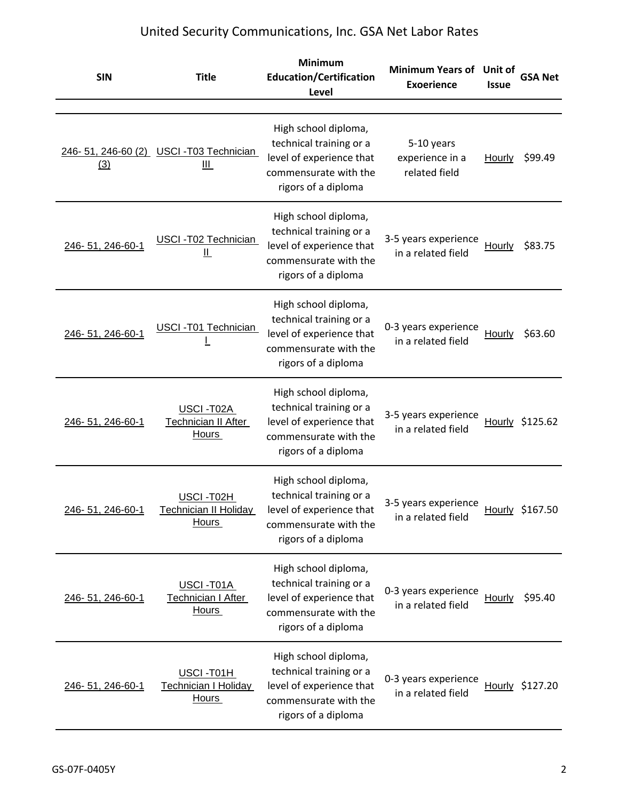| <b>SIN</b>       | <b>Title</b>                                             | <b>Minimum</b><br><b>Education/Certification</b><br>Level                                                                   | Minimum Years of Unit of<br><b>Exoerience</b>  | <b>Issue</b>  | <b>GSA Net</b>  |
|------------------|----------------------------------------------------------|-----------------------------------------------------------------------------------------------------------------------------|------------------------------------------------|---------------|-----------------|
| (3)              | 246-51, 246-60 (2) USCI-T03 Technician<br>Ш              | High school diploma,<br>technical training or a<br>level of experience that<br>commensurate with the<br>rigors of a diploma | 5-10 years<br>experience in a<br>related field | <b>Hourly</b> | \$99.49         |
| 246-51, 246-60-1 | USCI-T02 Technician<br><u>  </u>                         | High school diploma,<br>technical training or a<br>level of experience that<br>commensurate with the<br>rigors of a diploma | 3-5 years experience<br>in a related field     | Hourly        | \$83.75         |
| 246-51, 246-60-1 | USCI-T01 Technician                                      | High school diploma,<br>technical training or a<br>level of experience that<br>commensurate with the<br>rigors of a diploma | 0-3 years experience<br>in a related field     | Hourly        | \$63.60         |
| 246-51, 246-60-1 | USCI-T02A<br>Technician II After<br><b>Hours</b>         | High school diploma,<br>technical training or a<br>level of experience that<br>commensurate with the<br>rigors of a diploma | 3-5 years experience<br>in a related field     |               | Hourly \$125.62 |
| 246-51, 246-60-1 | USCI-T02H<br>Technician II Holidav<br>Hours              | High school diploma,<br>technical training or a<br>level of experience that<br>commensurate with the<br>rigors of a diploma | 3-5 years experience<br>in a related field     |               | Hourly \$167.50 |
| 246-51, 246-60-1 | USCI-T01A<br>Technician I After<br>Hours                 | High school diploma,<br>technical training or a<br>level of experience that<br>commensurate with the<br>rigors of a diploma | 0-3 years experience<br>in a related field     | Hourly        | \$95.40         |
| 246-51, 246-60-1 | USCI-T01H<br><b>Technician I Holiday</b><br><b>Hours</b> | High school diploma,<br>technical training or a<br>level of experience that<br>commensurate with the<br>rigors of a diploma | 0-3 years experience<br>in a related field     |               | Hourly \$127.20 |

# United Security Communications, Inc. GSA Net Labor Rates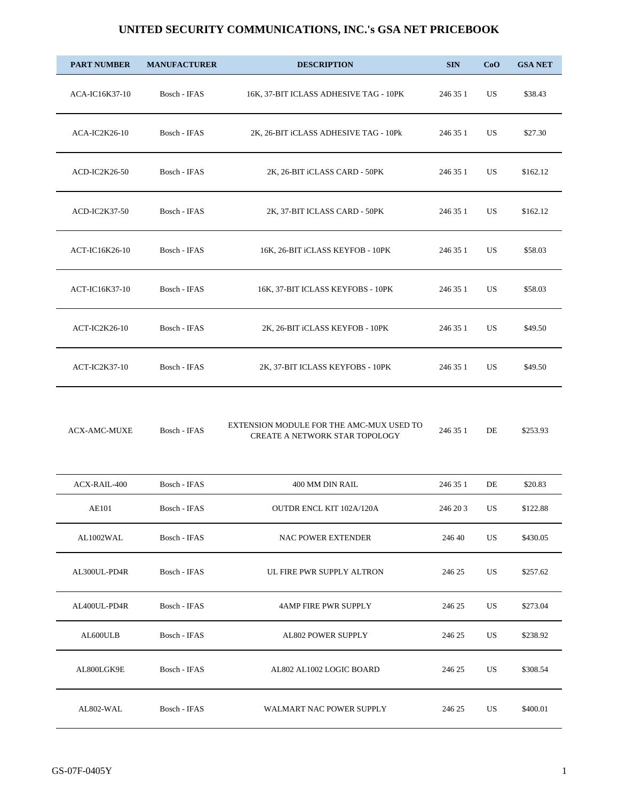| <b>PART NUMBER</b>  | <b>MANUFACTURER</b> | <b>DESCRIPTION</b>                                                         | <b>SIN</b>  | CoO | <b>GSA NET</b> |
|---------------------|---------------------|----------------------------------------------------------------------------|-------------|-----|----------------|
| ACA-IC16K37-10      | Bosch - IFAS        | 16K, 37-BIT ICLASS ADHESIVE TAG - 10PK                                     | 246 35 1    | US  | \$38.43        |
| ACA-IC2K26-10       | Bosch - IFAS        | 2K, 26-BIT iCLASS ADHESIVE TAG - 10Pk                                      | 246 35 1    | US  | \$27.30        |
| ACD-IC2K26-50       | Bosch - IFAS        | 2K, 26-BIT iCLASS CARD - 50PK                                              | 246 35 1    | US  | \$162.12       |
| ACD-IC2K37-50       | Bosch - IFAS        | 2K, 37-BIT ICLASS CARD - 50PK                                              | 246 35 1    | US  | \$162.12       |
| ACT-IC16K26-10      | Bosch - IFAS        | 16K, 26-BIT iCLASS KEYFOB - 10PK                                           | 246 35 1    | US  | \$58.03        |
| ACT-IC16K37-10      | Bosch - IFAS        | 16K, 37-BIT ICLASS KEYFOBS - 10PK                                          | 246 35 1    | US  | \$58.03        |
| ACT-IC2K26-10       | Bosch - IFAS        | 2K, 26-BIT iCLASS KEYFOB - 10PK                                            | 246 35 1    | US  | \$49.50        |
| ACT-IC2K37-10       | Bosch - IFAS        | 2K, 37-BIT ICLASS KEYFOBS - 10PK                                           | 246 35 1    | US  | \$49.50        |
| <b>ACX-AMC-MUXE</b> | Bosch - IFAS        | EXTENSION MODULE FOR THE AMC-MUX USED TO<br>CREATE A NETWORK STAR TOPOLOGY | 246 35 1    | DE  | \$253.93       |
| ACX-RAIL-400        | Bosch - IFAS        | 400 MM DIN RAIL                                                            | 246 35 1    | DE  | \$20.83        |
| AE101               | Bosch - IFAS        | OUTDR ENCL KIT 102A/120A                                                   | 246 20 3 US |     | \$122.88       |
| AL1002WAL           | Bosch - IFAS        | <b>NAC POWER EXTENDER</b>                                                  | 246 40      | US  | \$430.05       |
| AL300UL-PD4R        | Bosch - IFAS        | UL FIRE PWR SUPPLY ALTRON                                                  | 246 25      | US  | \$257.62       |
| AL400UL-PD4R        | Bosch - IFAS        | <b>4AMP FIRE PWR SUPPLY</b>                                                | 246 25      | US  | \$273.04       |
| AL600ULB            | Bosch - IFAS        | <b>AL802 POWER SUPPLY</b>                                                  | 246 25      | US  | \$238.92       |
| AL800LGK9E          | Bosch - IFAS        | AL802 AL1002 LOGIC BOARD                                                   | 246 25      | US  | \$308.54       |
| AL802-WAL           | Bosch - IFAS        | WALMART NAC POWER SUPPLY                                                   | 246 25      | US  | \$400.01       |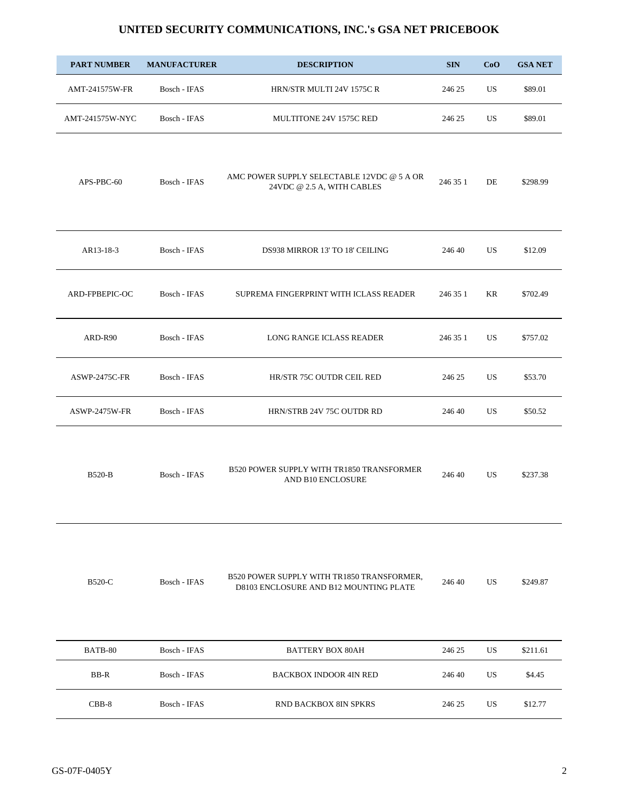|  |  | UNITED SECURITY COMMUNICATIONS, INC.'s GSA NET PRICEBOOK |
|--|--|----------------------------------------------------------|
|--|--|----------------------------------------------------------|

| <b>PART NUMBER</b>   | <b>MANUFACTURER</b> | <b>DESCRIPTION</b>                                                                   | <b>SIN</b> | CoO       | <b>GSA NET</b> |
|----------------------|---------------------|--------------------------------------------------------------------------------------|------------|-----------|----------------|
| AMT-241575W-FR       | Bosch - IFAS        | HRN/STR MULTI 24V 1575C R                                                            | 246 25     | US.       | \$89.01        |
| AMT-241575W-NYC      | Bosch - IFAS        | MULTITONE 24V 1575C RED                                                              | 246 25     | US.       | \$89.01        |
| APS-PBC-60           | Bosch - IFAS        | AMC POWER SUPPLY SELECTABLE 12VDC @ 5 A OR<br>24VDC @ 2.5 A, WITH CABLES             | 246 35 1   | DE        | \$298.99       |
| AR13-18-3            | Bosch - IFAS        | DS938 MIRROR 13' TO 18' CEILING                                                      | 246 40     | US.       | \$12.09        |
| ARD-FPBEPIC-OC       | Bosch - IFAS        | SUPREMA FINGERPRINT WITH ICLASS READER                                               | 246 35 1   | KR        | \$702.49       |
| ARD-R90              | Bosch - IFAS        | LONG RANGE ICLASS READER                                                             | 246 35 1   | US        | \$757.02       |
| ASWP-2475C-FR        | Bosch - IFAS        | HR/STR 75C OUTDR CEIL RED                                                            | 246 25     | US.       | \$53.70        |
| <b>ASWP-2475W-FR</b> | Bosch - IFAS        | HRN/STRB 24V 75C OUTDR RD                                                            | 246 40     | US.       | \$50.52        |
| <b>B520-B</b>        | Bosch - IFAS        | B520 POWER SUPPLY WITH TR1850 TRANSFORMER<br>AND B10 ENCLOSURE                       | 246 40     | US.       | \$237.38       |
| B520-C               | Bosch - IFAS        | B520 POWER SUPPLY WITH TR1850 TRANSFORMER,<br>D8103 ENCLOSURE AND B12 MOUNTING PLATE | 246 40     | <b>US</b> | \$249.87       |
| BATB-80              | Bosch - IFAS        | <b>BATTERY BOX 80AH</b>                                                              | 246 25     | US        | \$211.61       |
| BB-R                 | Bosch - IFAS        | <b>BACKBOX INDOOR 4IN RED</b>                                                        | 246 40     | US        | \$4.45         |

CBB-8 Bosch - IFAS RND BACKBOX 8IN SPKRS 246 25 US \$12.77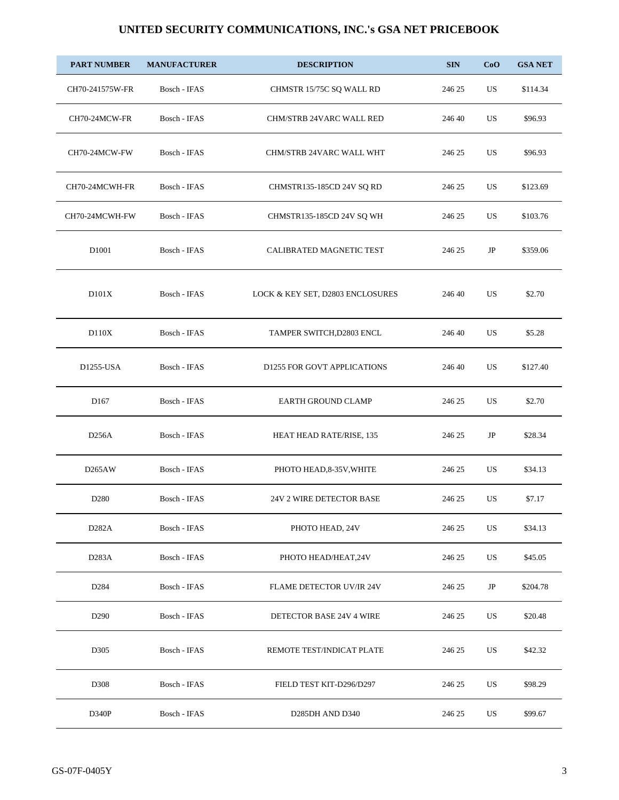| <b>PART NUMBER</b>  | <b>MANUFACTURER</b> | <b>DESCRIPTION</b>               | <b>SIN</b> | CoO       | <b>GSA NET</b> |
|---------------------|---------------------|----------------------------------|------------|-----------|----------------|
| CH70-241575W-FR     | Bosch - IFAS        | CHMSTR 15/75C SQ WALL RD         | 246 25     | US        | \$114.34       |
| CH70-24MCW-FR       | Bosch - IFAS        | CHM/STRB 24VARC WALL RED         | 246 40     | <b>US</b> | \$96.93        |
| CH70-24MCW-FW       | Bosch - IFAS        | CHM/STRB 24VARC WALL WHT         | 246 25     | US        | \$96.93        |
| CH70-24MCWH-FR      | Bosch - IFAS        | CHMSTR135-185CD 24V SQ RD        | 246 25     | US        | \$123.69       |
| CH70-24MCWH-FW      | Bosch - IFAS        | CHMSTR135-185CD 24V SQ WH        | 246 25     | US        | \$103.76       |
| D1001               | Bosch - IFAS        | CALIBRATED MAGNETIC TEST         | 246 25     | $\rm JP$  | \$359.06       |
| D101X               | Bosch - IFAS        | LOCK & KEY SET, D2803 ENCLOSURES | 246 40     | US        | \$2.70         |
| D110X               | Bosch - IFAS        | TAMPER SWITCH, D2803 ENCL        | 246 40     | US        | \$5.28         |
| D1255-USA           | Bosch - IFAS        | D1255 FOR GOVT APPLICATIONS      | 246 40     | <b>US</b> | \$127.40       |
| D <sub>167</sub>    | Bosch - IFAS        | <b>EARTH GROUND CLAMP</b>        | 246 25     | US        | \$2.70         |
| D <sub>256</sub> A  | Bosch - IFAS        | HEAT HEAD RATE/RISE, 135         | 246 25     | JP        | \$28.34        |
| D <sub>265</sub> AW | Bosch - IFAS        | PHOTO HEAD, 8-35V, WHITE         | 246 25     | US        | \$34.13        |
| D <sub>280</sub>    | Bosch - IFAS        | 24V 2 WIRE DETECTOR BASE         | 246 25     | US        | \$7.17         |
| D282A               | Bosch - IFAS        | PHOTO HEAD, 24V                  | 246 25     | US        | \$34.13        |
| D283A               | Bosch - IFAS        | PHOTO HEAD/HEAT,24V              | 246 25     | US        | \$45.05        |
| D <sub>284</sub>    | Bosch - IFAS        | <b>FLAME DETECTOR UV/IR 24V</b>  | 246 25     | JP        | \$204.78       |
| D <sub>290</sub>    | Bosch - IFAS        | DETECTOR BASE 24V 4 WIRE         | 246 25     | US        | \$20.48        |
| D305                | Bosch - IFAS        | REMOTE TEST/INDICAT PLATE        | 246 25     | US        | \$42.32        |
| D308                | Bosch - IFAS        | FIELD TEST KIT-D296/D297         | 246 25     | US        | \$98.29        |
| D340P               | Bosch - IFAS        | D285DH AND D340                  | 246 25     | US        | \$99.67        |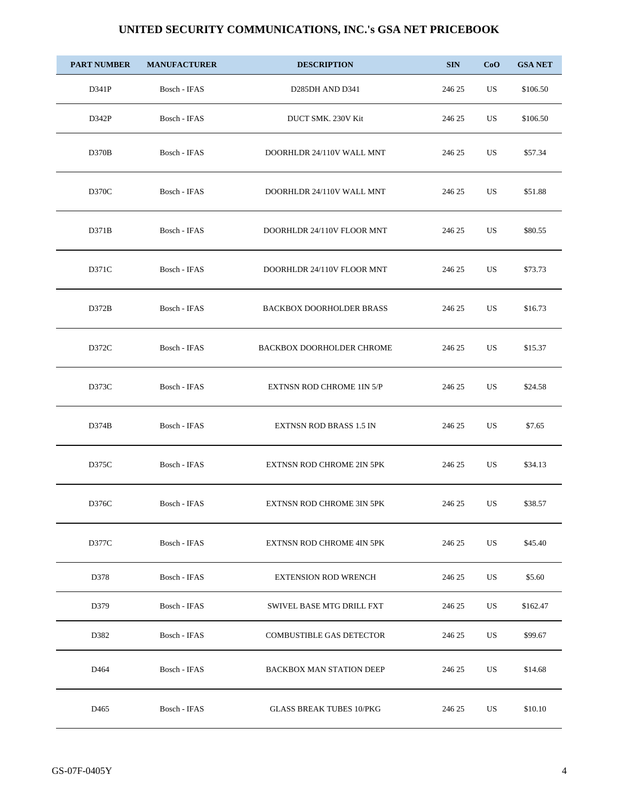| <b>PART NUMBER</b> | <b>MANUFACTURER</b> | <b>DESCRIPTION</b>                       | <b>SIN</b> | CoO | <b>GSA NET</b> |
|--------------------|---------------------|------------------------------------------|------------|-----|----------------|
| D341P              | Bosch - IFAS        | D <sub>285</sub> DH AND D <sub>341</sub> | 246 25     | US  | \$106.50       |
| D342P              | Bosch - IFAS        | DUCT SMK. 230V Kit                       | 246 25     | US  | \$106.50       |
| D370B              | Bosch - IFAS        | DOORHLDR 24/110V WALL MNT                | 246 25     | US  | \$57.34        |
| D370C              | Bosch - IFAS        | DOORHLDR 24/110V WALL MNT                | 246 25     | US  | \$51.88        |
| D371B              | Bosch - IFAS        | DOORHLDR 24/110V FLOOR MNT               | 246 25     | US  | \$80.55        |
| D371C              | Bosch - IFAS        | DOORHLDR 24/110V FLOOR MNT               | 246 25     | US  | \$73.73        |
| D372B              | Bosch - IFAS        | <b>BACKBOX DOORHOLDER BRASS</b>          | 246 25     | US  | \$16.73        |
| D372C              | Bosch - IFAS        | <b>BACKBOX DOORHOLDER CHROME</b>         | 246 25     | US  | \$15.37        |
| D373C              | Bosch - IFAS        | <b>EXTNSN ROD CHROME 1IN 5/P</b>         | 246 25     | US  | \$24.58        |
| D374B              | Bosch - IFAS        | <b>EXTNSN ROD BRASS 1.5 IN</b>           | 246 25     | US  | \$7.65         |
| D375C              | Bosch - IFAS        | <b>EXTNSN ROD CHROME 2IN 5PK</b>         | 246 25     | US  | \$34.13        |
| D376C              | Bosch - IFAS        | EXTNSN ROD CHROME 3IN 5PK                | 246 25     | US  | \$38.57        |
| D377C              | Bosch - IFAS        | EXTNSN ROD CHROME 4IN 5PK                | 246 25     | US  | \$45.40        |
| D378               | Bosch - IFAS        | <b>EXTENSION ROD WRENCH</b>              | 246 25     | US  | \$5.60         |
| D379               | Bosch - IFAS        | SWIVEL BASE MTG DRILL FXT                | 246 25     | US  | \$162.47       |
| D382               | Bosch - IFAS        | <b>COMBUSTIBLE GAS DETECTOR</b>          | 246 25     | US  | \$99.67        |
| D464               | Bosch - IFAS        | <b>BACKBOX MAN STATION DEEP</b>          | 246 25     | US  | \$14.68        |
| D <sub>465</sub>   | Bosch - IFAS        | <b>GLASS BREAK TUBES 10/PKG</b>          | 246 25     | US  | \$10.10        |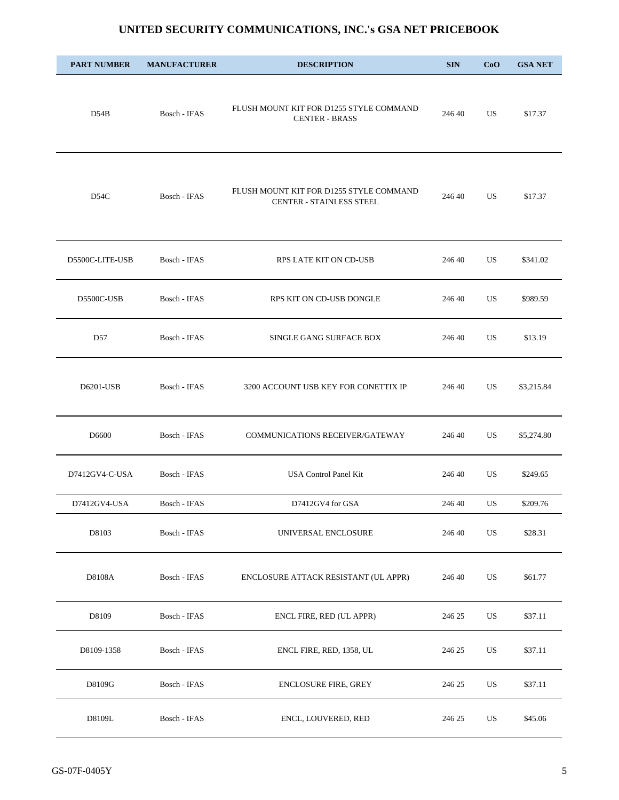| <b>PART NUMBER</b> | <b>MANUFACTURER</b> | <b>DESCRIPTION</b>                                                  | <b>SIN</b> | CoO       | <b>GSA NET</b> |
|--------------------|---------------------|---------------------------------------------------------------------|------------|-----------|----------------|
| D54B               | Bosch - IFAS        | FLUSH MOUNT KIT FOR D1255 STYLE COMMAND<br><b>CENTER - BRASS</b>    | 246 40     | US        | \$17.37        |
| D54C               | Bosch - IFAS        | FLUSH MOUNT KIT FOR D1255 STYLE COMMAND<br>CENTER - STAINLESS STEEL | 246 40     | US.       | \$17.37        |
| D5500C-LITE-USB    | Bosch - IFAS        | RPS LATE KIT ON CD-USB                                              | 246 40     | US.       | \$341.02       |
| D5500C-USB         | Bosch - IFAS        | RPS KIT ON CD-USB DONGLE                                            | 246 40     | US.       | \$989.59       |
| D57                | Bosch - IFAS        | SINGLE GANG SURFACE BOX                                             | 246 40     | US        | \$13.19        |
| D6201-USB          | Bosch - IFAS        | 3200 ACCOUNT USB KEY FOR CONETTIX IP                                | 246 40     | <b>US</b> | \$3,215.84     |
| D6600              | Bosch - IFAS        | COMMUNICATIONS RECEIVER/GATEWAY                                     | 246 40     | US        | \$5,274.80     |
| D7412GV4-C-USA     | Bosch - IFAS        | USA Control Panel Kit                                               | 246 40     | US        | \$249.65       |
| D7412GV4-USA       | Bosch - IFAS        | D7412GV4 for GSA                                                    | 246 40     | US        | \$209.76       |
| D8103              | Bosch - IFAS        | UNIVERSAL ENCLOSURE                                                 | 246 40     | US        | \$28.31        |
| D8108A             | Bosch - IFAS        | ENCLOSURE ATTACK RESISTANT (UL APPR)                                | 246 40     | US        | \$61.77        |
| D8109              | Bosch - IFAS        | ENCL FIRE, RED (UL APPR)                                            | 246 25     | US        | \$37.11        |
| D8109-1358         | Bosch - IFAS        | ENCL FIRE, RED, 1358, UL                                            | 246 25     | US        | \$37.11        |
| D8109G             | Bosch - IFAS        | <b>ENCLOSURE FIRE, GREY</b>                                         | 246 25     | US        | \$37.11        |
| D8109L             | Bosch - IFAS        | ENCL, LOUVERED, RED                                                 | 246 25     | US        | \$45.06        |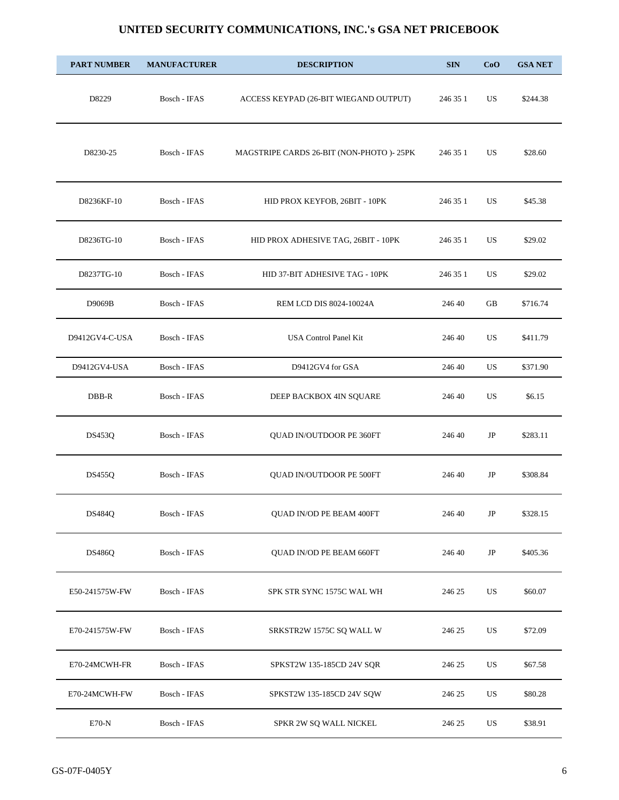| <b>PART NUMBER</b> | <b>MANUFACTURER</b> | <b>DESCRIPTION</b>                        | <b>SIN</b> | CoO | <b>GSA NET</b> |
|--------------------|---------------------|-------------------------------------------|------------|-----|----------------|
| D8229              | Bosch - IFAS        | ACCESS KEYPAD (26-BIT WIEGAND OUTPUT)     | 246 35 1   | US  | \$244.38       |
| D8230-25           | Bosch - IFAS        | MAGSTRIPE CARDS 26-BIT (NON-PHOTO )- 25PK | 246 35 1   | US. | \$28.60        |
| D8236KF-10         | Bosch - IFAS        | HID PROX KEYFOB, 26BIT - 10PK             | 246 35 1   | US. | \$45.38        |
| D8236TG-10         | Bosch - IFAS        | HID PROX ADHESIVE TAG, 26BIT - 10PK       | 246 35 1   | US. | \$29.02        |
| D8237TG-10         | Bosch - IFAS        | HID 37-BIT ADHESIVE TAG - 10PK            | 246 35 1   | US. | \$29.02        |
| D9069B             | Bosch - IFAS        | REM LCD DIS 8024-10024A                   | 246 40     | GB  | \$716.74       |
| D9412GV4-C-USA     | Bosch - IFAS        | USA Control Panel Kit                     | 246 40     | US. | \$411.79       |
| D9412GV4-USA       | Bosch - IFAS        | D9412GV4 for GSA                          | 246 40     | US  | \$371.90       |
| DBB-R              | Bosch - IFAS        | DEEP BACKBOX 4IN SQUARE                   | 246 40     | US. | \$6.15         |
| <b>DS453Q</b>      | Bosch - IFAS        | QUAD IN/OUTDOOR PE 360FT                  | 246 40     | JP  | \$283.11       |
| <b>DS455Q</b>      | Bosch - IFAS        | <b>QUAD IN/OUTDOOR PE 500FT</b>           | 246 40     | JP  | \$308.84       |
| <b>DS484Q</b>      | Bosch - IFAS        | QUAD IN/OD PE BEAM 400FT                  | 246 40     | JP  | \$328.15       |
| <b>DS486Q</b>      | Bosch - IFAS        | QUAD IN/OD PE BEAM 660FT                  | 246 40     | JP  | \$405.36       |
| E50-241575W-FW     | Bosch - IFAS        | SPK STR SYNC 1575C WAL WH                 | 246 25     | US  | \$60.07        |
| E70-241575W-FW     | Bosch - IFAS        | SRKSTR2W 1575C SQ WALL W                  | 246 25     | US  | \$72.09        |
| E70-24MCWH-FR      | Bosch - IFAS        | SPKST2W 135-185CD 24V SQR                 | 246 25     | US  | \$67.58        |
| E70-24MCWH-FW      | Bosch - IFAS        | SPKST2W 135-185CD 24V SQW                 | 246 25     | US  | \$80.28        |
| $E70-N$            | Bosch - IFAS        | SPKR 2W SQ WALL NICKEL                    | 246 25     | US  | \$38.91        |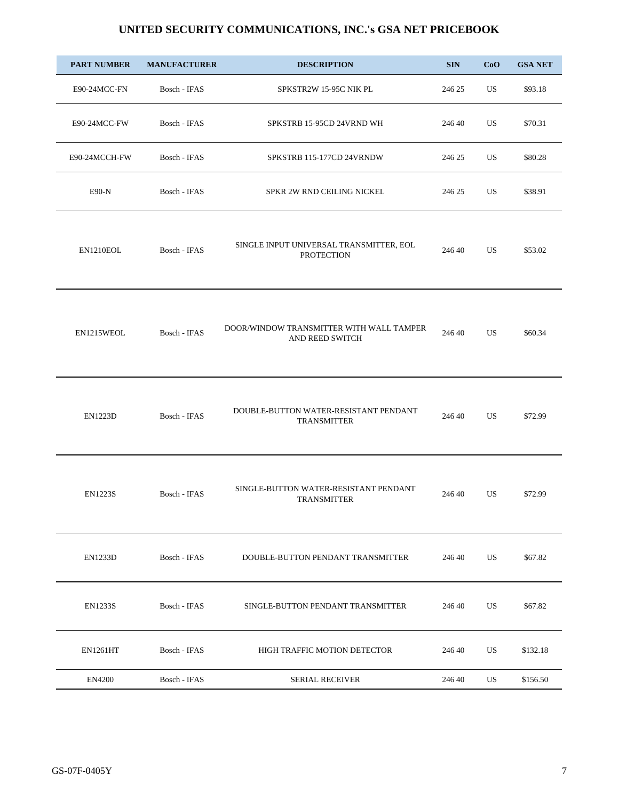| <b>PART NUMBER</b> | <b>MANUFACTURER</b> | <b>DESCRIPTION</b>                                           | <b>SIN</b> | CoO | <b>GSA NET</b> |
|--------------------|---------------------|--------------------------------------------------------------|------------|-----|----------------|
| E90-24MCC-FN       | Bosch - IFAS        | SPKSTR2W 15-95C NIK PL                                       | 246 25     | US  | \$93.18        |
| E90-24MCC-FW       | Bosch - IFAS        | SPKSTRB 15-95CD 24VRND WH                                    | 246 40     | US  | \$70.31        |
| E90-24MCCH-FW      | Bosch - IFAS        | SPKSTRB 115-177CD 24VRNDW                                    | 246 25     | US  | \$80.28        |
| $E90-N$            | Bosch - IFAS        | SPKR 2W RND CEILING NICKEL                                   | 246 25     | US  | \$38.91        |
| EN1210EOL          | Bosch - IFAS        | SINGLE INPUT UNIVERSAL TRANSMITTER, EOL<br><b>PROTECTION</b> | 246 40     | US  | \$53.02        |
| EN1215WEOL         | Bosch - IFAS        | DOOR/WINDOW TRANSMITTER WITH WALL TAMPER<br>AND REED SWITCH  | 246 40     | US  | \$60.34        |
| <b>EN1223D</b>     | Bosch - IFAS        | DOUBLE-BUTTON WATER-RESISTANT PENDANT<br><b>TRANSMITTER</b>  | 246 40     | US  | \$72.99        |
| <b>EN1223S</b>     | Bosch - IFAS        | SINGLE-BUTTON WATER-RESISTANT PENDANT<br><b>TRANSMITTER</b>  | 246 40     | US  | \$72.99        |
| <b>EN1233D</b>     | Bosch - IFAS        | DOUBLE-BUTTON PENDANT TRANSMITTER                            | 246 40     | US  | \$67.82        |
| <b>EN1233S</b>     | Bosch - IFAS        | SINGLE-BUTTON PENDANT TRANSMITTER                            | 246 40     | US  | \$67.82        |
| <b>EN1261HT</b>    | Bosch - IFAS        | HIGH TRAFFIC MOTION DETECTOR                                 | 246 40     | US  | \$132.18       |
| <b>EN4200</b>      | Bosch - IFAS        | <b>SERIAL RECEIVER</b>                                       | 246 40     | US  | \$156.50       |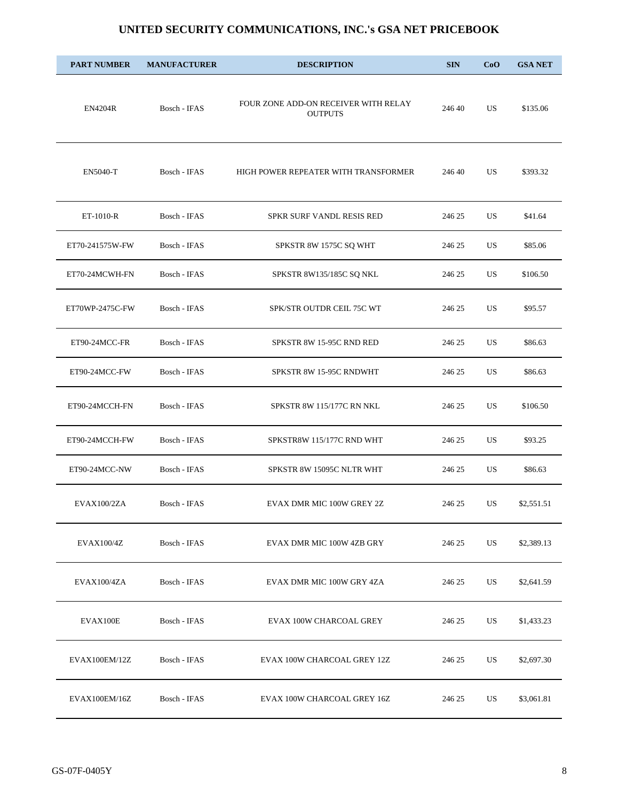| <b>PART NUMBER</b> | <b>MANUFACTURER</b> | <b>DESCRIPTION</b>                                     | <b>SIN</b> | CoO | <b>GSA NET</b> |
|--------------------|---------------------|--------------------------------------------------------|------------|-----|----------------|
| <b>EN4204R</b>     | Bosch - IFAS        | FOUR ZONE ADD-ON RECEIVER WITH RELAY<br><b>OUTPUTS</b> | 246 40     | US  | \$135.06       |
| <b>EN5040-T</b>    | Bosch - IFAS        | HIGH POWER REPEATER WITH TRANSFORMER                   | 246 40     | US  | \$393.32       |
| ET-1010-R          | Bosch - IFAS        | SPKR SURF VANDL RESIS RED                              | 246 25     | US. | \$41.64        |
| ET70-241575W-FW    | Bosch - IFAS        | SPKSTR 8W 1575C SQ WHT                                 | 246 25     | US  | \$85.06        |
| ET70-24MCWH-FN     | Bosch - IFAS        | SPKSTR 8W135/185C SQ NKL                               | 246 25     | US. | \$106.50       |
| ET70WP-2475C-FW    | Bosch - IFAS        | SPK/STR OUTDR CEIL 75C WT                              | 246 25     | US. | \$95.57        |
| ET90-24MCC-FR      | Bosch - IFAS        | SPKSTR 8W 15-95C RND RED                               | 246 25     | US  | \$86.63        |
| ET90-24MCC-FW      | Bosch - IFAS        | SPKSTR 8W 15-95C RNDWHT                                | 246 25     | US  | \$86.63        |
| ET90-24MCCH-FN     | Bosch - IFAS        | SPKSTR 8W 115/177C RN NKL                              | 246 25     | US. | \$106.50       |
| ET90-24MCCH-FW     | Bosch - IFAS        | SPKSTR8W 115/177C RND WHT                              | 246 25     | US  | \$93.25        |
| ET90-24MCC-NW      | Bosch - IFAS        | SPKSTR 8W 15095C NLTR WHT                              | 246 25     | US  | \$86.63        |
| EVAX100/2ZA        | Bosch - IFAS        | EVAX DMR MIC 100W GREY 2Z                              | 246 25     | US  | \$2,551.51     |
| EVAX100/4Z         | Bosch - IFAS        | EVAX DMR MIC 100W 4ZB GRY                              | 246 25     | US  | \$2,389.13     |
| EVAX100/4ZA        | Bosch - IFAS        | EVAX DMR MIC 100W GRY 4ZA                              | 246 25     | US  | \$2,641.59     |
| EVAX100E           | Bosch - IFAS        | EVAX 100W CHARCOAL GREY                                | 246 25     | US  | \$1,433.23     |
| EVAX100EM/12Z      | Bosch - IFAS        | EVAX 100W CHARCOAL GREY 12Z                            | 246 25     | US  | \$2,697.30     |
| EVAX100EM/16Z      | Bosch - IFAS        | EVAX 100W CHARCOAL GREY 16Z                            | 246 25     | US  | \$3,061.81     |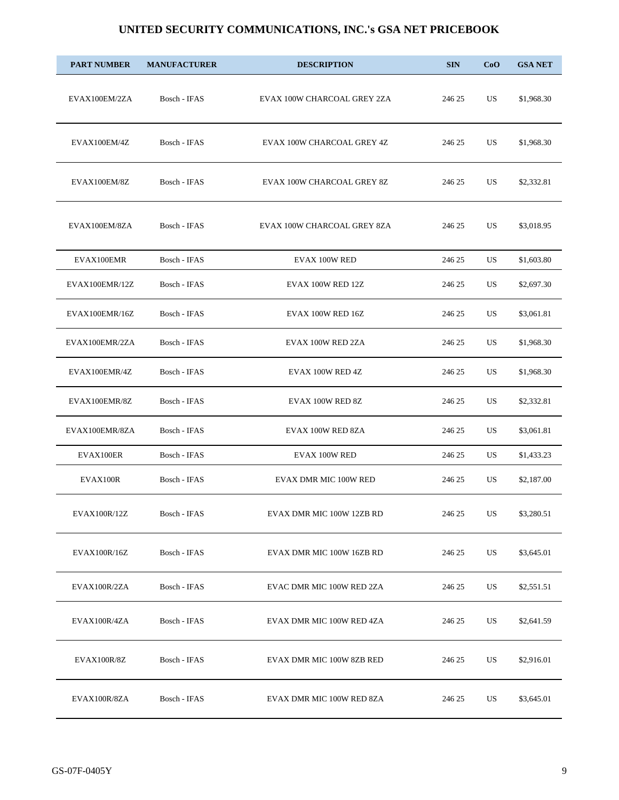| <b>PART NUMBER</b> | <b>MANUFACTURER</b> | <b>DESCRIPTION</b>          | <b>SIN</b> | CoO | <b>GSA NET</b> |
|--------------------|---------------------|-----------------------------|------------|-----|----------------|
| EVAX100EM/2ZA      | Bosch - IFAS        | EVAX 100W CHARCOAL GREY 2ZA | 246 25     | US  | \$1,968.30     |
| EVAX100EM/4Z       | Bosch - IFAS        | EVAX 100W CHARCOAL GREY 4Z  | 246 25     | US  | \$1,968.30     |
| EVAX100EM/8Z       | Bosch - IFAS        | EVAX 100W CHARCOAL GREY 8Z  | 246 25     | US  | \$2,332.81     |
| EVAX100EM/8ZA      | Bosch - IFAS        | EVAX 100W CHARCOAL GREY 8ZA | 246 25     | US  | \$3,018.95     |
| EVAX100EMR         | Bosch - IFAS        | EVAX 100W RED               | 246 25     | US  | \$1,603.80     |
| EVAX100EMR/12Z     | Bosch - IFAS        | EVAX 100W RED 12Z           | 246 25     | US  | \$2,697.30     |
| EVAX100EMR/16Z     | Bosch - IFAS        | EVAX 100W RED 16Z           | 246 25     | US  | \$3,061.81     |
| EVAX100EMR/2ZA     | Bosch - IFAS        | EVAX 100W RED 2ZA           | 246 25     | US  | \$1,968.30     |
| EVAX100EMR/4Z      | Bosch - IFAS        | EVAX 100W RED 4Z            | 246 25     | US  | \$1,968.30     |
| EVAX100EMR/8Z      | Bosch - IFAS        | EVAX 100W RED 8Z            | 246 25     | US  | \$2,332.81     |
| EVAX100EMR/8ZA     | Bosch - IFAS        | EVAX 100W RED 8ZA           | 246 25     | US  | \$3,061.81     |
| EVAX100ER          | Bosch - IFAS        | EVAX 100W RED               | 246 25     | US  | \$1,433.23     |
| EVAX100R           | Bosch - IFAS        | EVAX DMR MIC 100W RED       | 246 25     | US  | \$2,187.00     |
| EVAX100R/12Z       | Bosch - IFAS        | EVAX DMR MIC 100W 12ZB RD   | 246 25     | US  | \$3,280.51     |
| EVAX100R/16Z       | Bosch - IFAS        | EVAX DMR MIC 100W 16ZB RD   | 246 25     | US  | \$3,645.01     |
| EVAX100R/2ZA       | Bosch - IFAS        | EVAC DMR MIC 100W RED 2ZA   | 246 25     | US  | \$2,551.51     |
| EVAX100R/4ZA       | Bosch - IFAS        | EVAX DMR MIC 100W RED 4ZA   | 246 25     | US  | \$2,641.59     |
| EVAX100R/8Z        | Bosch - IFAS        | EVAX DMR MIC 100W 8ZB RED   | 246 25     | US  | \$2,916.01     |
| EVAX100R/8ZA       | Bosch - IFAS        | EVAX DMR MIC 100W RED 8ZA   | 246 25     | US  | \$3,645.01     |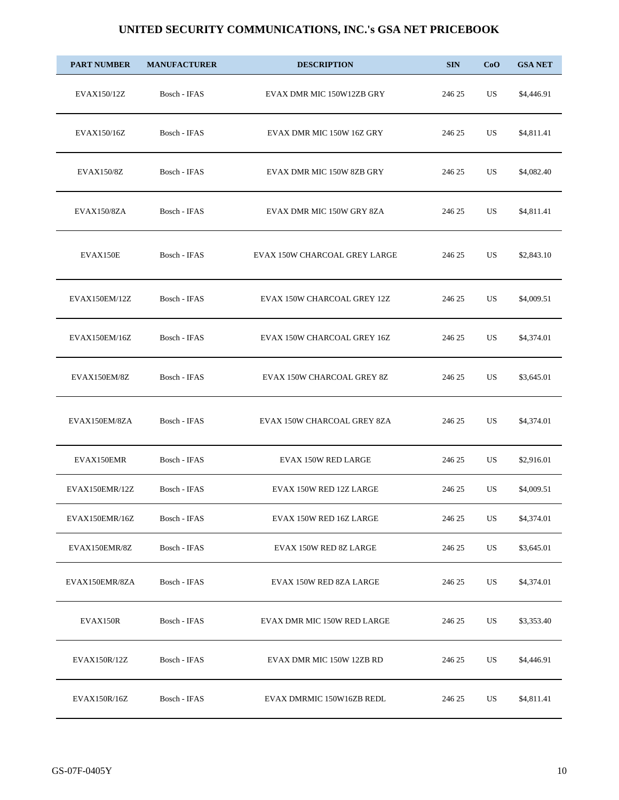| <b>PART NUMBER</b> | <b>MANUFACTURER</b> | <b>DESCRIPTION</b>            | <b>SIN</b> | CoO | <b>GSA NET</b> |
|--------------------|---------------------|-------------------------------|------------|-----|----------------|
| EVAX150/12Z        | Bosch - IFAS        | EVAX DMR MIC 150W12ZB GRY     | 246 25     | US  | \$4,446.91     |
| EVAX150/16Z        | Bosch - IFAS        | EVAX DMR MIC 150W 16Z GRY     | 246 25     | US  | \$4,811.41     |
| EVAX150/8Z         | Bosch - IFAS        | EVAX DMR MIC 150W 8ZB GRY     | 246 25     | US  | \$4,082.40     |
| EVAX150/8ZA        | Bosch - IFAS        | EVAX DMR MIC 150W GRY 8ZA     | 246 25     | US  | \$4,811.41     |
| EVAX150E           | Bosch - IFAS        | EVAX 150W CHARCOAL GREY LARGE | 246 25     | US  | \$2,843.10     |
| EVAX150EM/12Z      | Bosch - IFAS        | EVAX 150W CHARCOAL GREY 12Z   | 246 25     | US  | \$4,009.51     |
| EVAX150EM/16Z      | Bosch - IFAS        | EVAX 150W CHARCOAL GREY 16Z   | 246 25     | US  | \$4,374.01     |
| EVAX150EM/8Z       | Bosch - IFAS        | EVAX 150W CHARCOAL GREY 8Z    | 246 25     | US  | \$3,645.01     |
| EVAX150EM/8ZA      | Bosch - IFAS        | EVAX 150W CHARCOAL GREY 8ZA   | 246 25     | US. | \$4,374.01     |
| EVAX150EMR         | Bosch - IFAS        | <b>EVAX 150W RED LARGE</b>    | 246 25     | US  | \$2,916.01     |
| EVAX150EMR/12Z     | Bosch - IFAS        | EVAX 150W RED 12Z LARGE       | 246 25     | US  | \$4,009.51     |
| EVAX150EMR/16Z     | Bosch - IFAS        | EVAX 150W RED 16Z LARGE       | 246 25     | US  | \$4,374.01     |
| EVAX150EMR/8Z      | Bosch - IFAS        | EVAX 150W RED 8Z LARGE        | 246 25     | US  | \$3,645.01     |
| EVAX150EMR/8ZA     | Bosch - IFAS        | EVAX 150W RED 8ZA LARGE       | 246 25     | US  | \$4,374.01     |
| EVAX150R           | Bosch - IFAS        | EVAX DMR MIC 150W RED LARGE   | 246 25     | US  | \$3,353.40     |
| EVAX150R/12Z       | Bosch - IFAS        | EVAX DMR MIC 150W 12ZB RD     | 246 25     | US  | \$4,446.91     |
| EVAX150R/16Z       | Bosch - IFAS        | EVAX DMRMIC 150W16ZB REDL     | 246 25     | US  | \$4,811.41     |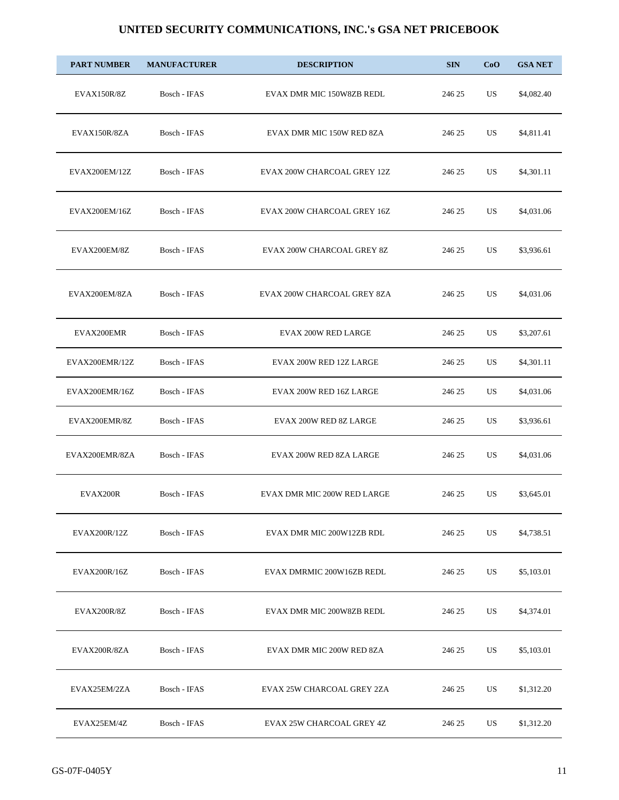| <b>PART NUMBER</b> | <b>MANUFACTURER</b> | <b>DESCRIPTION</b>          | <b>SIN</b> | CoO | <b>GSA NET</b> |
|--------------------|---------------------|-----------------------------|------------|-----|----------------|
| <b>EVAX150R/8Z</b> | Bosch - IFAS        | EVAX DMR MIC 150W8ZB REDL   | 246 25     | US  | \$4,082.40     |
| EVAX150R/8ZA       | Bosch - IFAS        | EVAX DMR MIC 150W RED 8ZA   | 246 25     | US  | \$4,811.41     |
| EVAX200EM/12Z      | Bosch - IFAS        | EVAX 200W CHARCOAL GREY 12Z | 246 25     | US  | \$4,301.11     |
| EVAX200EM/16Z      | Bosch - IFAS        | EVAX 200W CHARCOAL GREY 16Z | 246 25     | US  | \$4,031.06     |
| EVAX200EM/8Z       | Bosch - IFAS        | EVAX 200W CHARCOAL GREY 8Z  | 246 25     | US  | \$3,936.61     |
| EVAX200EM/8ZA      | Bosch - IFAS        | EVAX 200W CHARCOAL GREY 8ZA | 246 25     | US  | \$4,031.06     |
| EVAX200EMR         | Bosch - IFAS        | <b>EVAX 200W RED LARGE</b>  | 246 25     | US  | \$3,207.61     |
| EVAX200EMR/12Z     | Bosch - IFAS        | EVAX 200W RED 12Z LARGE     | 246 25     | US  | \$4,301.11     |
| EVAX200EMR/16Z     | Bosch - IFAS        | EVAX 200W RED 16Z LARGE     | 246 25     | US  | \$4,031.06     |
| EVAX200EMR/8Z      | Bosch - IFAS        | EVAX 200W RED 8Z LARGE      | 246 25     | US  | \$3,936.61     |
| EVAX200EMR/8ZA     | Bosch - IFAS        | EVAX 200W RED 8ZA LARGE     | 246 25     | US  | \$4,031.06     |
| EVAX200R           | Bosch - IFAS        | EVAX DMR MIC 200W RED LARGE | 246 25     | US  | \$3,645.01     |
| EVAX200R/12Z       | Bosch - IFAS        | EVAX DMR MIC 200W12ZB RDL   | 246 25     | US  | \$4,738.51     |
| EVAX200R/16Z       | Bosch - IFAS        | EVAX DMRMIC 200W16ZB REDL   | 246 25     | US  | \$5,103.01     |
| <b>EVAX200R/8Z</b> | Bosch - IFAS        | EVAX DMR MIC 200W8ZB REDL   | 246 25     | US. | \$4,374.01     |
| EVAX200R/8ZA       | Bosch - IFAS        | EVAX DMR MIC 200W RED 8ZA   | 246 25     | US  | \$5,103.01     |
| EVAX25EM/2ZA       | Bosch - IFAS        | EVAX 25W CHARCOAL GREY 2ZA  | 246 25     | US  | \$1,312.20     |
| EVAX25EM/4Z        | Bosch - IFAS        | EVAX 25W CHARCOAL GREY 4Z   | 246 25     | US  | \$1,312.20     |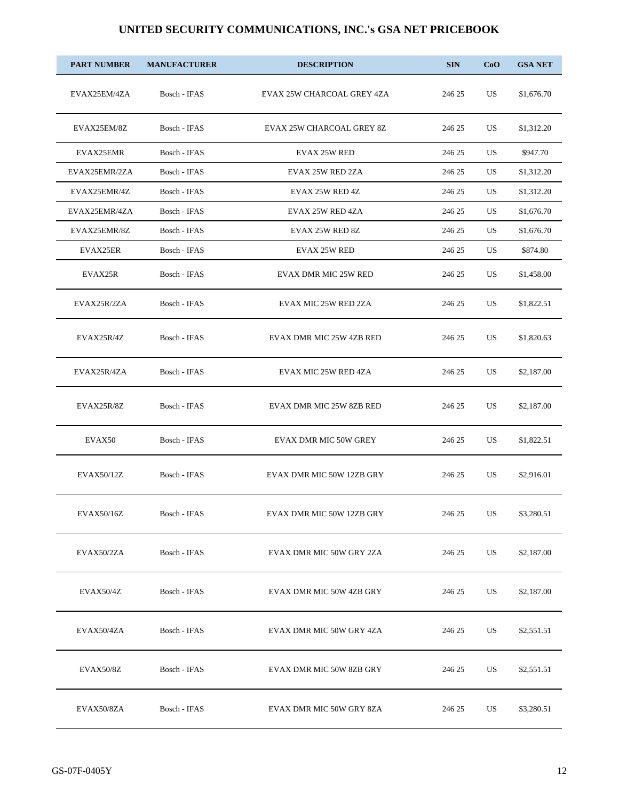| <b>PART NUMBER</b> | <b>MANUFACTURER</b> | <b>DESCRIPTION</b>           | <b>SIN</b> | CoO | <b>GSA NET</b> |
|--------------------|---------------------|------------------------------|------------|-----|----------------|
| EVAX25EM/4ZA       | Bosch - IFAS        | EVAX 25W CHARCOAL GREY 4ZA   | 246 25     | US  | \$1,676.70     |
| EVAX25EM/8Z        | Bosch - IFAS        | EVAX 25W CHARCOAL GREY 8Z    | 246 25     | US. | \$1,312.20     |
| EVAX25EMR          | Bosch - IFAS        | <b>EVAX 25W RED</b>          | 246 25     | US  | \$947.70       |
| EVAX25EMR/2ZA      | Bosch - IFAS        | EVAX 25W RED 2ZA             | 246 25     | US. | \$1,312.20     |
| EVAX25EMR/4Z       | Bosch - IFAS        | EVAX 25W RED 4Z              | 246 25     | US  | \$1,312.20     |
| EVAX25EMR/4ZA      | Bosch - IFAS        | EVAX 25W RED 4ZA             | 246 25     | US. | \$1,676.70     |
| EVAX25EMR/8Z       | Bosch - IFAS        | EVAX 25W RED 8Z              | 246 25     | US  | \$1,676.70     |
| EVAX25ER           | Bosch - IFAS        | <b>EVAX 25W RED</b>          | 246 25     | US. | \$874.80       |
| EVAX25R            | Bosch - IFAS        | <b>EVAX DMR MIC 25W RED</b>  | 246 25     | US. | \$1,458.00     |
| EVAX25R/2ZA        | Bosch - IFAS        | EVAX MIC 25W RED 2ZA         | 246 25     | US  | \$1,822.51     |
| EVAX25R/4Z         | Bosch - IFAS        | EVAX DMR MIC 25W 4ZB RED     | 246 25     | US  | \$1,820.63     |
| EVAX25R/4ZA        | Bosch - IFAS        | EVAX MIC 25W RED 4ZA         | 246 25     | US  | \$2,187.00     |
| EVAX25R/8Z         | Bosch - IFAS        | EVAX DMR MIC 25W 8ZB RED     | 246 25     | US. | \$2,187.00     |
| EVAX50             | Bosch - IFAS        | <b>EVAX DMR MIC 50W GREY</b> | 246 25     | US. | \$1,822.51     |
| EVAX50/12Z         | Bosch - IFAS        | EVAX DMR MIC 50W 12ZB GRY    | 246 25     | US. | \$2,916.01     |
| EVAX50/16Z         | Bosch - IFAS        | EVAX DMR MIC 50W 12ZB GRY    | 246 25     | US  | \$3,280.51     |
| EVAX50/2ZA         | Bosch - IFAS        | EVAX DMR MIC 50W GRY 2ZA     | 246 25     | US  | \$2,187.00     |
| EVAX50/4Z          | Bosch - IFAS        | EVAX DMR MIC 50W 4ZB GRY     | 246 25     | US  | \$2,187.00     |
| EVAX50/4ZA         | Bosch - IFAS        | EVAX DMR MIC 50W GRY 4ZA     | 246 25     | US  | \$2,551.51     |
| EVAX50/8Z          | Bosch - IFAS        | EVAX DMR MIC 50W 8ZB GRY     | 246 25     | US  | \$2,551.51     |
| EVAX50/8ZA         | Bosch - IFAS        | EVAX DMR MIC 50W GRY 8ZA     | 246 25     | US  | \$3,280.51     |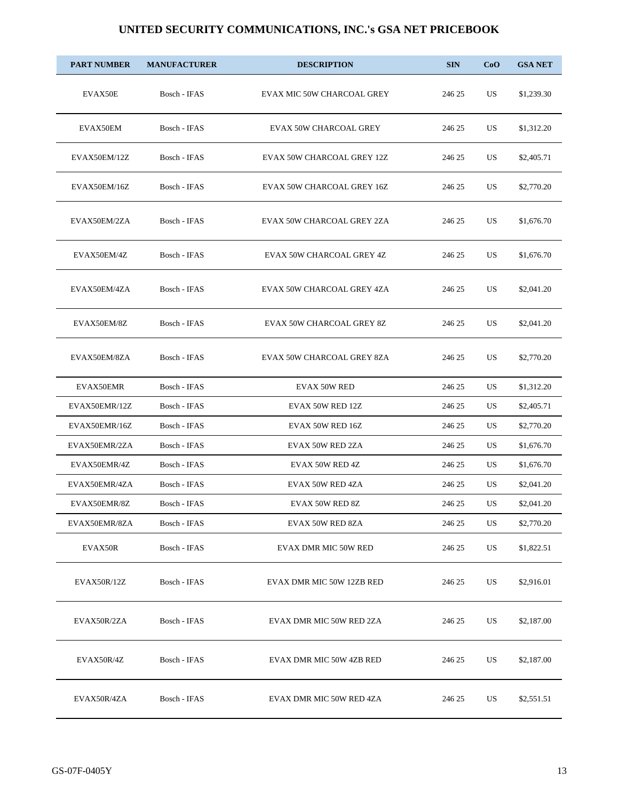| <b>PART NUMBER</b> | <b>MANUFACTURER</b> | <b>DESCRIPTION</b>                | <b>SIN</b> | CoO | <b>GSA NET</b> |
|--------------------|---------------------|-----------------------------------|------------|-----|----------------|
| EVAX50E            | Bosch - IFAS        | EVAX MIC 50W CHARCOAL GREY        | 246 25     | US  | \$1,239.30     |
| EVAX50EM           | Bosch - IFAS        | <b>EVAX 50W CHARCOAL GREY</b>     | 246 25     | US  | \$1,312.20     |
| EVAX50EM/12Z       | Bosch - IFAS        | EVAX 50W CHARCOAL GREY 12Z        | 246 25     | US  | \$2,405.71     |
| EVAX50EM/16Z       | Bosch - IFAS        | <b>EVAX 50W CHARCOAL GREY 16Z</b> | 246 25     | US  | \$2,770.20     |
| EVAX50EM/2ZA       | Bosch - IFAS        | EVAX 50W CHARCOAL GREY 2ZA        | 246 25     | US. | \$1,676.70     |
| EVAX50EM/4Z        | Bosch - IFAS        | EVAX 50W CHARCOAL GREY 4Z         | 246 25     | US  | \$1,676.70     |
| EVAX50EM/4ZA       | Bosch - IFAS        | EVAX 50W CHARCOAL GREY 4ZA        | 246 25     | US  | \$2,041.20     |
| EVAX50EM/8Z        | Bosch - IFAS        | EVAX 50W CHARCOAL GREY 8Z         | 246 25     | US  | \$2,041.20     |
| EVAX50EM/8ZA       | Bosch - IFAS        | EVAX 50W CHARCOAL GREY 8ZA        | 246 25     | US  | \$2,770.20     |
| EVAX50EMR          | Bosch - IFAS        | <b>EVAX 50W RED</b>               | 246 25     | US. | \$1,312.20     |
| EVAX50EMR/12Z      | Bosch - IFAS        | EVAX 50W RED 12Z                  | 246 25     | US. | \$2,405.71     |
| EVAX50EMR/16Z      | Bosch - IFAS        | EVAX 50W RED 16Z                  | 246 25     | US  | \$2,770.20     |
| EVAX50EMR/2ZA      | Bosch - IFAS        | EVAX 50W RED 2ZA                  | 246 25     | US  | \$1,676.70     |
| EVAX50EMR/4Z       | Bosch - IFAS        | EVAX 50W RED 4Z                   | 246 25     | US. | \$1,676.70     |
| EVAX50EMR/4ZA      | Bosch - IFAS        | EVAX 50W RED 4ZA                  | 246 25     | US. | \$2,041.20     |
| EVAX50EMR/8Z       | Bosch - IFAS        | EVAX 50W RED 8Z                   | 246 25     | US  | \$2,041.20     |
| EVAX50EMR/8ZA      | Bosch - IFAS        | EVAX 50W RED 8ZA                  | 246 25     | US  | \$2,770.20     |
| EVAX50R            | Bosch - IFAS        | EVAX DMR MIC 50W RED              | 246 25     | US  | \$1,822.51     |
| EVAX50R/12Z        | Bosch - IFAS        | EVAX DMR MIC 50W 12ZB RED         | 246 25     | US  | \$2,916.01     |
| EVAX50R/2ZA        | Bosch - IFAS        | EVAX DMR MIC 50W RED 2ZA          | 246 25     | US  | \$2,187.00     |
| EVAX50R/4Z         | Bosch - IFAS        | EVAX DMR MIC 50W 4ZB RED          | 246 25     | US  | \$2,187.00     |
| EVAX50R/4ZA        | Bosch - IFAS        | EVAX DMR MIC 50W RED 4ZA          | 246 25     | US  | \$2,551.51     |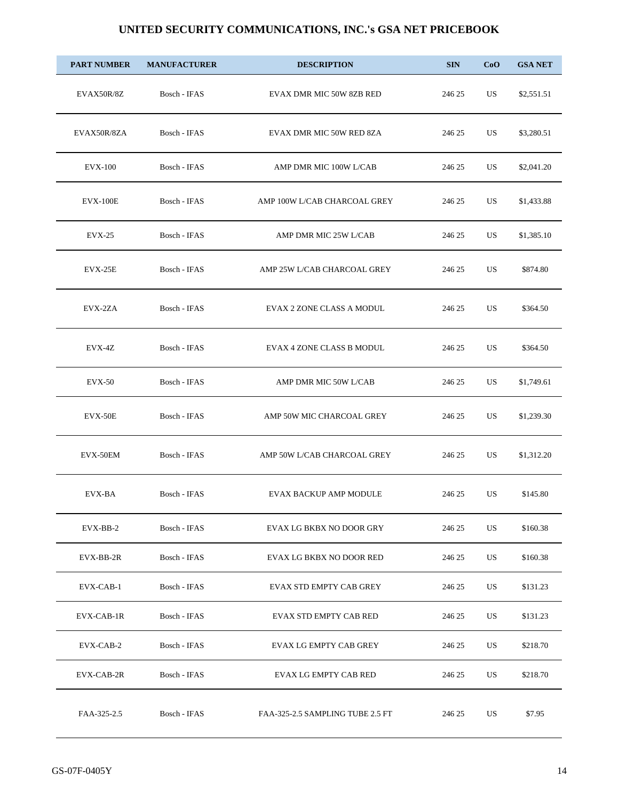| <b>PART NUMBER</b> | <b>MANUFACTURER</b> | <b>DESCRIPTION</b>               | <b>SIN</b> | CoO       | <b>GSA NET</b> |
|--------------------|---------------------|----------------------------------|------------|-----------|----------------|
| EVAX50R/8Z         | Bosch - IFAS        | EVAX DMR MIC 50W 8ZB RED         | 246 25     | US        | \$2,551.51     |
| EVAX50R/8ZA        | Bosch - IFAS        | EVAX DMR MIC 50W RED 8ZA         | 246 25     | US        | \$3,280.51     |
| <b>EVX-100</b>     | Bosch - IFAS        | AMP DMR MIC 100W L/CAB           | 246 25     | US        | \$2,041.20     |
| <b>EVX-100E</b>    | Bosch - IFAS        | AMP 100W L/CAB CHARCOAL GREY     | 246 25     | US        | \$1,433.88     |
| <b>EVX-25</b>      | Bosch - IFAS        | AMP DMR MIC 25W L/CAB            | 246 25     | US        | \$1,385.10     |
| EVX-25E            | Bosch - IFAS        | AMP 25W L/CAB CHARCOAL GREY      | 246 25     | US        | \$874.80       |
| EVX-2ZA            | Bosch - IFAS        | EVAX 2 ZONE CLASS A MODUL        | 246 25     | US        | \$364.50       |
| EVX-4Z             | Bosch - IFAS        | EVAX 4 ZONE CLASS B MODUL        | 246 25     | US        | \$364.50       |
| <b>EVX-50</b>      | Bosch - IFAS        | AMP DMR MIC 50W L/CAB            | 246 25     | US        | \$1,749.61     |
| EVX-50E            | Bosch - IFAS        | AMP 50W MIC CHARCOAL GREY        | 246 25     | US        | \$1,239.30     |
| EVX-50EM           | Bosch - IFAS        | AMP 50W L/CAB CHARCOAL GREY      | 246 25     | US        | \$1,312.20     |
| EVX-BA             | Bosch - IFAS        | <b>EVAX BACKUP AMP MODULE</b>    | 246 25     | <b>US</b> | \$145.80       |
| EVX-BB-2           | Bosch - IFAS        | EVAX LG BKBX NO DOOR GRY         | 246 25     | US        | \$160.38       |
| EVX-BB-2R          | Bosch - IFAS        | EVAX LG BKBX NO DOOR RED         | 246 25     | US        | \$160.38       |
| EVX-CAB-1          | Bosch - IFAS        | EVAX STD EMPTY CAB GREY          | 246 25     | US        | \$131.23       |
| EVX-CAB-1R         | Bosch - IFAS        | <b>EVAX STD EMPTY CAB RED</b>    | 246 25     | US        | \$131.23       |
| EVX-CAB-2          | Bosch - IFAS        | EVAX LG EMPTY CAB GREY           | 246 25     | US        | \$218.70       |
| EVX-CAB-2R         | Bosch - IFAS        | EVAX LG EMPTY CAB RED            | 246 25     | US        | \$218.70       |
| FAA-325-2.5        | Bosch - IFAS        | FAA-325-2.5 SAMPLING TUBE 2.5 FT | 246 25     | US        | \$7.95         |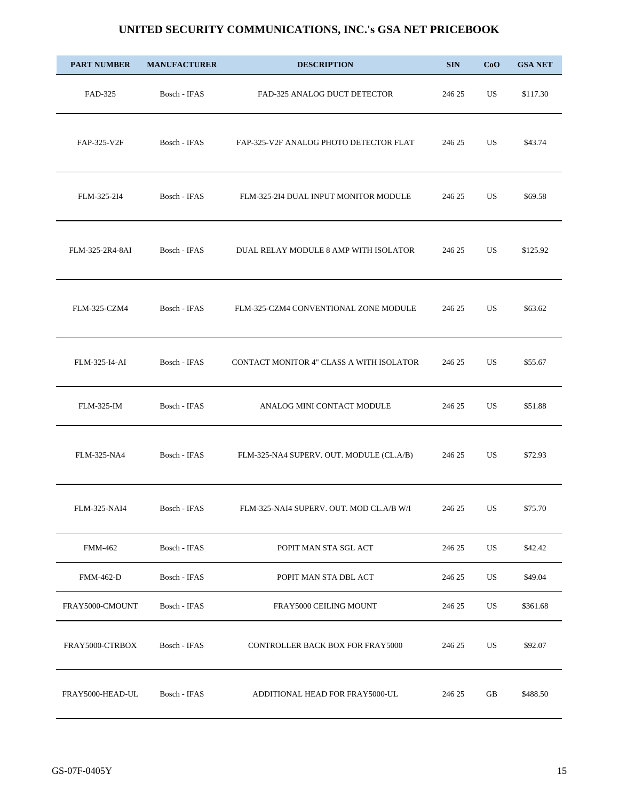| <b>PART NUMBER</b> | <b>MANUFACTURER</b> | <b>DESCRIPTION</b>                       | <b>SIN</b> | CoO       | <b>GSA NET</b> |
|--------------------|---------------------|------------------------------------------|------------|-----------|----------------|
| FAD-325            | Bosch - IFAS        | FAD-325 ANALOG DUCT DETECTOR             | 246 25     | <b>US</b> | \$117.30       |
| FAP-325-V2F        | Bosch - IFAS        | FAP-325-V2F ANALOG PHOTO DETECTOR FLAT   | 246 25     | US        | \$43.74        |
| FLM-325-2I4        | Bosch - IFAS        | FLM-325-2I4 DUAL INPUT MONITOR MODULE    | 246 25     | <b>US</b> | \$69.58        |
| FLM-325-2R4-8AI    | Bosch - IFAS        | DUAL RELAY MODULE 8 AMP WITH ISOLATOR    | 246 25     | <b>US</b> | \$125.92       |
| FLM-325-CZM4       | Bosch - IFAS        | FLM-325-CZM4 CONVENTIONAL ZONE MODULE    | 246 25     | US        | \$63.62        |
| FLM-325-I4-AI      | Bosch - IFAS        | CONTACT MONITOR 4" CLASS A WITH ISOLATOR | 246 25     | <b>US</b> | \$55.67        |
| <b>FLM-325-IM</b>  | Bosch - IFAS        | ANALOG MINI CONTACT MODULE               | 246 25     | US        | \$51.88        |
| FLM-325-NA4        | Bosch - IFAS        | FLM-325-NA4 SUPERV. OUT. MODULE (CL.A/B) | 246 25     | US        | \$72.93        |
| FLM-325-NAI4       | Bosch - IFAS        | FLM-325-NAI4 SUPERV. OUT. MOD CL.A/B W/I | 246 25     | US        | \$75.70        |
| <b>FMM-462</b>     | Bosch - IFAS        | POPIT MAN STA SGL ACT                    | 246 25     | US        | \$42.42        |
| <b>FMM-462-D</b>   | Bosch - IFAS        | POPIT MAN STA DBL ACT                    | 246 25     | US        | \$49.04        |
| FRAY5000-CMOUNT    | Bosch - IFAS        | FRAY5000 CEILING MOUNT                   | 246 25     | US        | \$361.68       |
| FRAY5000-CTRBOX    | Bosch - IFAS        | <b>CONTROLLER BACK BOX FOR FRAY5000</b>  | 246 25     | US        | \$92.07        |
| FRAY5000-HEAD-UL   | Bosch - IFAS        | ADDITIONAL HEAD FOR FRAY5000-UL          | 246 25     | GB        | \$488.50       |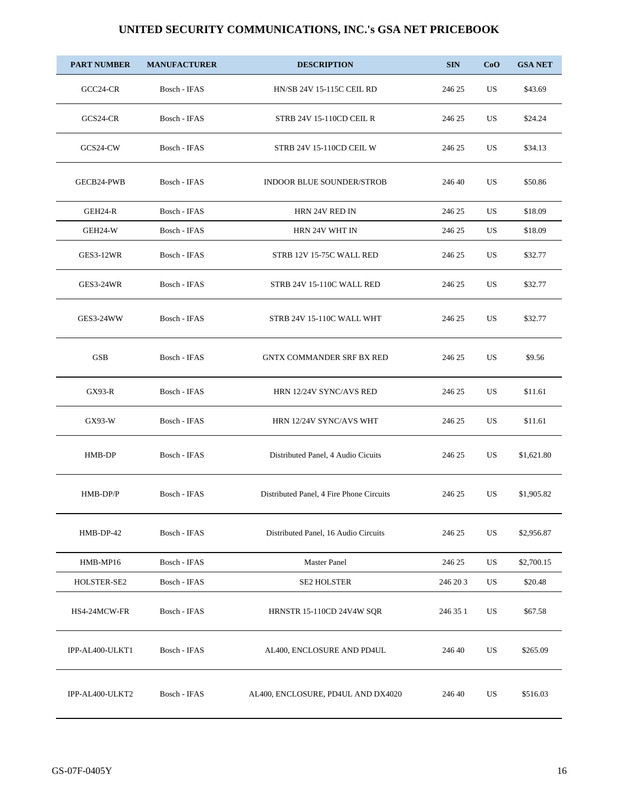| <b>PART NUMBER</b> | <b>MANUFACTURER</b> | <b>DESCRIPTION</b>                       | <b>SIN</b> | CoO | <b>GSA NET</b> |
|--------------------|---------------------|------------------------------------------|------------|-----|----------------|
| GCC24-CR           | Bosch - IFAS        | <b>HN/SB 24V 15-115C CEIL RD</b>         | 246 25     | US  | \$43.69        |
| GCS24-CR           | Bosch - IFAS        | <b>STRB 24V 15-110CD CEIL R</b>          | 246 25     | US. | \$24.24        |
| GCS24-CW           | Bosch - IFAS        | <b>STRB 24V 15-110CD CEIL W</b>          | 246 25     | US  | \$34.13        |
| GECB24-PWB         | Bosch - IFAS        | <b>INDOOR BLUE SOUNDER/STROB</b>         | 246 40     | US  | \$50.86        |
| GEH24-R            | Bosch - IFAS        | HRN 24V RED IN                           | 246 25     | US  | \$18.09        |
| GEH24-W            | Bosch - IFAS        | HRN 24V WHT IN                           | 246 25     | US. | \$18.09        |
| GES3-12WR          | Bosch - IFAS        | STRB 12V 15-75C WALL RED                 | 246 25     | US  | \$32.77        |
| <b>GES3-24WR</b>   | Bosch - IFAS        | STRB 24V 15-110C WALL RED                | 246 25     | US  | \$32.77        |
| GES3-24WW          | Bosch - IFAS        | STRB 24V 15-110C WALL WHT                | 246 25     | US  | \$32.77        |
| <b>GSB</b>         | Bosch - IFAS        | <b>GNTX COMMANDER SRF BX RED</b>         | 246 25     | US  | \$9.56         |
| $GX93-R$           | Bosch - IFAS        | HRN 12/24V SYNC/AVS RED                  | 246 25     | US  | \$11.61        |
| GX93-W             | Bosch - IFAS        | HRN 12/24V SYNC/AVS WHT                  | 246 25     | US  | \$11.61        |
| HMB-DP             | Bosch - IFAS        | Distributed Panel, 4 Audio Cicuits       | 246 25     | US  | \$1,621.80     |
| HMB-DP/P           | Bosch - IFAS        | Distributed Panel, 4 Fire Phone Circuits | 246 25     | US  | \$1,905.82     |
| HMB-DP-42          | Bosch - IFAS        | Distributed Panel, 16 Audio Circuits     | 246 25     | US  | \$2,956.87     |
| HMB-MP16           | Bosch - IFAS        | <b>Master Panel</b>                      | 246 25     | US  | \$2,700.15     |
| HOLSTER-SE2        | Bosch - IFAS        | <b>SE2 HOLSTER</b>                       | 246 20 3   | US  | \$20.48        |
| HS4-24MCW-FR       | Bosch - IFAS        | HRNSTR 15-110CD 24V4W SQR                | 246 35 1   | US  | \$67.58        |
| IPP-AL400-ULKT1    | Bosch - IFAS        | AL400, ENCLOSURE AND PD4UL               | 246 40     | US  | \$265.09       |
| IPP-AL400-ULKT2    | Bosch - IFAS        | AL400, ENCLOSURE, PD4UL AND DX4020       | 246 40     | US  | \$516.03       |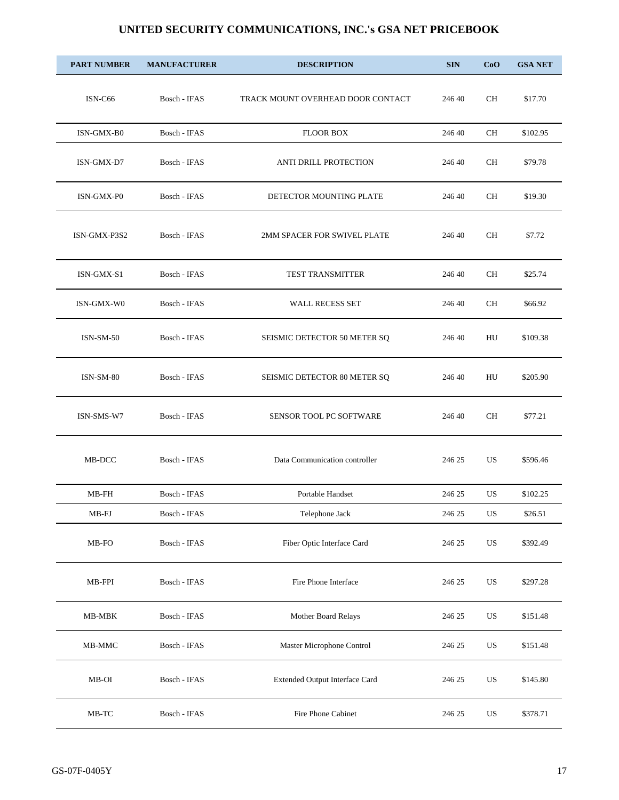| <b>PART NUMBER</b> | <b>MANUFACTURER</b> | <b>DESCRIPTION</b>                | <b>SIN</b> | CoO         | <b>GSA NET</b> |
|--------------------|---------------------|-----------------------------------|------------|-------------|----------------|
| ISN-C66            | Bosch - IFAS        | TRACK MOUNT OVERHEAD DOOR CONTACT | 246 40     | CH          | \$17.70        |
| ISN-GMX-B0         | Bosch - IFAS        | <b>FLOOR BOX</b>                  | 246 40     | СH          | \$102.95       |
| ISN-GMX-D7         | Bosch - IFAS        | ANTI DRILL PROTECTION             | 246 40     | CH          | \$79.78        |
| ISN-GMX-P0         | Bosch - IFAS        | DETECTOR MOUNTING PLATE           | 246 40     | CH          | \$19.30        |
| ISN-GMX-P3S2       | Bosch - IFAS        | 2MM SPACER FOR SWIVEL PLATE       | 246 40     | <b>CH</b>   | \$7.72         |
| ISN-GMX-S1         | Bosch - IFAS        | <b>TEST TRANSMITTER</b>           | 246 40     | CН          | \$25.74        |
| ISN-GMX-W0         | Bosch - IFAS        | <b>WALL RECESS SET</b>            | 246 40     | <b>CH</b>   | \$66.92        |
| $ISN-SM-50$        | Bosch - IFAS        | SEISMIC DETECTOR 50 METER SQ      | 246 40     | HU          | \$109.38       |
| <b>ISN-SM-80</b>   | Bosch - IFAS        | SEISMIC DETECTOR 80 METER SQ      | 246 40     | HU          | \$205.90       |
| ISN-SMS-W7         | Bosch - IFAS        | SENSOR TOOL PC SOFTWARE           | 246 40     | <b>CH</b>   | \$77.21        |
| MB-DCC             | Bosch - IFAS        | Data Communication controller     | 246 25     | US          | \$596.46       |
| MB-FH              | Bosch - IFAS        | Portable Handset                  | 246 25     | US          | \$102.25       |
| $MB$ -FJ           | Bosch - IFAS        | Telephone Jack                    | 246 25     | US          | \$26.51        |
| MB-FO              | Bosch - IFAS        | Fiber Optic Interface Card        | 246 25     | US          | \$392.49       |
| MB-FPI             | Bosch - IFAS        | Fire Phone Interface              | 246 25     | US          | \$297.28       |
| $MB-MBK$           | Bosch - IFAS        | Mother Board Relays               | 246 25     | $_{\rm US}$ | \$151.48       |
| MB-MMC             | Bosch - IFAS        | Master Microphone Control         | 246 25     | US          | \$151.48       |
| MB-OI              | Bosch - IFAS        | Extended Output Interface Card    | 246 25     | US          | \$145.80       |
| $MB-TC$            | Bosch - IFAS        | Fire Phone Cabinet                | 246 25     | US          | \$378.71       |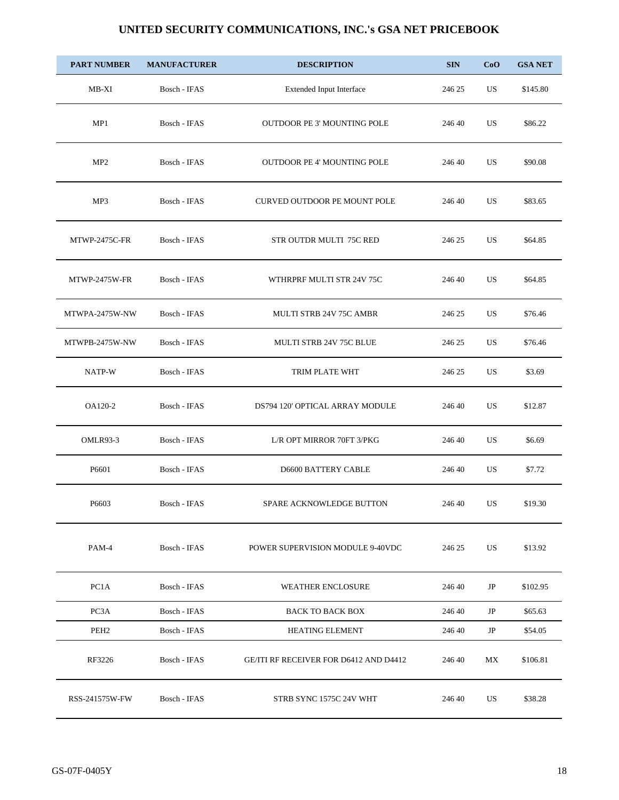| <b>PART NUMBER</b> | <b>MANUFACTURER</b> | <b>DESCRIPTION</b>                     | <b>SIN</b> | CoO       | <b>GSA NET</b> |
|--------------------|---------------------|----------------------------------------|------------|-----------|----------------|
| $MB-XI$            | Bosch - IFAS        | Extended Input Interface               | 246 25     | US        | \$145.80       |
| MP1                | Bosch - IFAS        | OUTDOOR PE 3' MOUNTING POLE            | 246 40     | US        | \$86.22        |
| MP <sub>2</sub>    | Bosch - IFAS        | <b>OUTDOOR PE 4' MOUNTING POLE</b>     | 246 40     | <b>US</b> | \$90.08        |
| MP3                | Bosch - IFAS        | <b>CURVED OUTDOOR PE MOUNT POLE</b>    | 246 40     | US        | \$83.65        |
| MTWP-2475C-FR      | Bosch - IFAS        | STR OUTDR MULTI 75C RED                | 246 25     | US        | \$64.85        |
| MTWP-2475W-FR      | Bosch - IFAS        | WTHRPRF MULTI STR 24V 75C              | 246 40     | US        | \$64.85        |
| MTWPA-2475W-NW     | Bosch - IFAS        | <b>MULTI STRB 24V 75C AMBR</b>         | 246 25     | US        | \$76.46        |
| MTWPB-2475W-NW     | Bosch - IFAS        | MULTI STRB 24V 75C BLUE                | 246 25     | US        | \$76.46        |
| NATP-W             | Bosch - IFAS        | TRIM PLATE WHT                         | 246 25     | US.       | \$3.69         |
| OA120-2            | Bosch - IFAS        | DS794 120' OPTICAL ARRAY MODULE        | 246 40     | US        | \$12.87        |
| OMLR93-3           | Bosch - IFAS        | L/R OPT MIRROR 70FT 3/PKG              | 246 40     | US        | \$6.69         |
| P6601              | Bosch - IFAS        | <b>D6600 BATTERY CABLE</b>             | 246 40     | US        | \$7.72         |
| P6603              | Bosch - IFAS        | SPARE ACKNOWLEDGE BUTTON               | 246 40     | US        | \$19.30        |
| PAM-4              | Bosch - IFAS        | POWER SUPERVISION MODULE 9-40VDC       | 246 25     | US        | \$13.92        |
| PC1A               | Bosch - IFAS        | <b>WEATHER ENCLOSURE</b>               | 246 40     | $\rm JP$  | \$102.95       |
| PC3A               | Bosch - IFAS        | BACK TO BACK BOX                       | 246 40     | JP        | \$65.63        |
| PEH <sub>2</sub>   | Bosch - IFAS        | HEATING ELEMENT                        | 246 40     | $\rm{JP}$ | \$54.05        |
| RF3226             | Bosch - IFAS        | GE/ITI RF RECEIVER FOR D6412 AND D4412 | 246 40     | МX        | \$106.81       |
| RSS-241575W-FW     | Bosch - IFAS        | STRB SYNC 1575C 24V WHT                | 246 40     | US        | \$38.28        |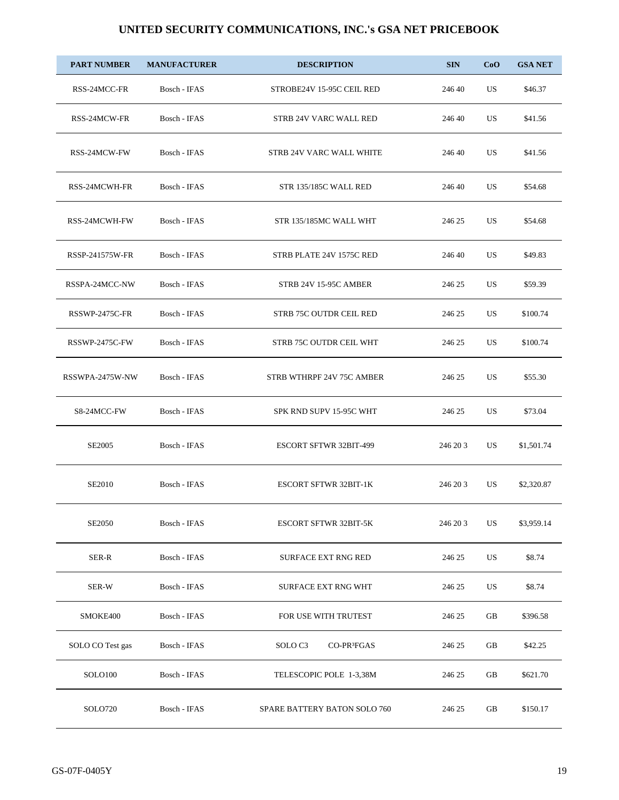| <b>PART NUMBER</b> | <b>MANUFACTURER</b> | <b>DESCRIPTION</b>                            | <b>SIN</b> | CoO       | <b>GSA NET</b> |
|--------------------|---------------------|-----------------------------------------------|------------|-----------|----------------|
| RSS-24MCC-FR       | Bosch - IFAS        | STROBE24V 15-95C CEIL RED                     | 246 40     | US        | \$46.37        |
| RSS-24MCW-FR       | Bosch - IFAS        | STRB 24V VARC WALL RED                        | 246 40     | US        | \$41.56        |
| RSS-24MCW-FW       | Bosch - IFAS        | STRB 24V VARC WALL WHITE                      | 246 40     | US        | \$41.56        |
| RSS-24MCWH-FR      | Bosch - IFAS        | STR 135/185C WALL RED                         | 246 40     | US        | \$54.68        |
| RSS-24MCWH-FW      | Bosch - IFAS        | STR 135/185MC WALL WHT                        | 246 25     | US        | \$54.68        |
| RSSP-241575W-FR    | Bosch - IFAS        | STRB PLATE 24V 1575C RED                      | 246 40     | US        | \$49.83        |
| RSSPA-24MCC-NW     | Bosch - IFAS        | STRB 24V 15-95C AMBER                         | 246 25     | US        | \$59.39        |
| RSSWP-2475C-FR     | Bosch - IFAS        | STRB 75C OUTDR CEIL RED                       | 246 25     | US        | \$100.74       |
| RSSWP-2475C-FW     | Bosch - IFAS        | STRB 75C OUTDR CEIL WHT                       | 246 25     | US        | \$100.74       |
| RSSWPA-2475W-NW    | Bosch - IFAS        | STRB WTHRPF 24V 75C AMBER                     | 246 25     | US        | \$55.30        |
| S8-24MCC-FW        | Bosch - IFAS        | SPK RND SUPV 15-95C WHT                       | 246 25     | US        | \$73.04        |
| SE2005             | Bosch - IFAS        | <b>ESCORT SFTWR 32BIT-499</b>                 | 246 20 3   | US        | \$1,501.74     |
| <b>SE2010</b>      | Bosch - IFAS        | ESCORT SFTWR 32BIT-1K                         | 246 20 3   | US        | \$2,320.87     |
| <b>SE2050</b>      | Bosch - IFAS        | <b>ESCORT SFTWR 32BIT-5K</b>                  | 246 20 3   | <b>US</b> | \$3,959.14     |
| SER-R              | Bosch - IFAS        | <b>SURFACE EXT RNG RED</b>                    | 246 25     | US        | \$8.74         |
| SER-W              | Bosch - IFAS        | <b>SURFACE EXT RNG WHT</b>                    | 246 25     | US        | \$8.74         |
| SMOKE400           | Bosch - IFAS        | FOR USE WITH TRUTEST                          | 246 25     | GB        | \$396.58       |
| SOLO CO Test gas   | Bosch - IFAS        | SOLO <sub>C3</sub><br>CO-PR <sup>3</sup> FGAS | 246 25     | GB        | \$42.25        |
| <b>SOLO100</b>     | Bosch - IFAS        | TELESCOPIC POLE 1-3,38M                       | 246 25     | GB        | \$621.70       |
| SOLO720            | Bosch - IFAS        | SPARE BATTERY BATON SOLO 760                  | 246 25     | GB        | \$150.17       |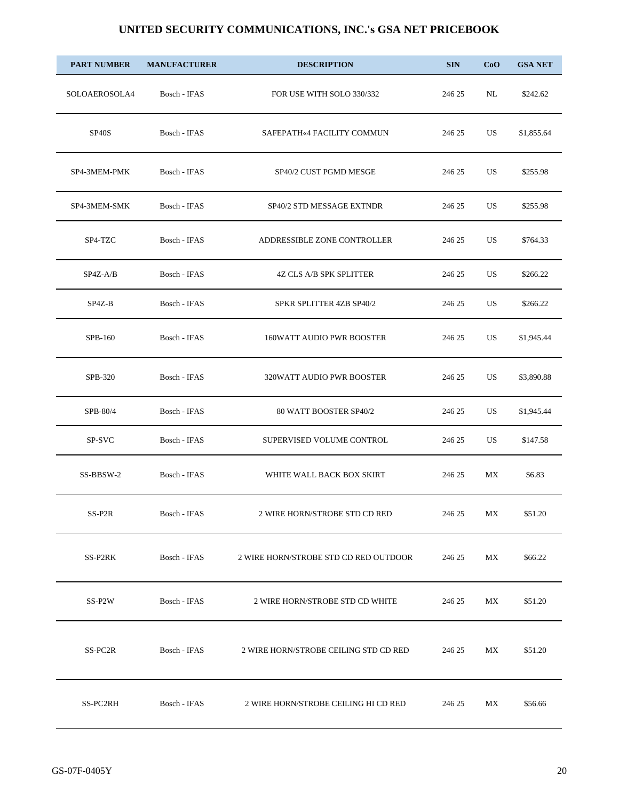| <b>PART NUMBER</b> | <b>MANUFACTURER</b> | <b>DESCRIPTION</b>                    | <b>SIN</b> | CoO                             | <b>GSA NET</b> |
|--------------------|---------------------|---------------------------------------|------------|---------------------------------|----------------|
| SOLOAEROSOLA4      | Bosch - IFAS        | FOR USE WITH SOLO 330/332             | 246 25     | NL                              | \$242.62       |
| SP <sub>40</sub> S | Bosch - IFAS        | SAFEPATH«4 FACILITY COMMUN            | 246 25     | US                              | \$1,855.64     |
| SP4-3MEM-PMK       | Bosch - IFAS        | SP40/2 CUST PGMD MESGE                | 246 25     | US                              | \$255.98       |
| SP4-3MEM-SMK       | Bosch - IFAS        | SP40/2 STD MESSAGE EXTNDR             | 246 25     | US                              | \$255.98       |
| SP4-TZC            | Bosch - IFAS        | ADDRESSIBLE ZONE CONTROLLER           | 246 25     | US                              | \$764.33       |
| $SP4Z-A/B$         | Bosch - IFAS        | <b>4Z CLS A/B SPK SPLITTER</b>        | 246 25     | US                              | \$266.22       |
| SP4Z-B             | Bosch - IFAS        | SPKR SPLITTER 4ZB SP40/2              | 246 25     | US                              | \$266.22       |
| SPB-160            | Bosch - IFAS        | <b>160WATT AUDIO PWR BOOSTER</b>      | 246 25     | US                              | \$1,945.44     |
| SPB-320            | Bosch - IFAS        | 320WATT AUDIO PWR BOOSTER             | 246 25     | US                              | \$3,890.88     |
| SPB-80/4           | Bosch - IFAS        | 80 WATT BOOSTER SP40/2                | 246 25     | US                              | \$1,945.44     |
| SP-SVC             | Bosch - IFAS        | SUPERVISED VOLUME CONTROL             | 246 25     | US                              | \$147.58       |
| SS-BBSW-2          | Bosch - IFAS        | WHITE WALL BACK BOX SKIRT             | 246 25     | МX                              | \$6.83         |
| SS-P2R             | Bosch - IFAS        | 2 WIRE HORN/STROBE STD CD RED         | 246 25     | МX                              | \$51.20        |
| SS-P2RK            | Bosch - IFAS        | 2 WIRE HORN/STROBE STD CD RED OUTDOOR | 246 25     | МX                              | \$66.22        |
| SS-P2W             | Bosch - IFAS        | 2 WIRE HORN/STROBE STD CD WHITE       | 246 25     | MX                              | \$51.20        |
| SS-PC2R            | Bosch - IFAS        | 2 WIRE HORN/STROBE CEILING STD CD RED | 246 25     | МX                              | \$51.20        |
| SS-PC2RH           | Bosch - IFAS        | 2 WIRE HORN/STROBE CEILING HI CD RED  | 246 25     | $\ensuremath{\text{MX}}\xspace$ | \$56.66        |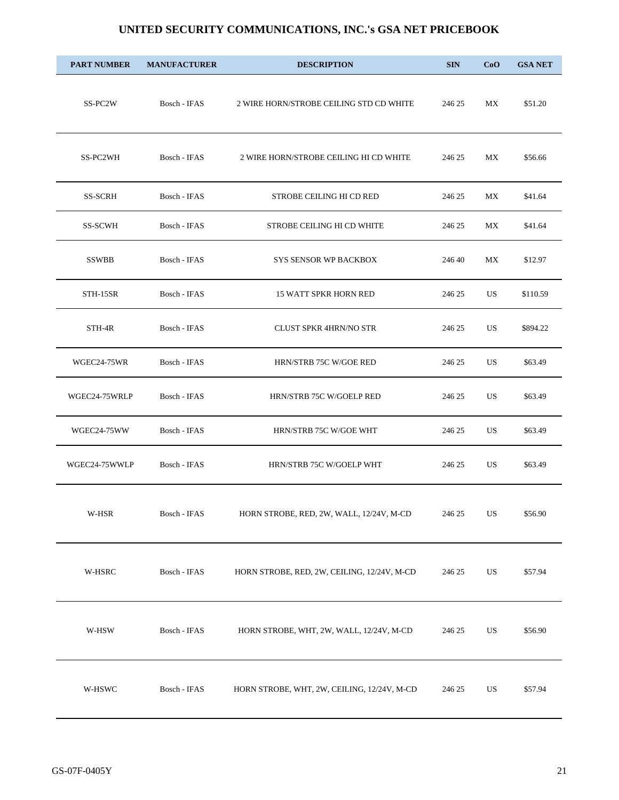| <b>PART NUMBER</b> | <b>MANUFACTURER</b> | <b>DESCRIPTION</b>                          | <b>SIN</b> | CoO | <b>GSA NET</b> |
|--------------------|---------------------|---------------------------------------------|------------|-----|----------------|
| SS-PC2W            | Bosch - IFAS        | 2 WIRE HORN/STROBE CEILING STD CD WHITE     | 246 25     | МX  | \$51.20        |
| SS-PC2WH           | Bosch - IFAS        | 2 WIRE HORN/STROBE CEILING HI CD WHITE      | 246 25     | МX  | \$56.66        |
| <b>SS-SCRH</b>     | Bosch - IFAS        | STROBE CEILING HI CD RED                    | 246 25     | МX  | \$41.64        |
| <b>SS-SCWH</b>     | Bosch - IFAS        | STROBE CEILING HI CD WHITE                  | 246 25     | МX  | \$41.64        |
| <b>SSWBB</b>       | Bosch - IFAS        | <b>SYS SENSOR WP BACKBOX</b>                | 246 40     | МX  | \$12.97        |
| STH-15SR           | Bosch - IFAS        | <b>15 WATT SPKR HORN RED</b>                | 246 25     | US  | \$110.59       |
| STH-4R             | Bosch - IFAS        | <b>CLUST SPKR 4HRN/NO STR</b>               | 246 25     | US  | \$894.22       |
| WGEC24-75WR        | Bosch - IFAS        | HRN/STRB 75C W/GOE RED                      | 246 25     | US  | \$63.49        |
| WGEC24-75WRLP      | Bosch - IFAS        | HRN/STRB 75C W/GOELP RED                    | 246 25     | US  | \$63.49        |
| WGEC24-75WW        | Bosch - IFAS        | HRN/STRB 75C W/GOE WHT                      | 246 25     | US  | \$63.49        |
| WGEC24-75WWLP      | Bosch - IFAS        | HRN/STRB 75C W/GOELP WHT                    | 246 25     | US. | \$63.49        |
| $_{\rm W-HSR}$     | Bosch - IFAS        | HORN STROBE, RED, 2W, WALL, 12/24V, M-CD    | 246 25     | US  | \$56.90        |
| W-HSRC             | Bosch - IFAS        | HORN STROBE, RED, 2W, CEILING, 12/24V, M-CD | 246 25     | US  | \$57.94        |
| W-HSW              | Bosch - IFAS        | HORN STROBE, WHT, 2W, WALL, 12/24V, M-CD    | 246 25     | US  | \$56.90        |
| W-HSWC             | Bosch - IFAS        | HORN STROBE, WHT, 2W, CEILING, 12/24V, M-CD | 246 25     | US  | \$57.94        |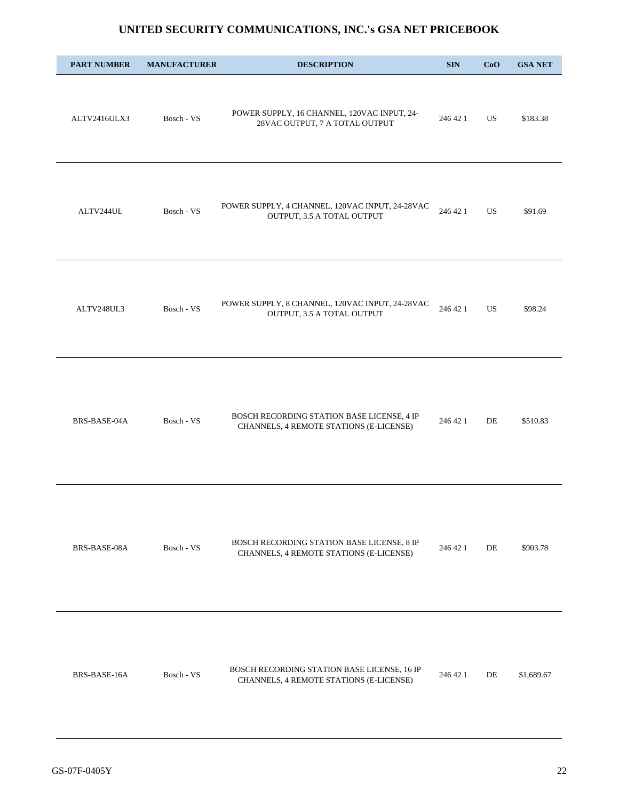| <b>PART NUMBER</b> | <b>MANUFACTURER</b> | <b>DESCRIPTION</b>                                                                     | <b>SIN</b> | CoO | <b>GSA NET</b> |
|--------------------|---------------------|----------------------------------------------------------------------------------------|------------|-----|----------------|
| ALTV2416ULX3       | Bosch - VS          | POWER SUPPLY, 16 CHANNEL, 120VAC INPUT, 24-<br>28VAC OUTPUT, 7 A TOTAL OUTPUT          | 246 42 1   | US  | \$183.38       |
| ALTV244UL          | Bosch - VS          | POWER SUPPLY, 4 CHANNEL, 120VAC INPUT, 24-28VAC<br>OUTPUT, 3.5 A TOTAL OUTPUT          | 246 42 1   | US. | \$91.69        |
| ALTV248UL3         | Bosch - VS          | POWER SUPPLY, 8 CHANNEL, 120VAC INPUT, 24-28VAC<br>OUTPUT, 3.5 A TOTAL OUTPUT          | 246 42 1   | US. | \$98.24        |
| BRS-BASE-04A       | Bosch - VS          | BOSCH RECORDING STATION BASE LICENSE, 4 IP<br>CHANNELS, 4 REMOTE STATIONS (E-LICENSE)  | 246 42 1   | DE  | \$510.83       |
| BRS-BASE-08A       | Bosch - VS          | BOSCH RECORDING STATION BASE LICENSE, 8 IP<br>CHANNELS, 4 REMOTE STATIONS (E-LICENSE)  | 246 42 1   | DE  | \$903.78       |
| BRS-BASE-16A       | Bosch - VS          | BOSCH RECORDING STATION BASE LICENSE, 16 IP<br>CHANNELS, 4 REMOTE STATIONS (E-LICENSE) | 246 42 1   | DE  | \$1,689.67     |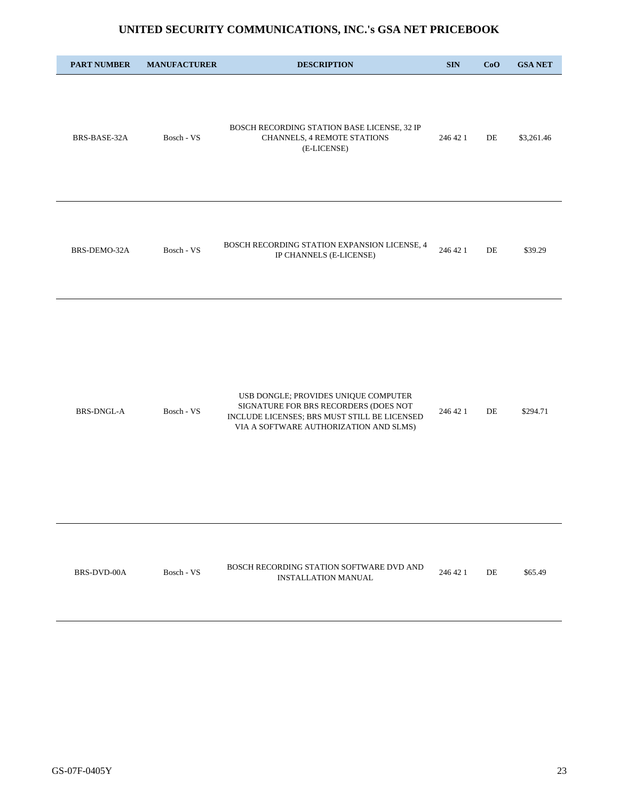| <b>PART NUMBER</b> | <b>MANUFACTURER</b> | <b>DESCRIPTION</b>                                                                                                                                                      | $\mathbf{SIN}$ | CoO | <b>GSA NET</b> |
|--------------------|---------------------|-------------------------------------------------------------------------------------------------------------------------------------------------------------------------|----------------|-----|----------------|
| BRS-BASE-32A       | Bosch - VS          | BOSCH RECORDING STATION BASE LICENSE, 32 IP<br>CHANNELS, 4 REMOTE STATIONS<br>(E-LICENSE)                                                                               | 246 42 1       | DE  | \$3,261.46     |
| BRS-DEMO-32A       | Bosch - VS          | BOSCH RECORDING STATION EXPANSION LICENSE, 4<br>IP CHANNELS (E-LICENSE)                                                                                                 | 246 42 1       | DE  | \$39.29        |
| <b>BRS-DNGL-A</b>  | Bosch - VS          | USB DONGLE; PROVIDES UNIQUE COMPUTER<br>SIGNATURE FOR BRS RECORDERS (DOES NOT<br>INCLUDE LICENSES; BRS MUST STILL BE LICENSED<br>VIA A SOFTWARE AUTHORIZATION AND SLMS) | 246 42 1       | DE  | \$294.71       |
| BRS-DVD-00A        | Bosch - VS          | BOSCH RECORDING STATION SOFTWARE DVD AND<br><b>INSTALLATION MANUAL</b>                                                                                                  | 246 42 1       | DE  | \$65.49        |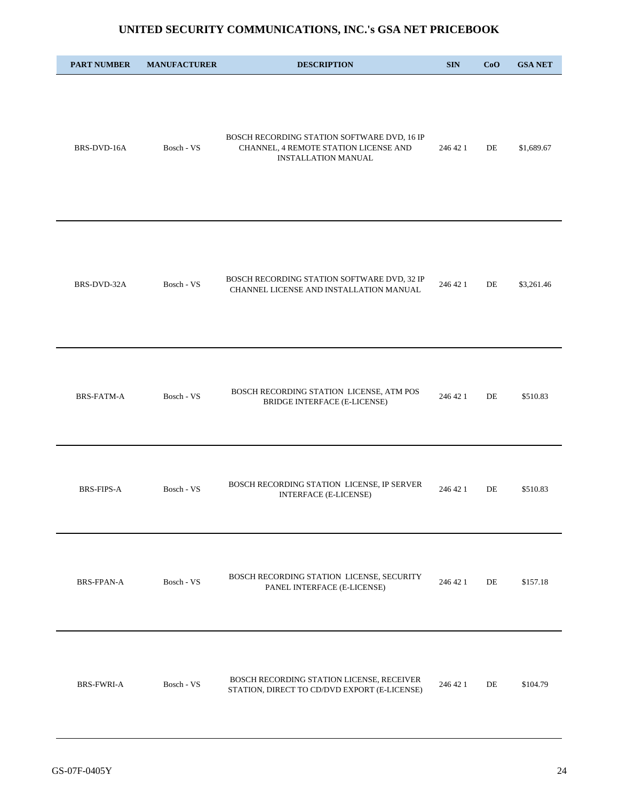| <b>PART NUMBER</b> | <b>MANUFACTURER</b> | <b>DESCRIPTION</b>                                                                                                 | <b>SIN</b> | CoO | <b>GSA NET</b> |
|--------------------|---------------------|--------------------------------------------------------------------------------------------------------------------|------------|-----|----------------|
| BRS-DVD-16A        | Bosch - VS          | BOSCH RECORDING STATION SOFTWARE DVD, 16 IP<br>CHANNEL, 4 REMOTE STATION LICENSE AND<br><b>INSTALLATION MANUAL</b> | 246 42 1   | DE  | \$1,689.67     |
| BRS-DVD-32A        | Bosch - VS          | BOSCH RECORDING STATION SOFTWARE DVD, 32 IP<br>CHANNEL LICENSE AND INSTALLATION MANUAL                             | 246 42 1   | DE  | \$3,261.46     |
| BRS-FATM-A         | Bosch - VS          | BOSCH RECORDING STATION LICENSE, ATM POS<br>BRIDGE INTERFACE (E-LICENSE)                                           | 246 42 1   | DE  | \$510.83       |
| <b>BRS-FIPS-A</b>  | Bosch - VS          | BOSCH RECORDING STATION LICENSE, IP SERVER<br><b>INTERFACE (E-LICENSE)</b>                                         | 246 42 1   | DE  | \$510.83       |
| <b>BRS-FPAN-A</b>  | Bosch - VS          | BOSCH RECORDING STATION LICENSE, SECURITY<br>PANEL INTERFACE (E-LICENSE)                                           | 246 42 1   | DE  | \$157.18       |
| BRS-FWRI-A         | Bosch - VS          | BOSCH RECORDING STATION LICENSE, RECEIVER<br>STATION, DIRECT TO CD/DVD EXPORT (E-LICENSE)                          | 246 42 1   | DE  | \$104.79       |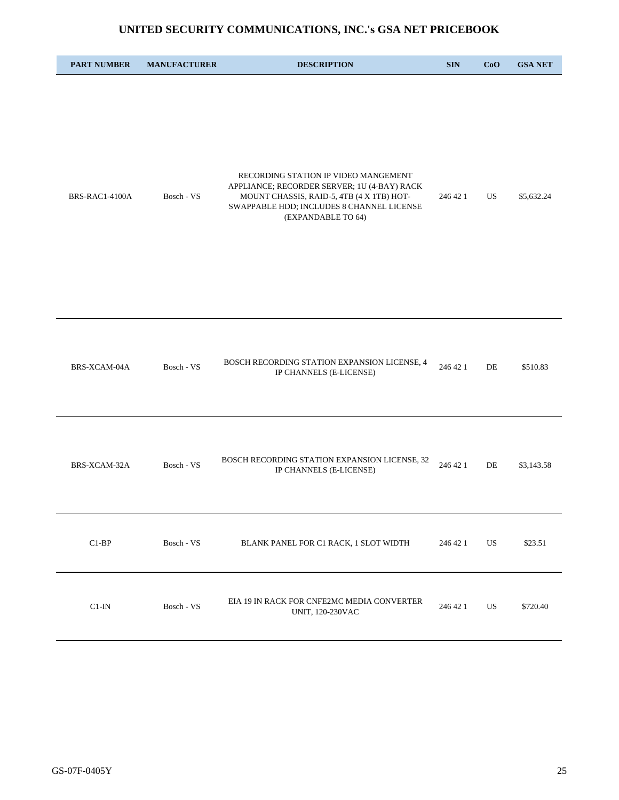| <b>PART NUMBER</b> | <b>MANUFACTURER</b> | <b>DESCRIPTION</b>                                                                                                                                                                                  | <b>SIN</b> | CoO | <b>GSA NET</b> |
|--------------------|---------------------|-----------------------------------------------------------------------------------------------------------------------------------------------------------------------------------------------------|------------|-----|----------------|
| BRS-RAC1-4100A     | Bosch - VS          | RECORDING STATION IP VIDEO MANGEMENT<br>APPLIANCE; RECORDER SERVER; 1U (4-BAY) RACK<br>MOUNT CHASSIS, RAID-5, 4TB (4 X 1TB) HOT-<br>SWAPPABLE HDD; INCLUDES 8 CHANNEL LICENSE<br>(EXPANDABLE TO 64) | 246 42 1   | US  | \$5,632.24     |
| BRS-XCAM-04A       | Bosch - VS          | BOSCH RECORDING STATION EXPANSION LICENSE, 4<br>IP CHANNELS (E-LICENSE)                                                                                                                             | 246 42 1   | DE  | \$510.83       |
| BRS-XCAM-32A       | Bosch - VS          | BOSCH RECORDING STATION EXPANSION LICENSE, 32<br>IP CHANNELS (E-LICENSE)                                                                                                                            | 246 42 1   | DE  | \$3,143.58     |
| $\text{C1-BP}$     | Bosch - VS          | BLANK PANEL FOR C1 RACK, 1 SLOT WIDTH                                                                                                                                                               | 246 42 1   | US  | \$23.51        |
| $C1-IN$            | Bosch - VS          | EIA 19 IN RACK FOR CNFE2MC MEDIA CONVERTER<br>UNIT, 120-230VAC                                                                                                                                      | 246 42 1   | US  | \$720.40       |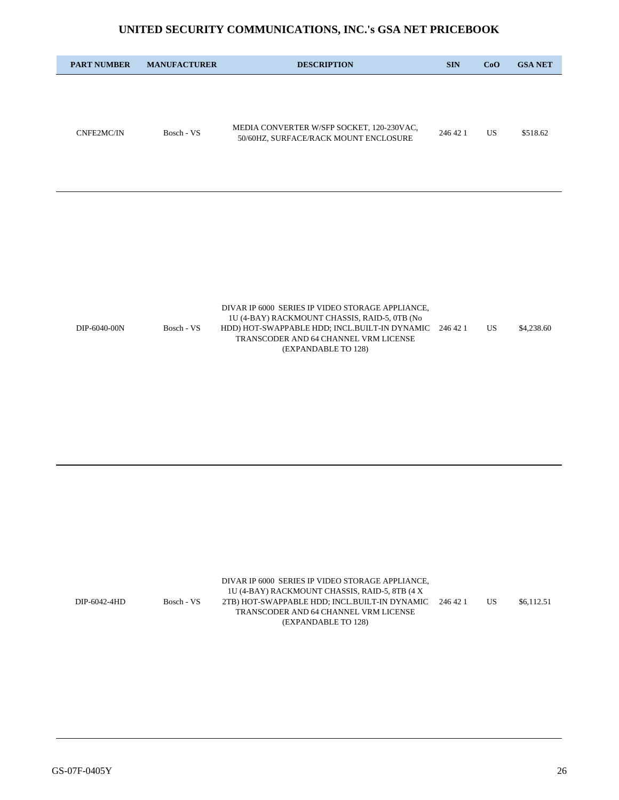| <b>PART NUMBER</b> | <b>MANUFACTURER</b> | <b>DESCRIPTION</b>                                                                 | <b>SIN</b> | CoO | <b>GSA NET</b> |
|--------------------|---------------------|------------------------------------------------------------------------------------|------------|-----|----------------|
|                    |                     |                                                                                    |            |     |                |
| CNFE2MC/IN         | Bosch - VS          | MEDIA CONVERTER W/SFP SOCKET, 120-230VAC,<br>50/60HZ, SURFACE/RACK MOUNT ENCLOSURE | 246 42 1   | US  | \$518.62       |

|              |            | DIVAR IP 6000 SERIES IP VIDEO STORAGE APPLIANCE,       |    |            |
|--------------|------------|--------------------------------------------------------|----|------------|
|              |            | 1U (4-BAY) RACKMOUNT CHASSIS, RAID-5, 0TB (No          |    |            |
| DIP-6040-00N | Bosch - VS | HDD) HOT-SWAPPABLE HDD: INCL.BUILT-IN DYNAMIC 246 42 1 | US | \$4,238.60 |
|              |            | TRANSCODER AND 64 CHANNEL VRM LICENSE                  |    |            |
|              |            | (EXPANDABLE TO 128)                                    |    |            |

|              |            | DIVAR IP 6000 SERIES IP VIDEO STORAGE APPLIANCE,       |    |            |
|--------------|------------|--------------------------------------------------------|----|------------|
|              |            | 1U (4-BAY) RACKMOUNT CHASSIS, RAID-5, 8TB (4 X)        |    |            |
| DIP-6042-4HD | Bosch - VS | 2TB) HOT-SWAPPABLE HDD: INCL.BUILT-IN DYNAMIC 246 42 1 | US | \$6,112.51 |
|              |            | TRANSCODER AND 64 CHANNEL VRM LICENSE                  |    |            |
|              |            | (EXPANDABLE TO 128)                                    |    |            |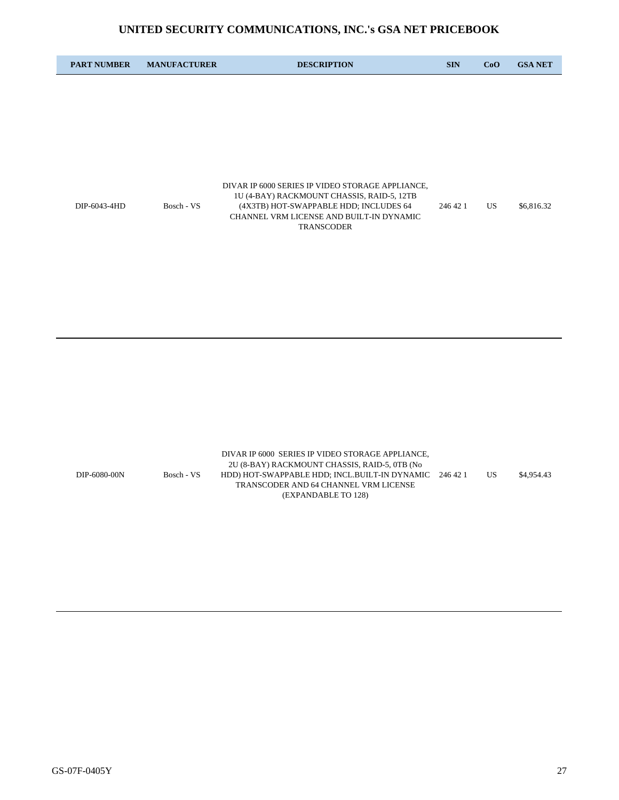| <b>PART NUMBER</b> | <b>MANUFACTURER</b> | <b>DESCRIPTION</b>                                                                                                               | <b>SIN</b> | CoO | <b>GSA NET</b> |
|--------------------|---------------------|----------------------------------------------------------------------------------------------------------------------------------|------------|-----|----------------|
|                    |                     |                                                                                                                                  |            |     |                |
|                    |                     |                                                                                                                                  |            |     |                |
|                    |                     |                                                                                                                                  |            |     |                |
|                    |                     |                                                                                                                                  |            |     |                |
|                    |                     |                                                                                                                                  |            |     |                |
|                    |                     | DIVAR IP 6000 SERIES IP VIDEO STORAGE APPLIANCE,                                                                                 |            |     |                |
| DIP-6043-4HD       | Bosch - VS          | 1U (4-BAY) RACKMOUNT CHASSIS, RAID-5, 12TB<br>(4X3TB) HOT-SWAPPABLE HDD; INCLUDES 64<br>CHANNEL VRM LICENSE AND BUILT-IN DYNAMIC | 246 42 1   | US  | \$6,816.32     |
|                    |                     | <b>TRANSCODER</b>                                                                                                                |            |     |                |

|              |            | DIVAR IP 6000 SERIES IP VIDEO STORAGE APPLIANCE.       |    |            |
|--------------|------------|--------------------------------------------------------|----|------------|
|              |            | 2U (8-BAY) RACKMOUNT CHASSIS, RAID-5, 0TB (No          |    |            |
| DIP-6080-00N | Bosch - VS | HDD) HOT-SWAPPABLE HDD; INCL.BUILT-IN DYNAMIC 246 42 1 | US | \$4.954.43 |
|              |            | TRANSCODER AND 64 CHANNEL VRM LICENSE                  |    |            |
|              |            | (EXPANDABLE TO 128)                                    |    |            |
|              |            |                                                        |    |            |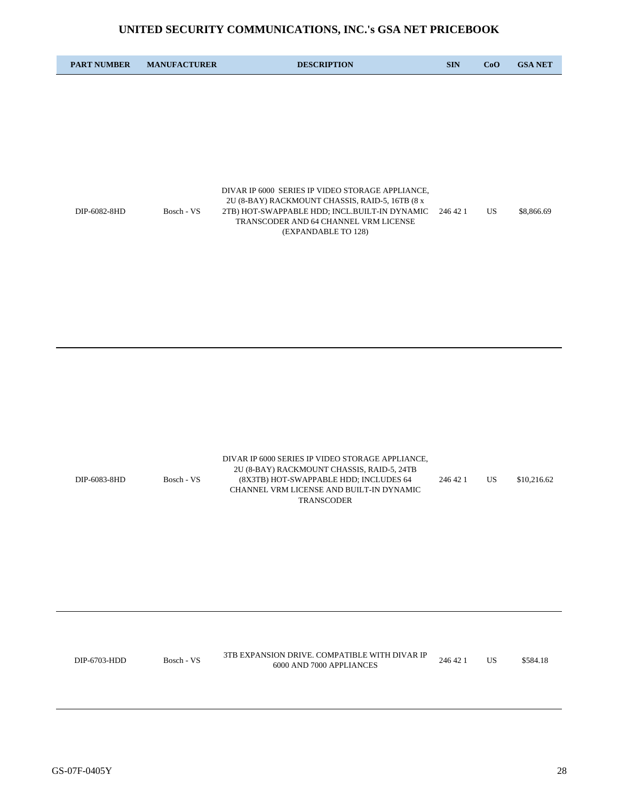| <b>PART NUMBER</b> | <b>MANUFACTURER</b> | <b>DESCRIPTION</b>                                                                                            | <b>SIN</b> | CoO | <b>GSA NET</b> |
|--------------------|---------------------|---------------------------------------------------------------------------------------------------------------|------------|-----|----------------|
|                    |                     |                                                                                                               |            |     |                |
|                    |                     |                                                                                                               |            |     |                |
|                    |                     |                                                                                                               |            |     |                |
|                    |                     |                                                                                                               |            |     |                |
|                    |                     | DIVAR IP 6000 SERIES IP VIDEO STORAGE APPLIANCE,<br>2U (8-BAY) RACKMOUNT CHASSIS, RAID-5, 16TB (8 x           |            |     |                |
| DIP-6082-8HD       | Bosch - VS          | 2TB) HOT-SWAPPABLE HDD; INCL.BUILT-IN DYNAMIC<br>TRANSCODER AND 64 CHANNEL VRM LICENSE<br>(EXPANDABLE TO 128) | 246 42 1   | US. | \$8,866.69     |
|                    |                     |                                                                                                               |            |     |                |

|              |            | DIVAR IP 6000 SERIES IP VIDEO STORAGE APPLIANCE. |          |    |             |
|--------------|------------|--------------------------------------------------|----------|----|-------------|
|              |            | 2U (8-BAY) RACKMOUNT CHASSIS, RAID-5, 24TB       |          |    |             |
| DIP-6083-8HD | Bosch - VS | (8X3TB) HOT-SWAPPABLE HDD: INCLUDES 64           | 246 42 1 | US | \$10,216.62 |
|              |            | CHANNEL VRM LICENSE AND BUILT-IN DYNAMIC         |          |    |             |
|              |            | <b>TRANSCODER</b>                                |          |    |             |

| DIP-6703-HDD | Bosch - VS | 3TB EXPANSION DRIVE. COMPATIBLE WITH DIVAR IP | 246 42 1 |  | \$584.18 |
|--------------|------------|-----------------------------------------------|----------|--|----------|
|              |            | 6000 AND 7000 APPLIANCES                      |          |  |          |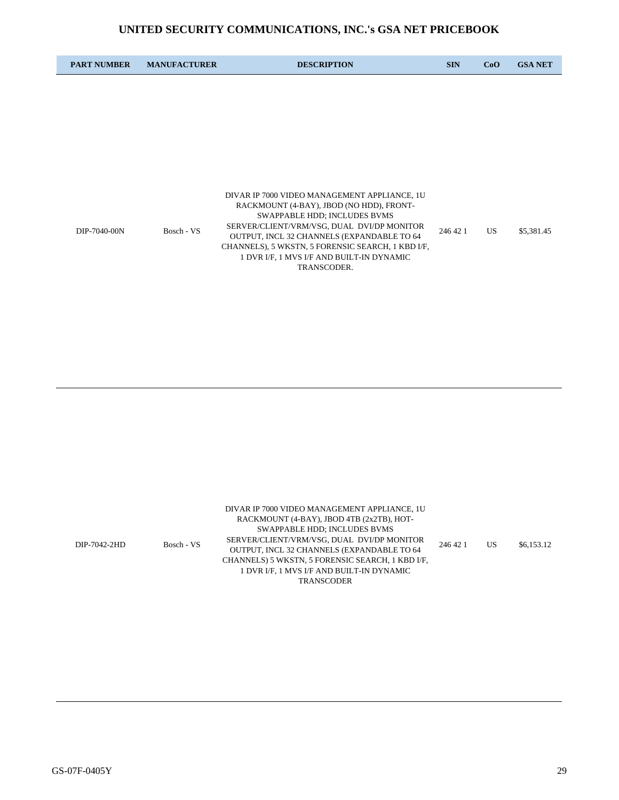| <b>PART NUMBER</b> | <b>MANUFACTURER</b> | <b>DESCRIPTION</b>                                                                                                                                                                                                                                                                                                                    | <b>SIN</b> | CoO | <b>GSA NET</b> |
|--------------------|---------------------|---------------------------------------------------------------------------------------------------------------------------------------------------------------------------------------------------------------------------------------------------------------------------------------------------------------------------------------|------------|-----|----------------|
|                    |                     |                                                                                                                                                                                                                                                                                                                                       |            |     |                |
|                    |                     |                                                                                                                                                                                                                                                                                                                                       |            |     |                |
|                    |                     |                                                                                                                                                                                                                                                                                                                                       |            |     |                |
|                    |                     |                                                                                                                                                                                                                                                                                                                                       |            |     |                |
| DIP-7040-00N       | Bosch - VS          | DIVAR IP 7000 VIDEO MANAGEMENT APPLIANCE, 1U<br>RACKMOUNT (4-BAY), JBOD (NO HDD), FRONT-<br>SWAPPABLE HDD; INCLUDES BVMS<br>SERVER/CLIENT/VRM/VSG, DUAL DVI/DP MONITOR<br>OUTPUT, INCL 32 CHANNELS (EXPANDABLE TO 64<br>CHANNELS), 5 WKSTN, 5 FORENSIC SEARCH, 1 KBD I/F,<br>1 DVR I/F, 1 MVS I/F AND BUILT-IN DYNAMIC<br>TRANSCODER. | 246 42 1   | US. | \$5,381.45     |

|              |            | DIVAR IP 7000 VIDEO MANAGEMENT APPLIANCE, 1U     |          |    |            |
|--------------|------------|--------------------------------------------------|----------|----|------------|
| DIP-7042-2HD |            | RACKMOUNT (4-BAY), JBOD 4TB (2x2TB), HOT-        | 246 42 1 | US | \$6,153.12 |
|              |            | SWAPPABLE HDD: INCLUDES BVMS                     |          |    |            |
|              |            | SERVER/CLIENT/VRM/VSG, DUAL DVI/DP MONITOR       |          |    |            |
|              | Bosch - VS | OUTPUT. INCL 32 CHANNELS (EXPANDABLE TO 64       |          |    |            |
|              |            | CHANNELS) 5 WKSTN, 5 FORENSIC SEARCH, 1 KBD I/F, |          |    |            |
|              |            | 1 DVR I/F, 1 MVS I/F AND BUILT-IN DYNAMIC        |          |    |            |
|              |            | <b>TRANSCODER</b>                                |          |    |            |
|              |            |                                                  |          |    |            |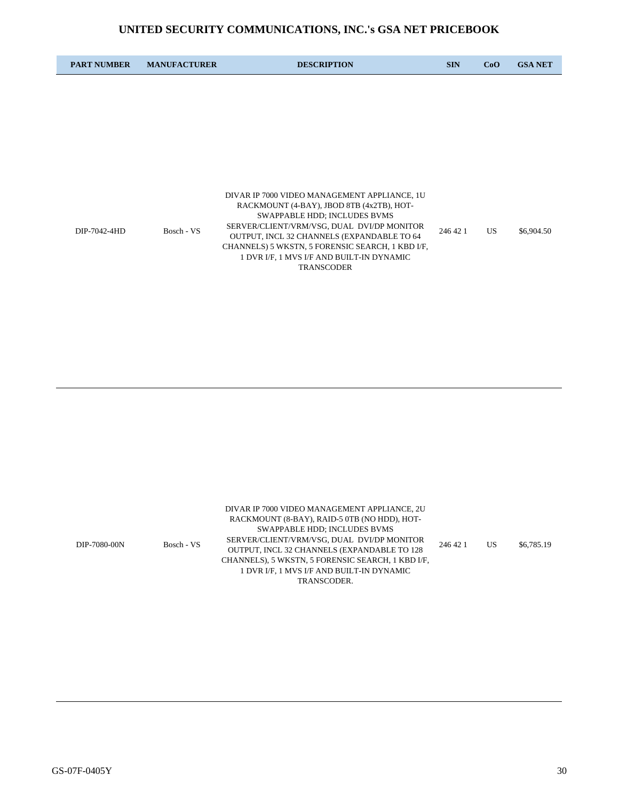| <b>PART NUMBER</b> | <b>MANUFACTURER</b> | <b>DESCRIPTION</b>                                                                                                                                                                                                                                                                                                                          | <b>SIN</b> | CoO | <b>GSA NET</b> |
|--------------------|---------------------|---------------------------------------------------------------------------------------------------------------------------------------------------------------------------------------------------------------------------------------------------------------------------------------------------------------------------------------------|------------|-----|----------------|
|                    |                     |                                                                                                                                                                                                                                                                                                                                             |            |     |                |
|                    |                     |                                                                                                                                                                                                                                                                                                                                             |            |     |                |
|                    |                     |                                                                                                                                                                                                                                                                                                                                             |            |     |                |
|                    |                     |                                                                                                                                                                                                                                                                                                                                             |            |     |                |
| DIP-7042-4HD       | Bosch - VS          | DIVAR IP 7000 VIDEO MANAGEMENT APPLIANCE, 1U<br>RACKMOUNT (4-BAY), JBOD 8TB (4x2TB), HOT-<br>SWAPPABLE HDD; INCLUDES BVMS<br>SERVER/CLIENT/VRM/VSG, DUAL DVI/DP MONITOR<br>OUTPUT, INCL 32 CHANNELS (EXPANDABLE TO 64<br>CHANNELS) 5 WKSTN, 5 FORENSIC SEARCH, 1 KBD I/F,<br>1 DVR I/F, 1 MVS I/F AND BUILT-IN DYNAMIC<br><b>TRANSCODER</b> | 246 42 1   | US. | \$6,904.50     |

|              |            | DIVAR IP 7000 VIDEO MANAGEMENT APPLIANCE, 2U      |          |    |            |
|--------------|------------|---------------------------------------------------|----------|----|------------|
| DIP-7080-00N |            | RACKMOUNT (8-BAY), RAID-5 0TB (NO HDD), HOT-      | 246 42 1 | US | \$6,785.19 |
|              |            | SWAPPABLE HDD: INCLUDES BVMS                      |          |    |            |
|              | Bosch - VS | SERVER/CLIENT/VRM/VSG, DUAL DVI/DP MONITOR        |          |    |            |
|              |            | OUTPUT, INCL 32 CHANNELS (EXPANDABLE TO 128       |          |    |            |
|              |            | CHANNELS), 5 WKSTN, 5 FORENSIC SEARCH, 1 KBD I/F, |          |    |            |
|              |            | 1 DVR I/F, 1 MVS I/F AND BUILT-IN DYNAMIC         |          |    |            |
|              |            | TRANSCODER.                                       |          |    |            |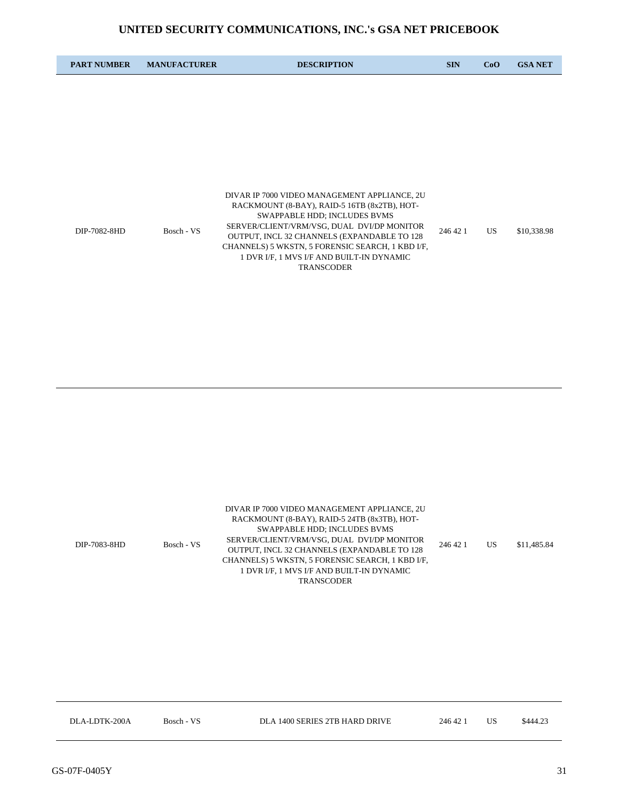| <b>PART NUMBER</b> | <b>MANUFACTURER</b> | <b>DESCRIPTION</b>                                                                                                                                                         | <b>SIN</b>      | CoO | <b>GSA NET</b> |
|--------------------|---------------------|----------------------------------------------------------------------------------------------------------------------------------------------------------------------------|-----------------|-----|----------------|
|                    |                     |                                                                                                                                                                            |                 |     |                |
|                    |                     |                                                                                                                                                                            |                 |     |                |
|                    |                     |                                                                                                                                                                            |                 |     |                |
|                    |                     |                                                                                                                                                                            |                 |     |                |
| DIP-7082-8HD       |                     | DIVAR IP 7000 VIDEO MANAGEMENT APPLIANCE, 2U<br>RACKMOUNT (8-BAY), RAID-5 16TB (8x2TB), HOT-<br>SWAPPABLE HDD; INCLUDES BVMS<br>SERVER/CLIENT/VRM/VSG, DUAL DVI/DP MONITOR |                 |     | \$10,338.98    |
|                    | Bosch - VS          | OUTPUT, INCL 32 CHANNELS (EXPANDABLE TO 128<br>CHANNELS) 5 WKSTN, 5 FORENSIC SEARCH, 1 KBD I/F,<br>1 DVR I/F, 1 MVS I/F AND BUILT-IN DYNAMIC<br><b>TRANSCODER</b>          | US.<br>246 42 1 |     |                |

| DIVAR IP 7000 VIDEO MANAGEMENT APPLIANCE, 2U                                               |             |
|--------------------------------------------------------------------------------------------|-------------|
| RACKMOUNT (8-BAY), RAID-5 24TB (8x3TB), HOT-                                               | \$11,485.84 |
| SWAPPABLE HDD: INCLUDES BVMS                                                               |             |
| SERVER/CLIENT/VRM/VSG, DUAL DVI/DP MONITOR<br>Bosch - VS<br>246 42 1<br>US<br>DIP-7083-8HD |             |
| OUTPUT, INCL 32 CHANNELS (EXPANDABLE TO 128                                                |             |
| CHANNELS) 5 WKSTN, 5 FORENSIC SEARCH, 1 KBD I/F,                                           |             |
| 1 DVR I/F, 1 MVS I/F AND BUILT-IN DYNAMIC                                                  |             |
| <b>TRANSCODER</b>                                                                          |             |

| DLA 1400 SERIES 2TB HARD DRIVE<br>DLA-LDTK-200A<br>Bosch - VS<br>246 42 |  |  | \$444.23 |
|-------------------------------------------------------------------------|--|--|----------|
|-------------------------------------------------------------------------|--|--|----------|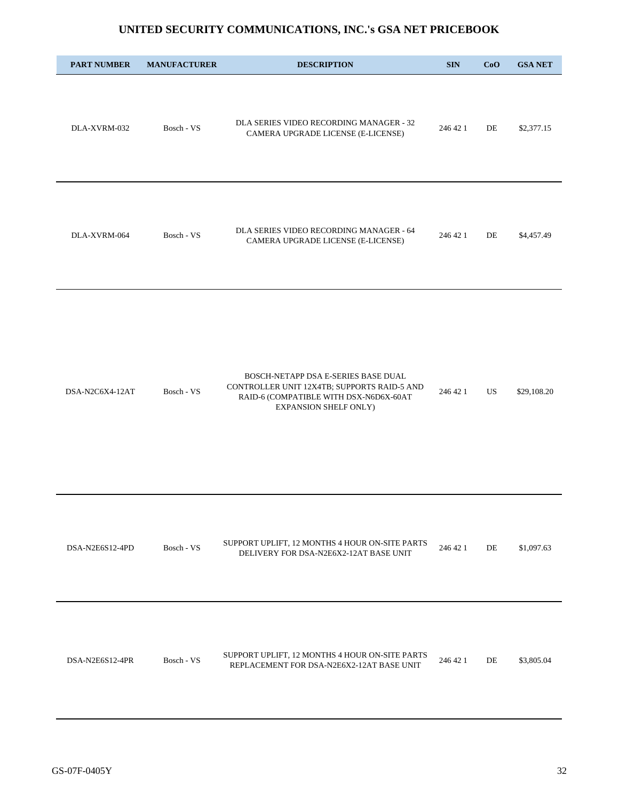| <b>PART NUMBER</b> | <b>MANUFACTURER</b> | <b>DESCRIPTION</b>                                                                                                                                    | <b>SIN</b> | CoO | <b>GSA NET</b> |
|--------------------|---------------------|-------------------------------------------------------------------------------------------------------------------------------------------------------|------------|-----|----------------|
| DLA-XVRM-032       | Bosch - VS          | DLA SERIES VIDEO RECORDING MANAGER - 32<br>CAMERA UPGRADE LICENSE (E-LICENSE)                                                                         | 246 42 1   | DE  | \$2,377.15     |
| DLA-XVRM-064       | Bosch - VS          | DLA SERIES VIDEO RECORDING MANAGER - 64<br>CAMERA UPGRADE LICENSE (E-LICENSE)                                                                         | 246 42 1   | DE  | \$4,457.49     |
| DSA-N2C6X4-12AT    | Bosch - VS          | BOSCH-NETAPP DSA E-SERIES BASE DUAL<br>CONTROLLER UNIT 12X4TB; SUPPORTS RAID-5 AND<br>RAID-6 (COMPATIBLE WITH DSX-N6D6X-60AT<br>EXPANSION SHELF ONLY) | 246 42 1   | US  | \$29,108.20    |
| DSA-N2E6S12-4PD    | Bosch - VS          | SUPPORT UPLIFT, 12 MONTHS 4 HOUR ON-SITE PARTS<br>DELIVERY FOR DSA-N2E6X2-12AT BASE UNIT                                                              | 246 42 1   | DE  | \$1,097.63     |
| DSA-N2E6S12-4PR    | Bosch - VS          | SUPPORT UPLIFT, 12 MONTHS 4 HOUR ON-SITE PARTS<br>REPLACEMENT FOR DSA-N2E6X2-12AT BASE UNIT                                                           | 246 42 1   | DE  | \$3,805.04     |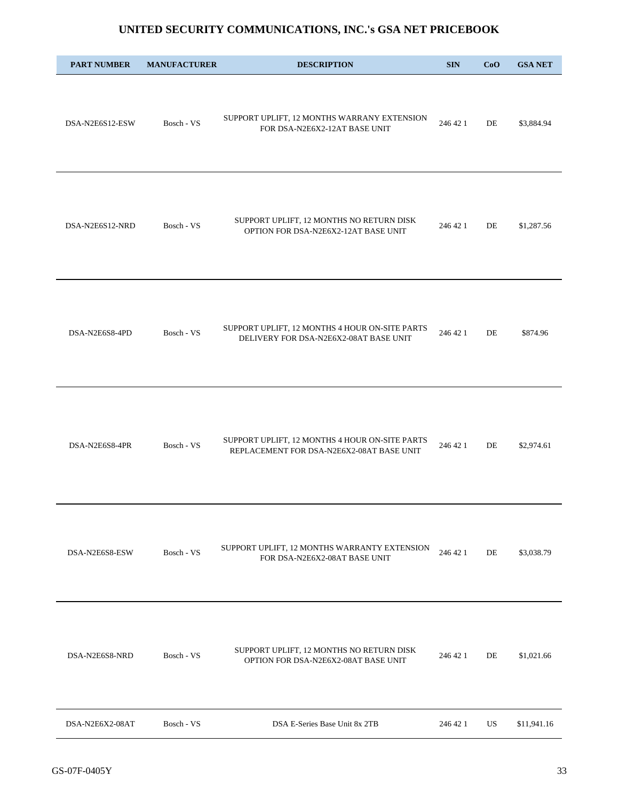| <b>PART NUMBER</b> | <b>MANUFACTURER</b> | <b>DESCRIPTION</b>                                                                          | <b>SIN</b> | CoO | <b>GSA NET</b> |
|--------------------|---------------------|---------------------------------------------------------------------------------------------|------------|-----|----------------|
| DSA-N2E6S12-ESW    | Bosch - VS          | SUPPORT UPLIFT, 12 MONTHS WARRANY EXTENSION<br>FOR DSA-N2E6X2-12AT BASE UNIT                | 246 42 1   | DE  | \$3,884.94     |
| DSA-N2E6S12-NRD    | Bosch - VS          | SUPPORT UPLIFT, 12 MONTHS NO RETURN DISK<br>OPTION FOR DSA-N2E6X2-12AT BASE UNIT            | 246 42 1   | DE  | \$1,287.56     |
| DSA-N2E6S8-4PD     | Bosch - VS          | SUPPORT UPLIFT, 12 MONTHS 4 HOUR ON-SITE PARTS<br>DELIVERY FOR DSA-N2E6X2-08AT BASE UNIT    | 246 42 1   | DE  | \$874.96       |
| DSA-N2E6S8-4PR     | Bosch - VS          | SUPPORT UPLIFT, 12 MONTHS 4 HOUR ON-SITE PARTS<br>REPLACEMENT FOR DSA-N2E6X2-08AT BASE UNIT | 246 42 1   | DE  | \$2,974.61     |
| DSA-N2E6S8-ESW     | Bosch - VS          | SUPPORT UPLIFT, 12 MONTHS WARRANTY EXTENSION<br>FOR DSA-N2E6X2-08AT BASE UNIT               | 246 42 1   | DE  | \$3,038.79     |
| DSA-N2E6S8-NRD     | Bosch - VS          | SUPPORT UPLIFT, 12 MONTHS NO RETURN DISK<br>OPTION FOR DSA-N2E6X2-08AT BASE UNIT            | 246 42 1   | DE  | \$1,021.66     |
| DSA-N2E6X2-08AT    | Bosch - VS          | DSA E-Series Base Unit 8x 2TB                                                               | 246 42 1   | US  | \$11,941.16    |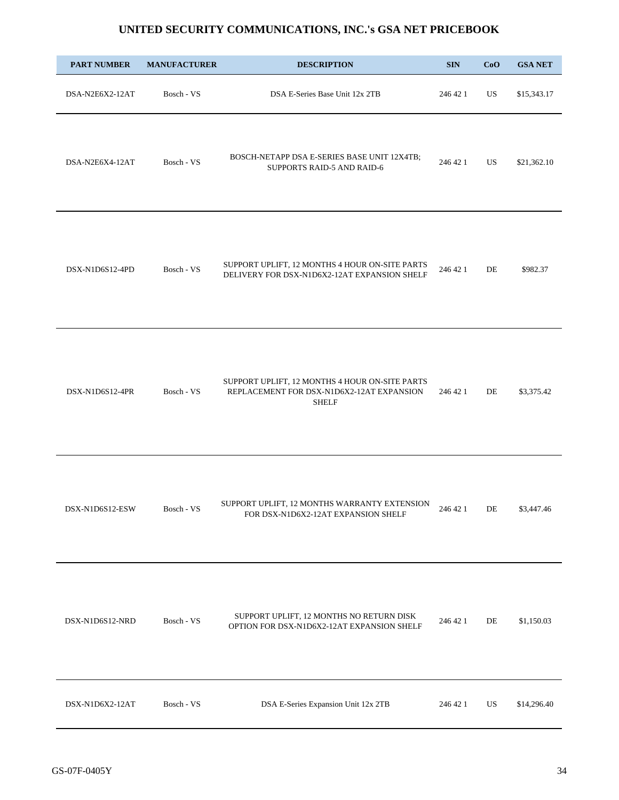| <b>PART NUMBER</b> | <b>MANUFACTURER</b> | <b>DESCRIPTION</b>                                                                                          | <b>SIN</b> | CoO       | <b>GSA NET</b> |
|--------------------|---------------------|-------------------------------------------------------------------------------------------------------------|------------|-----------|----------------|
| DSA-N2E6X2-12AT    | Bosch - VS          | DSA E-Series Base Unit 12x 2TB                                                                              | 246 42 1   | <b>US</b> | \$15,343.17    |
| DSA-N2E6X4-12AT    | Bosch - VS          | BOSCH-NETAPP DSA E-SERIES BASE UNIT 12X4TB;<br>SUPPORTS RAID-5 AND RAID-6                                   | 246 42 1   | US        | \$21,362.10    |
| DSX-N1D6S12-4PD    | Bosch - VS          | SUPPORT UPLIFT, 12 MONTHS 4 HOUR ON-SITE PARTS<br>DELIVERY FOR DSX-N1D6X2-12AT EXPANSION SHELF              | 246 42 1   | DE        | \$982.37       |
| DSX-N1D6S12-4PR    | Bosch - VS          | SUPPORT UPLIFT, 12 MONTHS 4 HOUR ON-SITE PARTS<br>REPLACEMENT FOR DSX-N1D6X2-12AT EXPANSION<br><b>SHELF</b> | 246 42 1   | DE        | \$3,375.42     |
| DSX-N1D6S12-ESW    | Bosch - VS          | SUPPORT UPLIFT, 12 MONTHS WARRANTY EXTENSION<br>FOR DSX-N1D6X2-12AT EXPANSION SHELF                         | 246 42 1   | DE        | \$3,447.46     |
| DSX-N1D6S12-NRD    | Bosch - VS          | SUPPORT UPLIFT, 12 MONTHS NO RETURN DISK<br>OPTION FOR DSX-N1D6X2-12AT EXPANSION SHELF                      | 246 42 1   | DE        | \$1,150.03     |
| DSX-N1D6X2-12AT    | Bosch - VS          | DSA E-Series Expansion Unit 12x 2TB                                                                         | 246 42 1   | US        | \$14,296.40    |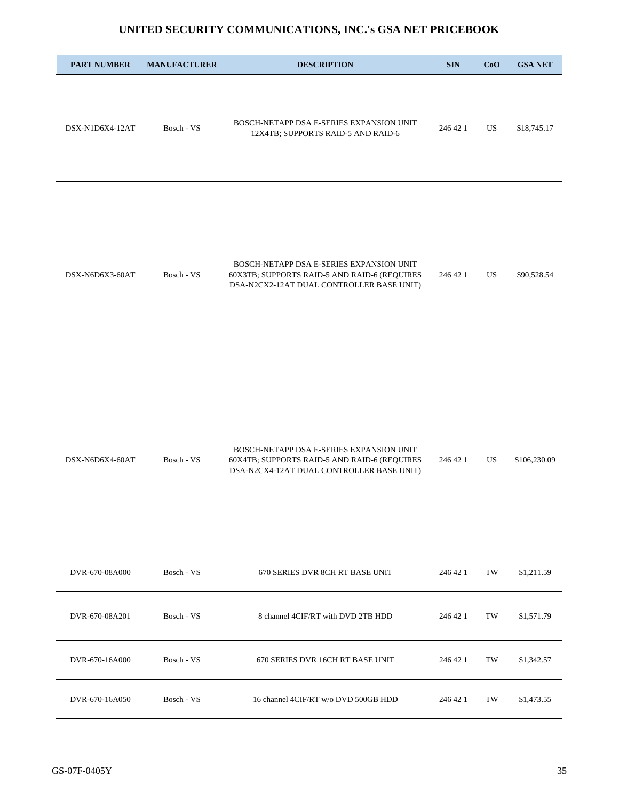| <b>PART NUMBER</b> | <b>MANUFACTURER</b> | <b>DESCRIPTION</b>                                                                                                                    | <b>SIN</b> | CoO | <b>GSA NET</b> |
|--------------------|---------------------|---------------------------------------------------------------------------------------------------------------------------------------|------------|-----|----------------|
| DSX-N1D6X4-12AT    | Bosch - VS          | BOSCH-NETAPP DSA E-SERIES EXPANSION UNIT<br>12X4TB; SUPPORTS RAID-5 AND RAID-6                                                        | 246 42 1   | US  | \$18,745.17    |
| DSX-N6D6X3-60AT    | Bosch - VS          | BOSCH-NETAPP DSA E-SERIES EXPANSION UNIT<br>60X3TB; SUPPORTS RAID-5 AND RAID-6 (REQUIRES<br>DSA-N2CX2-12AT DUAL CONTROLLER BASE UNIT) | 246 42 1   | US  | \$90,528.54    |

|                 |            | BOSCH-NETAPP DSA E-SERIES EXPANSION UNIT     |          |              |
|-----------------|------------|----------------------------------------------|----------|--------------|
| DSX-N6D6X4-60AT | Bosch - VS | 60X4TB; SUPPORTS RAID-5 AND RAID-6 (REQUIRES | 246 42 1 | \$106,230.09 |
|                 |            | DSA-N2CX4-12AT DUAL CONTROLLER BASE UNIT)    |          |              |

| DVR-670-08A000 | Bosch - VS | 670 SERIES DVR 8CH RT BASE UNIT      | 246 42 1 | TW | \$1,211.59 |
|----------------|------------|--------------------------------------|----------|----|------------|
| DVR-670-08A201 | Bosch - VS | 8 channel 4CIF/RT with DVD 2TB HDD   | 246 42 1 | TW | \$1,571.79 |
| DVR-670-16A000 | Bosch - VS | 670 SERIES DVR 16CH RT BASE UNIT     | 246 42 1 | TW | \$1,342.57 |
| DVR-670-16A050 | Bosch - VS | 16 channel 4CIF/RT w/o DVD 500GB HDD | 246 42 1 | TW | \$1,473.55 |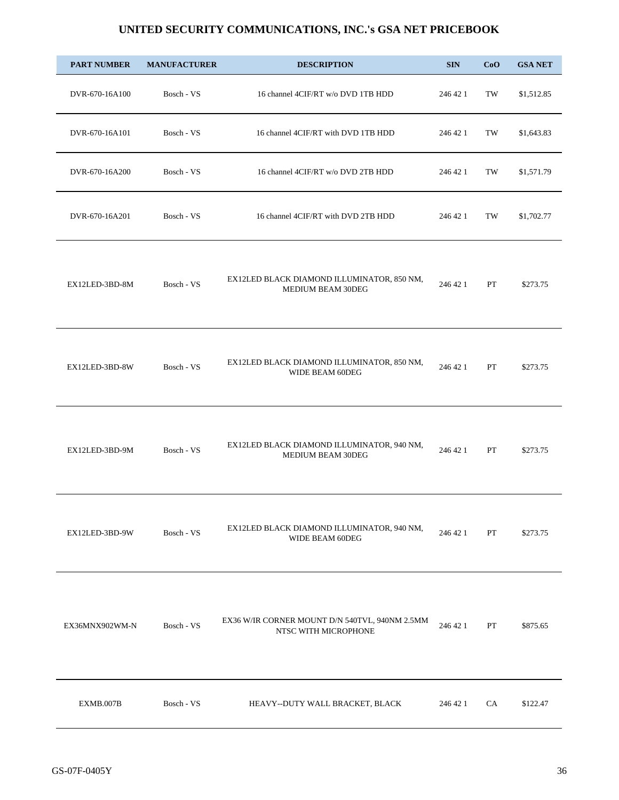| <b>PART NUMBER</b> | <b>MANUFACTURER</b> | <b>DESCRIPTION</b>                                                     | <b>SIN</b> | CoO | <b>GSA NET</b> |
|--------------------|---------------------|------------------------------------------------------------------------|------------|-----|----------------|
| DVR-670-16A100     | Bosch - VS          | 16 channel 4CIF/RT w/o DVD 1TB HDD                                     | 246 42 1   | TW  | \$1,512.85     |
| DVR-670-16A101     | Bosch - VS          | 16 channel 4CIF/RT with DVD 1TB HDD                                    | 246 42 1   | TW  | \$1,643.83     |
| DVR-670-16A200     | Bosch - VS          | 16 channel 4CIF/RT w/o DVD 2TB HDD                                     | 246 42 1   | TW  | \$1,571.79     |
| DVR-670-16A201     | Bosch - VS          | 16 channel 4CIF/RT with DVD 2TB HDD                                    | 246 42 1   | TW  | \$1,702.77     |
| EX12LED-3BD-8M     | Bosch - VS          | EX12LED BLACK DIAMOND ILLUMINATOR, 850 NM,<br>MEDIUM BEAM 30DEG        | 246 42 1   | PT  | \$273.75       |
| EX12LED-3BD-8W     | Bosch - VS          | EX12LED BLACK DIAMOND ILLUMINATOR, 850 NM,<br>WIDE BEAM 60DEG          | 246 42 1   | PT  | \$273.75       |
| EX12LED-3BD-9M     | Bosch - VS          | EX12LED BLACK DIAMOND ILLUMINATOR, 940 NM,<br>MEDIUM BEAM 30DEG        | 246 42 1   | PT  | \$273.75       |
| EX12LED-3BD-9W     | Bosch - VS          | EX12LED BLACK DIAMOND ILLUMINATOR, 940 NM,<br>WIDE BEAM 60DEG          | 246 42 1   | PT  | \$273.75       |
| EX36MNX902WM-N     | Bosch - VS          | EX36 W/IR CORNER MOUNT D/N 540TVL, 940NM 2.5MM<br>NTSC WITH MICROPHONE | 246 42 1   | PT  | \$875.65       |
| EXMB.007B          | Bosch - VS          | HEAVY--DUTY WALL BRACKET, BLACK                                        | 246 42 1   | CA  | \$122.47       |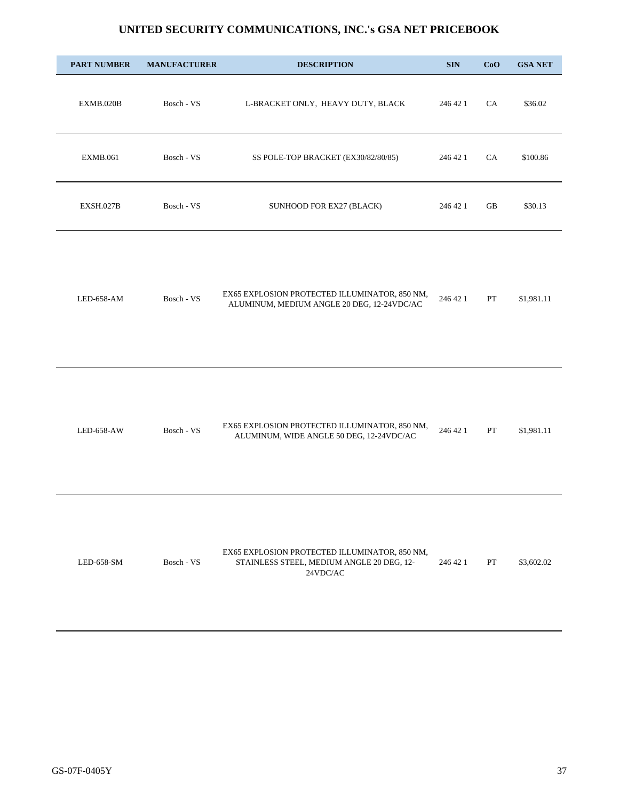| <b>PART NUMBER</b> | <b>MANUFACTURER</b> | <b>DESCRIPTION</b>                                                                                                          | <b>SIN</b> | CoO         | <b>GSA NET</b> |
|--------------------|---------------------|-----------------------------------------------------------------------------------------------------------------------------|------------|-------------|----------------|
| EXMB.020B          | Bosch - VS          | L-BRACKET ONLY, HEAVY DUTY, BLACK                                                                                           | 246 42 1   | CA          | \$36.02        |
| <b>EXMB.061</b>    | Bosch - VS          | SS POLE-TOP BRACKET (EX30/82/80/85)                                                                                         | 246 42 1   | CA          | \$100.86       |
| EXSH.027B          | Bosch - VS          | SUNHOOD FOR EX27 (BLACK)                                                                                                    | 246 42 1   | GB          | \$30.13        |
| LED-658-AM         | Bosch - VS          | EX65 EXPLOSION PROTECTED ILLUMINATOR, 850 NM,<br>ALUMINUM, MEDIUM ANGLE 20 DEG, 12-24VDC/AC                                 | 246 42 1   | ${\cal PT}$ | \$1,981.11     |
| LED-658-AW         | Bosch - VS          | EX65 EXPLOSION PROTECTED ILLUMINATOR, 850 NM,<br>ALUMINUM, WIDE ANGLE 50 DEG, 12-24VDC/AC                                   | 246 42 1   | PT          | \$1,981.11     |
| LED-658-SM         | Bosch - VS          | EX65 EXPLOSION PROTECTED ILLUMINATOR, 850 NM,<br>STAINLESS STEEL, MEDIUM ANGLE 20 DEG, 12-<br>$24 \mathrm{VDC}/\mathrm{AC}$ | 246 42 1   | PT          | \$3,602.02     |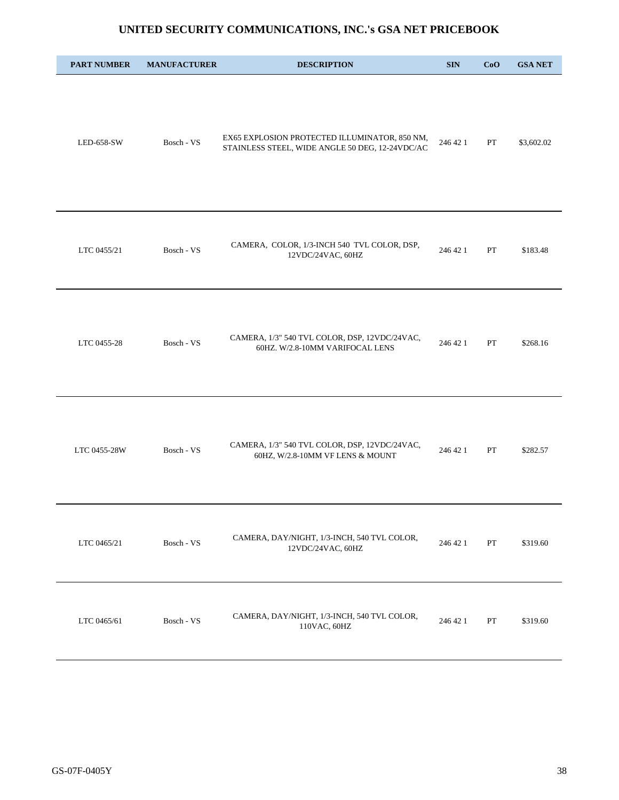| <b>PART NUMBER</b> | <b>MANUFACTURER</b> | <b>DESCRIPTION</b>                                                                               | <b>SIN</b> | CoO | <b>GSA NET</b> |
|--------------------|---------------------|--------------------------------------------------------------------------------------------------|------------|-----|----------------|
| LED-658-SW         | Bosch - VS          | EX65 EXPLOSION PROTECTED ILLUMINATOR, 850 NM,<br>STAINLESS STEEL, WIDE ANGLE 50 DEG, 12-24VDC/AC | 246 42 1   | PT  | \$3,602.02     |
| LTC 0455/21        | Bosch - VS          | CAMERA, COLOR, 1/3-INCH 540 TVL COLOR, DSP,<br>12VDC/24VAC, 60HZ                                 | 246 42 1   | PT  | \$183.48       |
| LTC 0455-28        | Bosch - VS          | CAMERA, 1/3" 540 TVL COLOR, DSP, 12VDC/24VAC,<br>60HZ. W/2.8-10MM VARIFOCAL LENS                 | 246 42 1   | PT  | \$268.16       |
| LTC 0455-28W       | Bosch - VS          | CAMERA, 1/3" 540 TVL COLOR, DSP, 12VDC/24VAC,<br>60HZ, W/2.8-10MM VF LENS & MOUNT                | 246 42 1   | PT  | \$282.57       |
| LTC 0465/21        | Bosch - VS          | CAMERA, DAY/NIGHT, 1/3-INCH, 540 TVL COLOR,<br>12VDC/24VAC, 60HZ                                 | 246 42 1   | PT  | \$319.60       |
| LTC 0465/61        | Bosch - VS          | CAMERA, DAY/NIGHT, 1/3-INCH, 540 TVL COLOR,<br>110VAC, 60HZ                                      | 246 42 1   | PT  | \$319.60       |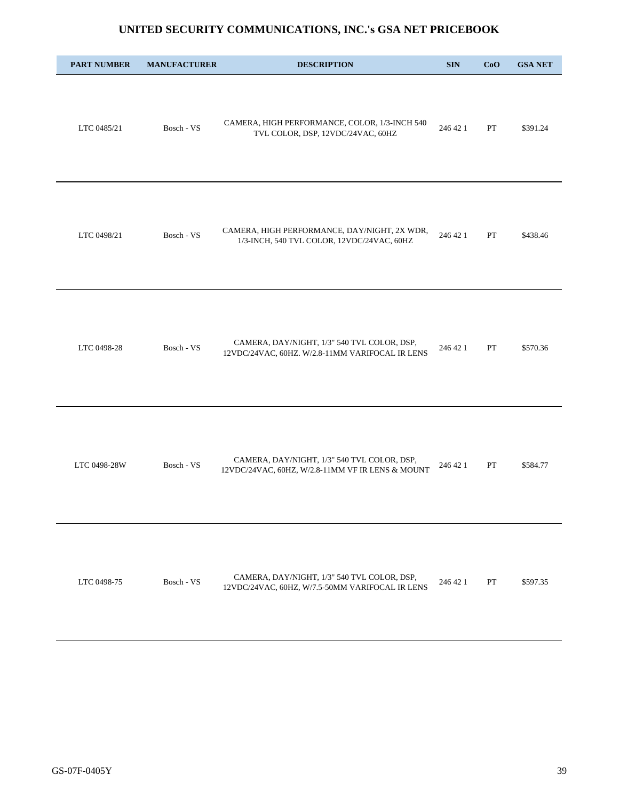| <b>PART NUMBER</b> | <b>MANUFACTURER</b> | <b>DESCRIPTION</b>                                                                              | <b>SIN</b> | CoO | <b>GSA NET</b> |
|--------------------|---------------------|-------------------------------------------------------------------------------------------------|------------|-----|----------------|
| LTC 0485/21        | Bosch - VS          | CAMERA, HIGH PERFORMANCE, COLOR, 1/3-INCH 540<br>TVL COLOR, DSP, 12VDC/24VAC, 60HZ              | 246 42 1   | PT  | \$391.24       |
| LTC 0498/21        | Bosch - VS          | CAMERA, HIGH PERFORMANCE, DAY/NIGHT, 2X WDR,<br>1/3-INCH, 540 TVL COLOR, 12VDC/24VAC, 60HZ      | 246 42 1   | PT  | \$438.46       |
| LTC 0498-28        | Bosch - VS          | CAMERA, DAY/NIGHT, 1/3" 540 TVL COLOR, DSP,<br>12VDC/24VAC, 60HZ. W/2.8-11MM VARIFOCAL IR LENS  | 246 42 1   | PT  | \$570.36       |
| LTC 0498-28W       | Bosch - VS          | CAMERA, DAY/NIGHT, 1/3" 540 TVL COLOR, DSP,<br>12VDC/24VAC, 60HZ, W/2.8-11MM VF IR LENS & MOUNT | 246 42 1   | PT  | \$584.77       |
| LTC 0498-75        | Bosch - VS          | CAMERA, DAY/NIGHT, 1/3" 540 TVL COLOR, DSP,<br>12VDC/24VAC, 60HZ, W/7.5-50MM VARIFOCAL IR LENS  | 246 42 1   | PT  | \$597.35       |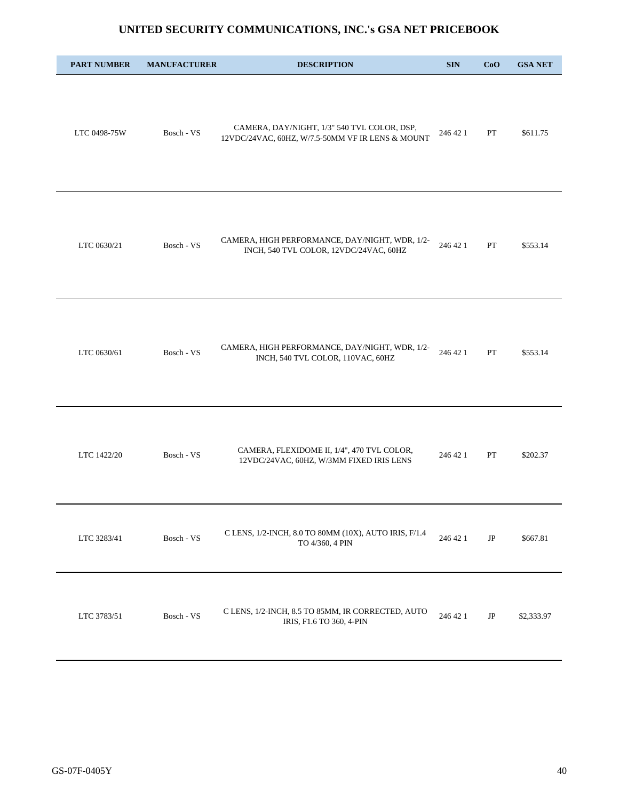| <b>PART NUMBER</b> | <b>MANUFACTURER</b> | <b>DESCRIPTION</b>                                                                              | <b>SIN</b> | CoO      | <b>GSA NET</b> |
|--------------------|---------------------|-------------------------------------------------------------------------------------------------|------------|----------|----------------|
| LTC 0498-75W       | Bosch - VS          | CAMERA, DAY/NIGHT, 1/3" 540 TVL COLOR, DSP,<br>12VDC/24VAC, 60HZ, W/7.5-50MM VF IR LENS & MOUNT | 246 42 1   | PT       | \$611.75       |
| LTC 0630/21        | Bosch - VS          | CAMERA, HIGH PERFORMANCE, DAY/NIGHT, WDR, 1/2-<br>INCH, 540 TVL COLOR, 12VDC/24VAC, 60HZ        | 246 42 1   | PT       | \$553.14       |
| LTC 0630/61        | Bosch - VS          | CAMERA, HIGH PERFORMANCE, DAY/NIGHT, WDR, 1/2-<br>INCH, 540 TVL COLOR, 110VAC, 60HZ             | 246 42 1   | PT       | \$553.14       |
| LTC 1422/20        | Bosch - VS          | CAMERA, FLEXIDOME II, 1/4", 470 TVL COLOR,<br>12VDC/24VAC, 60HZ, W/3MM FIXED IRIS LENS          | 246 42 1   | PT       | \$202.37       |
| LTC 3283/41        | Bosch - VS          | C LENS, 1/2-INCH, 8.0 TO 80MM (10X), AUTO IRIS, F/1.4<br>TO 4/360, 4 PIN                        | 246 42 1   | $\rm JP$ | \$667.81       |
| LTC 3783/51        | Bosch - VS          | C LENS, 1/2-INCH, 8.5 TO 85MM, IR CORRECTED, AUTO<br>IRIS, F1.6 TO 360, 4-PIN                   | 246 42 1   | JP       | \$2,333.97     |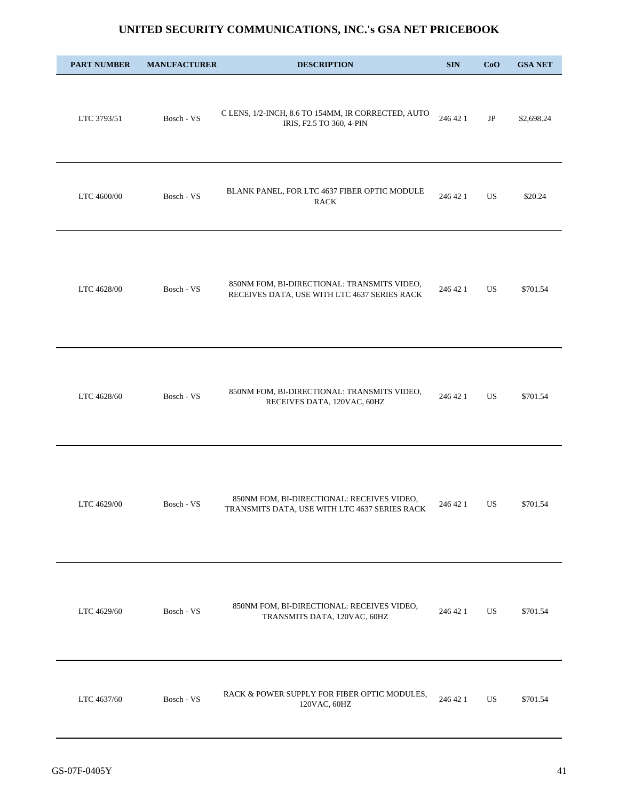| <b>PART NUMBER</b> | <b>MANUFACTURER</b> | <b>DESCRIPTION</b>                                                                          | <b>SIN</b> | CoO      | <b>GSA NET</b> |
|--------------------|---------------------|---------------------------------------------------------------------------------------------|------------|----------|----------------|
| LTC 3793/51        | Bosch - VS          | C LENS, 1/2-INCH, 8.6 TO 154MM, IR CORRECTED, AUTO<br>IRIS, F2.5 TO 360, 4-PIN              | 246 42 1   | $\rm JP$ | \$2,698.24     |
| LTC 4600/00        | Bosch - VS          | BLANK PANEL, FOR LTC 4637 FIBER OPTIC MODULE<br><b>RACK</b>                                 | 246 42 1   | US       | \$20.24        |
| LTC 4628/00        | Bosch - VS          | 850NM FOM, BI-DIRECTIONAL: TRANSMITS VIDEO,<br>RECEIVES DATA, USE WITH LTC 4637 SERIES RACK | 246 42 1   | US       | \$701.54       |
| LTC 4628/60        | Bosch - VS          | 850NM FOM, BI-DIRECTIONAL: TRANSMITS VIDEO,<br>RECEIVES DATA, 120VAC, 60HZ                  | 246 42 1   | US.      | \$701.54       |
| LTC 4629/00        | Bosch - VS          | 850NM FOM, BI-DIRECTIONAL: RECEIVES VIDEO,<br>TRANSMITS DATA, USE WITH LTC 4637 SERIES RACK | 246 42 1   | US       | \$701.54       |
| LTC 4629/60        | Bosch - VS          | 850NM FOM, BI-DIRECTIONAL: RECEIVES VIDEO,<br>TRANSMITS DATA, 120VAC, 60HZ                  | 246 42 1   | US       | \$701.54       |
| LTC 4637/60        | Bosch - VS          | RACK & POWER SUPPLY FOR FIBER OPTIC MODULES,<br>120VAC, 60HZ                                | 246 42 1   | US       | \$701.54       |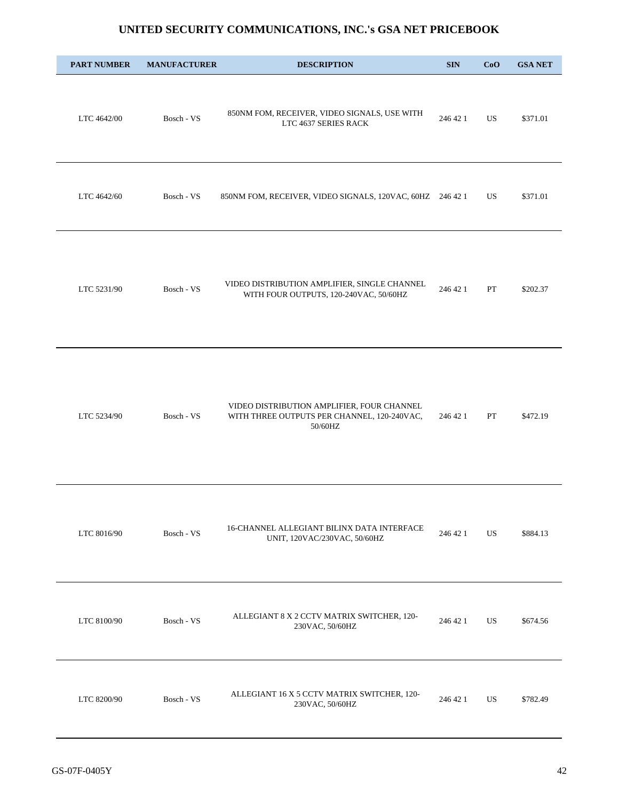| <b>PART NUMBER</b> | <b>MANUFACTURER</b> | <b>DESCRIPTION</b>                                                                                   | <b>SIN</b> | CoO | <b>GSA NET</b> |
|--------------------|---------------------|------------------------------------------------------------------------------------------------------|------------|-----|----------------|
| LTC 4642/00        | Bosch - VS          | 850NM FOM, RECEIVER, VIDEO SIGNALS, USE WITH<br>LTC 4637 SERIES RACK                                 | 246 42 1   | US  | \$371.01       |
| LTC 4642/60        | Bosch - VS          | 850NM FOM, RECEIVER, VIDEO SIGNALS, 120VAC, 60HZ 246 42 1                                            |            | US  | \$371.01       |
| LTC 5231/90        | Bosch - VS          | VIDEO DISTRIBUTION AMPLIFIER, SINGLE CHANNEL<br>WITH FOUR OUTPUTS, 120-240VAC, 50/60HZ               | 246 42 1   | PT  | \$202.37       |
| LTC 5234/90        | Bosch - VS          | VIDEO DISTRIBUTION AMPLIFIER, FOUR CHANNEL<br>WITH THREE OUTPUTS PER CHANNEL, 120-240VAC,<br>50/60HZ | 246 42 1   | PT  | \$472.19       |
| LTC 8016/90        | Bosch - VS          | 16-CHANNEL ALLEGIANT BILINX DATA INTERFACE<br>UNIT, 120VAC/230VAC, 50/60HZ                           | 246 42 1   | US  | \$884.13       |
| LTC 8100/90        | Bosch - VS          | ALLEGIANT 8 X 2 CCTV MATRIX SWITCHER, 120-<br>230VAC, 50/60HZ                                        | 246 42 1   | US  | \$674.56       |
| LTC 8200/90        | Bosch - VS          | ALLEGIANT 16 X 5 CCTV MATRIX SWITCHER, 120-<br>230VAC, 50/60HZ                                       | 246 42 1   | US. | \$782.49       |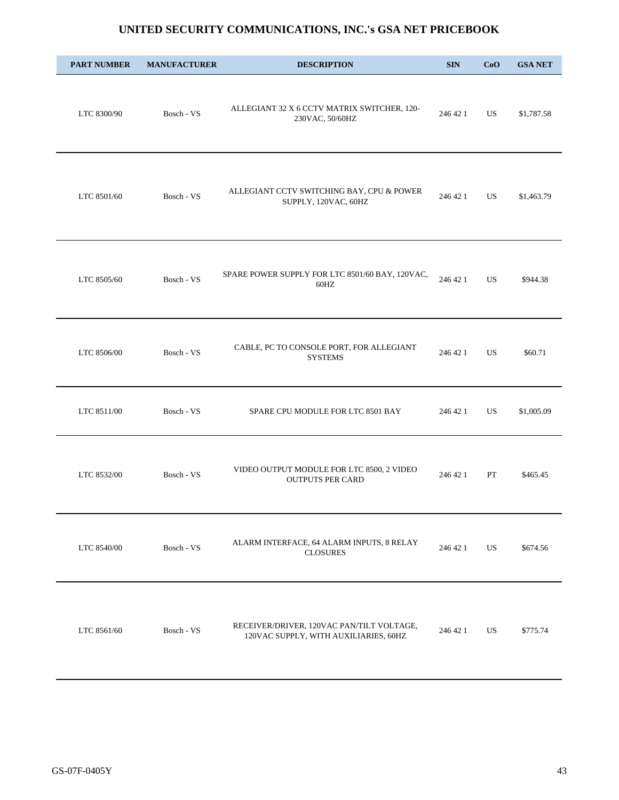| <b>PART NUMBER</b> | <b>MANUFACTURER</b> | <b>DESCRIPTION</b>                                                                 | <b>SIN</b> | CoO | <b>GSA NET</b> |
|--------------------|---------------------|------------------------------------------------------------------------------------|------------|-----|----------------|
| LTC 8300/90        | Bosch - VS          | ALLEGIANT 32 X 6 CCTV MATRIX SWITCHER, 120-<br>230VAC, 50/60HZ                     | 246 42 1   | US  | \$1,787.58     |
| LTC 8501/60        | Bosch - VS          | ALLEGIANT CCTV SWITCHING BAY, CPU & POWER<br>SUPPLY, 120VAC, 60HZ                  | 246 42 1   | US  | \$1,463.79     |
| LTC 8505/60        | Bosch - VS          | SPARE POWER SUPPLY FOR LTC 8501/60 BAY, 120VAC,<br>60HZ                            | 246 42 1   | US  | \$944.38       |
| LTC 8506/00        | Bosch - VS          | CABLE, PC TO CONSOLE PORT, FOR ALLEGIANT<br><b>SYSTEMS</b>                         | 246 42 1   | US  | \$60.71        |
| LTC 8511/00        | Bosch - VS          | SPARE CPU MODULE FOR LTC 8501 BAY                                                  | 246 42 1   | US  | \$1,005.09     |
| LTC 8532/00        | Bosch - VS          | VIDEO OUTPUT MODULE FOR LTC 8500, 2 VIDEO<br><b>OUTPUTS PER CARD</b>               | 246 42 1   | PT  | \$465.45       |
| LTC 8540/00        | Bosch - VS          | ALARM INTERFACE, 64 ALARM INPUTS, 8 RELAY<br><b>CLOSURES</b>                       | 246 42 1   | US  | \$674.56       |
| LTC 8561/60        | Bosch - VS          | RECEIVER/DRIVER, 120VAC PAN/TILT VOLTAGE,<br>120VAC SUPPLY, WITH AUXILIARIES, 60HZ | 246 42 1   | US  | \$775.74       |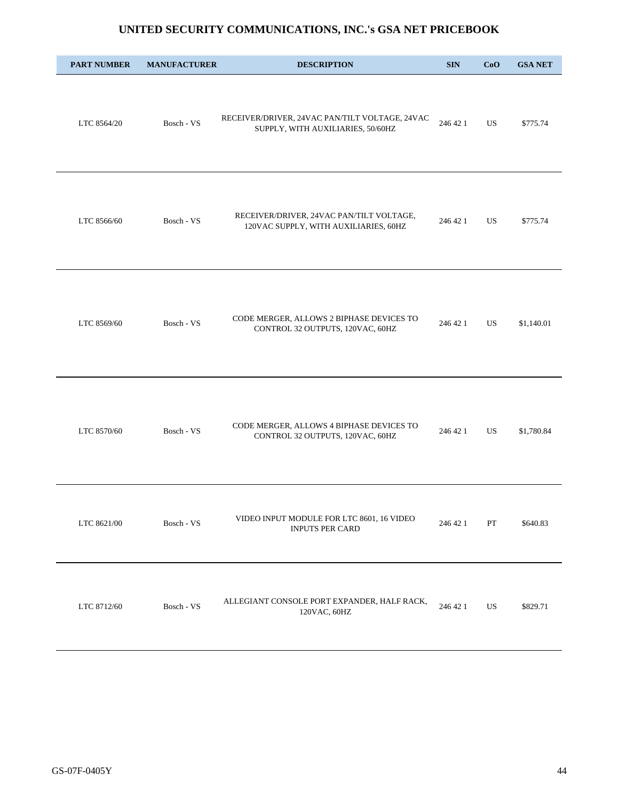| <b>PART NUMBER</b> | <b>MANUFACTURER</b> | <b>DESCRIPTION</b>                                                                  | <b>SIN</b> | CoO | <b>GSA NET</b> |
|--------------------|---------------------|-------------------------------------------------------------------------------------|------------|-----|----------------|
| LTC 8564/20        | Bosch - VS          | RECEIVER/DRIVER, 24VAC PAN/TILT VOLTAGE, 24VAC<br>SUPPLY, WITH AUXILIARIES, 50/60HZ | 246 42 1   | US  | \$775.74       |
| LTC 8566/60        | Bosch - VS          | RECEIVER/DRIVER, 24VAC PAN/TILT VOLTAGE,<br>120VAC SUPPLY, WITH AUXILIARIES, 60HZ   | 246 42 1   | US. | \$775.74       |
| LTC 8569/60        | Bosch - VS          | CODE MERGER, ALLOWS 2 BIPHASE DEVICES TO<br>CONTROL 32 OUTPUTS, 120VAC, 60HZ        | 246 42 1   | US  | \$1,140.01     |
| LTC 8570/60        | Bosch - VS          | CODE MERGER, ALLOWS 4 BIPHASE DEVICES TO<br>CONTROL 32 OUTPUTS, 120VAC, 60HZ        | 246 42 1   | US  | \$1,780.84     |
| LTC 8621/00        | Bosch - VS          | VIDEO INPUT MODULE FOR LTC 8601, 16 VIDEO<br>INPUTS PER CARD                        | 246 42 1   | PT  | \$640.83       |
| LTC 8712/60        | Bosch - VS          | ALLEGIANT CONSOLE PORT EXPANDER, HALF RACK,<br>120VAC, 60HZ                         | 246 42 1   | US  | \$829.71       |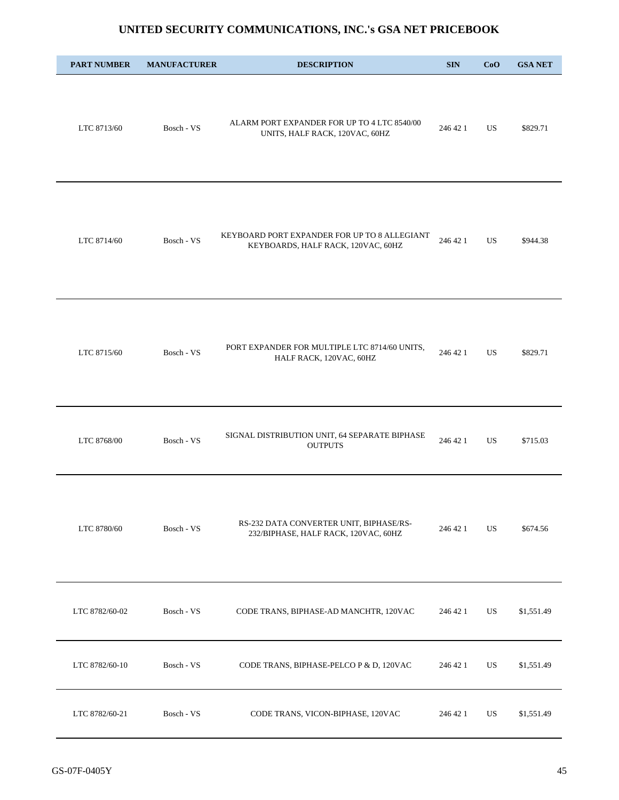| <b>PART NUMBER</b> | <b>MANUFACTURER</b> | <b>DESCRIPTION</b>                                                                 | <b>SIN</b> | CoO       | <b>GSA NET</b> |
|--------------------|---------------------|------------------------------------------------------------------------------------|------------|-----------|----------------|
| LTC 8713/60        | Bosch - VS          | ALARM PORT EXPANDER FOR UP TO 4 LTC 8540/00<br>UNITS, HALF RACK, 120VAC, 60HZ      | 246 42 1   | US        | \$829.71       |
| LTC 8714/60        | Bosch - VS          | KEYBOARD PORT EXPANDER FOR UP TO 8 ALLEGIANT<br>KEYBOARDS, HALF RACK, 120VAC, 60HZ | 246 42 1   | <b>US</b> | \$944.38       |
| LTC 8715/60        | Bosch - VS          | PORT EXPANDER FOR MULTIPLE LTC 8714/60 UNITS,<br>HALF RACK, 120VAC, 60HZ           | 246 42 1   | US        | \$829.71       |
| LTC 8768/00        | Bosch - VS          | SIGNAL DISTRIBUTION UNIT, 64 SEPARATE BIPHASE<br><b>OUTPUTS</b>                    | 246 42 1   | US        | \$715.03       |
| LTC 8780/60        | Bosch - VS          | RS-232 DATA CONVERTER UNIT, BIPHASE/RS-<br>232/BIPHASE, HALF RACK, 120VAC, 60HZ    | 246 42 1   | US        | \$674.56       |
| LTC 8782/60-02     | Bosch - VS          | CODE TRANS, BIPHASE-AD MANCHTR, 120VAC                                             | 246 42 1   | US        | \$1,551.49     |
| LTC 8782/60-10     | Bosch - VS          | CODE TRANS, BIPHASE-PELCO P & D, 120VAC                                            | 246 42 1   | US        | \$1,551.49     |
| LTC 8782/60-21     | Bosch - VS          | CODE TRANS, VICON-BIPHASE, 120VAC                                                  | 246 42 1   | US        | \$1,551.49     |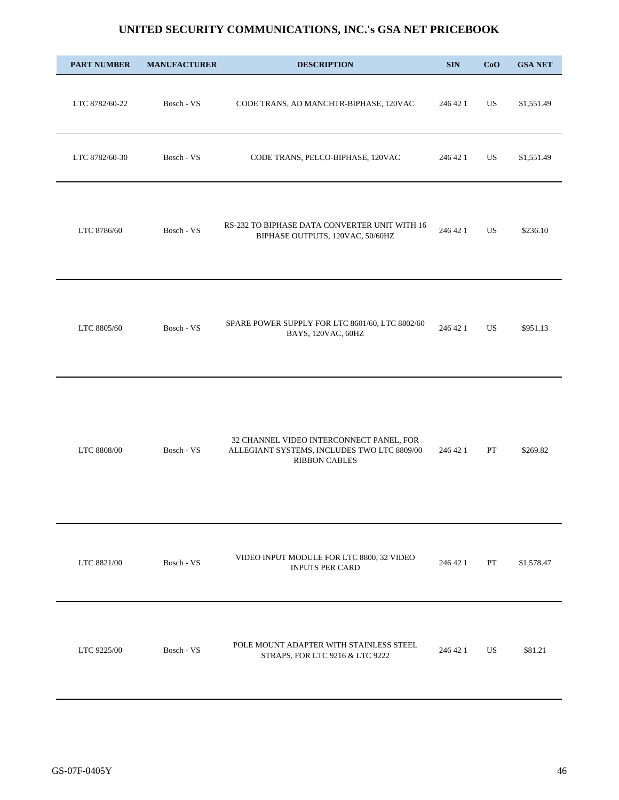| <b>PART NUMBER</b> | <b>MANUFACTURER</b> | <b>DESCRIPTION</b>                                                                                              | <b>SIN</b> | CoO       | <b>GSA NET</b> |
|--------------------|---------------------|-----------------------------------------------------------------------------------------------------------------|------------|-----------|----------------|
| LTC 8782/60-22     | Bosch - VS          | CODE TRANS, AD MANCHTR-BIPHASE, 120VAC                                                                          | 246 42 1   | US        | \$1,551.49     |
| LTC 8782/60-30     | Bosch - VS          | CODE TRANS, PELCO-BIPHASE, 120VAC                                                                               | 246 42 1   | US        | \$1,551.49     |
| LTC 8786/60        | Bosch - VS          | RS-232 TO BIPHASE DATA CONVERTER UNIT WITH 16<br>BIPHASE OUTPUTS, 120VAC, 50/60HZ                               | 246 42 1   | US.       | \$236.10       |
| LTC 8805/60        | Bosch - VS          | SPARE POWER SUPPLY FOR LTC 8601/60, LTC 8802/60<br>BAYS, 120VAC, 60HZ                                           | 246 42 1   | <b>US</b> | \$951.13       |
| LTC 8808/00        | Bosch - VS          | 32 CHANNEL VIDEO INTERCONNECT PANEL, FOR<br>ALLEGIANT SYSTEMS, INCLUDES TWO LTC 8809/00<br><b>RIBBON CABLES</b> | 246 42 1   | PT        | \$269.82       |
| LTC 8821/00        | Bosch - VS          | VIDEO INPUT MODULE FOR LTC 8800, 32 VIDEO<br><b>INPUTS PER CARD</b>                                             | 246 42 1   | PT        | \$1,578.47     |
| LTC 9225/00        | Bosch - VS          | POLE MOUNT ADAPTER WITH STAINLESS STEEL<br>STRAPS, FOR LTC 9216 & LTC 9222                                      | 246 42 1   | US        | \$81.21        |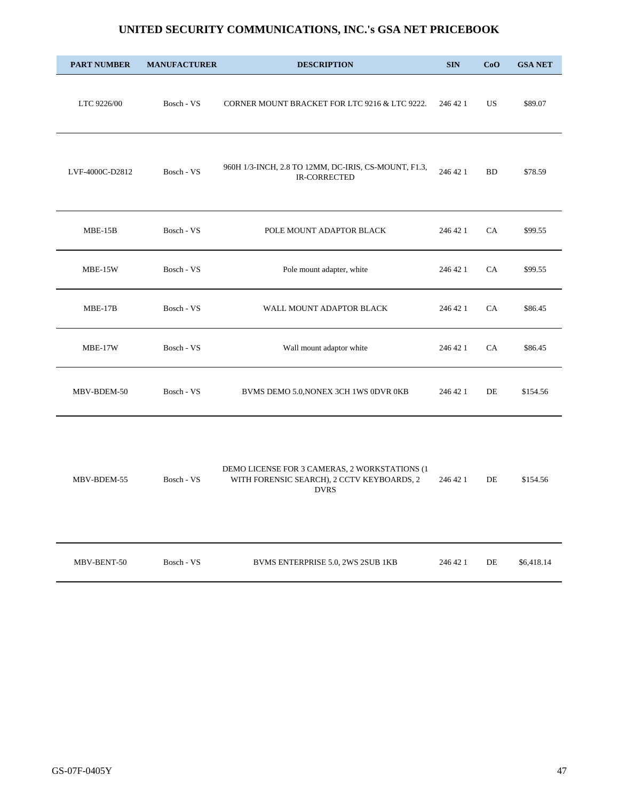| <b>PART NUMBER</b> | <b>MANUFACTURER</b>   | <b>DESCRIPTION</b>                                                                                         | <b>SIN</b> | CoO       | <b>GSA NET</b> |
|--------------------|-----------------------|------------------------------------------------------------------------------------------------------------|------------|-----------|----------------|
| LTC 9226/00        | Bosch - VS            | CORNER MOUNT BRACKET FOR LTC 9216 & LTC 9222.                                                              | 246 42 1   | US.       | \$89.07        |
| LVF-4000C-D2812    | Bosch - VS            | 960H 1/3-INCH, 2.8 TO 12MM, DC-IRIS, CS-MOUNT, F1.3,<br><b>IR-CORRECTED</b>                                | 246 42 1   | <b>BD</b> | \$78.59        |
| $MBE-15B$          | Bosch - VS            | POLE MOUNT ADAPTOR BLACK                                                                                   | 246 42 1   | CA        | \$99.55        |
| MBE-15W            | Bosch - VS            | Pole mount adapter, white                                                                                  | 246 42 1   | CA        | \$99.55        |
| $MBE-17B$          | Bosch - VS            | WALL MOUNT ADAPTOR BLACK                                                                                   | 246 42 1   | CA        | \$86.45        |
| MBE-17W            | Bosch - VS            | Wall mount adaptor white                                                                                   | 246 42 1   | CA        | \$86.45        |
| MBV-BDEM-50        | Bosch - VS            | BVMS DEMO 5.0, NONEX 3CH 1WS 0DVR 0KB                                                                      | 246 42 1   | DE        | \$154.56       |
| MBV-BDEM-55        | Bosch - VS            | DEMO LICENSE FOR 3 CAMERAS, 2 WORKSTATIONS (1<br>WITH FORENSIC SEARCH), 2 CCTV KEYBOARDS, 2<br><b>DVRS</b> | 246 42 1   | DE        | \$154.56       |
| MBV-BENT-50        | Bosch - $\mathrm{VS}$ | BVMS ENTERPRISE 5.0, 2WS 2SUB 1KB                                                                          | 246 42 1   | $\rm{DE}$ | \$6,418.14     |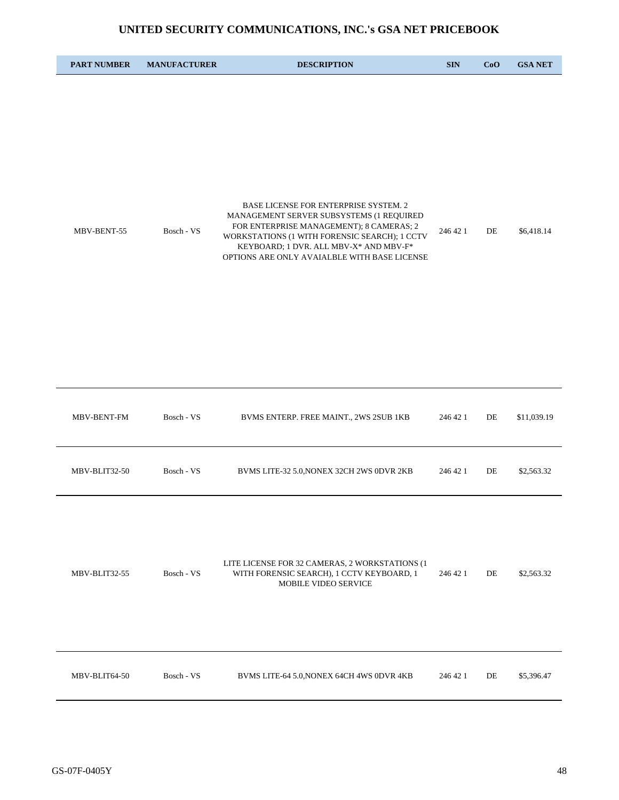| <b>PART NUMBER</b> | <b>MANUFACTURER</b> | <b>DESCRIPTION</b>                                                                                                                                                                                                                                                       | <b>SIN</b> | CoO | <b>GSA NET</b> |
|--------------------|---------------------|--------------------------------------------------------------------------------------------------------------------------------------------------------------------------------------------------------------------------------------------------------------------------|------------|-----|----------------|
| MBV-BENT-55        | Bosch - VS          | BASE LICENSE FOR ENTERPRISE SYSTEM. 2<br>MANAGEMENT SERVER SUBSYSTEMS (1 REQUIRED<br>FOR ENTERPRISE MANAGEMENT); 8 CAMERAS; 2<br>WORKSTATIONS (1 WITH FORENSIC SEARCH); 1 CCTV<br>KEYBOARD; 1 DVR. ALL MBV-X* AND MBV-F*<br>OPTIONS ARE ONLY AVAIALBLE WITH BASE LICENSE | 246 42 1   | DE  | \$6,418.14     |
| MBV-BENT-FM        | Bosch - VS          | BVMS ENTERP. FREE MAINT., 2WS 2SUB 1KB                                                                                                                                                                                                                                   | 246 42 1   | DE  | \$11,039.19    |
| MBV-BLIT32-50      | Bosch - VS          | BVMS LITE-32 5.0, NONEX 32CH 2WS 0DVR 2KB                                                                                                                                                                                                                                | 246 42 1   | DE  | \$2,563.32     |
| MBV-BLIT32-55      | Bosch - VS          | LITE LICENSE FOR 32 CAMERAS, 2 WORKSTATIONS (1<br>WITH FORENSIC SEARCH), 1 CCTV KEYBOARD, 1<br>MOBILE VIDEO SERVICE                                                                                                                                                      | 246 42 1   | DE  | \$2,563.32     |
| MBV-BLIT64-50      | Bosch - VS          | BVMS LITE-64 5.0, NONEX 64CH 4WS 0DVR 4KB                                                                                                                                                                                                                                | 246 42 1   | DE  | \$5,396.47     |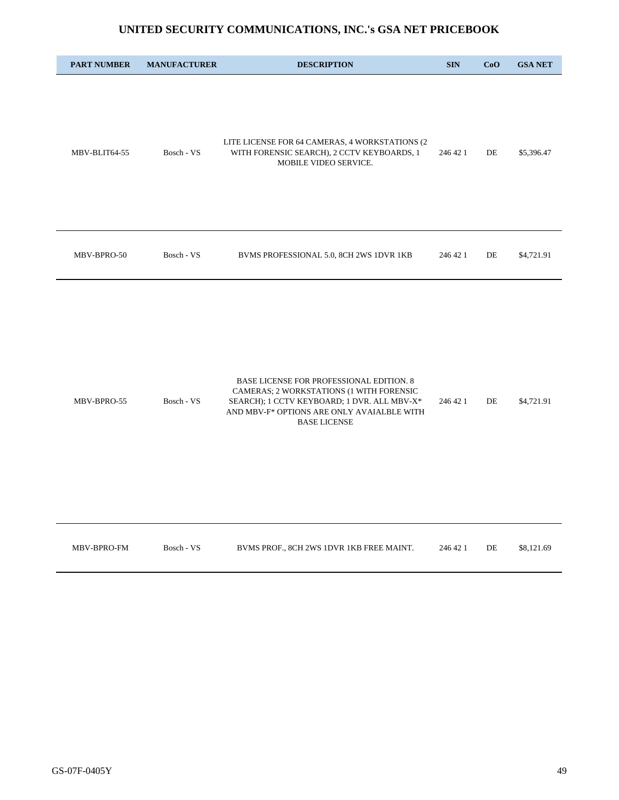| <b>PART NUMBER</b> | <b>MANUFACTURER</b> | <b>DESCRIPTION</b>                                                                                                                                                                                       | <b>SIN</b> | CoO | <b>GSA NET</b> |
|--------------------|---------------------|----------------------------------------------------------------------------------------------------------------------------------------------------------------------------------------------------------|------------|-----|----------------|
| MBV-BLIT64-55      | Bosch - VS          | LITE LICENSE FOR 64 CAMERAS, 4 WORKSTATIONS (2<br>WITH FORENSIC SEARCH), 2 CCTV KEYBOARDS, 1<br>MOBILE VIDEO SERVICE.                                                                                    | 246 42 1   | DE  | \$5,396.47     |
| MBV-BPRO-50        | Bosch - VS          | BVMS PROFESSIONAL 5.0, 8CH 2WS 1DVR 1KB                                                                                                                                                                  | 246 42 1   | DE  | \$4,721.91     |
| MBV-BPRO-55        | Bosch - VS          | BASE LICENSE FOR PROFESSIONAL EDITION. 8<br>CAMERAS; 2 WORKSTATIONS (1 WITH FORENSIC<br>SEARCH); 1 CCTV KEYBOARD; 1 DVR. ALL MBV-X*<br>AND MBV-F* OPTIONS ARE ONLY AVAIALBLE WITH<br><b>BASE LICENSE</b> | 246 42 1   | DE  | \$4,721.91     |
| MBV-BPRO-FM        | Bosch - VS          | BVMS PROF., 8CH 2WS 1DVR 1KB FREE MAINT.                                                                                                                                                                 | 246 42 1   | DE  | \$8,121.69     |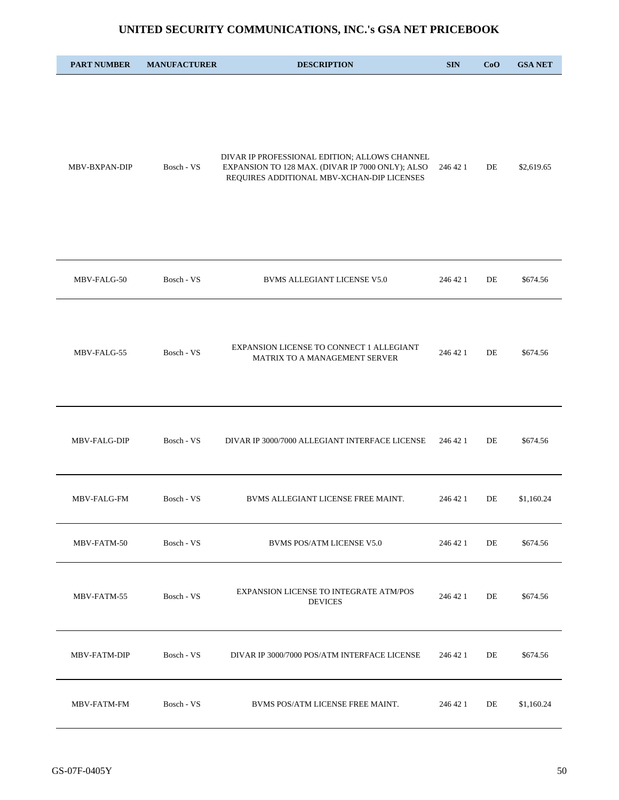| <b>PART NUMBER</b> | <b>MANUFACTURER</b> | <b>DESCRIPTION</b>                                                                                                                              | <b>SIN</b> | CoO | <b>GSA NET</b> |
|--------------------|---------------------|-------------------------------------------------------------------------------------------------------------------------------------------------|------------|-----|----------------|
| MBV-BXPAN-DIP      | Bosch - VS          | DIVAR IP PROFESSIONAL EDITION; ALLOWS CHANNEL<br>EXPANSION TO 128 MAX. (DIVAR IP 7000 ONLY); ALSO<br>REQUIRES ADDITIONAL MBV-XCHAN-DIP LICENSES | 246 42 1   | DE  | \$2,619.65     |
| MBV-FALG-50        | Bosch - VS          | <b>BVMS ALLEGIANT LICENSE V5.0</b>                                                                                                              | 246 42 1   | DE  | \$674.56       |
| MBV-FALG-55        | Bosch - VS          | EXPANSION LICENSE TO CONNECT 1 ALLEGIANT<br>MATRIX TO A MANAGEMENT SERVER                                                                       | 246 42 1   | DE  | \$674.56       |
| MBV-FALG-DIP       | Bosch - VS          | DIVAR IP 3000/7000 ALLEGIANT INTERFACE LICENSE                                                                                                  | 246 42 1   | DE  | \$674.56       |
| MBV-FALG-FM        | Bosch - VS          | BVMS ALLEGIANT LICENSE FREE MAINT.                                                                                                              | 246 42 1   | DE  | \$1,160.24     |
| MBV-FATM-50        | Bosch - VS          | <b>BVMS POS/ATM LICENSE V5.0</b>                                                                                                                | 246 42 1   | DE  | \$674.56       |
| MBV-FATM-55        | Bosch - VS          | EXPANSION LICENSE TO INTEGRATE ATM/POS<br><b>DEVICES</b>                                                                                        | 246 42 1   | DE  | \$674.56       |
| MBV-FATM-DIP       | Bosch - VS          | DIVAR IP 3000/7000 POS/ATM INTERFACE LICENSE                                                                                                    | 246 42 1   | DE  | \$674.56       |
| MBV-FATM-FM        | Bosch - VS          | BVMS POS/ATM LICENSE FREE MAINT.                                                                                                                | 246 42 1   | DE  | \$1,160.24     |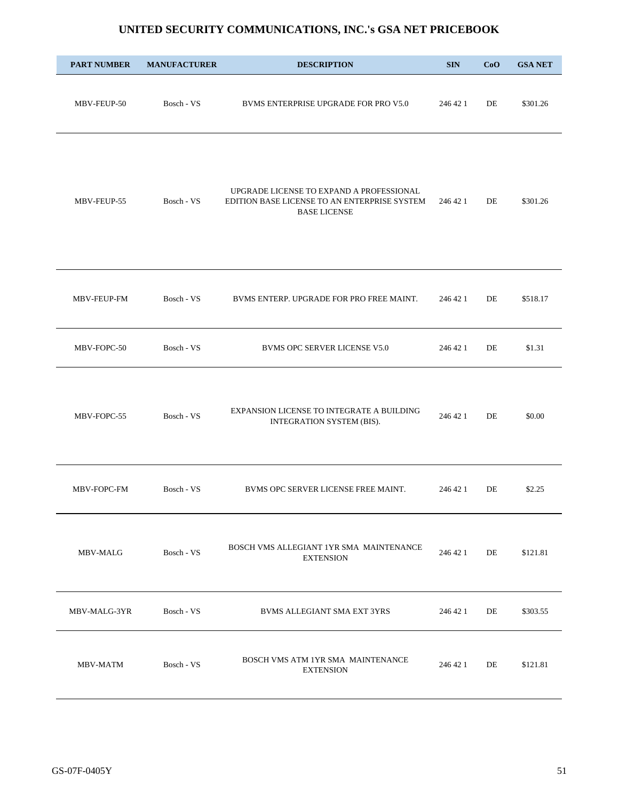| <b>PART NUMBER</b> | <b>MANUFACTURER</b> | <b>DESCRIPTION</b>                                                                                              | <b>SIN</b> | CoO | <b>GSA NET</b> |
|--------------------|---------------------|-----------------------------------------------------------------------------------------------------------------|------------|-----|----------------|
| MBV-FEUP-50        | Bosch - VS          | BVMS ENTERPRISE UPGRADE FOR PRO V5.0                                                                            | 246 42 1   | DE  | \$301.26       |
| MBV-FEUP-55        | Bosch - VS          | UPGRADE LICENSE TO EXPAND A PROFESSIONAL<br>EDITION BASE LICENSE TO AN ENTERPRISE SYSTEM<br><b>BASE LICENSE</b> | 246 42 1   | DE  | \$301.26       |
| MBV-FEUP-FM        | Bosch - VS          | BVMS ENTERP. UPGRADE FOR PRO FREE MAINT.                                                                        | 246 42 1   | DE  | \$518.17       |
| MBV-FOPC-50        | Bosch - VS          | <b>BVMS OPC SERVER LICENSE V5.0</b>                                                                             | 246 42 1   | DE  | \$1.31         |
| MBV-FOPC-55        | Bosch - VS          | EXPANSION LICENSE TO INTEGRATE A BUILDING<br>INTEGRATION SYSTEM (BIS).                                          | 246 42 1   | DE  | \$0.00         |
| MBV-FOPC-FM        | Bosch - VS          | BVMS OPC SERVER LICENSE FREE MAINT.                                                                             | 246 42 1   | DE  | \$2.25         |
| MBV-MALG           | Bosch - VS          | BOSCH VMS ALLEGIANT 1YR SMA MAINTENANCE<br><b>EXTENSION</b>                                                     | 246 42 1   | DE  | \$121.81       |
| MBV-MALG-3YR       | Bosch - VS          | BVMS ALLEGIANT SMA EXT 3YRS                                                                                     | 246 42 1   | DE  | \$303.55       |
| MBV-MATM           | Bosch - VS          | BOSCH VMS ATM 1YR SMA MAINTENANCE<br><b>EXTENSION</b>                                                           | 246 42 1   | DE  | \$121.81       |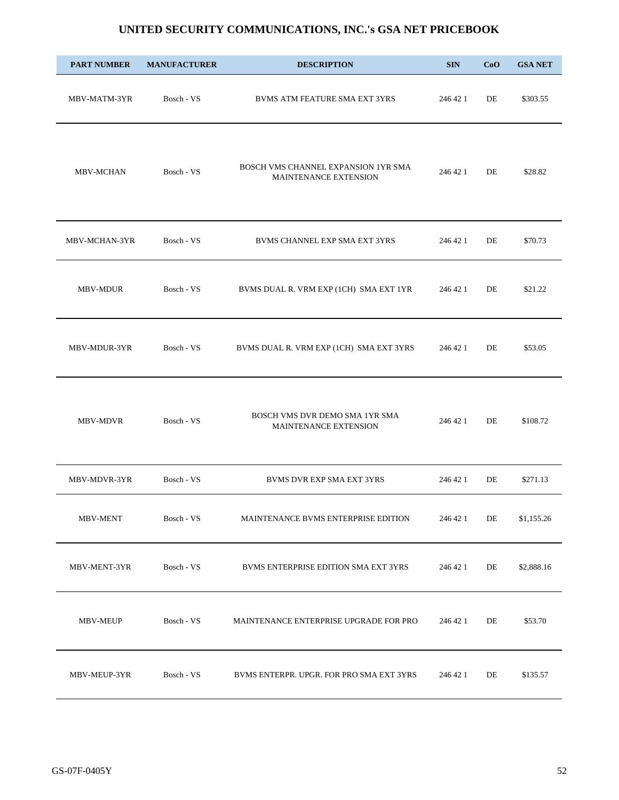| <b>PART NUMBER</b> | <b>MANUFACTURER</b> | <b>DESCRIPTION</b>                                           | <b>SIN</b> | CoO | <b>GSA NET</b> |
|--------------------|---------------------|--------------------------------------------------------------|------------|-----|----------------|
| MBV-MATM-3YR       | Bosch - VS          | BVMS ATM FEATURE SMA EXT 3YRS                                | 246 42 1   | DE  | \$303.55       |
| <b>MBV-MCHAN</b>   | Bosch - VS          | BOSCH VMS CHANNEL EXPANSION 1YR SMA<br>MAINTENANCE EXTENSION | 246 42 1   | DE  | \$28.82        |
| MBV-MCHAN-3YR      | Bosch - VS          | BVMS CHANNEL EXP SMA EXT 3YRS                                | 246 42 1   | DE  | \$70.73        |
| MBV-MDUR           | Bosch - VS          | BVMS DUAL R. VRM EXP (1CH) SMA EXT 1YR                       | 246 42 1   | DE  | \$21.22        |
| MBV-MDUR-3YR       | Bosch - VS          | BVMS DUAL R. VRM EXP (1CH) SMA EXT 3YRS                      | 246 42 1   | DE  | \$53.05        |
| MBV-MDVR           | Bosch - VS          | BOSCH VMS DVR DEMO SMA 1YR SMA<br>MAINTENANCE EXTENSION      | 246 42 1   | DE  | \$108.72       |
| MBV-MDVR-3YR       | Bosch - VS          | <b>BVMS DVR EXP SMA EXT 3YRS</b>                             | 246 42 1   | DE  | \$271.13       |
| MBV-MENT           | Bosch - VS          | MAINTENANCE BVMS ENTERPRISE EDITION                          | 246 42 1   | DE  | \$1,155.26     |
| MBV-MENT-3YR       | Bosch - VS          | BVMS ENTERPRISE EDITION SMA EXT 3YRS                         | 246 42 1   | DE  | \$2,888.16     |
| MBV-MEUP           | Bosch - VS          | MAINTENANCE ENTERPRISE UPGRADE FOR PRO                       | 246 42 1   | DE  | \$53.70        |
| MBV-MEUP-3YR       | Bosch - VS          | BVMS ENTERPR. UPGR. FOR PRO SMA EXT 3YRS                     | 246 42 1   | DE  | \$135.57       |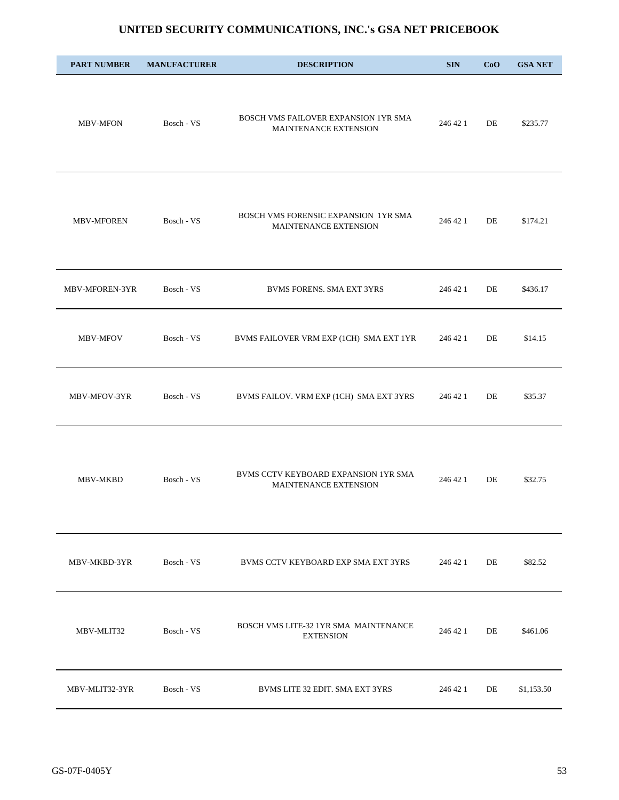| <b>PART NUMBER</b> | <b>MANUFACTURER</b> | <b>DESCRIPTION</b>                                            | <b>SIN</b> | CoO | <b>GSA NET</b> |
|--------------------|---------------------|---------------------------------------------------------------|------------|-----|----------------|
| <b>MBV-MFON</b>    | Bosch - VS          | BOSCH VMS FAILOVER EXPANSION 1YR SMA<br>MAINTENANCE EXTENSION | 246 42 1   | DE  | \$235.77       |
| <b>MBV-MFOREN</b>  | Bosch - VS          | BOSCH VMS FORENSIC EXPANSION 1YR SMA<br>MAINTENANCE EXTENSION | 246 42 1   | DE  | \$174.21       |
| MBV-MFOREN-3YR     | Bosch - VS          | <b>BVMS FORENS. SMA EXT 3YRS</b>                              | 246 42 1   | DE  | \$436.17       |
| MBV-MFOV           | Bosch - VS          | BVMS FAILOVER VRM EXP (1CH) SMA EXT 1YR                       | 246 42 1   | DE  | \$14.15        |
| MBV-MFOV-3YR       | Bosch - VS          | BVMS FAILOV. VRM EXP (1CH) SMA EXT 3YRS                       | 246 42 1   | DE  | \$35.37        |
| MBV-MKBD           | Bosch - VS          | BVMS CCTV KEYBOARD EXPANSION 1YR SMA<br>MAINTENANCE EXTENSION | 246 42 1   | DE  | \$32.75        |
| MBV-MKBD-3YR       | Bosch - VS          | BVMS CCTV KEYBOARD EXP SMA EXT 3YRS                           | 246 42 1   | DE  | \$82.52        |
| MBV-MLIT32         | Bosch - VS          | BOSCH VMS LITE-32 1YR SMA MAINTENANCE<br><b>EXTENSION</b>     | 246 42 1   | DE  | \$461.06       |
| MBV-MLIT32-3YR     | Bosch - VS          | BVMS LITE 32 EDIT. SMA EXT 3YRS                               | 246 42 1   | DE  | \$1,153.50     |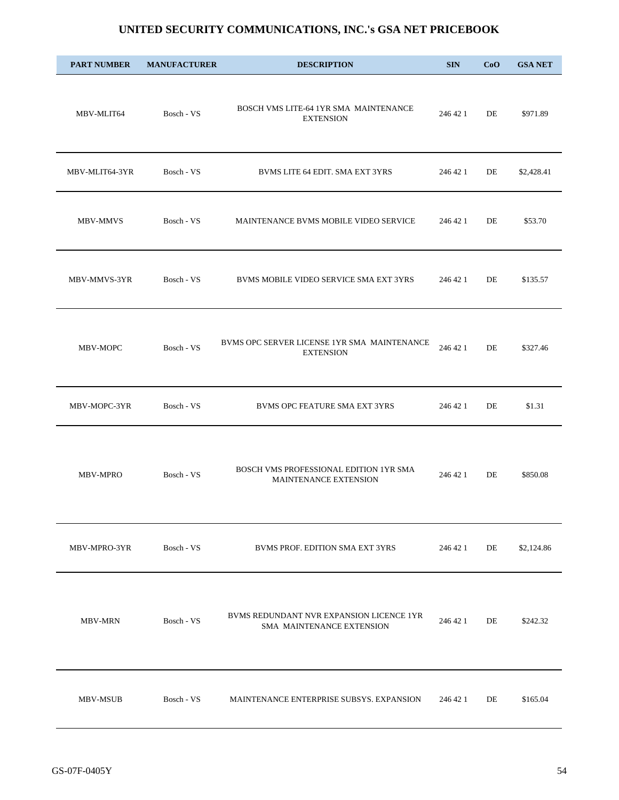| <b>PART NUMBER</b> | <b>MANUFACTURER</b> | <b>DESCRIPTION</b>                                                    | <b>SIN</b> | CoO | <b>GSA NET</b> |
|--------------------|---------------------|-----------------------------------------------------------------------|------------|-----|----------------|
| MBV-MLIT64         | Bosch - VS          | BOSCH VMS LITE-64 1YR SMA MAINTENANCE<br><b>EXTENSION</b>             | 246 42 1   | DE  | \$971.89       |
| MBV-MLIT64-3YR     | Bosch - VS          | BVMS LITE 64 EDIT. SMA EXT 3YRS                                       | 246 42 1   | DE  | \$2,428.41     |
| MBV-MMVS           | Bosch - VS          | MAINTENANCE BVMS MOBILE VIDEO SERVICE                                 | 246 42 1   | DE  | \$53.70        |
| MBV-MMVS-3YR       | Bosch - VS          | BVMS MOBILE VIDEO SERVICE SMA EXT 3YRS                                | 246 42 1   | DE  | \$135.57       |
| MBV-MOPC           | Bosch - VS          | BVMS OPC SERVER LICENSE 1YR SMA MAINTENANCE<br><b>EXTENSION</b>       | 246 42 1   | DE  | \$327.46       |
| MBV-MOPC-3YR       | Bosch - VS          | BVMS OPC FEATURE SMA EXT 3YRS                                         | 246 42 1   | DE  | \$1.31         |
| <b>MBV-MPRO</b>    | Bosch - VS          | BOSCH VMS PROFESSIONAL EDITION 1YR SMA<br>MAINTENANCE EXTENSION       | 246 42 1   | DE  | \$850.08       |
| MBV-MPRO-3YR       | Bosch - VS          | BVMS PROF. EDITION SMA EXT 3YRS                                       | 246 42 1   | DE  | \$2,124.86     |
| <b>MBV-MRN</b>     | Bosch - VS          | BVMS REDUNDANT NVR EXPANSION LICENCE 1YR<br>SMA MAINTENANCE EXTENSION | 246 42 1   | DE  | \$242.32       |
| MBV-MSUB           | Bosch - VS          | MAINTENANCE ENTERPRISE SUBSYS. EXPANSION                              | 246 42 1   | DE  | \$165.04       |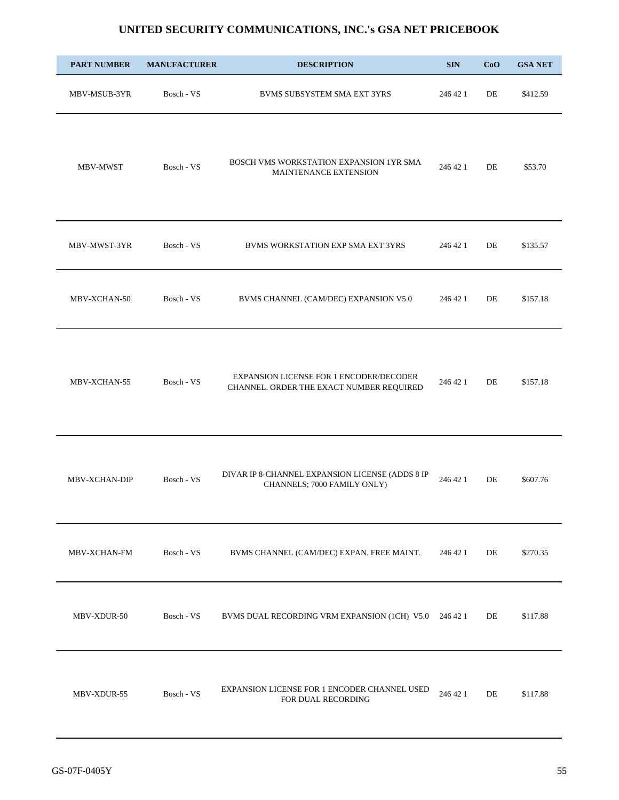| <b>PART NUMBER</b>  | <b>MANUFACTURER</b> | <b>DESCRIPTION</b>                                                                  | <b>SIN</b> | CoO | <b>GSA NET</b> |
|---------------------|---------------------|-------------------------------------------------------------------------------------|------------|-----|----------------|
| MBV-MSUB-3YR        | Bosch - VS          | BVMS SUBSYSTEM SMA EXT 3YRS                                                         | 246 42 1   | DE  | \$412.59       |
| MBV-MWST            | Bosch - VS          | BOSCH VMS WORKSTATION EXPANSION 1YR SMA<br>MAINTENANCE EXTENSION                    | 246 42 1   | DE  | \$53.70        |
| MBV-MWST-3YR        | Bosch - VS          | BVMS WORKSTATION EXP SMA EXT 3YRS                                                   | 246 42 1   | DE  | \$135.57       |
| MBV-XCHAN-50        | Bosch - VS          | BVMS CHANNEL (CAM/DEC) EXPANSION V5.0                                               | 246 42 1   | DE  | \$157.18       |
| MBV-XCHAN-55        | Bosch - VS          | EXPANSION LICENSE FOR 1 ENCODER/DECODER<br>CHANNEL. ORDER THE EXACT NUMBER REQUIRED | 246 42 1   | DE  | \$157.18       |
| MBV-XCHAN-DIP       | Bosch - VS          | DIVAR IP 8-CHANNEL EXPANSION LICENSE (ADDS 8 IP<br>CHANNELS; 7000 FAMILY ONLY)      | 246 42 1   | DE  | \$607.76       |
| <b>MBV-XCHAN-FM</b> | Bosch - VS          | BVMS CHANNEL (CAM/DEC) EXPAN. FREE MAINT.                                           | 246 42 1   | DE  | \$270.35       |
| MBV-XDUR-50         | Bosch - VS          | BVMS DUAL RECORDING VRM EXPANSION (1CH) V5.0 246 42 1                               |            | DE  | \$117.88       |
| MBV-XDUR-55         | Bosch - VS          | EXPANSION LICENSE FOR 1 ENCODER CHANNEL USED<br>FOR DUAL RECORDING                  | 246 42 1   | DE  | \$117.88       |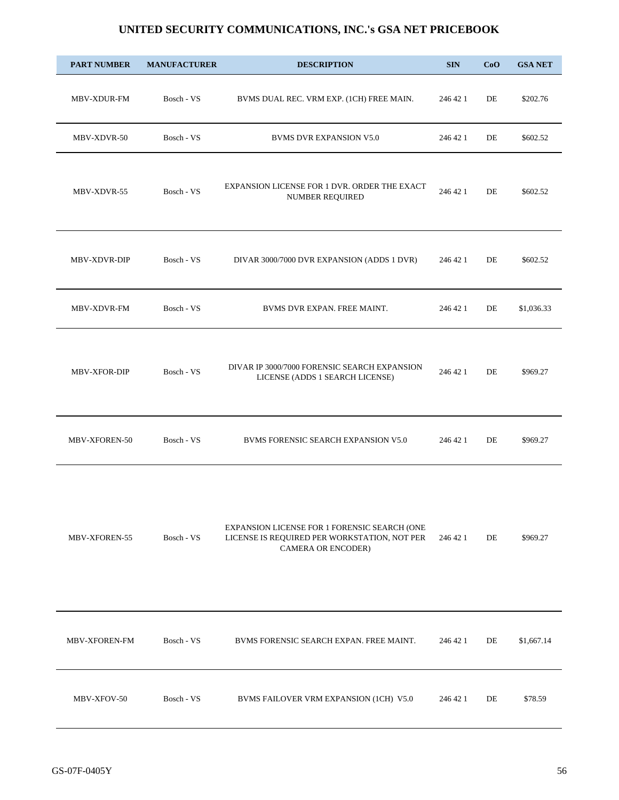| <b>PART NUMBER</b>   | <b>MANUFACTURER</b> | <b>DESCRIPTION</b>                                                                                                 | <b>SIN</b> | CoO | <b>GSA NET</b> |
|----------------------|---------------------|--------------------------------------------------------------------------------------------------------------------|------------|-----|----------------|
| MBV-XDUR-FM          | Bosch - VS          | BVMS DUAL REC. VRM EXP. (1CH) FREE MAIN.                                                                           | 246 42 1   | DE  | \$202.76       |
| MBV-XDVR-50          | Bosch - VS          | <b>BVMS DVR EXPANSION V5.0</b>                                                                                     | 246 42 1   | DE  | \$602.52       |
| MBV-XDVR-55          | Bosch - VS          | EXPANSION LICENSE FOR 1 DVR. ORDER THE EXACT<br>NUMBER REQUIRED                                                    | 246 42 1   | DE  | \$602.52       |
| MBV-XDVR-DIP         | Bosch - VS          | DIVAR 3000/7000 DVR EXPANSION (ADDS 1 DVR)                                                                         | 246 42 1   | DE  | \$602.52       |
| MBV-XDVR-FM          | Bosch - VS          | BVMS DVR EXPAN. FREE MAINT.                                                                                        | 246 42 1   | DE  | \$1,036.33     |
| <b>MBV-XFOR-DIP</b>  | Bosch - VS          | DIVAR IP 3000/7000 FORENSIC SEARCH EXPANSION<br>LICENSE (ADDS 1 SEARCH LICENSE)                                    | 246 42 1   | DE  | \$969.27       |
| MBV-XFOREN-50        | Bosch - VS          | BVMS FORENSIC SEARCH EXPANSION V5.0                                                                                | 246 42 1   | DE  | \$969.27       |
| MBV-XFOREN-55        | Bosch - VS          | EXPANSION LICENSE FOR 1 FORENSIC SEARCH (ONE<br>LICENSE IS REQUIRED PER WORKSTATION, NOT PER<br>CAMERA OR ENCODER) | 246 42 1   | DE  | \$969.27       |
| <b>MBV-XFOREN-FM</b> | Bosch - VS          | BVMS FORENSIC SEARCH EXPAN. FREE MAINT.                                                                            | 246 42 1   | DE  | \$1,667.14     |
| MBV-XFOV-50          | Bosch - VS          | BVMS FAILOVER VRM EXPANSION (1CH) V5.0                                                                             | 246 42 1   | DE  | \$78.59        |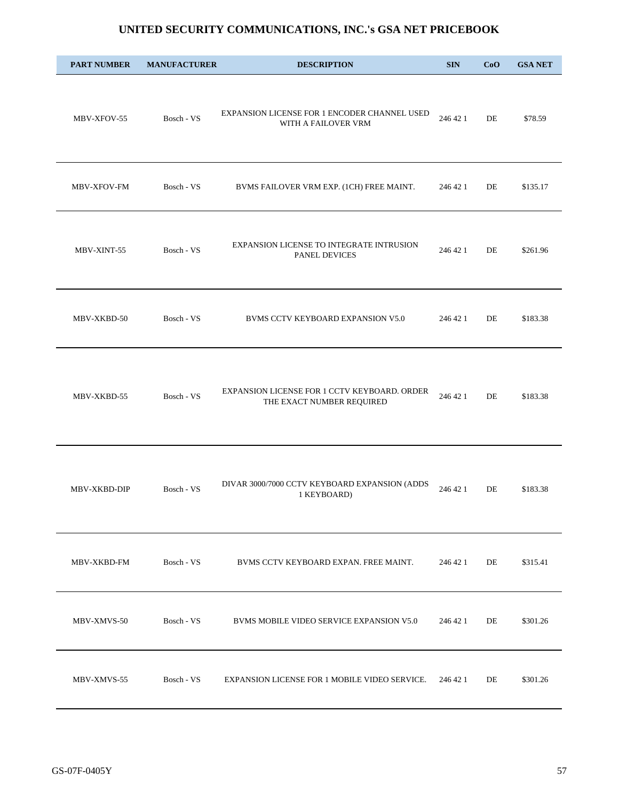| <b>PART NUMBER</b> | <b>MANUFACTURER</b> | <b>DESCRIPTION</b>                                                        | <b>SIN</b> | CoO | <b>GSA NET</b> |
|--------------------|---------------------|---------------------------------------------------------------------------|------------|-----|----------------|
| MBV-XFOV-55        | Bosch - VS          | EXPANSION LICENSE FOR 1 ENCODER CHANNEL USED<br>WITH A FAILOVER VRM       | 246 42 1   | DE  | \$78.59        |
| MBV-XFOV-FM        | Bosch - VS          | BVMS FAILOVER VRM EXP. (1CH) FREE MAINT.                                  | 246 42 1   | DE  | \$135.17       |
| MBV-XINT-55        | Bosch - VS          | EXPANSION LICENSE TO INTEGRATE INTRUSION<br>PANEL DEVICES                 | 246 42 1   | DE  | \$261.96       |
| MBV-XKBD-50        | Bosch - VS          | BVMS CCTV KEYBOARD EXPANSION V5.0                                         | 246 42 1   | DE  | \$183.38       |
| MBV-XKBD-55        | Bosch - VS          | EXPANSION LICENSE FOR 1 CCTV KEYBOARD. ORDER<br>THE EXACT NUMBER REQUIRED | 246 42 1   | DE  | \$183.38       |
| MBV-XKBD-DIP       | Bosch - VS          | DIVAR 3000/7000 CCTV KEYBOARD EXPANSION (ADDS<br>1 KEYBOARD)              | 246 42 1   | DE  | \$183.38       |
| MBV-XKBD-FM        | Bosch - VS          | BVMS CCTV KEYBOARD EXPAN. FREE MAINT.                                     | 246 42 1   | DE  | \$315.41       |
| MBV-XMVS-50        | Bosch - VS          | BVMS MOBILE VIDEO SERVICE EXPANSION V5.0                                  | 246 42 1   | DE  | \$301.26       |
| MBV-XMVS-55        | Bosch - VS          | EXPANSION LICENSE FOR 1 MOBILE VIDEO SERVICE.                             | 246 42 1   | DE  | \$301.26       |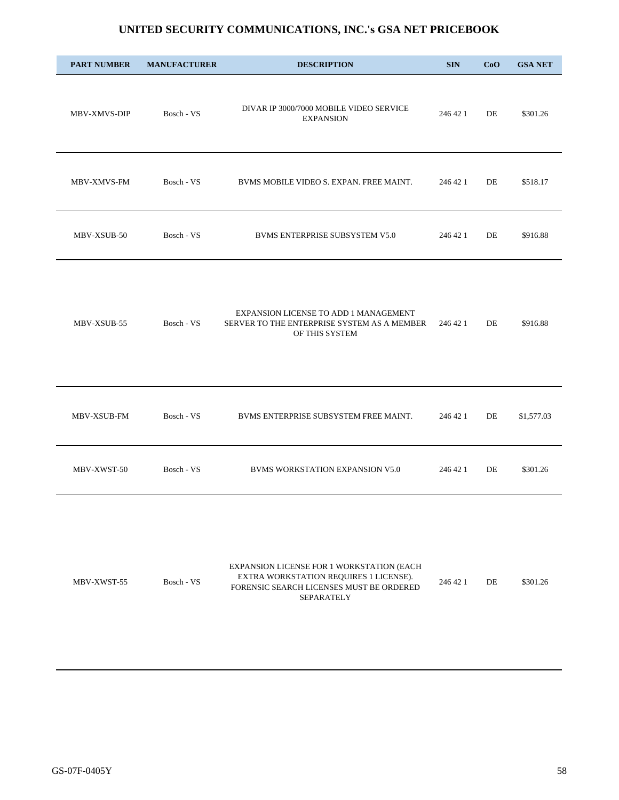| <b>PART NUMBER</b>  | <b>MANUFACTURER</b> | <b>DESCRIPTION</b>                                                                                     | <b>SIN</b> | CoO       | <b>GSA NET</b> |
|---------------------|---------------------|--------------------------------------------------------------------------------------------------------|------------|-----------|----------------|
| <b>MBV-XMVS-DIP</b> | Bosch - VS          | DIVAR IP 3000/7000 MOBILE VIDEO SERVICE<br><b>EXPANSION</b>                                            | 246 42 1   | DE        | \$301.26       |
| <b>MBV-XMVS-FM</b>  | Bosch - VS          | BVMS MOBILE VIDEO S. EXPAN. FREE MAINT.                                                                | 246 42 1   | DE        | \$518.17       |
| MBV-XSUB-50         | Bosch - VS          | <b>BVMS ENTERPRISE SUBSYSTEM V5.0</b>                                                                  | 246 42 1   | DE        | \$916.88       |
| MBV-XSUB-55         | Bosch - VS          | EXPANSION LICENSE TO ADD 1 MANAGEMENT<br>SERVER TO THE ENTERPRISE SYSTEM AS A MEMBER<br>OF THIS SYSTEM | 246 42 1   | DE        | \$916.88       |
| MBV-XSUB-FM         | Bosch - VS          | BVMS ENTERPRISE SUBSYSTEM FREE MAINT.                                                                  | 246 42 1   | DE        | \$1,577.03     |
| MBV-XWST-50         | Bosch - VS          | <b>BVMS WORKSTATION EXPANSION V5.0</b>                                                                 | 246 42 1   | DE        | \$301.26       |
| MRV VWST 55         | $Book$ VC           | EXPANSION LICENSE FOR 1 WORKSTATION (EACH<br>EXTRA WORKSTATION REQUIRES 1 LICENSE).                    | 246.421    | <b>DE</b> | \$201.26       |

MBV-XWST-55 Bosch - VS FORENSIC SEARCH LICENSES MUST BE ORDERED SEPARATELY 246 42 1 DE \$301.26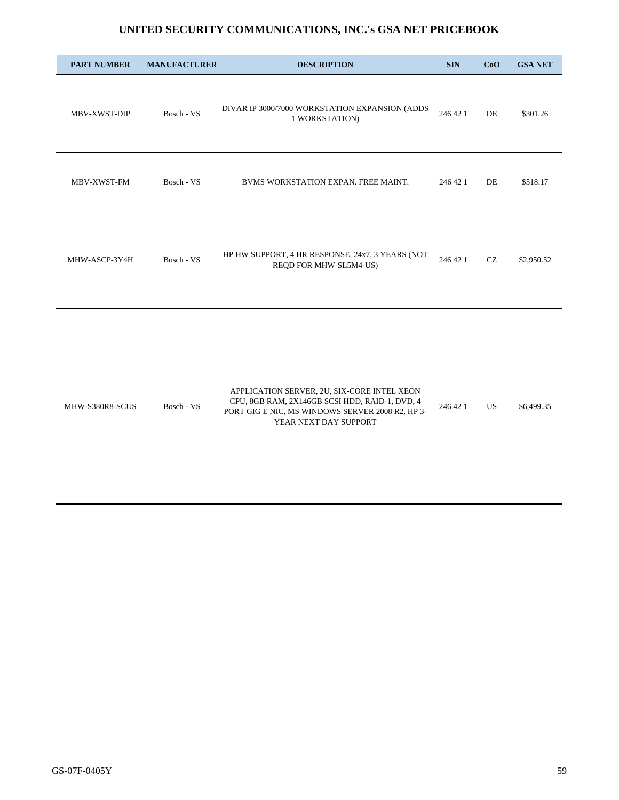| <b>PART NUMBER</b> | <b>MANUFACTURER</b> | <b>DESCRIPTION</b>                                                                                                                                                         | <b>SIN</b> | CoO       | <b>GSA NET</b> |
|--------------------|---------------------|----------------------------------------------------------------------------------------------------------------------------------------------------------------------------|------------|-----------|----------------|
| MBV-XWST-DIP       | Bosch - VS          | DIVAR IP 3000/7000 WORKSTATION EXPANSION (ADDS<br>1 WORKSTATION)                                                                                                           | 246 42 1   | DE        | \$301.26       |
| MBV-XWST-FM        | Bosch - VS          | BVMS WORKSTATION EXPAN. FREE MAINT.                                                                                                                                        | 246 42 1   | DE        | \$518.17       |
| MHW-ASCP-3Y4H      | Bosch - VS          | HP HW SUPPORT, 4 HR RESPONSE, 24x7, 3 YEARS (NOT<br>REQD FOR MHW-SL5M4-US)                                                                                                 | 246 42 1   | CZ        | \$2,950.52     |
| MHW-S380R8-SCUS    | Bosch - VS          | APPLICATION SERVER, 2U, SIX-CORE INTEL XEON<br>CPU, 8GB RAM, 2X146GB SCSI HDD, RAID-1, DVD, 4<br>PORT GIG E NIC, MS WINDOWS SERVER 2008 R2, HP 3-<br>YEAR NEXT DAY SUPPORT | 246 42 1   | <b>US</b> | \$6,499.35     |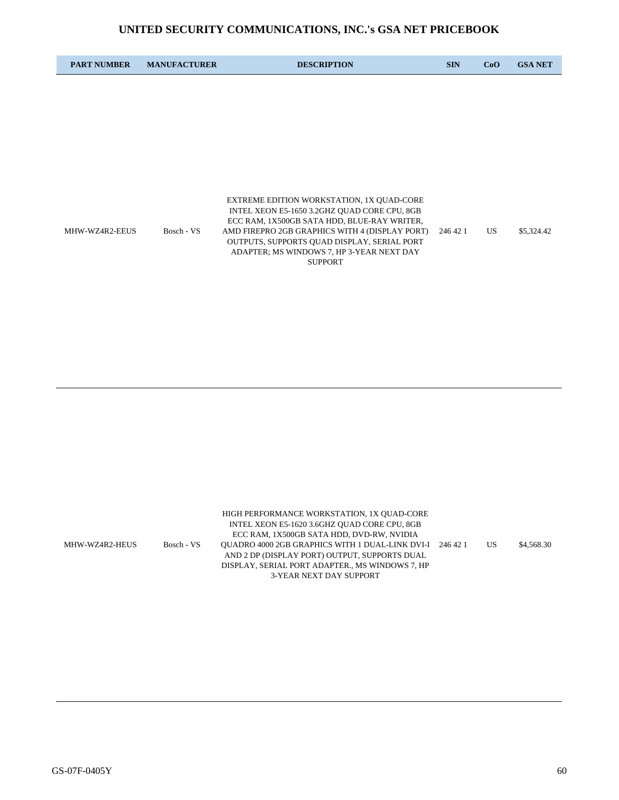| <b>PART NUMBER</b> | <b>MANUFACTURER</b> | <b>DESCRIPTION</b>                                                                                                                       | <b>SIN</b> | CoO | <b>GSA NET</b> |
|--------------------|---------------------|------------------------------------------------------------------------------------------------------------------------------------------|------------|-----|----------------|
|                    |                     |                                                                                                                                          |            |     |                |
|                    |                     |                                                                                                                                          |            |     |                |
|                    |                     |                                                                                                                                          |            |     |                |
|                    |                     |                                                                                                                                          |            |     |                |
|                    |                     |                                                                                                                                          |            |     |                |
|                    |                     | EXTREME EDITION WORKSTATION, 1X QUAD-CORE<br>INTEL XEON E5-1650 3.2GHZ QUAD CORE CPU, 8GB<br>ECC RAM, 1X500GB SATA HDD, BLUE-RAY WRITER, |            |     |                |
| MHW-WZ4R2-EEUS     | Bosch - VS          | AMD FIREPRO 2GB GRAPHICS WITH 4 (DISPLAY PORT)<br>OUTPUTS, SUPPORTS QUAD DISPLAY, SERIAL PORT                                            | 246 42 1   | US. | \$5,324.42     |
|                    |                     | ADAPTER; MS WINDOWS 7, HP 3-YEAR NEXT DAY<br><b>SUPPORT</b>                                                                              |            |     |                |
|                    |                     |                                                                                                                                          |            |     |                |

|                |            | HIGH PERFORMANCE WORKSTATION, 1X OUAD-CORE               |    |            |
|----------------|------------|----------------------------------------------------------|----|------------|
|                |            | INTEL XEON E5-1620 3.6GHZ QUAD CORE CPU, 8GB             |    |            |
|                |            | ECC RAM, 1X500GB SATA HDD, DVD-RW, NVIDIA                |    |            |
| MHW-WZ4R2-HEUS | Bosch - VS | OUADRO 4000 2GB GRAPHICS WITH 1 DUAL-LINK DVI-I 246 42 1 | US | \$4,568.30 |
|                |            | AND 2 DP (DISPLAY PORT) OUTPUT, SUPPORTS DUAL            |    |            |
|                |            | DISPLAY, SERIAL PORT ADAPTER., MS WINDOWS 7, HP          |    |            |
|                |            | 3-YEAR NEXT DAY SUPPORT                                  |    |            |
|                |            |                                                          |    |            |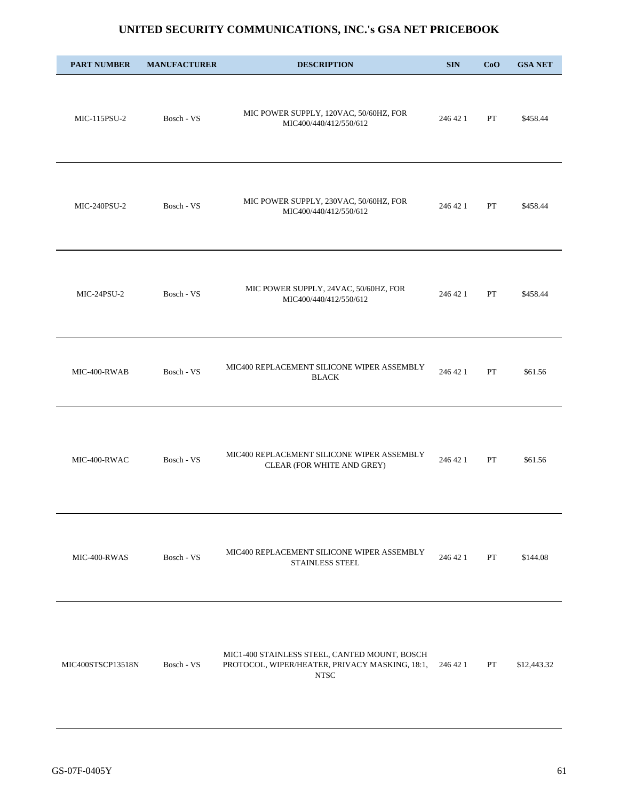| <b>PART NUMBER</b> | <b>MANUFACTURER</b> | <b>DESCRIPTION</b>                                                                                             | <b>SIN</b> | CoO         | <b>GSA NET</b> |
|--------------------|---------------------|----------------------------------------------------------------------------------------------------------------|------------|-------------|----------------|
| MIC-115PSU-2       | Bosch - VS          | MIC POWER SUPPLY, 120VAC, 50/60HZ, FOR<br>MIC400/440/412/550/612                                               | 246 42 1   | PT          | \$458.44       |
| MIC-240PSU-2       | Bosch - VS          | MIC POWER SUPPLY, 230VAC, 50/60HZ, FOR<br>MIC400/440/412/550/612                                               | 246 42 1   | PT          | \$458.44       |
| MIC-24PSU-2        | Bosch - VS          | MIC POWER SUPPLY, 24VAC, 50/60HZ, FOR<br>MIC400/440/412/550/612                                                | 246 42 1   | PT          | \$458.44       |
| MIC-400-RWAB       | Bosch - VS          | MIC400 REPLACEMENT SILICONE WIPER ASSEMBLY<br><b>BLACK</b>                                                     | 246 42 1   | PT          | \$61.56        |
| MIC-400-RWAC       | Bosch - VS          | MIC400 REPLACEMENT SILICONE WIPER ASSEMBLY<br>CLEAR (FOR WHITE AND GREY)                                       | 246 42 1   | ${\cal PT}$ | \$61.56        |
| MIC-400-RWAS       | Bosch - VS          | MIC400 REPLACEMENT SILICONE WIPER ASSEMBLY<br>STAINLESS STEEL                                                  | 246 42 1   | PT          | \$144.08       |
| MIC400STSCP13518N  | Bosch - VS          | MIC1-400 STAINLESS STEEL, CANTED MOUNT, BOSCH<br>PROTOCOL, WIPER/HEATER, PRIVACY MASKING, 18:1,<br><b>NTSC</b> | 246 42 1   | PT          | \$12,443.32    |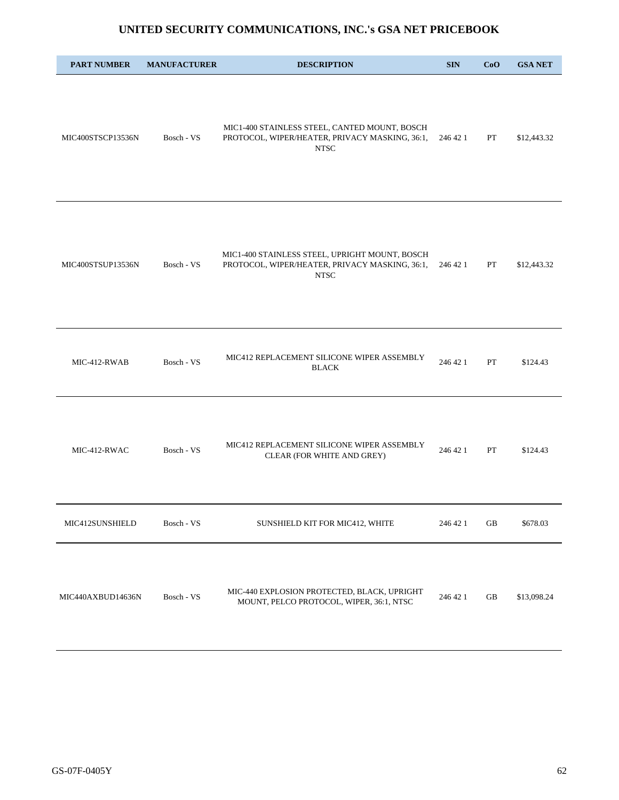| <b>PART NUMBER</b> | <b>MANUFACTURER</b> | <b>DESCRIPTION</b>                                                                                              | <b>SIN</b> | CoO | <b>GSA NET</b> |
|--------------------|---------------------|-----------------------------------------------------------------------------------------------------------------|------------|-----|----------------|
| MIC400STSCP13536N  | Bosch - VS          | MIC1-400 STAINLESS STEEL, CANTED MOUNT, BOSCH<br>PROTOCOL, WIPER/HEATER, PRIVACY MASKING, 36:1,<br><b>NTSC</b>  | 246 42 1   | PT  | \$12,443.32    |
| MIC400STSUP13536N  | Bosch - VS          | MIC1-400 STAINLESS STEEL, UPRIGHT MOUNT, BOSCH<br>PROTOCOL, WIPER/HEATER, PRIVACY MASKING, 36:1,<br><b>NTSC</b> | 246 42 1   | PT  | \$12,443.32    |
| MIC-412-RWAB       | Bosch - VS          | MIC412 REPLACEMENT SILICONE WIPER ASSEMBLY<br><b>BLACK</b>                                                      | 246 42 1   | PT  | \$124.43       |
| MIC-412-RWAC       | Bosch - VS          | MIC412 REPLACEMENT SILICONE WIPER ASSEMBLY<br>CLEAR (FOR WHITE AND GREY)                                        | 246 42 1   | PT  | \$124.43       |
| MIC412SUNSHIELD    | Bosch - VS          | SUNSHIELD KIT FOR MIC412, WHITE                                                                                 | 246 42 1   | GB  | \$678.03       |
| MIC440AXBUD14636N  | Bosch - VS          | MIC-440 EXPLOSION PROTECTED, BLACK, UPRIGHT<br>MOUNT, PELCO PROTOCOL, WIPER, 36:1, NTSC                         | 246 42 1   | GB  | \$13,098.24    |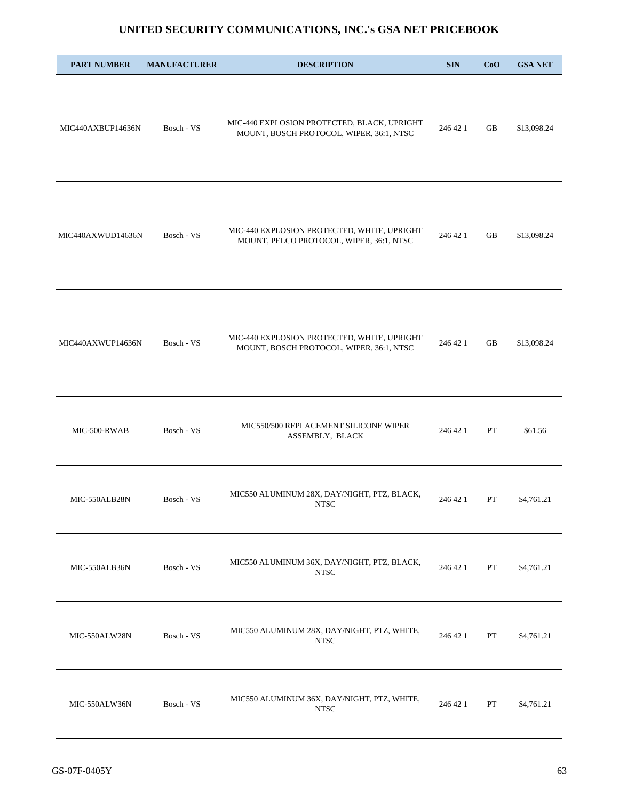| <b>PART NUMBER</b> | <b>MANUFACTURER</b> | <b>DESCRIPTION</b>                                                                      | <b>SIN</b> | CoO | <b>GSA NET</b> |
|--------------------|---------------------|-----------------------------------------------------------------------------------------|------------|-----|----------------|
| MIC440AXBUP14636N  | Bosch - VS          | MIC-440 EXPLOSION PROTECTED, BLACK, UPRIGHT<br>MOUNT, BOSCH PROTOCOL, WIPER, 36:1, NTSC | 246 42 1   | GB  | \$13,098.24    |
| MIC440AXWUD14636N  | Bosch - VS          | MIC-440 EXPLOSION PROTECTED, WHITE, UPRIGHT<br>MOUNT, PELCO PROTOCOL, WIPER, 36:1, NTSC | 246 42 1   | GB  | \$13,098.24    |
| MIC440AXWUP14636N  | Bosch - VS          | MIC-440 EXPLOSION PROTECTED, WHITE, UPRIGHT<br>MOUNT, BOSCH PROTOCOL, WIPER, 36:1, NTSC | 246 42 1   | GB  | \$13,098.24    |
| MIC-500-RWAB       | Bosch - VS          | MIC550/500 REPLACEMENT SILICONE WIPER<br>ASSEMBLY, BLACK                                | 246 42 1   | PT  | \$61.56        |
| MIC-550ALB28N      | Bosch - VS          | MIC550 ALUMINUM 28X, DAY/NIGHT, PTZ, BLACK,<br><b>NTSC</b>                              | 246 42 1   | PT  | \$4,761.21     |
| MIC-550ALB36N      | Bosch - VS          | MIC550 ALUMINUM 36X, DAY/NIGHT, PTZ, BLACK,<br>${\rm NTSC}$                             | 246 42 1   | PT  | \$4,761.21     |
| MIC-550ALW28N      | Bosch - VS          | MIC550 ALUMINUM 28X, DAY/NIGHT, PTZ, WHITE,<br><b>NTSC</b>                              | 246 42 1   | PT  | \$4,761.21     |
| MIC-550ALW36N      | Bosch - VS          | MIC550 ALUMINUM 36X, DAY/NIGHT, PTZ, WHITE,<br><b>NTSC</b>                              | 246 42 1   | PT  | \$4,761.21     |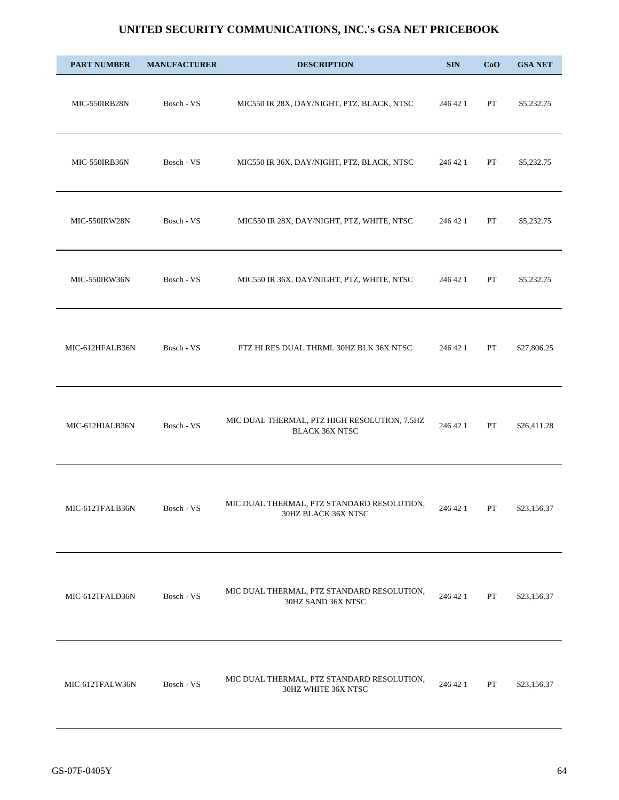| <b>PART NUMBER</b> | <b>MANUFACTURER</b> | <b>DESCRIPTION</b>                                                    | <b>SIN</b> | CoO | <b>GSA NET</b> |
|--------------------|---------------------|-----------------------------------------------------------------------|------------|-----|----------------|
| MIC-550IRB28N      | Bosch - VS          | MIC550 IR 28X, DAY/NIGHT, PTZ, BLACK, NTSC                            | 246 42 1   | PT  | \$5,232.75     |
| MIC-550IRB36N      | Bosch - VS          | MIC550 IR 36X, DAY/NIGHT, PTZ, BLACK, NTSC                            | 246 42 1   | PT  | \$5,232.75     |
| MIC-550IRW28N      | Bosch - VS          | MIC550 IR 28X, DAY/NIGHT, PTZ, WHITE, NTSC                            | 246 42 1   | PT  | \$5,232.75     |
| MIC-550IRW36N      | Bosch - VS          | MIC550 IR 36X, DAY/NIGHT, PTZ, WHITE, NTSC                            | 246 42 1   | PT  | \$5,232.75     |
| MIC-612HFALB36N    | Bosch - VS          | PTZ HI RES DUAL THRML 30HZ BLK 36X NTSC                               | 246 42 1   | PT  | \$27,806.25    |
| MIC-612HIALB36N    | Bosch - VS          | MIC DUAL THERMAL, PTZ HIGH RESOLUTION, 7.5HZ<br><b>BLACK 36X NTSC</b> | 246 42 1   | PT  | \$26,411.28    |
| MIC-612TFALB36N    | Bosch - VS          | MIC DUAL THERMAL, PTZ STANDARD RESOLUTION,<br>30HZ BLACK 36X NTSC     | 246 42 1   | PT  | \$23,156.37    |
| MIC-612TFALD36N    | Bosch - VS          | MIC DUAL THERMAL, PTZ STANDARD RESOLUTION,<br>30HZ SAND 36X NTSC      | 246 42 1   | PT  | \$23,156.37    |
| MIC-612TFALW36N    | Bosch - VS          | MIC DUAL THERMAL, PTZ STANDARD RESOLUTION,<br>30HZ WHITE 36X NTSC     | 246 42 1   | PT  | \$23,156.37    |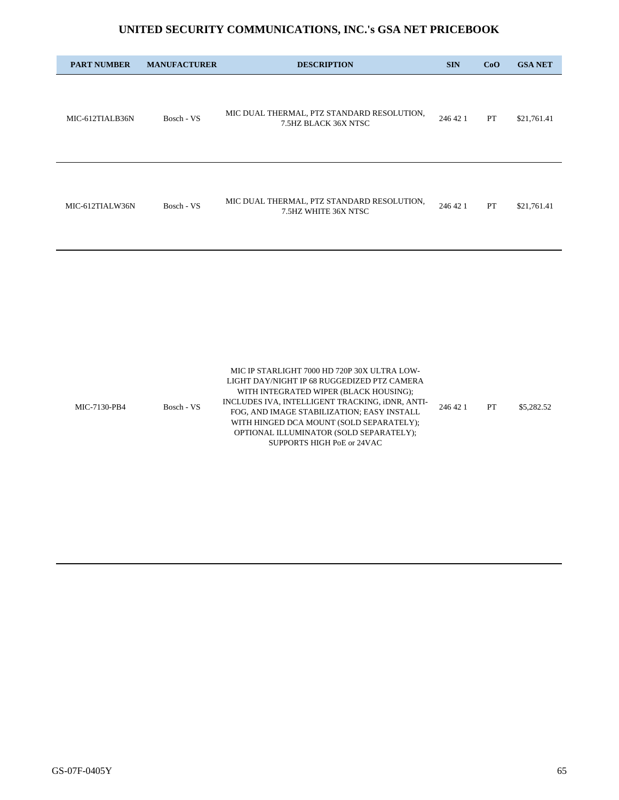| <b>PART NUMBER</b> | <b>MANUFACTURER</b> | <b>DESCRIPTION</b>                                                                                                                                                                                                                                                                 | <b>SIN</b> | CoO | <b>GSA NET</b> |
|--------------------|---------------------|------------------------------------------------------------------------------------------------------------------------------------------------------------------------------------------------------------------------------------------------------------------------------------|------------|-----|----------------|
| MIC-612TIALB36N    | Bosch - VS          | MIC DUAL THERMAL, PTZ STANDARD RESOLUTION,<br>7.5HZ BLACK 36X NTSC                                                                                                                                                                                                                 | 246 42 1   | PT  | \$21,761.41    |
| MIC-612TIALW36N    | Bosch - VS          | MIC DUAL THERMAL, PTZ STANDARD RESOLUTION,<br>7.5HZ WHITE 36X NTSC                                                                                                                                                                                                                 | 246 42 1   | PT  | \$21,761.41    |
|                    |                     |                                                                                                                                                                                                                                                                                    |            |     |                |
| MIC-7130-PB4       | Bosch - VS          | MIC IP STARLIGHT 7000 HD 720P 30X ULTRA LOW-<br>LIGHT DAY/NIGHT IP 68 RUGGEDIZED PTZ CAMERA<br>WITH INTEGRATED WIPER (BLACK HOUSING);<br>INCLUDES IVA, INTELLIGENT TRACKING, iDNR, ANTI-<br>FOG, AND IMAGE STABILIZATION; EASY INSTALL<br>WITH HINGED DCA MOUNT (SOLD SEPARATELY); | 246 42 1   | PT  | \$5,282.52     |

OPTIONAL ILLUMINATOR (SOLD SEPARATELY); SUPPORTS HIGH PoE or 24VAC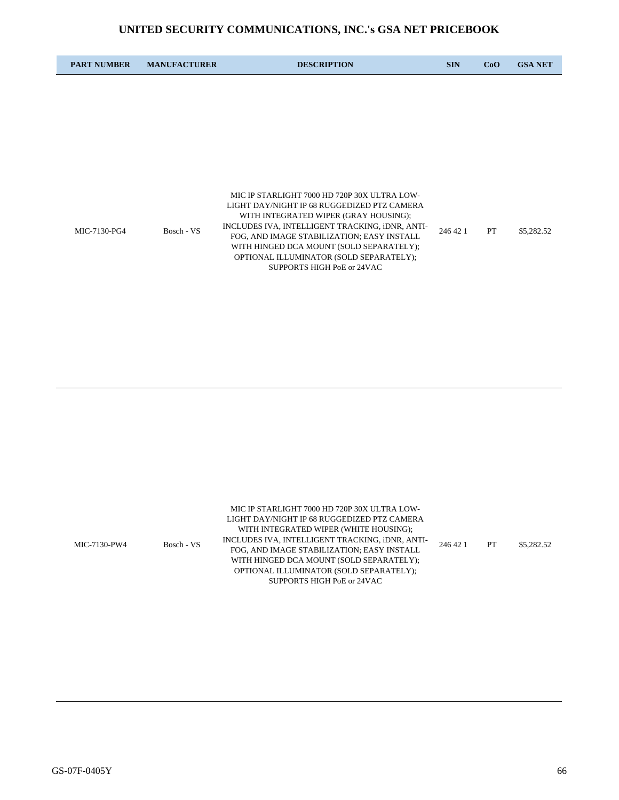| <b>PART NUMBER</b> | <b>MANUFACTURER</b> | <b>DESCRIPTION</b>                                                                                                                                                                                                                                                                                                                                         | <b>SIN</b> | CoO | <b>GSA NET</b> |
|--------------------|---------------------|------------------------------------------------------------------------------------------------------------------------------------------------------------------------------------------------------------------------------------------------------------------------------------------------------------------------------------------------------------|------------|-----|----------------|
|                    |                     |                                                                                                                                                                                                                                                                                                                                                            |            |     |                |
|                    |                     |                                                                                                                                                                                                                                                                                                                                                            |            |     |                |
|                    |                     |                                                                                                                                                                                                                                                                                                                                                            |            |     |                |
|                    |                     |                                                                                                                                                                                                                                                                                                                                                            |            |     |                |
| MIC-7130-PG4       | Bosch - VS          | MIC IP STARLIGHT 7000 HD 720P 30X ULTRA LOW-<br>LIGHT DAY/NIGHT IP 68 RUGGEDIZED PTZ CAMERA<br>WITH INTEGRATED WIPER (GRAY HOUSING);<br>INCLUDES IVA, INTELLIGENT TRACKING, iDNR, ANTI-<br>FOG, AND IMAGE STABILIZATION; EASY INSTALL<br>WITH HINGED DCA MOUNT (SOLD SEPARATELY);<br>OPTIONAL ILLUMINATOR (SOLD SEPARATELY);<br>SUPPORTS HIGH PoE or 24VAC | 246 42 1   | PT  | \$5,282.52     |

|              |            | MIC IP STARLIGHT 7000 HD 720P 30X ULTRA LOW-    |          |           |            |
|--------------|------------|-------------------------------------------------|----------|-----------|------------|
|              |            | LIGHT DAY/NIGHT IP 68 RUGGEDIZED PTZ CAMERA     | 246 42 1 |           |            |
|              |            | WITH INTEGRATED WIPER (WHITE HOUSING);          |          |           |            |
|              | Bosch - VS | INCLUDES IVA, INTELLIGENT TRACKING, IDNR, ANTI- |          |           |            |
| MIC-7130-PW4 |            | FOG, AND IMAGE STABILIZATION; EASY INSTALL      |          | <b>PT</b> | \$5,282.52 |
|              |            | WITH HINGED DCA MOUNT (SOLD SEPARATELY);        |          |           |            |
|              |            | OPTIONAL ILLUMINATOR (SOLD SEPARATELY);         |          |           |            |
|              |            | SUPPORTS HIGH PoE or 24VAC                      |          |           |            |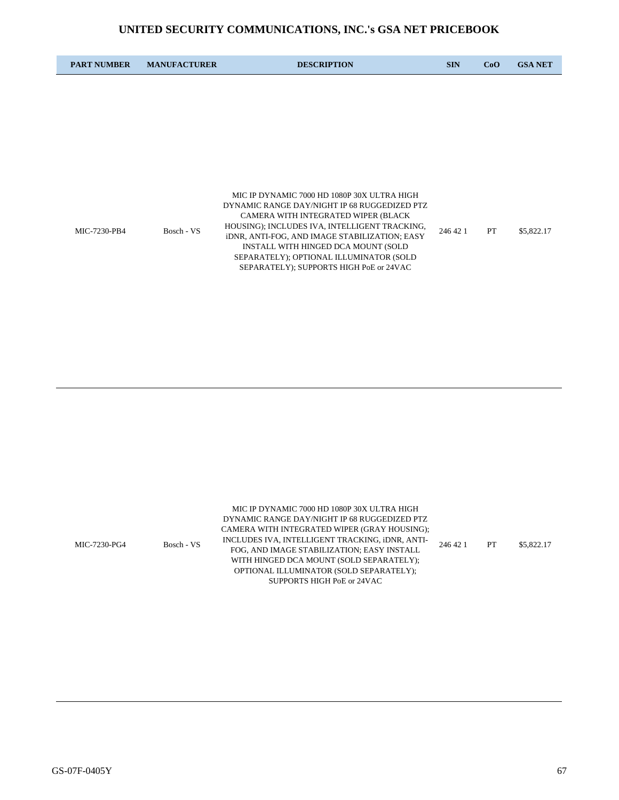| <b>PART NUMBER</b> | <b>MANUFACTURER</b> | <b>DESCRIPTION</b>                                                                                                                                                                                                                                                                                                                                                | <b>SIN</b> | CoO       | <b>GSA NET</b> |
|--------------------|---------------------|-------------------------------------------------------------------------------------------------------------------------------------------------------------------------------------------------------------------------------------------------------------------------------------------------------------------------------------------------------------------|------------|-----------|----------------|
|                    |                     |                                                                                                                                                                                                                                                                                                                                                                   |            |           |                |
|                    |                     |                                                                                                                                                                                                                                                                                                                                                                   |            |           |                |
|                    |                     |                                                                                                                                                                                                                                                                                                                                                                   |            |           |                |
|                    |                     |                                                                                                                                                                                                                                                                                                                                                                   |            |           |                |
| MIC-7230-PB4       | Bosch - VS          | MIC IP DYNAMIC 7000 HD 1080P 30X ULTRA HIGH<br>DYNAMIC RANGE DAY/NIGHT IP 68 RUGGEDIZED PTZ<br>CAMERA WITH INTEGRATED WIPER (BLACK<br>HOUSING); INCLUDES IVA, INTELLIGENT TRACKING,<br>iDNR, ANTI-FOG, AND IMAGE STABILIZATION; EASY<br>INSTALL WITH HINGED DCA MOUNT (SOLD<br>SEPARATELY); OPTIONAL ILLUMINATOR (SOLD<br>SEPARATELY); SUPPORTS HIGH PoE or 24VAC | 246 42 1   | <b>PT</b> | \$5,822.17     |

| MIC-7230-PG4 | Bosch - VS | MIC IP DYNAMIC 7000 HD 1080P 30X ULTRA HIGH<br>DYNAMIC RANGE DAY/NIGHT IP 68 RUGGEDIZED PTZ<br>CAMERA WITH INTEGRATED WIPER (GRAY HOUSING);<br>INCLUDES IVA, INTELLIGENT TRACKING, IDNR, ANTI-<br>FOG. AND IMAGE STABILIZATION: EASY INSTALL<br>WITH HINGED DCA MOUNT (SOLD SEPARATELY);<br>OPTIONAL ILLUMINATOR (SOLD SEPARATELY);<br>SUPPORTS HIGH PoE or 24VAC | 246 42 1 | PT | \$5,822.17 |
|--------------|------------|-------------------------------------------------------------------------------------------------------------------------------------------------------------------------------------------------------------------------------------------------------------------------------------------------------------------------------------------------------------------|----------|----|------------|
|--------------|------------|-------------------------------------------------------------------------------------------------------------------------------------------------------------------------------------------------------------------------------------------------------------------------------------------------------------------------------------------------------------------|----------|----|------------|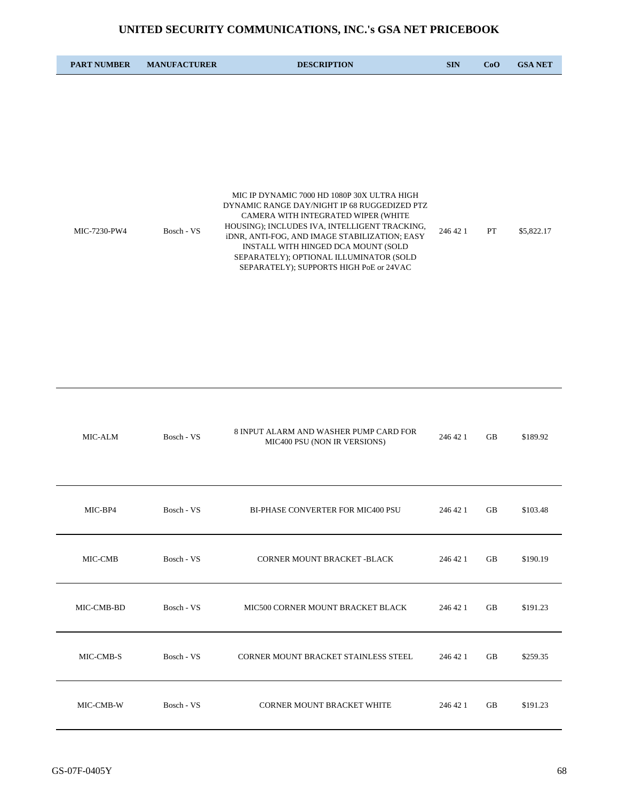| <b>PART NUMBER</b> | <b>MANUFACTURER</b> | <b>DESCRIPTION</b>                                                                                                                                                                                                                                                                                                                                                | <b>SIN</b> | CoO | <b>GSA NET</b> |
|--------------------|---------------------|-------------------------------------------------------------------------------------------------------------------------------------------------------------------------------------------------------------------------------------------------------------------------------------------------------------------------------------------------------------------|------------|-----|----------------|
|                    |                     |                                                                                                                                                                                                                                                                                                                                                                   |            |     |                |
|                    |                     |                                                                                                                                                                                                                                                                                                                                                                   |            |     |                |
|                    |                     |                                                                                                                                                                                                                                                                                                                                                                   |            |     |                |
|                    |                     |                                                                                                                                                                                                                                                                                                                                                                   |            |     |                |
| MIC-7230-PW4       | Bosch - VS          | MIC IP DYNAMIC 7000 HD 1080P 30X ULTRA HIGH<br>DYNAMIC RANGE DAY/NIGHT IP 68 RUGGEDIZED PTZ<br>CAMERA WITH INTEGRATED WIPER (WHITE<br>HOUSING); INCLUDES IVA, INTELLIGENT TRACKING,<br>iDNR, ANTI-FOG, AND IMAGE STABILIZATION; EASY<br>INSTALL WITH HINGED DCA MOUNT (SOLD<br>SEPARATELY); OPTIONAL ILLUMINATOR (SOLD<br>SEPARATELY); SUPPORTS HIGH PoE or 24VAC | 246 42 1   | PT  | \$5,822.17     |

| MIC-ALM    | Bosch - VS | 8 INPUT ALARM AND WASHER PUMP CARD FOR<br>MIC400 PSU (NON IR VERSIONS) | 246 42 1 | <b>GB</b> | \$189.92 |
|------------|------------|------------------------------------------------------------------------|----------|-----------|----------|
| MIC-BP4    | Bosch - VS | <b>BI-PHASE CONVERTER FOR MIC400 PSU</b>                               | 246 42 1 | <b>GB</b> | \$103.48 |
| MIC-CMB    | Bosch - VS | CORNER MOUNT BRACKET -BLACK                                            | 246 42 1 | <b>GB</b> | \$190.19 |
| MIC-CMB-BD | Bosch - VS | MIC500 CORNER MOUNT BRACKET BLACK                                      | 246 42 1 | <b>GB</b> | \$191.23 |
| MIC-CMB-S  | Bosch - VS | CORNER MOUNT BRACKET STAINLESS STEEL                                   | 246 42 1 | <b>GB</b> | \$259.35 |
| MIC-CMB-W  | Bosch - VS | <b>CORNER MOUNT BRACKET WHITE</b>                                      | 246 42 1 | <b>GB</b> | \$191.23 |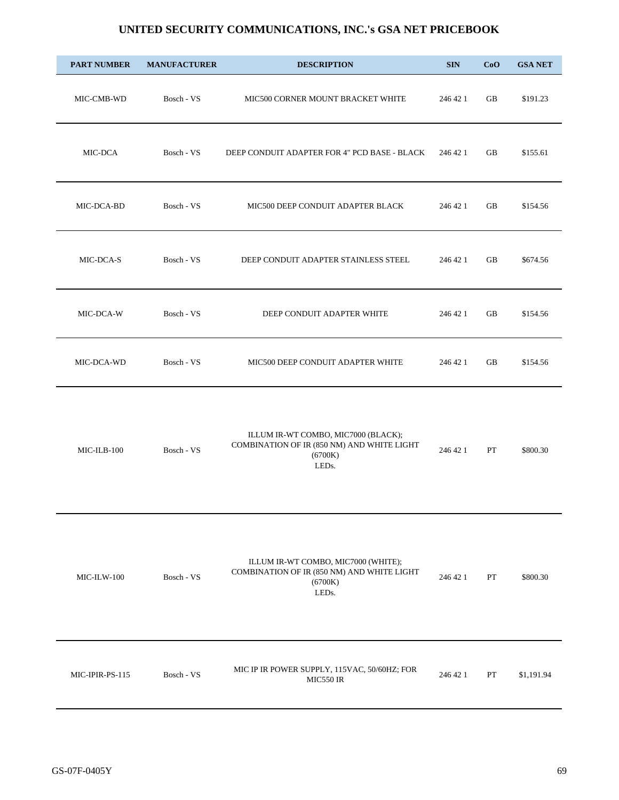| <b>PART NUMBER</b> | <b>MANUFACTURER</b> | <b>DESCRIPTION</b>                                                                                    | <b>SIN</b> | CoO | <b>GSA NET</b> |
|--------------------|---------------------|-------------------------------------------------------------------------------------------------------|------------|-----|----------------|
| MIC-CMB-WD         | Bosch - VS          | MIC500 CORNER MOUNT BRACKET WHITE                                                                     | 246 42 1   | GB  | \$191.23       |
| MIC-DCA            | Bosch - VS          | DEEP CONDUIT ADAPTER FOR 4" PCD BASE - BLACK                                                          | 246 42 1   | GB  | \$155.61       |
| MIC-DCA-BD         | Bosch - VS          | MIC500 DEEP CONDUIT ADAPTER BLACK                                                                     | 246 42 1   | GB  | \$154.56       |
| MIC-DCA-S          | Bosch - VS          | DEEP CONDUIT ADAPTER STAINLESS STEEL                                                                  | 246 42 1   | GB  | \$674.56       |
| MIC-DCA-W          | Bosch - VS          | DEEP CONDUIT ADAPTER WHITE                                                                            | 246 42 1   | GB  | \$154.56       |
| MIC-DCA-WD         | Bosch - VS          | MIC500 DEEP CONDUIT ADAPTER WHITE                                                                     | 246 42 1   | GB  | \$154.56       |
| MIC-ILB-100        | Bosch - VS          | ILLUM IR-WT COMBO, MIC7000 (BLACK);<br>COMBINATION OF IR (850 NM) AND WHITE LIGHT<br>(6700K)<br>LEDs. | 246 42 1   | PT  | \$800.30       |
| MIC-ILW-100        | Bosch - VS          | ILLUM IR-WT COMBO, MIC7000 (WHITE);<br>COMBINATION OF IR (850 NM) AND WHITE LIGHT<br>(6700K)<br>LEDs. | 246 42 1   | PT  | \$800.30       |
| MIC-IPIR-PS-115    | Bosch - VS          | MIC IP IR POWER SUPPLY, 115VAC, 50/60HZ; FOR<br>MIC550 IR                                             | 246 42 1   | PT  | \$1,191.94     |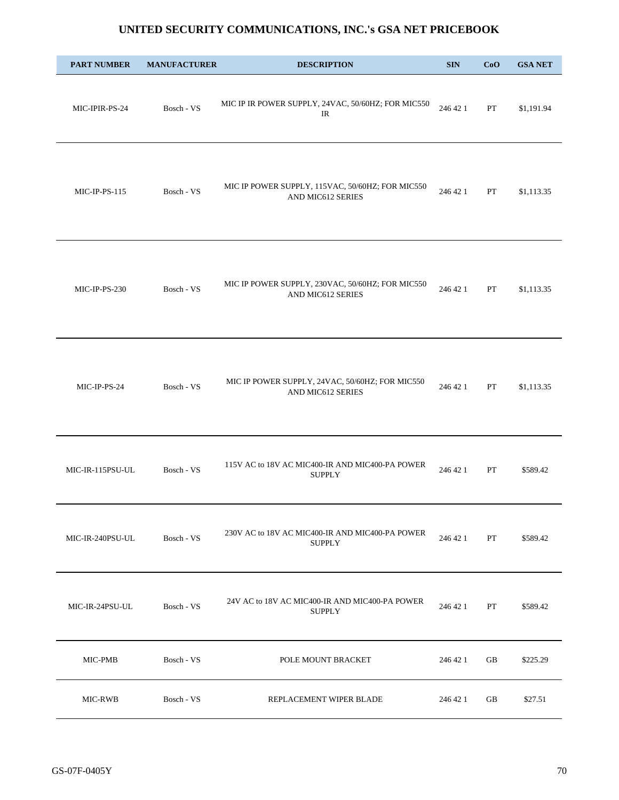| <b>PART NUMBER</b> | <b>MANUFACTURER</b> | <b>DESCRIPTION</b>                                                    | <b>SIN</b> | CoO | <b>GSA NET</b> |
|--------------------|---------------------|-----------------------------------------------------------------------|------------|-----|----------------|
| MIC-IPIR-PS-24     | Bosch - VS          | MIC IP IR POWER SUPPLY, 24VAC, 50/60HZ; FOR MIC550<br>IR              | 246 42 1   | PT  | \$1,191.94     |
| $MIC-IP-PS-115$    | Bosch - VS          | MIC IP POWER SUPPLY, 115VAC, 50/60HZ; FOR MIC550<br>AND MIC612 SERIES | 246 42 1   | PT  | \$1,113.35     |
| MIC-IP-PS-230      | Bosch - VS          | MIC IP POWER SUPPLY, 230VAC, 50/60HZ; FOR MIC550<br>AND MIC612 SERIES | 246 42 1   | PT  | \$1,113.35     |
| MIC-IP-PS-24       | Bosch - VS          | MIC IP POWER SUPPLY, 24VAC, 50/60HZ; FOR MIC550<br>AND MIC612 SERIES  | 246 42 1   | PT  | \$1,113.35     |
| MIC-IR-115PSU-UL   | Bosch - VS          | 115V AC to 18V AC MIC400-IR AND MIC400-PA POWER<br><b>SUPPLY</b>      | 246 42 1   | PT  | \$589.42       |
| MIC-IR-240PSU-UL   | Bosch - VS          | 230V AC to 18V AC MIC400-IR AND MIC400-PA POWER<br><b>SUPPLY</b>      | 246 42 1   | PT  | \$589.42       |
| MIC-IR-24PSU-UL    | Bosch - VS          | 24V AC to 18V AC MIC400-IR AND MIC400-PA POWER<br><b>SUPPLY</b>       | 246 42 1   | PT  | \$589.42       |
| MIC-PMB            | Bosch - VS          | POLE MOUNT BRACKET                                                    | 246 42 1   | GB  | \$225.29       |
| MIC-RWB            | Bosch - VS          | REPLACEMENT WIPER BLADE                                               | 246 42 1   | GB  | \$27.51        |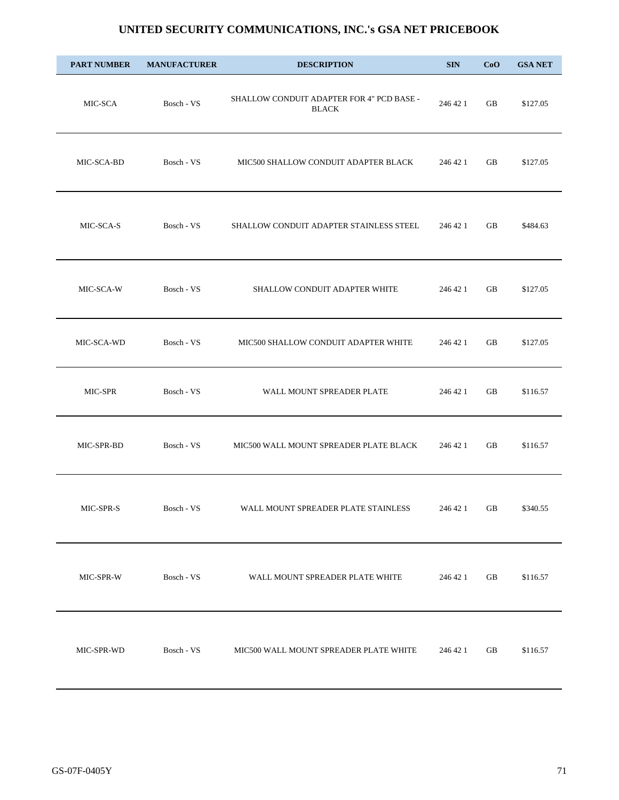| <b>PART NUMBER</b> | <b>MANUFACTURER</b> | <b>DESCRIPTION</b>                                        | <b>SIN</b> | CoO | <b>GSA NET</b> |
|--------------------|---------------------|-----------------------------------------------------------|------------|-----|----------------|
| MIC-SCA            | Bosch - VS          | SHALLOW CONDUIT ADAPTER FOR 4" PCD BASE -<br><b>BLACK</b> | 246 42 1   | GB  | \$127.05       |
| MIC-SCA-BD         | Bosch - VS          | MIC500 SHALLOW CONDUIT ADAPTER BLACK                      | 246 42 1   | GB  | \$127.05       |
| MIC-SCA-S          | Bosch - VS          | SHALLOW CONDUIT ADAPTER STAINLESS STEEL                   | 246 42 1   | GB  | \$484.63       |
| MIC-SCA-W          | Bosch - VS          | SHALLOW CONDUIT ADAPTER WHITE                             | 246 42 1   | GB  | \$127.05       |
| MIC-SCA-WD         | Bosch - VS          | MIC500 SHALLOW CONDUIT ADAPTER WHITE                      | 246 42 1   | GB  | \$127.05       |
| MIC-SPR            | Bosch - VS          | WALL MOUNT SPREADER PLATE                                 | 246 42 1   | GB  | \$116.57       |
| MIC-SPR-BD         | Bosch - VS          | MIC500 WALL MOUNT SPREADER PLATE BLACK                    | 246 42 1   | GB  | \$116.57       |
| MIC-SPR-S          | Bosch - VS          | WALL MOUNT SPREADER PLATE STAINLESS                       | 246 42 1   | GB  | \$340.55       |
| MIC-SPR-W          | Bosch - VS          | WALL MOUNT SPREADER PLATE WHITE                           | 246 42 1   | GB  | \$116.57       |
| MIC-SPR-WD         | Bosch - VS          | MIC500 WALL MOUNT SPREADER PLATE WHITE                    | 246 42 1   | GB  | \$116.57       |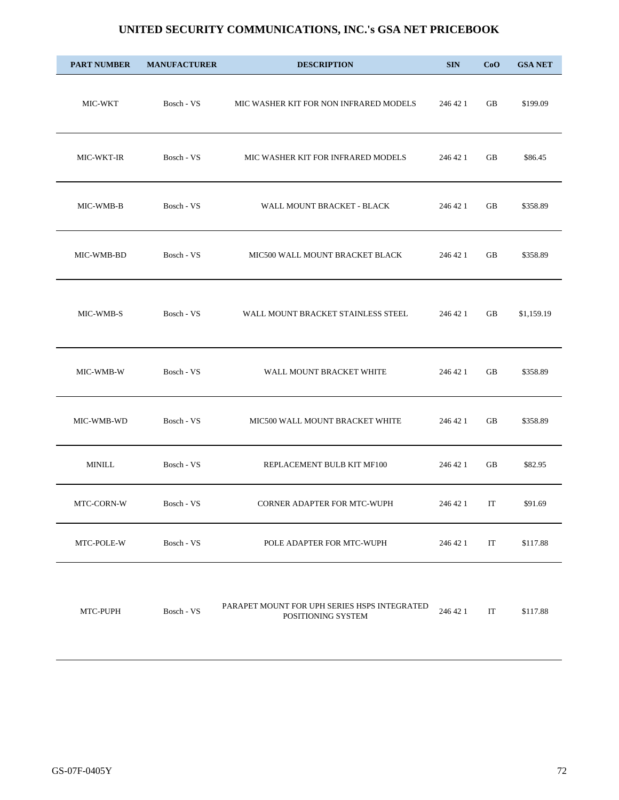| <b>PART NUMBER</b> | <b>MANUFACTURER</b> | <b>DESCRIPTION</b>                                                 | <b>SIN</b> | CoO | <b>GSA NET</b> |
|--------------------|---------------------|--------------------------------------------------------------------|------------|-----|----------------|
| MIC-WKT            | Bosch - VS          | MIC WASHER KIT FOR NON INFRARED MODELS                             | 246 42 1   | GB  | \$199.09       |
| MIC-WKT-IR         | Bosch - VS          | MIC WASHER KIT FOR INFRARED MODELS                                 | 246 42 1   | GB  | \$86.45        |
| MIC-WMB-B          | Bosch - VS          | WALL MOUNT BRACKET - BLACK                                         | 246 42 1   | GB  | \$358.89       |
| MIC-WMB-BD         | Bosch - VS          | MIC500 WALL MOUNT BRACKET BLACK                                    | 246 42 1   | GB  | \$358.89       |
| MIC-WMB-S          | Bosch - VS          | WALL MOUNT BRACKET STAINLESS STEEL                                 | 246 42 1   | GB  | \$1,159.19     |
| MIC-WMB-W          | Bosch - VS          | WALL MOUNT BRACKET WHITE                                           | 246 42 1   | GB  | \$358.89       |
| MIC-WMB-WD         | Bosch - VS          | MIC500 WALL MOUNT BRACKET WHITE                                    | 246 42 1   | GB  | \$358.89       |
| $\text{MINILL}$    | Bosch - VS          | REPLACEMENT BULB KIT MF100                                         | 246 42 1   | GB  | \$82.95        |
| MTC-CORN-W         | Bosch - VS          | CORNER ADAPTER FOR MTC-WUPH                                        | 246 42 1   | IT  | \$91.69        |
| MTC-POLE-W         | Bosch - VS          | POLE ADAPTER FOR MTC-WUPH                                          | 246 42 1   | IT  | \$117.88       |
| MTC-PUPH           | Bosch - VS          | PARAPET MOUNT FOR UPH SERIES HSPS INTEGRATED<br>POSITIONING SYSTEM | 246 42 1   | IT  | \$117.88       |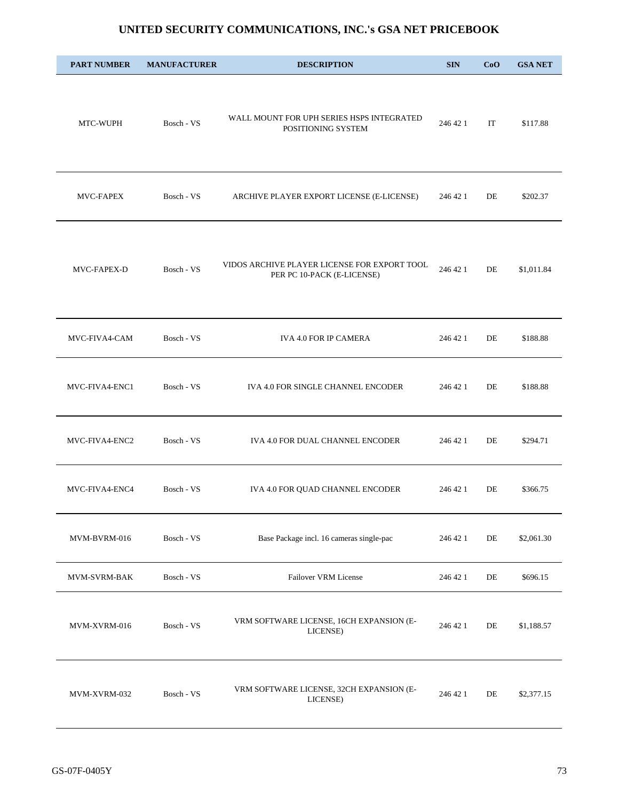| <b>PART NUMBER</b>  | <b>MANUFACTURER</b> | <b>DESCRIPTION</b>                                                         | <b>SIN</b> | CoO | <b>GSA NET</b> |
|---------------------|---------------------|----------------------------------------------------------------------------|------------|-----|----------------|
| MTC-WUPH            | Bosch - VS          | WALL MOUNT FOR UPH SERIES HSPS INTEGRATED<br>POSITIONING SYSTEM            | 246 42 1   | IT  | \$117.88       |
| <b>MVC-FAPEX</b>    | Bosch - VS          | ARCHIVE PLAYER EXPORT LICENSE (E-LICENSE)                                  | 246 42 1   | DE  | \$202.37       |
| MVC-FAPEX-D         | Bosch - VS          | VIDOS ARCHIVE PLAYER LICENSE FOR EXPORT TOOL<br>PER PC 10-PACK (E-LICENSE) | 246 42 1   | DE  | \$1,011.84     |
| MVC-FIVA4-CAM       | Bosch - VS          | IVA 4.0 FOR IP CAMERA                                                      | 246 42 1   | DE  | \$188.88       |
| MVC-FIVA4-ENC1      | Bosch - VS          | IVA 4.0 FOR SINGLE CHANNEL ENCODER                                         | 246 42 1   | DE  | \$188.88       |
| MVC-FIVA4-ENC2      | Bosch - VS          | IVA 4.0 FOR DUAL CHANNEL ENCODER                                           | 246 42 1   | DE  | \$294.71       |
| MVC-FIVA4-ENC4      | Bosch - VS          | IVA 4.0 FOR QUAD CHANNEL ENCODER                                           | 246 42 1   | DE  | \$366.75       |
| MVM-BVRM-016        | Bosch - VS          | Base Package incl. 16 cameras single-pac                                   | 246 42 1   | DE  | \$2,061.30     |
| <b>MVM-SVRM-BAK</b> | Bosch - VS          | Failover VRM License                                                       | 246 42 1   | DE  | \$696.15       |
| MVM-XVRM-016        | Bosch - VS          | VRM SOFTWARE LICENSE, 16CH EXPANSION (E-<br>LICENSE)                       | 246 42 1   | DE  | \$1,188.57     |
| MVM-XVRM-032        | Bosch - VS          | VRM SOFTWARE LICENSE, 32CH EXPANSION (E-<br>LICENSE)                       | 246 42 1   | DE  | \$2,377.15     |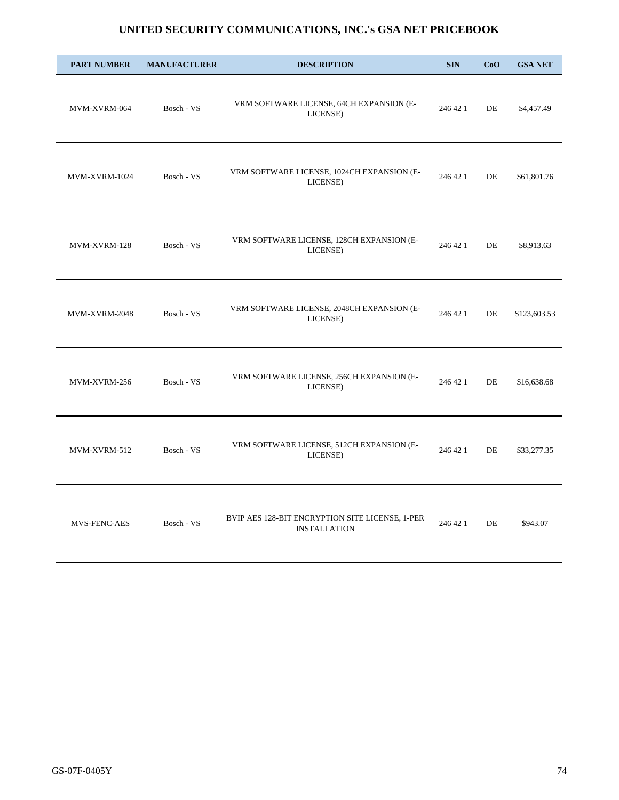| <b>PART NUMBER</b>  | <b>MANUFACTURER</b> | <b>DESCRIPTION</b>                                                     | <b>SIN</b> | CoO | <b>GSA NET</b> |
|---------------------|---------------------|------------------------------------------------------------------------|------------|-----|----------------|
| MVM-XVRM-064        | Bosch - VS          | VRM SOFTWARE LICENSE, 64CH EXPANSION (E-<br>LICENSE)                   | 246 42 1   | DE  | \$4,457.49     |
| MVM-XVRM-1024       | Bosch - VS          | VRM SOFTWARE LICENSE, 1024CH EXPANSION (E-<br>LICENSE)                 | 246 42 1   | DE  | \$61,801.76    |
| MVM-XVRM-128        | Bosch - VS          | VRM SOFTWARE LICENSE, 128CH EXPANSION (E-<br>LICENSE)                  | 246 42 1   | DE  | \$8,913.63     |
| MVM-XVRM-2048       | Bosch - VS          | VRM SOFTWARE LICENSE, 2048CH EXPANSION (E-<br>LICENSE)                 | 246 42 1   | DE  | \$123,603.53   |
| MVM-XVRM-256        | Bosch - VS          | VRM SOFTWARE LICENSE, 256CH EXPANSION (E-<br>LICENSE)                  | 246 42 1   | DE  | \$16,638.68    |
| MVM-XVRM-512        | Bosch - VS          | VRM SOFTWARE LICENSE, 512CH EXPANSION (E-<br>LICENSE)                  | 246 42 1   | DE  | \$33,277.35    |
| <b>MVS-FENC-AES</b> | Bosch - VS          | BVIP AES 128-BIT ENCRYPTION SITE LICENSE, 1-PER<br><b>INSTALLATION</b> | 246 42 1   | DE  | \$943.07       |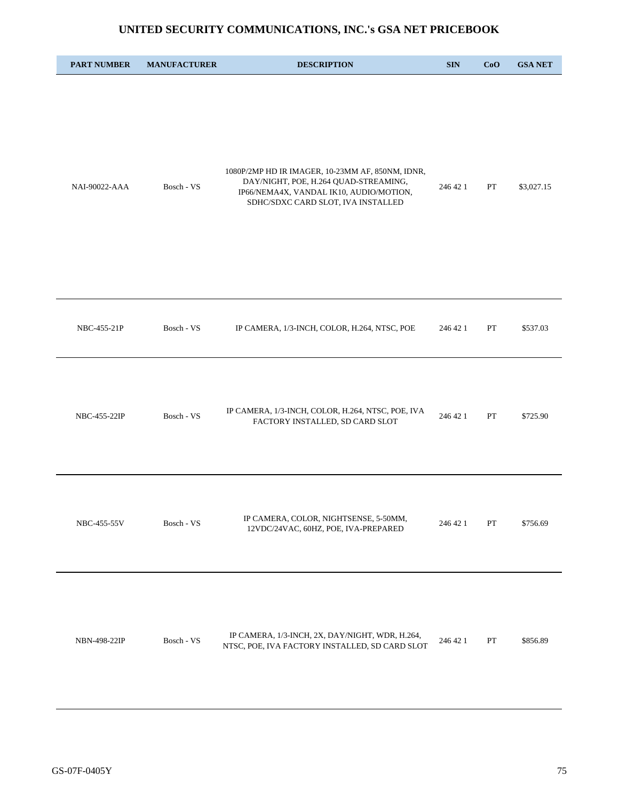| <b>PART NUMBER</b> | <b>MANUFACTURER</b> | <b>DESCRIPTION</b>                                                                                                                                                         | <b>SIN</b> | CoO | <b>GSA NET</b> |
|--------------------|---------------------|----------------------------------------------------------------------------------------------------------------------------------------------------------------------------|------------|-----|----------------|
| NAI-90022-AAA      | Bosch - VS          | 1080P/2MP HD IR IMAGER, 10-23MM AF, 850NM, IDNR,<br>DAY/NIGHT, POE, H.264 QUAD-STREAMING,<br>IP66/NEMA4X, VANDAL IK10, AUDIO/MOTION,<br>SDHC/SDXC CARD SLOT, IVA INSTALLED | 246 42 1   | PT  | \$3,027.15     |
| NBC-455-21P        | Bosch - VS          | IP CAMERA, 1/3-INCH, COLOR, H.264, NTSC, POE                                                                                                                               | 246 42 1   | PT  | \$537.03       |
| NBC-455-22IP       | Bosch - VS          | IP CAMERA, 1/3-INCH, COLOR, H.264, NTSC, POE, IVA<br>FACTORY INSTALLED, SD CARD SLOT                                                                                       | 246 42 1   | PT  | \$725.90       |
| NBC-455-55V        | Bosch - VS          | IP CAMERA, COLOR, NIGHTSENSE, 5-50MM,<br>12VDC/24VAC, 60HZ, POE, IVA-PREPARED                                                                                              | 246 42 1   | PT  | \$756.69       |
| NBN-498-22IP       | Bosch - VS          | IP CAMERA, 1/3-INCH, 2X, DAY/NIGHT, WDR, H.264,<br>NTSC, POE, IVA FACTORY INSTALLED, SD CARD SLOT                                                                          | 246 42 1   | PT  | \$856.89       |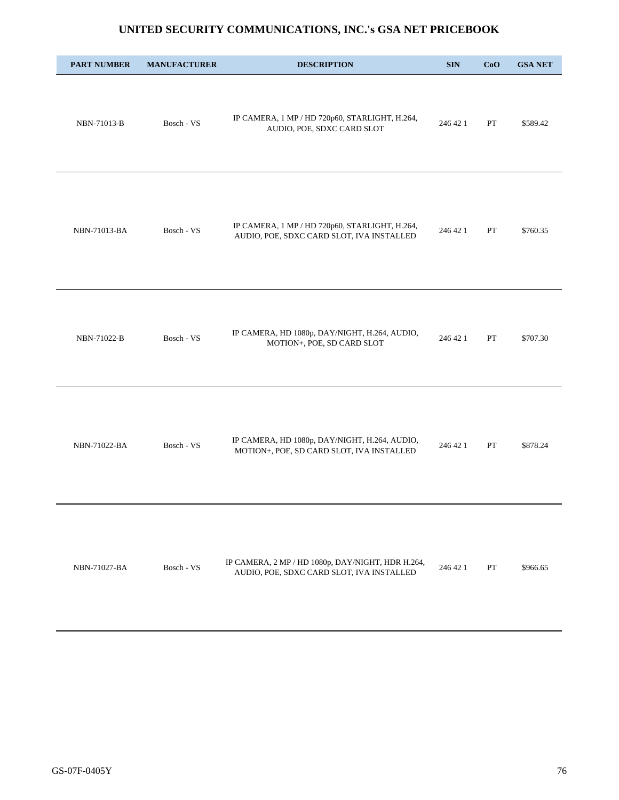| <b>PART NUMBER</b> | <b>MANUFACTURER</b> | <b>DESCRIPTION</b>                                                                             | <b>SIN</b> | CoO | <b>GSA NET</b> |
|--------------------|---------------------|------------------------------------------------------------------------------------------------|------------|-----|----------------|
| NBN-71013-B        | Bosch - VS          | IP CAMERA, 1 MP / HD 720p60, STARLIGHT, H.264,<br>AUDIO, POE, SDXC CARD SLOT                   | 246 42 1   | PT  | \$589.42       |
| NBN-71013-BA       | Bosch - VS          | IP CAMERA, 1 MP / HD 720p60, STARLIGHT, H.264,<br>AUDIO, POE, SDXC CARD SLOT, IVA INSTALLED    | 246 42 1   | PT  | \$760.35       |
| NBN-71022-B        | Bosch - VS          | IP CAMERA, HD 1080p, DAY/NIGHT, H.264, AUDIO,<br>MOTION+, POE, SD CARD SLOT                    | 246 42 1   | PT  | \$707.30       |
| NBN-71022-BA       | Bosch - VS          | IP CAMERA, HD 1080p, DAY/NIGHT, H.264, AUDIO,<br>MOTION+, POE, SD CARD SLOT, IVA INSTALLED     | 246 42 1   | PT  | \$878.24       |
| NBN-71027-BA       | Bosch - VS          | IP CAMERA, 2 MP / HD 1080p, DAY/NIGHT, HDR H.264,<br>AUDIO, POE, SDXC CARD SLOT, IVA INSTALLED | 246 42 1   | PT  | \$966.65       |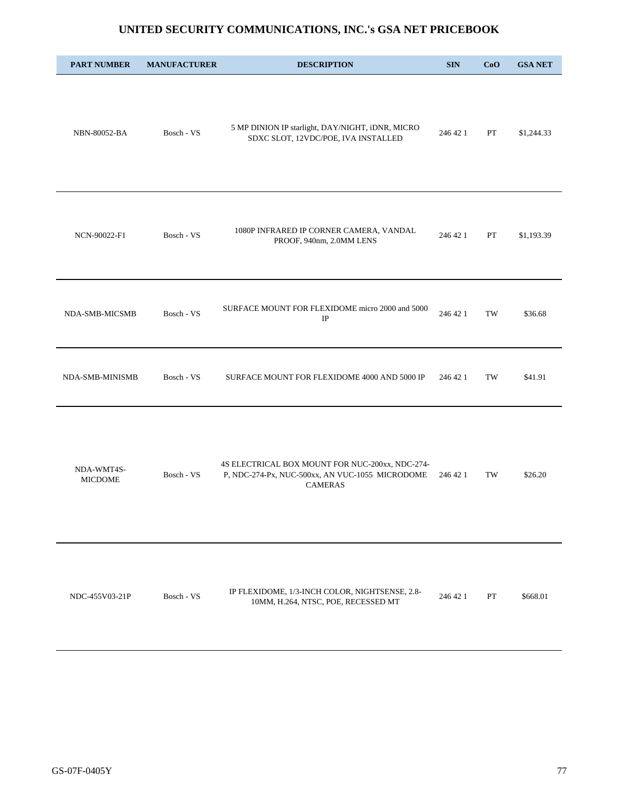| <b>PART NUMBER</b>           | <b>MANUFACTURER</b> | <b>DESCRIPTION</b>                                                                                                   | <b>SIN</b> | CoO | <b>GSA NET</b> |
|------------------------------|---------------------|----------------------------------------------------------------------------------------------------------------------|------------|-----|----------------|
| NBN-80052-BA                 | Bosch - VS          | 5 MP DINION IP starlight, DAY/NIGHT, iDNR, MICRO<br>SDXC SLOT, 12VDC/POE, IVA INSTALLED                              | 246 42 1   | PT  | \$1,244.33     |
| NCN-90022-F1                 | Bosch - VS          | 1080P INFRARED IP CORNER CAMERA, VANDAL<br>PROOF, 940nm, 2.0MM LENS                                                  | 246 42 1   | PT  | \$1,193.39     |
| NDA-SMB-MICSMB               | Bosch - VS          | SURFACE MOUNT FOR FLEXIDOME micro 2000 and 5000<br>$_{\rm IP}$                                                       | 246 42 1   | TW  | \$36.68        |
| NDA-SMB-MINISMB              | Bosch - VS          | SURFACE MOUNT FOR FLEXIDOME 4000 AND 5000 IP                                                                         | 246 42 1   | TW  | \$41.91        |
| NDA-WMT4S-<br><b>MICDOME</b> | Bosch - VS          | 4S ELECTRICAL BOX MOUNT FOR NUC-200xx, NDC-274-<br>P, NDC-274-Px, NUC-500xx, AN VUC-1055 MICRODOME<br><b>CAMERAS</b> | 246 42 1   | TW  | \$26.20        |
| NDC-455V03-21P               | Bosch - VS          | IP FLEXIDOME, 1/3-INCH COLOR, NIGHTSENSE, 2.8-<br>10MM, H.264, NTSC, POE, RECESSED MT                                | 246 42 1   | PT  | \$668.01       |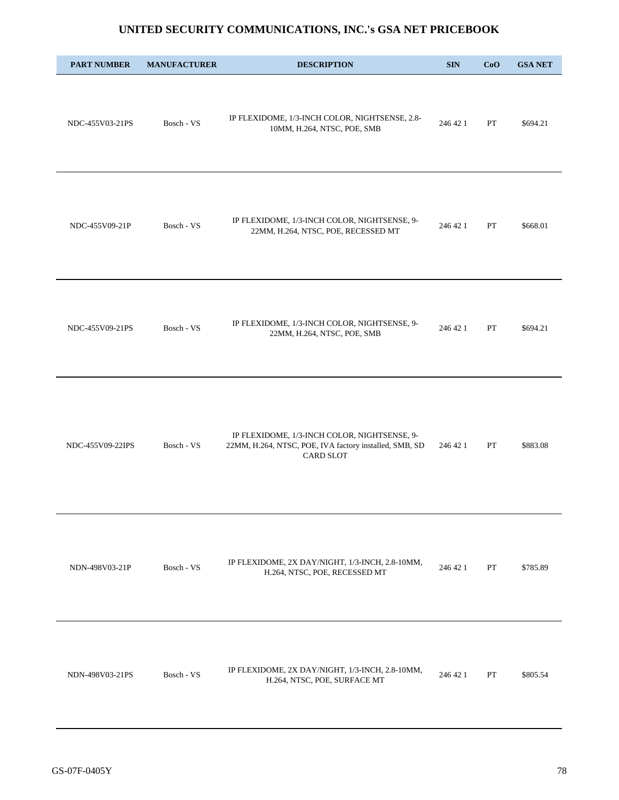| <b>PART NUMBER</b> | <b>MANUFACTURER</b> | <b>DESCRIPTION</b>                                                                                                  | <b>SIN</b> | CoO | <b>GSA NET</b> |
|--------------------|---------------------|---------------------------------------------------------------------------------------------------------------------|------------|-----|----------------|
| NDC-455V03-21PS    | Bosch - VS          | IP FLEXIDOME, 1/3-INCH COLOR, NIGHTSENSE, 2.8-<br>10MM, H.264, NTSC, POE, SMB                                       | 246 42 1   | PT  | \$694.21       |
| NDC-455V09-21P     | Bosch - VS          | IP FLEXIDOME, 1/3-INCH COLOR, NIGHTSENSE, 9-<br>22MM, H.264, NTSC, POE, RECESSED MT                                 | 246 42 1   | PT  | \$668.01       |
| NDC-455V09-21PS    | Bosch - VS          | IP FLEXIDOME, 1/3-INCH COLOR, NIGHTSENSE, 9-<br>22MM, H.264, NTSC, POE, SMB                                         | 246 42 1   | PT  | \$694.21       |
| NDC-455V09-22IPS   | Bosch - VS          | IP FLEXIDOME, 1/3-INCH COLOR, NIGHTSENSE, 9-<br>22MM, H.264, NTSC, POE, IVA factory installed, SMB, SD<br>CARD SLOT | 246 42 1   | PT  | \$883.08       |
| NDN-498V03-21P     | Bosch - VS          | IP FLEXIDOME, 2X DAY/NIGHT, 1/3-INCH, 2.8-10MM,<br>H.264, NTSC, POE, RECESSED MT                                    | 246 42 1   | PT  | \$785.89       |
| NDN-498V03-21PS    | Bosch - VS          | IP FLEXIDOME, 2X DAY/NIGHT, 1/3-INCH, 2.8-10MM,<br>H.264, NTSC, POE, SURFACE MT                                     | 246 42 1   | PT  | \$805.54       |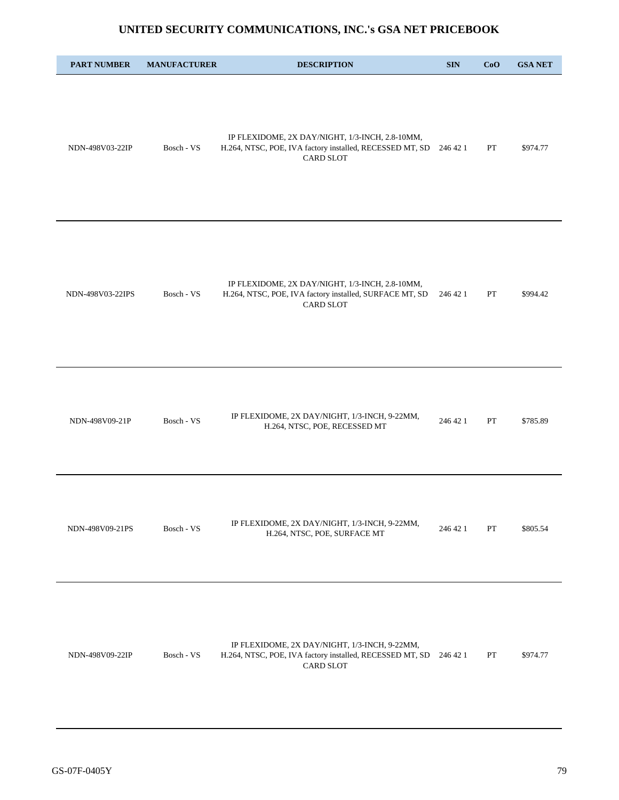| <b>PART NUMBER</b> | <b>MANUFACTURER</b> | <b>DESCRIPTION</b>                                                                                                              | <b>SIN</b> | CoO | <b>GSA NET</b> |
|--------------------|---------------------|---------------------------------------------------------------------------------------------------------------------------------|------------|-----|----------------|
| NDN-498V03-22IP    | Bosch - VS          | IP FLEXIDOME, 2X DAY/NIGHT, 1/3-INCH, 2.8-10MM,<br>H.264, NTSC, POE, IVA factory installed, RECESSED MT, SD<br><b>CARD SLOT</b> | 246 42 1   | PT  | \$974.77       |
| NDN-498V03-22IPS   | Bosch - VS          | IP FLEXIDOME, 2X DAY/NIGHT, 1/3-INCH, 2.8-10MM,<br>H.264, NTSC, POE, IVA factory installed, SURFACE MT, SD<br><b>CARD SLOT</b>  | 246 42 1   | PT  | \$994.42       |
| NDN-498V09-21P     | Bosch - VS          | IP FLEXIDOME, 2X DAY/NIGHT, 1/3-INCH, 9-22MM,<br>H.264, NTSC, POE, RECESSED MT                                                  | 246 42 1   | PT  | \$785.89       |
| NDN-498V09-21PS    | Bosch - VS          | IP FLEXIDOME, 2X DAY/NIGHT, 1/3-INCH, 9-22MM,<br>H.264, NTSC, POE, SURFACE MT                                                   | 246 42 1   | PT  | \$805.54       |
| NDN-498V09-22IP    | Bosch - VS          | IP FLEXIDOME, 2X DAY/NIGHT, 1/3-INCH, 9-22MM,<br>H.264, NTSC, POE, IVA factory installed, RECESSED MT, SD<br><b>CARD SLOT</b>   | 246 42 1   | PT  | \$974.77       |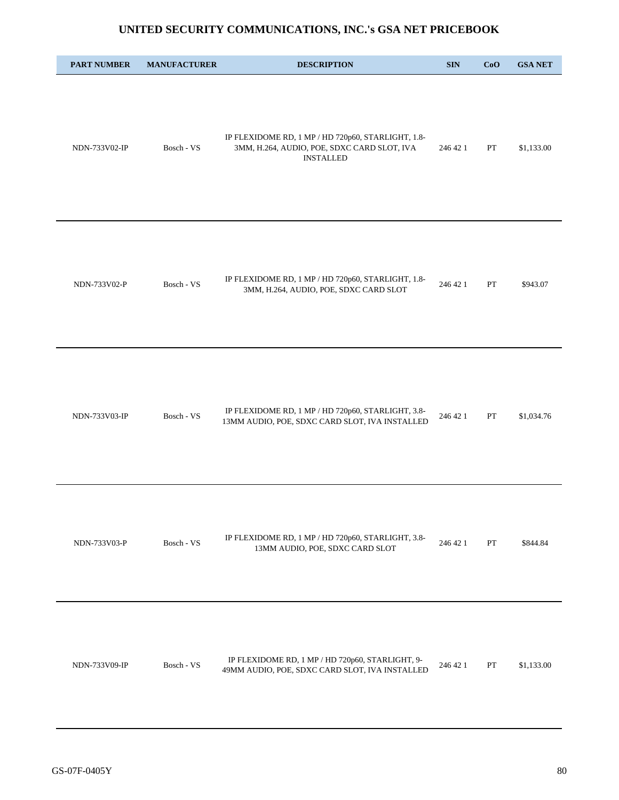| <b>PART NUMBER</b> | <b>MANUFACTURER</b> | <b>DESCRIPTION</b>                                                                                                    | $\mathbf{SIN}$ | CoO         | <b>GSA NET</b> |
|--------------------|---------------------|-----------------------------------------------------------------------------------------------------------------------|----------------|-------------|----------------|
| NDN-733V02-IP      | Bosch - VS          | IP FLEXIDOME RD, 1 MP / HD 720p60, STARLIGHT, 1.8-<br>3MM, H.264, AUDIO, POE, SDXC CARD SLOT, IVA<br><b>INSTALLED</b> | 246 42 1       | PT          | \$1,133.00     |
| NDN-733V02-P       | Bosch - VS          | IP FLEXIDOME RD, 1 MP / HD 720p60, STARLIGHT, 1.8-<br>3MM, H.264, AUDIO, POE, SDXC CARD SLOT                          | 246 42 1       | ${\cal PT}$ | \$943.07       |
| NDN-733V03-IP      | Bosch - VS          | IP FLEXIDOME RD, 1 MP / HD 720p60, STARLIGHT, 3.8-<br>13MM AUDIO, POE, SDXC CARD SLOT, IVA INSTALLED                  | 246 42 1       | ${\cal PT}$ | \$1,034.76     |
| NDN-733V03-P       | Bosch - VS          | IP FLEXIDOME RD, 1 MP / HD 720p60, STARLIGHT, 3.8-<br>13MM AUDIO, POE, SDXC CARD SLOT                                 | 246 42 1       | PT          | \$844.84       |
| NDN-733V09-IP      | Bosch - VS          | IP FLEXIDOME RD, 1 MP / HD 720p60, STARLIGHT, 9-<br>49MM AUDIO, POE, SDXC CARD SLOT, IVA INSTALLED                    | 246 42 1       | PT          | \$1,133.00     |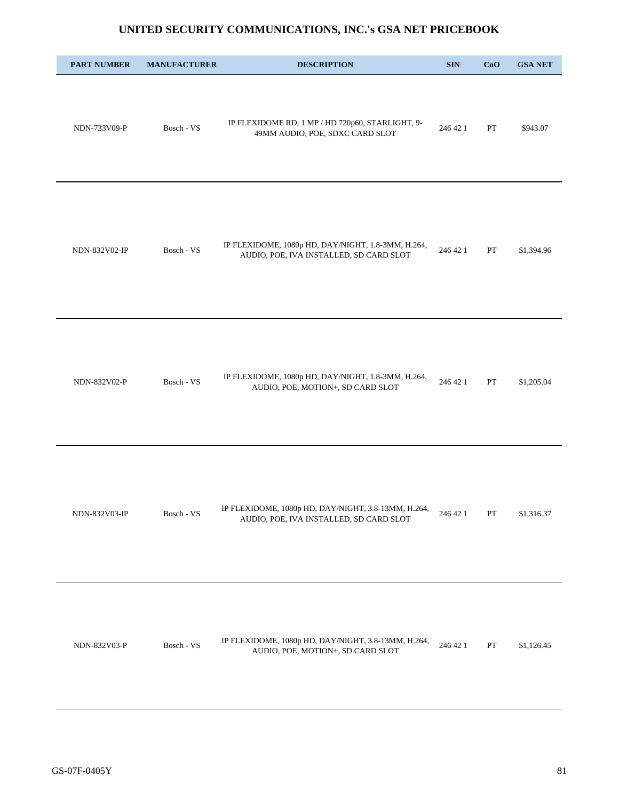| <b>PART NUMBER</b> | <b>MANUFACTURER</b> | <b>DESCRIPTION</b>                                                                             | <b>SIN</b> | CoO           | <b>GSA NET</b> |
|--------------------|---------------------|------------------------------------------------------------------------------------------------|------------|---------------|----------------|
| NDN-733V09-P       | Bosch - VS          | IP FLEXIDOME RD, 1 MP / HD 720p60, STARLIGHT, 9-<br>49MM AUDIO, POE, SDXC CARD SLOT            | 246 42 1   | PT            | \$943.07       |
| NDN-832V02-IP      | Bosch - VS          | IP FLEXIDOME, 1080p HD, DAY/NIGHT, 1.8-3MM, H.264,<br>AUDIO, POE, IVA INSTALLED, SD CARD SLOT  | 246 42 1   | PT            | \$1,394.96     |
| NDN-832V02-P       | Bosch - VS          | IP FLEXIDOME, 1080p HD, DAY/NIGHT, 1.8-3MM, H.264,<br>AUDIO, POE, MOTION+, SD CARD SLOT        | 246 42 1   | PT            | \$1,205.04     |
| NDN-832V03-IP      | Bosch - VS          | IP FLEXIDOME, 1080p HD, DAY/NIGHT, 3.8-13MM, H.264,<br>AUDIO, POE, IVA INSTALLED, SD CARD SLOT | 246 42 1   | ${\cal PT}$   | \$1,316.37     |
| NDN-832V03-P       | Bosch - VS          | IP FLEXIDOME, 1080p HD, DAY/NIGHT, 3.8-13MM, H.264,<br>AUDIO, POE, MOTION+, SD CARD SLOT       | 246 42 1   | $\mathbf{PT}$ | \$1,126.45     |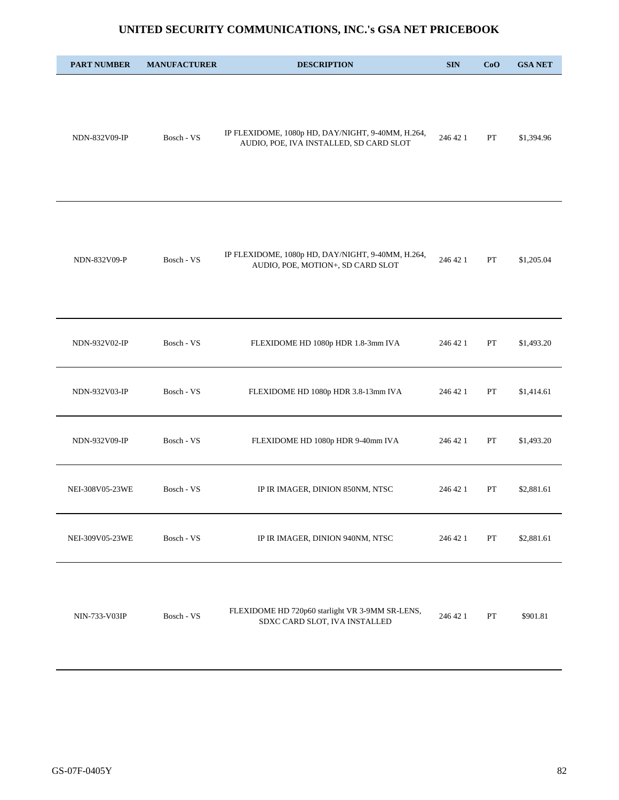| <b>PART NUMBER</b> | <b>MANUFACTURER</b> | <b>DESCRIPTION</b>                                                                           | <b>SIN</b> | CoO           | <b>GSA NET</b> |
|--------------------|---------------------|----------------------------------------------------------------------------------------------|------------|---------------|----------------|
| NDN-832V09-IP      | Bosch - VS          | IP FLEXIDOME, 1080p HD, DAY/NIGHT, 9-40MM, H.264,<br>AUDIO, POE, IVA INSTALLED, SD CARD SLOT | 246 42 1   | PT            | \$1,394.96     |
| NDN-832V09-P       | Bosch - VS          | IP FLEXIDOME, 1080p HD, DAY/NIGHT, 9-40MM, H.264,<br>AUDIO, POE, MOTION+, SD CARD SLOT       | 246 42 1   | PT            | \$1,205.04     |
| NDN-932V02-IP      | Bosch - VS          | FLEXIDOME HD 1080p HDR 1.8-3mm IVA                                                           | 246 42 1   | PT            | \$1,493.20     |
| NDN-932V03-IP      | Bosch - VS          | FLEXIDOME HD 1080p HDR 3.8-13mm IVA                                                          | 246 42 1   | PT            | \$1,414.61     |
| NDN-932V09-IP      | Bosch - VS          | FLEXIDOME HD 1080p HDR 9-40mm IVA                                                            | 246 42 1   | PT            | \$1,493.20     |
| NEI-308V05-23WE    | Bosch - VS          | IP IR IMAGER, DINION 850NM, NTSC                                                             | 246 42 1   | PT            | \$2,881.61     |
| NEI-309V05-23WE    | Bosch - VS          | IP IR IMAGER, DINION 940NM, NTSC                                                             | 246 42 1   | PT            | \$2,881.61     |
| NIN-733-V03IP      | Bosch - VS          | FLEXIDOME HD 720p60 starlight VR 3-9MM SR-LENS,<br>SDXC CARD SLOT, IVA INSTALLED             | 246 42 1   | $\mathbf{PT}$ | \$901.81       |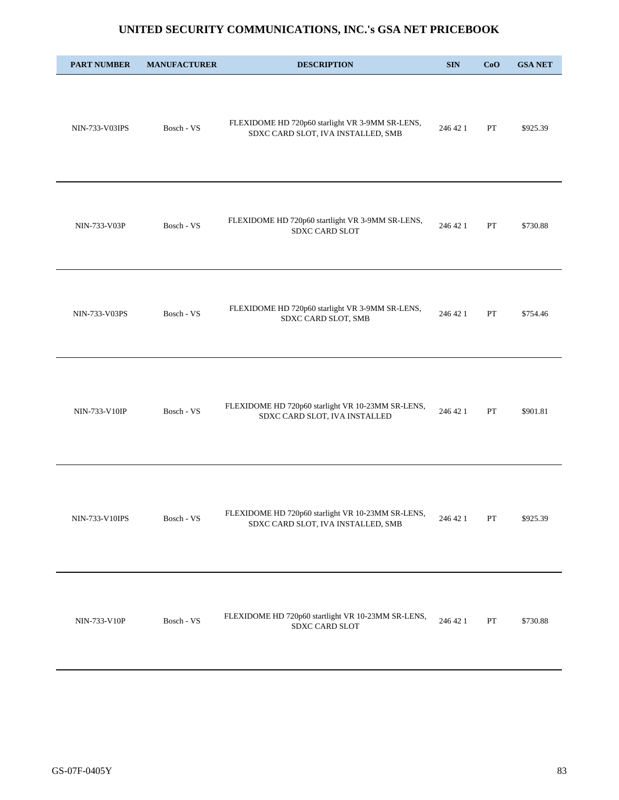| <b>PART NUMBER</b> | <b>MANUFACTURER</b> | <b>DESCRIPTION</b>                                                                      | $\mathbf{SIN}$ | CoO         | <b>GSA NET</b> |
|--------------------|---------------------|-----------------------------------------------------------------------------------------|----------------|-------------|----------------|
| NIN-733-V03IPS     | Bosch - VS          | FLEXIDOME HD 720p60 starlight VR 3-9MM SR-LENS,<br>SDXC CARD SLOT, IVA INSTALLED, SMB   | 246 42 1       | PT          | \$925.39       |
| NIN-733-V03P       | Bosch - VS          | FLEXIDOME HD 720p60 startlight VR 3-9MM SR-LENS,<br>SDXC CARD SLOT                      | 246 42 1       | PT          | \$730.88       |
| NIN-733-V03PS      | Bosch - VS          | FLEXIDOME HD 720p60 starlight VR 3-9MM SR-LENS,<br>SDXC CARD SLOT, SMB                  | 246 42 1       | PT          | \$754.46       |
| NIN-733-V10IP      | Bosch - VS          | FLEXIDOME HD 720p60 starlight VR 10-23MM SR-LENS,<br>SDXC CARD SLOT, IVA INSTALLED      | 246 42 1       | PT          | \$901.81       |
| NIN-733-V10IPS     | Bosch - VS          | FLEXIDOME HD 720p60 starlight VR 10-23MM SR-LENS,<br>SDXC CARD SLOT, IVA INSTALLED, SMB | 246 42 1       | PT          | \$925.39       |
| NIN-733-V10P       | Bosch - VS          | FLEXIDOME HD 720p60 startlight VR 10-23MM SR-LENS,<br>SDXC CARD SLOT                    | 246 42 1       | ${\cal PT}$ | \$730.88       |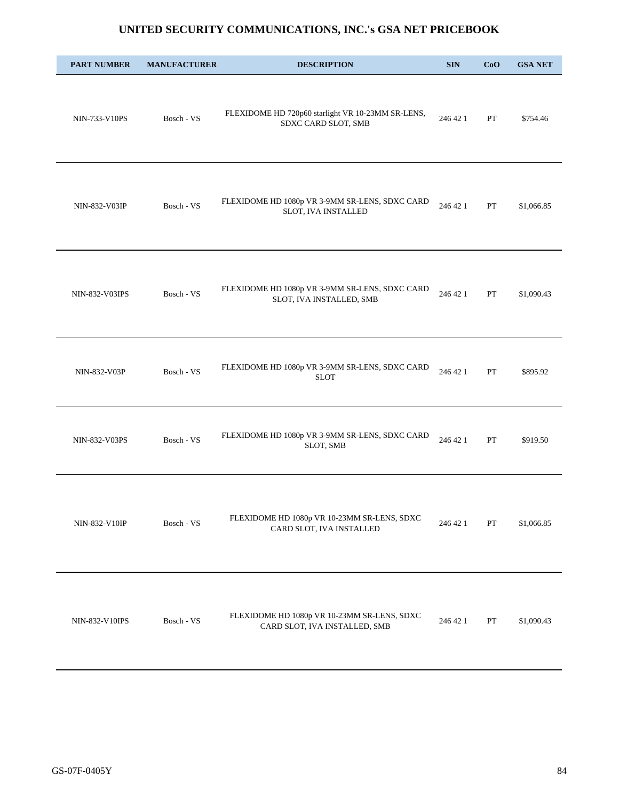| <b>PART NUMBER</b> | <b>MANUFACTURER</b> | <b>DESCRIPTION</b>                                                           | <b>SIN</b> | CoO | <b>GSA NET</b> |
|--------------------|---------------------|------------------------------------------------------------------------------|------------|-----|----------------|
| NIN-733-V10PS      | Bosch - VS          | FLEXIDOME HD 720p60 starlight VR 10-23MM SR-LENS,<br>SDXC CARD SLOT, SMB     | 246 42 1   | PT  | \$754.46       |
| NIN-832-V03IP      | Bosch - VS          | FLEXIDOME HD 1080p VR 3-9MM SR-LENS, SDXC CARD<br>SLOT, IVA INSTALLED        | 246 42 1   | PT  | \$1,066.85     |
| NIN-832-V03IPS     | Bosch - VS          | FLEXIDOME HD 1080p VR 3-9MM SR-LENS, SDXC CARD<br>SLOT, IVA INSTALLED, SMB   | 246 42 1   | PT  | \$1,090.43     |
| NIN-832-V03P       | Bosch - VS          | FLEXIDOME HD 1080p VR 3-9MM SR-LENS, SDXC CARD<br><b>SLOT</b>                | 246 42 1   | PT  | \$895.92       |
| NIN-832-V03PS      | Bosch - VS          | FLEXIDOME HD 1080p VR 3-9MM SR-LENS, SDXC CARD<br>SLOT, SMB                  | 246 42 1   | PT  | \$919.50       |
| NIN-832-V10IP      | Bosch - VS          | FLEXIDOME HD 1080p VR 10-23MM SR-LENS, SDXC<br>CARD SLOT, IVA INSTALLED      | 246 42 1   | PT  | \$1,066.85     |
| NIN-832-V10IPS     | Bosch - VS          | FLEXIDOME HD 1080p VR 10-23MM SR-LENS, SDXC<br>CARD SLOT, IVA INSTALLED, SMB | 246 42 1   | PT  | \$1,090.43     |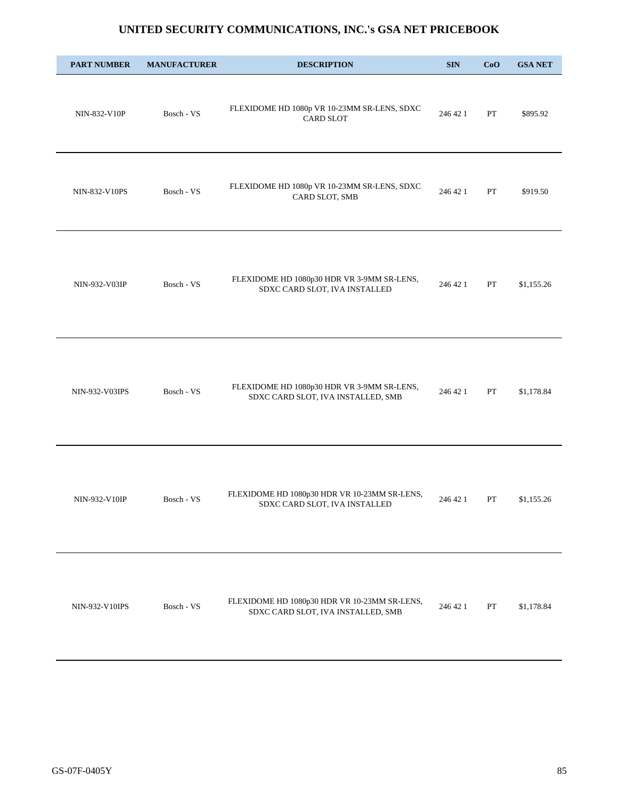| <b>PART NUMBER</b> | <b>MANUFACTURER</b> | <b>DESCRIPTION</b>                                                                 | <b>SIN</b> | CoO | <b>GSA NET</b> |
|--------------------|---------------------|------------------------------------------------------------------------------------|------------|-----|----------------|
| NIN-832-V10P       | Bosch - VS          | FLEXIDOME HD 1080p VR 10-23MM SR-LENS, SDXC<br><b>CARD SLOT</b>                    | 246 42 1   | PT  | \$895.92       |
| NIN-832-V10PS      | Bosch - VS          | FLEXIDOME HD 1080p VR 10-23MM SR-LENS, SDXC<br>CARD SLOT, SMB                      | 246 42 1   | PT  | \$919.50       |
| NIN-932-V03IP      | Bosch - VS          | FLEXIDOME HD 1080p30 HDR VR 3-9MM SR-LENS,<br>SDXC CARD SLOT, IVA INSTALLED        | 246 42 1   | PT  | \$1,155.26     |
| NIN-932-V03IPS     | Bosch - VS          | FLEXIDOME HD 1080p30 HDR VR 3-9MM SR-LENS,<br>SDXC CARD SLOT, IVA INSTALLED, SMB   | 246 42 1   | PT  | \$1,178.84     |
| NIN-932-V10IP      | Bosch - VS          | FLEXIDOME HD 1080p30 HDR VR 10-23MM SR-LENS,<br>SDXC CARD SLOT, IVA INSTALLED      | 246 42 1   | PT  | \$1,155.26     |
| NIN-932-V10IPS     | Bosch - VS          | FLEXIDOME HD 1080p30 HDR VR 10-23MM SR-LENS,<br>SDXC CARD SLOT, IVA INSTALLED, SMB | 246 42 1   | PT  | \$1,178.84     |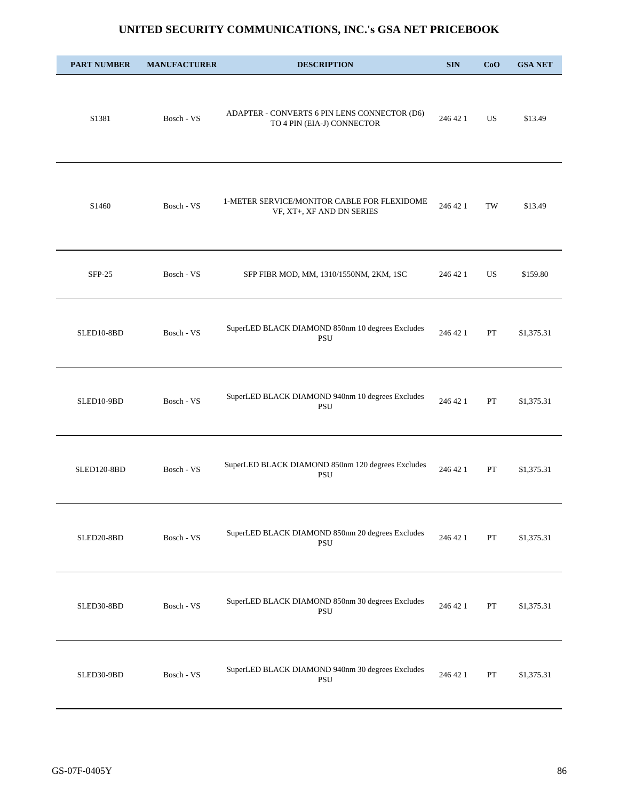| <b>PART NUMBER</b> | <b>MANUFACTURER</b> | <b>DESCRIPTION</b>                                                         | <b>SIN</b> | CoO                 | <b>GSA NET</b> |
|--------------------|---------------------|----------------------------------------------------------------------------|------------|---------------------|----------------|
| S1381              | Bosch - VS          | ADAPTER - CONVERTS 6 PIN LENS CONNECTOR (D6)<br>TO 4 PIN (EIA-J) CONNECTOR | 246 42 1   | <b>US</b>           | \$13.49        |
| S1460              | Bosch - VS          | 1-METER SERVICE/MONITOR CABLE FOR FLEXIDOME<br>VF, XT+, XF AND DN SERIES   | 246 42 1   | $\operatorname{TW}$ | \$13.49        |
| $SFP-25$           | Bosch - VS          | SFP FIBR MOD, MM, 1310/1550NM, 2KM, 1SC                                    | 246 42 1   | US                  | \$159.80       |
| SLED10-8BD         | Bosch - VS          | SuperLED BLACK DIAMOND 850nm 10 degrees Excludes<br>PSU                    | 246 42 1   | PT                  | \$1,375.31     |
| SLED10-9BD         | Bosch - VS          | SuperLED BLACK DIAMOND 940nm 10 degrees Excludes<br><b>PSU</b>             | 246 42 1   | PT                  | \$1,375.31     |
| <b>SLED120-8BD</b> | Bosch - VS          | SuperLED BLACK DIAMOND 850nm 120 degrees Excludes<br>PSU                   | 246 42 1   | PT                  | \$1,375.31     |
| SLED20-8BD         | Bosch - VS          | SuperLED BLACK DIAMOND 850nm 20 degrees Excludes<br>PSU                    | 246 42 1   | ${\cal PT}$         | \$1,375.31     |
| SLED30-8BD         | Bosch - VS          | SuperLED BLACK DIAMOND 850nm 30 degrees Excludes<br>PSU                    | 246 42 1   | PT                  | \$1,375.31     |
| SLED30-9BD         | Bosch - VS          | SuperLED BLACK DIAMOND 940nm 30 degrees Excludes<br>PSU                    | 246 42 1   | PT                  | \$1,375.31     |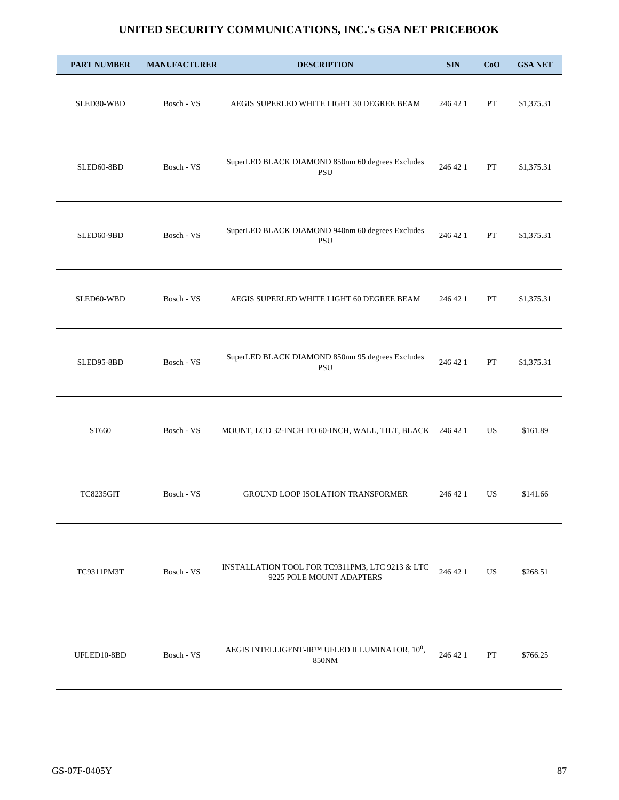| <b>PART NUMBER</b> | <b>MANUFACTURER</b> | <b>DESCRIPTION</b>                                                          | <b>SIN</b> | CoO       | <b>GSA NET</b> |
|--------------------|---------------------|-----------------------------------------------------------------------------|------------|-----------|----------------|
| SLED30-WBD         | Bosch - VS          | AEGIS SUPERLED WHITE LIGHT 30 DEGREE BEAM                                   | 246 42 1   | PT        | \$1,375.31     |
| SLED60-8BD         | Bosch - VS          | SuperLED BLACK DIAMOND 850nm 60 degrees Excludes<br>PSU                     | 246 42 1   | PT        | \$1,375.31     |
| SLED60-9BD         | Bosch - VS          | SuperLED BLACK DIAMOND 940nm 60 degrees Excludes<br><b>PSU</b>              | 246 42 1   | PT        | \$1,375.31     |
| SLED60-WBD         | Bosch - VS          | AEGIS SUPERLED WHITE LIGHT 60 DEGREE BEAM                                   | 246 42 1   | PT        | \$1,375.31     |
| SLED95-8BD         | Bosch - VS          | SuperLED BLACK DIAMOND 850nm 95 degrees Excludes<br><b>PSU</b>              | 246 42 1   | PT        | \$1,375.31     |
| ST660              | Bosch - VS          | MOUNT, LCD 32-INCH TO 60-INCH, WALL, TILT, BLACK 246 42 1                   |            | US        | \$161.89       |
| <b>TC8235GIT</b>   | Bosch - VS          | <b>GROUND LOOP ISOLATION TRANSFORMER</b>                                    | 246 42 1   | US        | \$141.66       |
| TC9311PM3T         | Bosch - VS          | INSTALLATION TOOL FOR TC9311PM3, LTC 9213 & LTC<br>9225 POLE MOUNT ADAPTERS | 246 42 1   | <b>US</b> | \$268.51       |
| UFLED10-8BD        | Bosch - VS          | AEGIS INTELLIGENT-IR™ UFLED ILLUMINATOR, 10 <sup>0</sup> ,<br>850NM         | 246 42 1   | PT        | \$766.25       |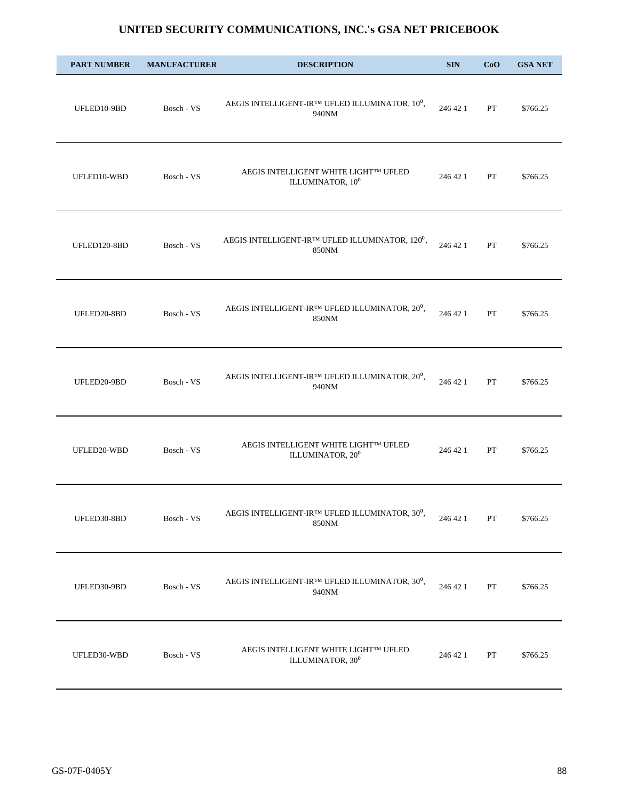| <b>PART NUMBER</b> | <b>MANUFACTURER</b> | <b>DESCRIPTION</b>                                                                | <b>SIN</b> | CoO         | <b>GSA NET</b> |
|--------------------|---------------------|-----------------------------------------------------------------------------------|------------|-------------|----------------|
| UFLED10-9BD        | Bosch - VS          | AEGIS INTELLIGENT-IRIM UFLED ILLUMINATOR, $10^0,$<br>940NM                        | 246 42 1   | PT          | \$766.25       |
| UFLED10-WBD        | Bosch - VS          | AEGIS INTELLIGENT WHITE LIGHT™ UFLED<br>ILLUMINATOR, 10 <sup>0</sup>              | 246 42 1   | PT          | \$766.25       |
| UFLED120-8BD       | Bosch - VS          | AEGIS INTELLIGENT-IR <sup>TM</sup> UFLED ILLUMINATOR, 120 <sup>0</sup> ,<br>850NM | 246 42 1   | PT          | \$766.25       |
| UFLED20-8BD        | Bosch - VS          | AEGIS INTELLIGENT-IR™ UFLED ILLUMINATOR, 20 <sup>0</sup> ,<br>850NM               | 246 42 1   | PT          | \$766.25       |
| UFLED20-9BD        | Bosch - VS          | AEGIS INTELLIGENT-IR™ UFLED ILLUMINATOR, 20 <sup>0</sup> ,<br>940NM               | 246 42 1   | PT          | \$766.25       |
| UFLED20-WBD        | Bosch - VS          | AEGIS INTELLIGENT WHITE LIGHTIM UFLED<br>ILLUMINATOR, 20 <sup>0</sup>             | 246 42 1   | PT          | \$766.25       |
| UFLED30-8BD        | Bosch - VS          | AEGIS INTELLIGENT-IRIM UFLED ILLUMINATOR, $30^0$ ,<br>850NM                       | 246 42 1   | PT          | \$766.25       |
| UFLED30-9BD        | Bosch - VS          | AEGIS INTELLIGENT-IR™ UFLED ILLUMINATOR, 30 <sup>0</sup> ,<br>940NM               | 246 42 1   | PT          | \$766.25       |
| UFLED30-WBD        | Bosch - VS          | AEGIS INTELLIGENT WHITE LIGHTIM UFLED<br>ILLUMINATOR, 30 <sup>0</sup>             | 246 42 1   | ${\cal PT}$ | \$766.25       |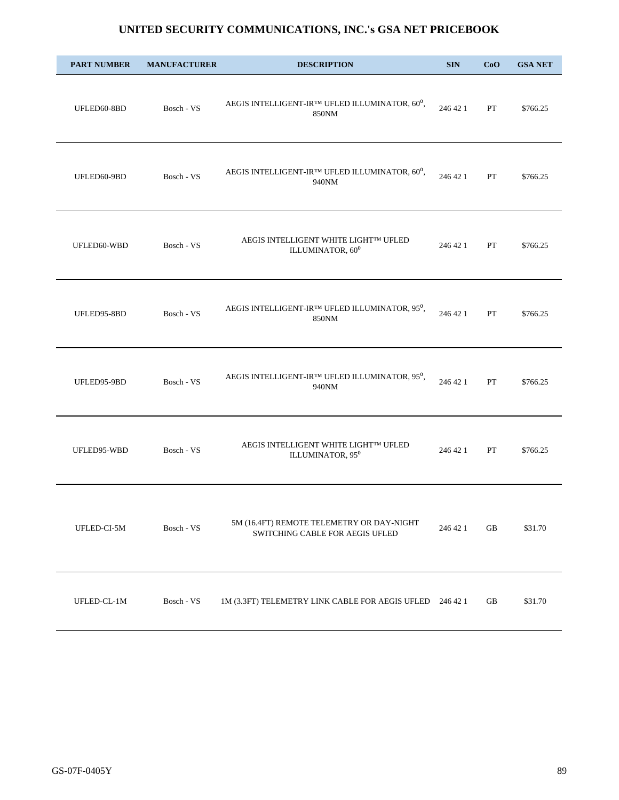| <b>PART NUMBER</b> | <b>MANUFACTURER</b> | <b>DESCRIPTION</b>                                                                  | <b>SIN</b> | CoO | <b>GSA NET</b> |
|--------------------|---------------------|-------------------------------------------------------------------------------------|------------|-----|----------------|
| UFLED60-8BD        | Bosch - VS          | AEGIS INTELLIGENT-IR™ UFLED ILLUMINATOR, 60 <sup>0</sup> ,<br>850NM                 | 246 42 1   | PT  | \$766.25       |
| UFLED60-9BD        | Bosch - VS          | AEGIS INTELLIGENT-IR™ UFLED ILLUMINATOR, 60 <sup>0</sup> ,<br>940NM                 | 246 42 1   | PT  | \$766.25       |
| UFLED60-WBD        | Bosch - VS          | AEGIS INTELLIGENT WHITE LIGHT™ UFLED<br>ILLUMINATOR, 60 <sup>0</sup>                | 246 42 1   | PT  | \$766.25       |
| UFLED95-8BD        | Bosch - VS          | AEGIS INTELLIGENT-IRTM UFLED ILLUMINATOR, $95^0,$<br>850NM                          | 246 42 1   | PT  | \$766.25       |
| UFLED95-9BD        | Bosch - VS          | AEGIS INTELLIGENT-IR™ UFLED ILLUMINATOR, 95 <sup>0</sup> ,<br>940NM                 | 246 42 1   | PT  | \$766.25       |
| UFLED95-WBD        | Bosch - VS          | AEGIS INTELLIGENT WHITE LIGHTIM UFLED<br>ILLUMINATOR, 95 <sup>0</sup>               | 246 42 1   | PT  | \$766.25       |
| UFLED-CI-5M        | Bosch - VS          | 5M (16.4FT) REMOTE TELEMETRY OR DAY-NIGHT<br><b>SWITCHING CABLE FOR AEGIS UFLED</b> | 246 42 1   | GB  | \$31.70        |
| UFLED-CL-1M        | Bosch - VS          | 1M (3.3FT) TELEMETRY LINK CABLE FOR AEGIS UFLED 246 42 1                            |            | GB  | \$31.70        |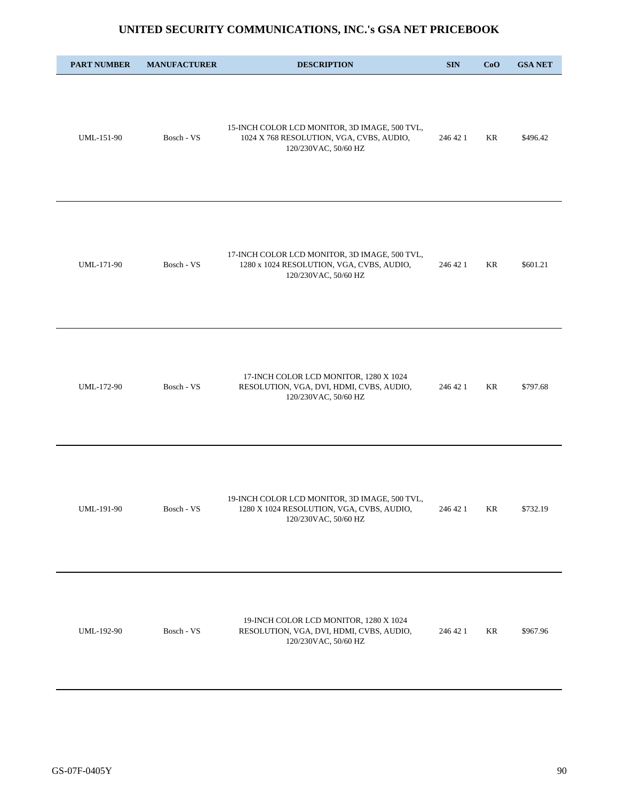| <b>PART NUMBER</b> | <b>MANUFACTURER</b> | <b>DESCRIPTION</b>                                                                                                 | <b>SIN</b> | CoO | <b>GSA NET</b> |
|--------------------|---------------------|--------------------------------------------------------------------------------------------------------------------|------------|-----|----------------|
| UML-151-90         | Bosch - VS          | 15-INCH COLOR LCD MONITOR, 3D IMAGE, 500 TVL,<br>1024 X 768 RESOLUTION, VGA, CVBS, AUDIO,<br>120/230VAC, 50/60 HZ  | 246 42 1   | KR  | \$496.42       |
| UML-171-90         | Bosch - VS          | 17-INCH COLOR LCD MONITOR, 3D IMAGE, 500 TVL,<br>1280 x 1024 RESOLUTION, VGA, CVBS, AUDIO,<br>120/230VAC, 50/60 HZ | 246 42 1   | KR  | \$601.21       |
| UML-172-90         | Bosch - VS          | 17-INCH COLOR LCD MONITOR, 1280 X 1024<br>RESOLUTION, VGA, DVI, HDMI, CVBS, AUDIO,<br>120/230VAC, 50/60 HZ         | 246 42 1   | KR  | \$797.68       |
| UML-191-90         | Bosch - VS          | 19-INCH COLOR LCD MONITOR, 3D IMAGE, 500 TVL,<br>1280 X 1024 RESOLUTION, VGA, CVBS, AUDIO,<br>120/230VAC, 50/60 HZ | 246 42 1   | KR  | \$732.19       |
| UML-192-90         | Bosch - VS          | 19-INCH COLOR LCD MONITOR, 1280 X 1024<br>RESOLUTION, VGA, DVI, HDMI, CVBS, AUDIO,<br>120/230VAC, 50/60 HZ         | 246 42 1   | KR  | \$967.96       |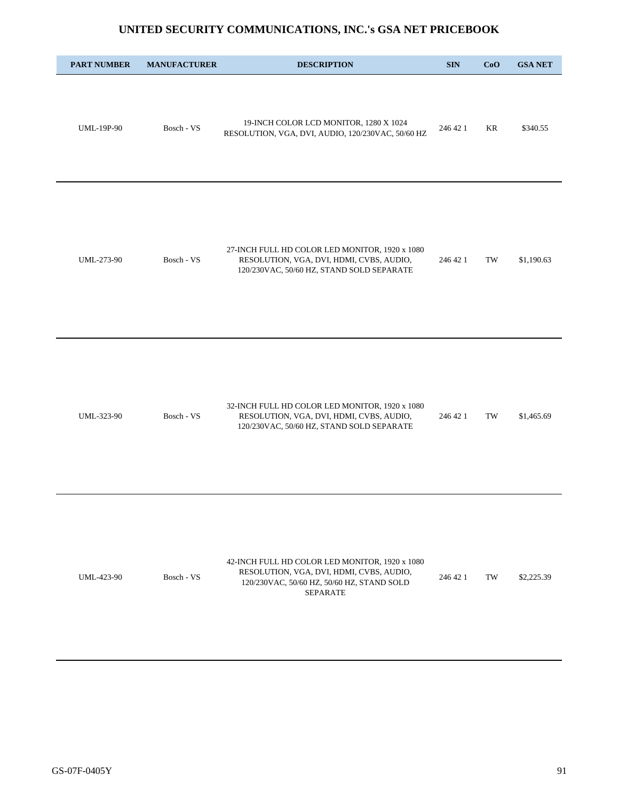| <b>PART NUMBER</b> | <b>MANUFACTURER</b> | <b>DESCRIPTION</b>                                                                                                                                          | <b>SIN</b> | CoO | <b>GSA NET</b> |
|--------------------|---------------------|-------------------------------------------------------------------------------------------------------------------------------------------------------------|------------|-----|----------------|
| <b>UML-19P-90</b>  | Bosch - VS          | 19-INCH COLOR LCD MONITOR, 1280 X 1024<br>RESOLUTION, VGA, DVI, AUDIO, 120/230VAC, 50/60 HZ                                                                 | 246 42 1   | KR  | \$340.55       |
| UML-273-90         | Bosch - VS          | 27-INCH FULL HD COLOR LED MONITOR, 1920 x 1080<br>RESOLUTION, VGA, DVI, HDMI, CVBS, AUDIO,<br>120/230VAC, 50/60 HZ, STAND SOLD SEPARATE                     | 246 42 1   | TW  | \$1,190.63     |
| UML-323-90         | Bosch - VS          | 32-INCH FULL HD COLOR LED MONITOR, 1920 x 1080<br>RESOLUTION, VGA, DVI, HDMI, CVBS, AUDIO,<br>120/230VAC, 50/60 HZ, STAND SOLD SEPARATE                     | 246 42 1   | TW  | \$1,465.69     |
| UML-423-90         | Bosch - VS          | 42-INCH FULL HD COLOR LED MONITOR, 1920 x 1080<br>RESOLUTION, VGA, DVI, HDMI, CVBS, AUDIO,<br>120/230VAC, 50/60 HZ, 50/60 HZ, STAND SOLD<br><b>SEPARATE</b> | 246 42 1   | TW  | \$2,225.39     |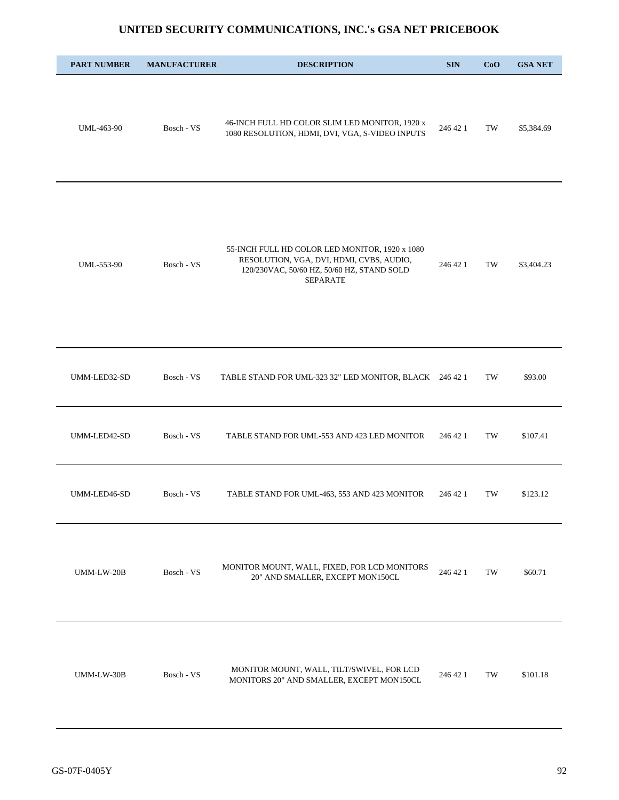| <b>PART NUMBER</b> | <b>MANUFACTURER</b> | <b>DESCRIPTION</b>                                                                                                                                          | <b>SIN</b> | CoO | <b>GSA NET</b> |
|--------------------|---------------------|-------------------------------------------------------------------------------------------------------------------------------------------------------------|------------|-----|----------------|
| UML-463-90         | Bosch - VS          | 46-INCH FULL HD COLOR SLIM LED MONITOR, 1920 x<br>1080 RESOLUTION, HDMI, DVI, VGA, S-VIDEO INPUTS                                                           | 246 42 1   | TW  | \$5,384.69     |
| UML-553-90         | Bosch - VS          | 55-INCH FULL HD COLOR LED MONITOR, 1920 x 1080<br>RESOLUTION, VGA, DVI, HDMI, CVBS, AUDIO,<br>120/230VAC, 50/60 HZ, 50/60 HZ, STAND SOLD<br><b>SEPARATE</b> | 246 42 1   | TW  | \$3,404.23     |
| UMM-LED32-SD       | Bosch - VS          | TABLE STAND FOR UML-323 32" LED MONITOR, BLACK 246 42 1                                                                                                     |            | TW  | \$93.00        |
| UMM-LED42-SD       | Bosch - VS          | TABLE STAND FOR UML-553 AND 423 LED MONITOR                                                                                                                 | 246 42 1   | TW  | \$107.41       |
| UMM-LED46-SD       | Bosch - VS          | TABLE STAND FOR UML-463, 553 AND 423 MONITOR                                                                                                                | 246 42 1   | TW  | \$123.12       |
| UMM-LW-20B         | Bosch - VS          | MONITOR MOUNT, WALL, FIXED, FOR LCD MONITORS<br>20" AND SMALLER, EXCEPT MON150CL                                                                            | 246 42 1   | TW  | \$60.71        |
| UMM-LW-30B         | Bosch - VS          | MONITOR MOUNT, WALL, TILT/SWIVEL, FOR LCD<br>MONITORS 20" AND SMALLER, EXCEPT MON150CL                                                                      | 246 42 1   | TW  | \$101.18       |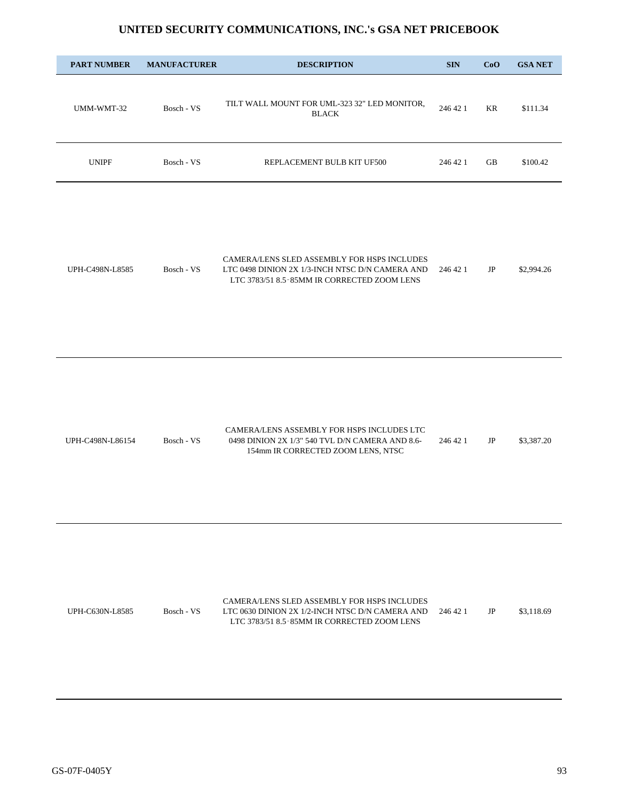| <b>PART NUMBER</b> | <b>MANUFACTURER</b> | <b>DESCRIPTION</b>                                                                                                                            | <b>SIN</b> | CoO      | <b>GSA NET</b> |
|--------------------|---------------------|-----------------------------------------------------------------------------------------------------------------------------------------------|------------|----------|----------------|
| UMM-WMT-32         | Bosch - VS          | TILT WALL MOUNT FOR UML-323 32" LED MONITOR,<br><b>BLACK</b>                                                                                  | 246 42 1   | KR       | \$111.34       |
| <b>UNIPF</b>       | Bosch - VS          | REPLACEMENT BULB KIT UF500                                                                                                                    | 246 42 1   | GB       | \$100.42       |
| UPH-C498N-L8585    | Bosch - VS          | CAMERA/LENS SLED ASSEMBLY FOR HSPS INCLUDES<br>LTC 0498 DINION 2X 1/3-INCH NTSC D/N CAMERA AND<br>LTC 3783/51 8.5-85MM IR CORRECTED ZOOM LENS | 246 42 1   | JP       | \$2,994.26     |
| UPH-C498N-L86154   | Bosch - VS          | CAMERA/LENS ASSEMBLY FOR HSPS INCLUDES LTC<br>0498 DINION 2X 1/3" 540 TVL D/N CAMERA AND 8.6-<br>154mm IR CORRECTED ZOOM LENS, NTSC           | 246 42 1   | JP       | \$3,387.20     |
| UPH-C630N-L8585    | Bosch - VS          | CAMERA/LENS SLED ASSEMBLY FOR HSPS INCLUDES<br>LTC 0630 DINION 2X 1/2-INCH NTSC D/N CAMERA AND<br>LTC 3783/51 8.5-85MM IR CORRECTED ZOOM LENS | 246 42 1   | $\rm JP$ | \$3,118.69     |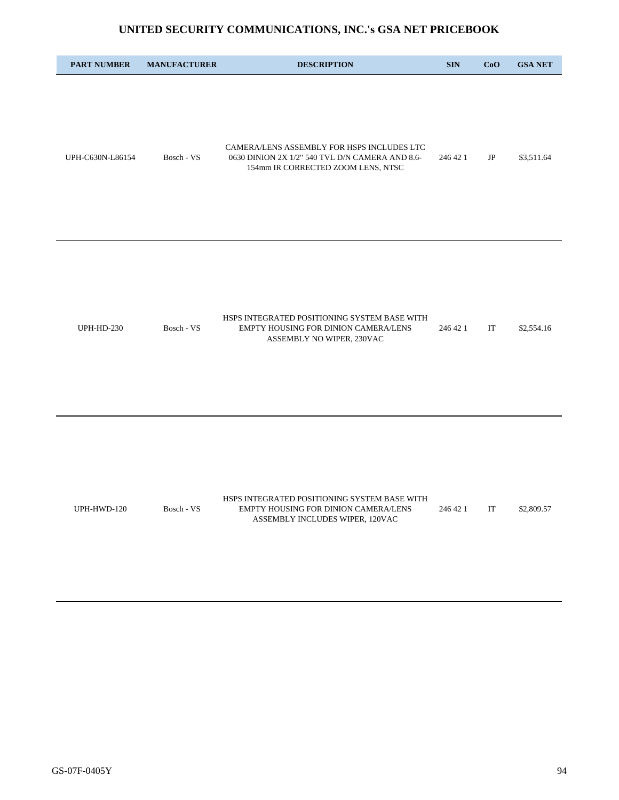| <b>PART NUMBER</b> | <b>MANUFACTURER</b> | <b>DESCRIPTION</b>                                                                                                                  | <b>SIN</b> | CoO | <b>GSA NET</b> |
|--------------------|---------------------|-------------------------------------------------------------------------------------------------------------------------------------|------------|-----|----------------|
| UPH-C630N-L86154   | Bosch - VS          | CAMERA/LENS ASSEMBLY FOR HSPS INCLUDES LTC<br>0630 DINION 2X 1/2" 540 TVL D/N CAMERA AND 8.6-<br>154mm IR CORRECTED ZOOM LENS, NTSC | 246 42 1   | JP  | \$3,511.64     |
| <b>UPH-HD-230</b>  | Bosch - VS          | HSPS INTEGRATED POSITIONING SYSTEM BASE WITH<br>EMPTY HOUSING FOR DINION CAMERA/LENS<br>ASSEMBLY NO WIPER, 230VAC                   | 246 42 1   | IT  | \$2,554.16     |
| UPH-HWD-120        | Bosch - VS          | HSPS INTEGRATED POSITIONING SYSTEM BASE WITH<br>EMPTY HOUSING FOR DINION CAMERA/LENS<br>ASSEMBLY INCLUDES WIPER, 120VAC             | 246 42 1   | IT  | \$2,809.57     |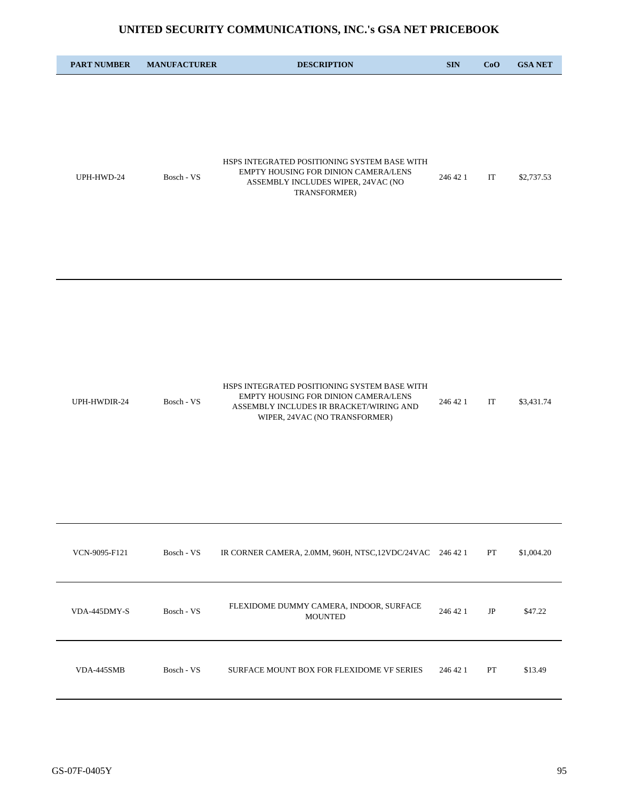| <b>PART NUMBER</b> | <b>MANUFACTURER</b> | <b>DESCRIPTION</b>                                                                                                                                               | <b>SIN</b> | CoO      | <b>GSA NET</b> |
|--------------------|---------------------|------------------------------------------------------------------------------------------------------------------------------------------------------------------|------------|----------|----------------|
| UPH-HWD-24         | Bosch - VS          | HSPS INTEGRATED POSITIONING SYSTEM BASE WITH<br>EMPTY HOUSING FOR DINION CAMERA/LENS<br>ASSEMBLY INCLUDES WIPER, 24VAC (NO<br>TRANSFORMER)                       | 246 42 1   | IT       | \$2,737.53     |
| UPH-HWDIR-24       | Bosch - VS          | HSPS INTEGRATED POSITIONING SYSTEM BASE WITH<br>EMPTY HOUSING FOR DINION CAMERA/LENS<br>ASSEMBLY INCLUDES IR BRACKET/WIRING AND<br>WIPER, 24VAC (NO TRANSFORMER) | 246 42 1   | IT       | \$3,431.74     |
| VCN-9095-F121      | Bosch - VS          | IR CORNER CAMERA, 2.0MM, 960H, NTSC, 12VDC/24VAC 246 42 1                                                                                                        |            | PT       | \$1,004.20     |
| VDA-445DMY-S       | Bosch - VS          | FLEXIDOME DUMMY CAMERA, INDOOR, SURFACE<br><b>MOUNTED</b>                                                                                                        | 246 42 1   | $\rm JP$ | \$47.22        |
| VDA-445SMB         | Bosch - VS          | SURFACE MOUNT BOX FOR FLEXIDOME VF SERIES                                                                                                                        | 246 42 1   | PT       | \$13.49        |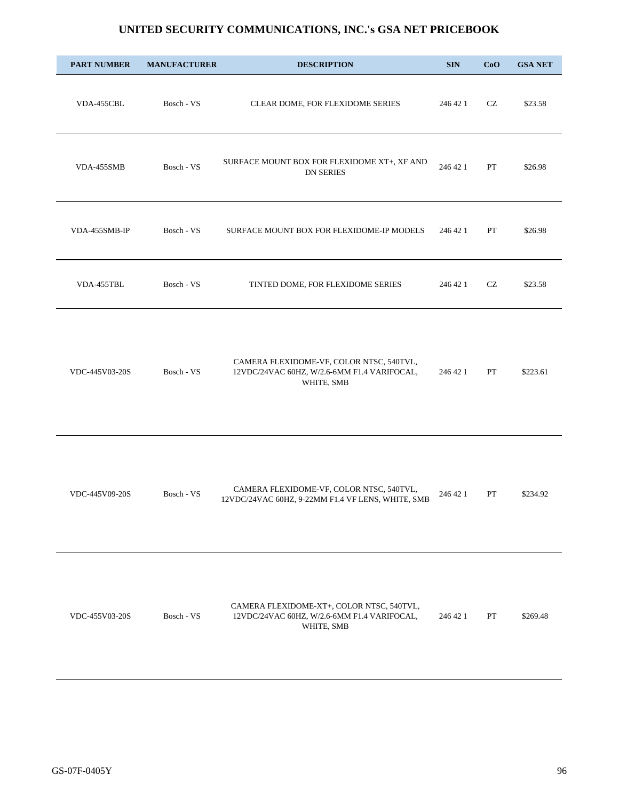| <b>PART NUMBER</b> | <b>MANUFACTURER</b> | <b>DESCRIPTION</b>                                                                                     | <b>SIN</b> | CoO | <b>GSA NET</b> |
|--------------------|---------------------|--------------------------------------------------------------------------------------------------------|------------|-----|----------------|
| VDA-455CBL         | Bosch - VS          | CLEAR DOME, FOR FLEXIDOME SERIES                                                                       | 246 42 1   | CZ  | \$23.58        |
| VDA-455SMB         | Bosch - VS          | SURFACE MOUNT BOX FOR FLEXIDOME XT+, XF AND<br><b>DN SERIES</b>                                        | 246 42 1   | PT  | \$26.98        |
| VDA-455SMB-IP      | Bosch - VS          | SURFACE MOUNT BOX FOR FLEXIDOME-IP MODELS                                                              | 246 42 1   | PT  | \$26.98        |
| VDA-455TBL         | Bosch - VS          | TINTED DOME, FOR FLEXIDOME SERIES                                                                      | 246 42 1   | CZ  | \$23.58        |
| VDC-445V03-20S     | Bosch - VS          | CAMERA FLEXIDOME-VF, COLOR NTSC, 540TVL,<br>12VDC/24VAC 60HZ, W/2.6-6MM F1.4 VARIFOCAL,<br>WHITE, SMB  | 246 42 1   | PT  | \$223.61       |
| VDC-445V09-20S     | Bosch - VS          | CAMERA FLEXIDOME-VF, COLOR NTSC, 540TVL,<br>12VDC/24VAC 60HZ, 9-22MM F1.4 VF LENS, WHITE, SMB          | 246 42 1   | PT  | \$234.92       |
| VDC-455V03-20S     | Bosch - VS          | CAMERA FLEXIDOME-XT+, COLOR NTSC, 540TVL,<br>12VDC/24VAC 60HZ, W/2.6-6MM F1.4 VARIFOCAL,<br>WHITE, SMB | 246 42 1   | PT  | \$269.48       |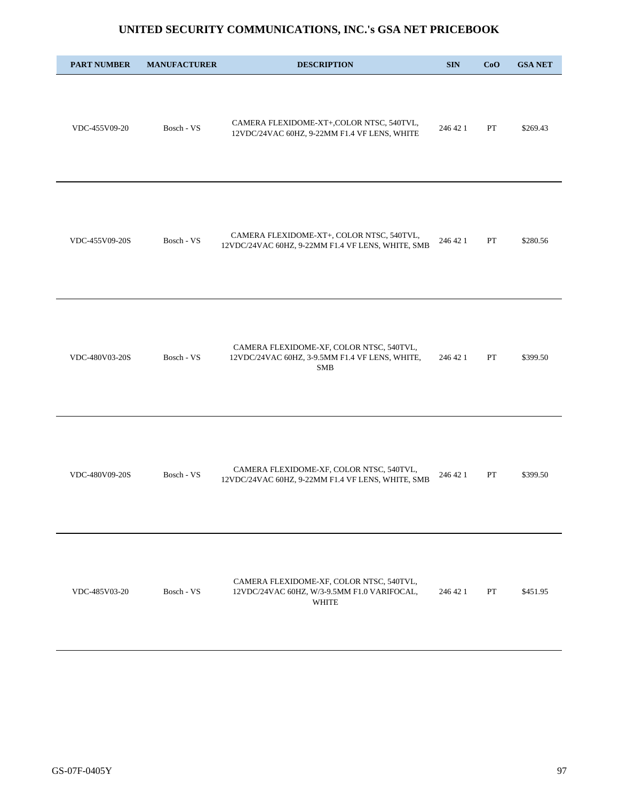| <b>PART NUMBER</b> | <b>MANUFACTURER</b> | <b>DESCRIPTION</b>                                                                                       | <b>SIN</b> | CoO | <b>GSA NET</b> |
|--------------------|---------------------|----------------------------------------------------------------------------------------------------------|------------|-----|----------------|
| VDC-455V09-20      | Bosch - VS          | CAMERA FLEXIDOME-XT+,COLOR NTSC, 540TVL,<br>12VDC/24VAC 60HZ, 9-22MM F1.4 VF LENS, WHITE                 | 246 42 1   | PT  | \$269.43       |
| VDC-455V09-20S     | Bosch - VS          | CAMERA FLEXIDOME-XT+, COLOR NTSC, 540TVL,<br>12VDC/24VAC 60HZ, 9-22MM F1.4 VF LENS, WHITE, SMB           | 246 42 1   | PT  | \$280.56       |
| VDC-480V03-20S     | Bosch - VS          | CAMERA FLEXIDOME-XF, COLOR NTSC, 540TVL,<br>12VDC/24VAC 60HZ, 3-9.5MM F1.4 VF LENS, WHITE,<br><b>SMB</b> | 246 42 1   | PT  | \$399.50       |
| VDC-480V09-20S     | Bosch - VS          | CAMERA FLEXIDOME-XF, COLOR NTSC, 540TVL,<br>12VDC/24VAC 60HZ, 9-22MM F1.4 VF LENS, WHITE, SMB            | 246 42 1   | PT  | \$399.50       |
| VDC-485V03-20      | Bosch - VS          | CAMERA FLEXIDOME-XF, COLOR NTSC, 540TVL,<br>12VDC/24VAC 60HZ, W/3-9.5MM F1.0 VARIFOCAL,<br><b>WHITE</b>  | 246 42 1   | PT  | \$451.95       |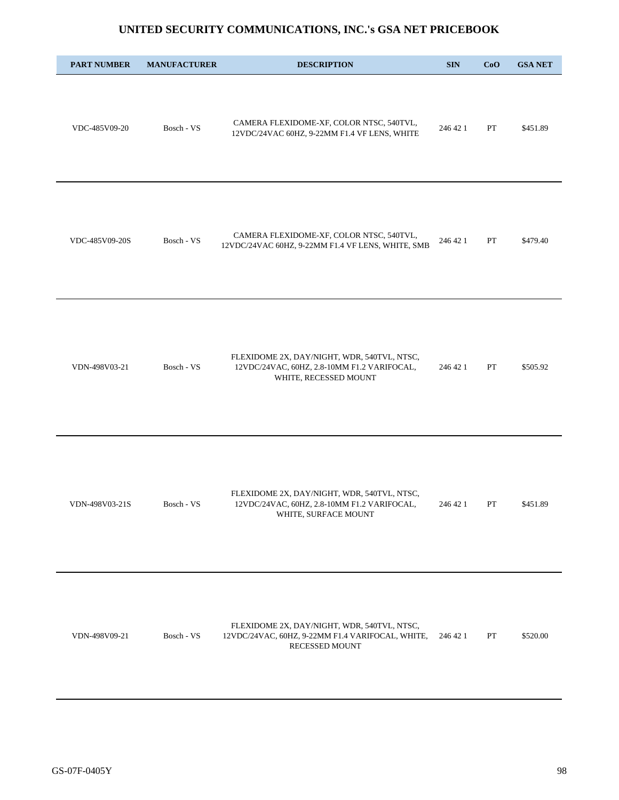| <b>PART NUMBER</b> | <b>MANUFACTURER</b> | <b>DESCRIPTION</b>                                                                                                  | <b>SIN</b> | CoO | <b>GSA NET</b> |
|--------------------|---------------------|---------------------------------------------------------------------------------------------------------------------|------------|-----|----------------|
| VDC-485V09-20      | Bosch - VS          | CAMERA FLEXIDOME-XF, COLOR NTSC, 540TVL,<br>12VDC/24VAC 60HZ, 9-22MM F1.4 VF LENS, WHITE                            | 246 42 1   | PT  | \$451.89       |
| VDC-485V09-20S     | Bosch - VS          | CAMERA FLEXIDOME-XF, COLOR NTSC, 540TVL,<br>12VDC/24VAC 60HZ, 9-22MM F1.4 VF LENS, WHITE, SMB                       | 246 42 1   | PT  | \$479.40       |
| VDN-498V03-21      | Bosch - VS          | FLEXIDOME 2X, DAY/NIGHT, WDR, 540TVL, NTSC,<br>12VDC/24VAC, 60HZ, 2.8-10MM F1.2 VARIFOCAL,<br>WHITE, RECESSED MOUNT | 246 42 1   | PT  | \$505.92       |
| VDN-498V03-21S     | Bosch - VS          | FLEXIDOME 2X, DAY/NIGHT, WDR, 540TVL, NTSC,<br>12VDC/24VAC, 60HZ, 2.8-10MM F1.2 VARIFOCAL,<br>WHITE, SURFACE MOUNT  | 246 42 1   | PT  | \$451.89       |
| VDN-498V09-21      | Bosch - VS          | FLEXIDOME 2X, DAY/NIGHT, WDR, 540TVL, NTSC,<br>12VDC/24VAC, 60HZ, 9-22MM F1.4 VARIFOCAL, WHITE,<br>RECESSED MOUNT   | 246 42 1   | PT  | \$520.00       |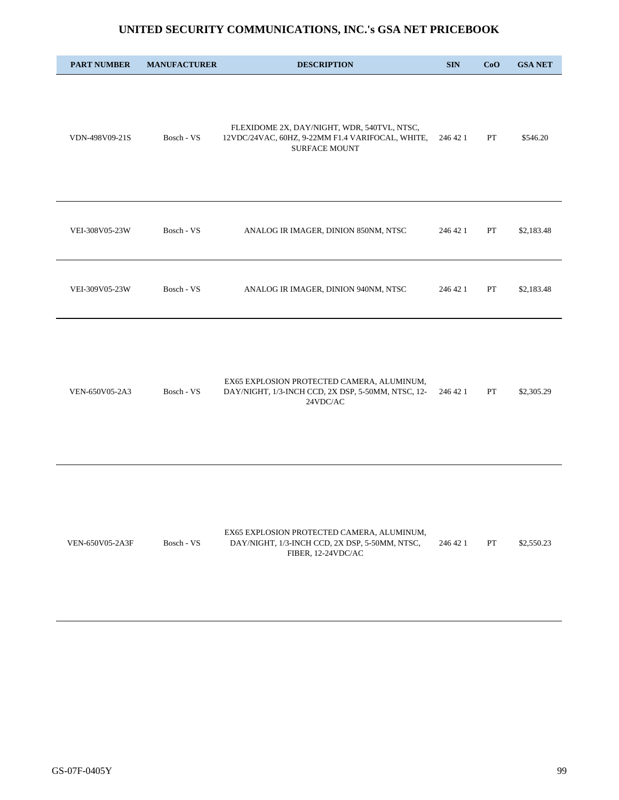| <b>PART NUMBER</b> | <b>MANUFACTURER</b> | <b>DESCRIPTION</b>                                                                                                      | <b>SIN</b> | CoO | <b>GSA NET</b> |
|--------------------|---------------------|-------------------------------------------------------------------------------------------------------------------------|------------|-----|----------------|
| VDN-498V09-21S     | Bosch - VS          | FLEXIDOME 2X, DAY/NIGHT, WDR, 540TVL, NTSC,<br>12VDC/24VAC, 60HZ, 9-22MM F1.4 VARIFOCAL, WHITE,<br><b>SURFACE MOUNT</b> | 246 42 1   | PT  | \$546.20       |
| VEI-308V05-23W     | Bosch - VS          | ANALOG IR IMAGER, DINION 850NM, NTSC                                                                                    | 246 42 1   | PT  | \$2,183.48     |
| VEI-309V05-23W     | Bosch - VS          | ANALOG IR IMAGER, DINION 940NM, NTSC                                                                                    | 246 42 1   | PT  | \$2,183.48     |
| VEN-650V05-2A3     | Bosch - VS          | EX65 EXPLOSION PROTECTED CAMERA, ALUMINUM,<br>DAY/NIGHT, 1/3-INCH CCD, 2X DSP, 5-50MM, NTSC, 12-<br>24VDC/AC            | 246 42 1   | PT  | \$2,305.29     |
| VEN-650V05-2A3F    | Bosch - VS          | EX65 EXPLOSION PROTECTED CAMERA, ALUMINUM,<br>DAY/NIGHT, 1/3-INCH CCD, 2X DSP, 5-50MM, NTSC,<br>FIBER, 12-24VDC/AC      | 246 42 1   | PT  | \$2,550.23     |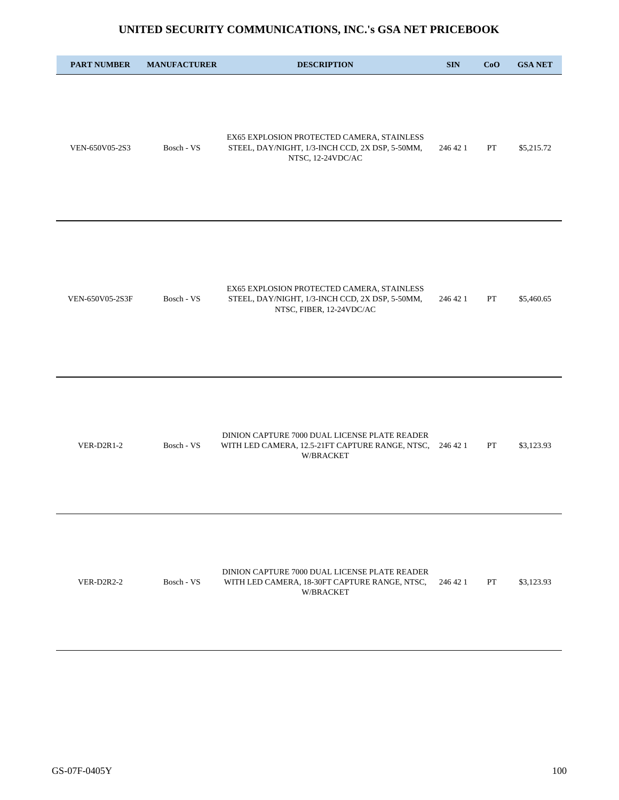| <b>PART NUMBER</b> | <b>MANUFACTURER</b> | <b>DESCRIPTION</b>                                                                                                        | <b>SIN</b> | CoO | <b>GSA NET</b> |
|--------------------|---------------------|---------------------------------------------------------------------------------------------------------------------------|------------|-----|----------------|
| VEN-650V05-2S3     | Bosch - VS          | EX65 EXPLOSION PROTECTED CAMERA, STAINLESS<br>STEEL, DAY/NIGHT, 1/3-INCH CCD, 2X DSP, 5-50MM,<br>NTSC, 12-24VDC/AC        | 246 42 1   | PT  | \$5,215.72     |
| VEN-650V05-2S3F    | Bosch - VS          | EX65 EXPLOSION PROTECTED CAMERA, STAINLESS<br>STEEL, DAY/NIGHT, 1/3-INCH CCD, 2X DSP, 5-50MM,<br>NTSC, FIBER, 12-24VDC/AC | 246 42 1   | PT  | \$5,460.65     |
| $VER-D2R1-2$       | Bosch - VS          | DINION CAPTURE 7000 DUAL LICENSE PLATE READER<br>WITH LED CAMERA, 12.5-21FT CAPTURE RANGE, NTSC,<br>W/BRACKET             | 246 42 1   | PT  | \$3,123.93     |
| <b>VER-D2R2-2</b>  | Bosch - VS          | DINION CAPTURE 7000 DUAL LICENSE PLATE READER<br>WITH LED CAMERA, 18-30FT CAPTURE RANGE, NTSC,<br>W/BRACKET               | 246 42 1   | PT  | \$3,123.93     |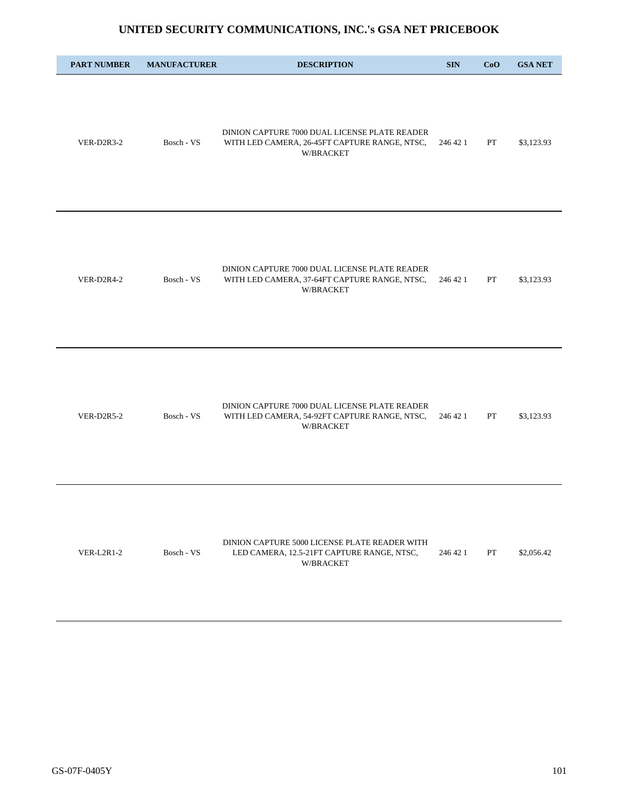| <b>PART NUMBER</b> | <b>MANUFACTURER</b> | <b>DESCRIPTION</b>                                                                                          | <b>SIN</b> | CoO | <b>GSA NET</b> |
|--------------------|---------------------|-------------------------------------------------------------------------------------------------------------|------------|-----|----------------|
| VER-D2R3-2         | Bosch - VS          | DINION CAPTURE 7000 DUAL LICENSE PLATE READER<br>WITH LED CAMERA, 26-45FT CAPTURE RANGE, NTSC,<br>W/BRACKET | 246 42 1   | PT  | \$3,123.93     |
| VER-D2R4-2         | Bosch - VS          | DINION CAPTURE 7000 DUAL LICENSE PLATE READER<br>WITH LED CAMERA, 37-64FT CAPTURE RANGE, NTSC,<br>W/BRACKET | 246 42 1   | PT  | \$3,123.93     |
| <b>VER-D2R5-2</b>  | Bosch - VS          | DINION CAPTURE 7000 DUAL LICENSE PLATE READER<br>WITH LED CAMERA, 54-92FT CAPTURE RANGE, NTSC,<br>W/BRACKET | 246 42 1   | PT  | \$3,123.93     |
| $VER-L2R1-2$       | Bosch - VS          | DINION CAPTURE 5000 LICENSE PLATE READER WITH<br>LED CAMERA, 12.5-21FT CAPTURE RANGE, NTSC,<br>W/BRACKET    | 246 42 1   | PT  | \$2,056.42     |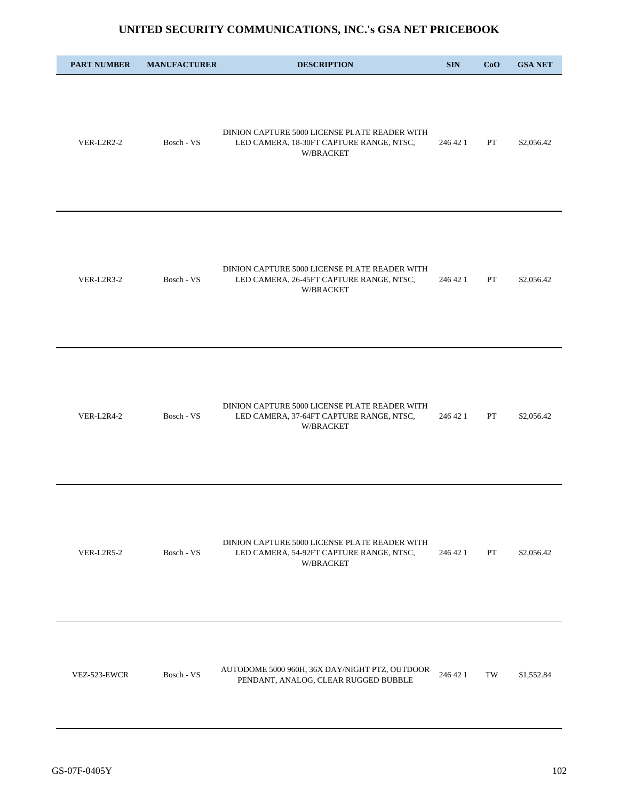| <b>PART NUMBER</b> | <b>MANUFACTURER</b> | <b>DESCRIPTION</b>                                                                                     | <b>SIN</b> | CoO | <b>GSA NET</b> |
|--------------------|---------------------|--------------------------------------------------------------------------------------------------------|------------|-----|----------------|
| VER-L2R2-2         | Bosch - VS          | DINION CAPTURE 5000 LICENSE PLATE READER WITH<br>LED CAMERA, 18-30FT CAPTURE RANGE, NTSC,<br>W/BRACKET | 246 42 1   | PT  | \$2,056.42     |
| VER-L2R3-2         | Bosch - VS          | DINION CAPTURE 5000 LICENSE PLATE READER WITH<br>LED CAMERA, 26-45FT CAPTURE RANGE, NTSC,<br>W/BRACKET | 246 42 1   | PT  | \$2,056.42     |
| <b>VER-L2R4-2</b>  | Bosch - VS          | DINION CAPTURE 5000 LICENSE PLATE READER WITH<br>LED CAMERA, 37-64FT CAPTURE RANGE, NTSC,<br>W/BRACKET | 246 42 1   | PT  | \$2,056.42     |
| VER-L2R5-2         | Bosch - VS          | DINION CAPTURE 5000 LICENSE PLATE READER WITH<br>LED CAMERA, 54-92FT CAPTURE RANGE, NTSC,<br>W/BRACKET | 246 42 1   | PT  | \$2,056.42     |
| VEZ-523-EWCR       | Bosch - VS          | AUTODOME 5000 960H, 36X DAY/NIGHT PTZ, OUTDOOR<br>PENDANT, ANALOG, CLEAR RUGGED BUBBLE                 | 246 42 1   | TW  | \$1,552.84     |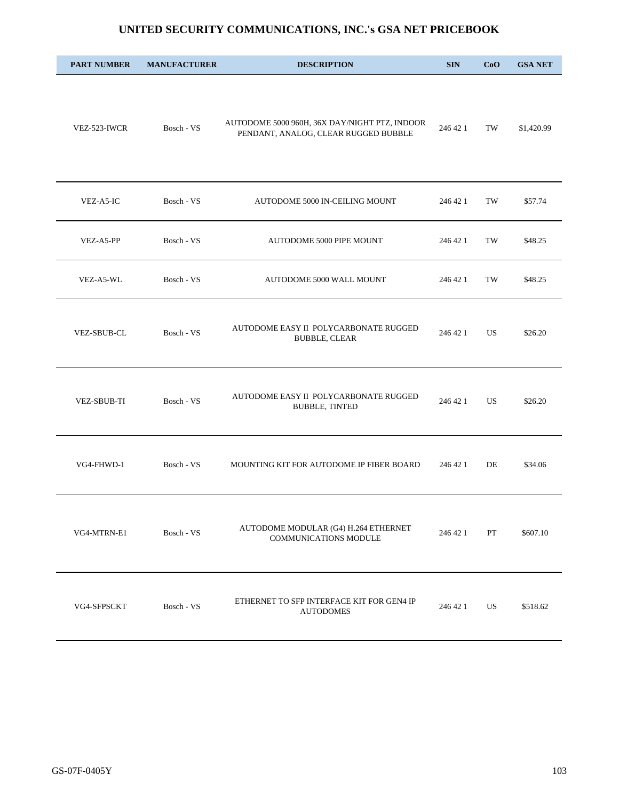| <b>PART NUMBER</b> | <b>MANUFACTURER</b> | <b>DESCRIPTION</b>                                                                    | <b>SIN</b> | CoO                 | <b>GSA NET</b> |
|--------------------|---------------------|---------------------------------------------------------------------------------------|------------|---------------------|----------------|
| VEZ-523-IWCR       | Bosch - VS          | AUTODOME 5000 960H, 36X DAY/NIGHT PTZ, INDOOR<br>PENDANT, ANALOG, CLEAR RUGGED BUBBLE | 246 42 1   | TW                  | \$1,420.99     |
| VEZ-A5-IC          | Bosch - VS          | AUTODOME 5000 IN-CEILING MOUNT                                                        | 246 42 1   | TW                  | \$57.74        |
| VEZ-A5-PP          | Bosch - VS          | AUTODOME 5000 PIPE MOUNT                                                              | 246 42 1   | TW                  | \$48.25        |
| VEZ-A5-WL          | Bosch - VS          | AUTODOME 5000 WALL MOUNT                                                              | 246 42 1   | $\operatorname{TW}$ | \$48.25        |
| <b>VEZ-SBUB-CL</b> | Bosch - VS          | AUTODOME EASY II POLYCARBONATE RUGGED<br><b>BUBBLE, CLEAR</b>                         | 246 42 1   | US                  | \$26.20        |
| <b>VEZ-SBUB-TI</b> | Bosch - VS          | AUTODOME EASY II POLYCARBONATE RUGGED<br><b>BUBBLE, TINTED</b>                        | 246 42 1   | US.                 | \$26.20        |
| VG4-FHWD-1         | Bosch - VS          | MOUNTING KIT FOR AUTODOME IP FIBER BOARD                                              | 246 42 1   | DE                  | \$34.06        |
| VG4-MTRN-E1        | Bosch - VS          | AUTODOME MODULAR (G4) H.264 ETHERNET<br>COMMUNICATIONS MODULE                         | 246 42 1   | PT                  | \$607.10       |
| VG4-SFPSCKT        | Bosch - VS          | ETHERNET TO SFP INTERFACE KIT FOR GEN4 IP<br><b>AUTODOMES</b>                         | 246 42 1   | US                  | \$518.62       |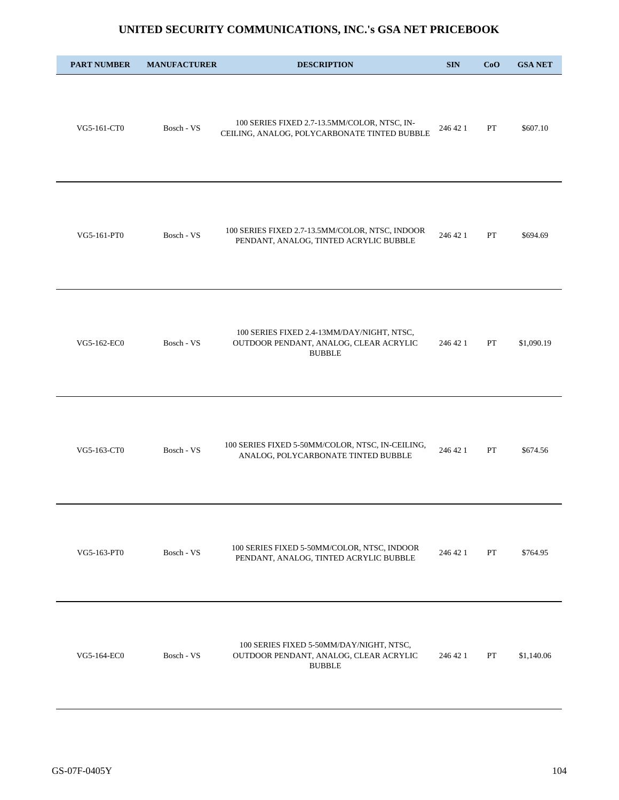| <b>PART NUMBER</b> | <b>MANUFACTURER</b> | <b>DESCRIPTION</b>                                                                                    | <b>SIN</b> | CoO | <b>GSA NET</b> |
|--------------------|---------------------|-------------------------------------------------------------------------------------------------------|------------|-----|----------------|
| VG5-161-CT0        | Bosch - VS          | 100 SERIES FIXED 2.7-13.5MM/COLOR, NTSC, IN-<br>CEILING, ANALOG, POLYCARBONATE TINTED BUBBLE          | 246 42 1   | PT  | \$607.10       |
| VG5-161-PT0        | Bosch - VS          | 100 SERIES FIXED 2.7-13.5MM/COLOR, NTSC, INDOOR<br>PENDANT, ANALOG, TINTED ACRYLIC BUBBLE             | 246 42 1   | PT  | \$694.69       |
| VG5-162-EC0        | Bosch - VS          | 100 SERIES FIXED 2.4-13MM/DAY/NIGHT, NTSC,<br>OUTDOOR PENDANT, ANALOG, CLEAR ACRYLIC<br><b>BUBBLE</b> | 246 42 1   | PT  | \$1,090.19     |
| VG5-163-CT0        | Bosch - VS          | 100 SERIES FIXED 5-50MM/COLOR, NTSC, IN-CEILING,<br>ANALOG, POLYCARBONATE TINTED BUBBLE               | 246 42 1   | PT  | \$674.56       |
| VG5-163-PT0        | Bosch - VS          | 100 SERIES FIXED 5-50MM/COLOR, NTSC, INDOOR<br>PENDANT, ANALOG, TINTED ACRYLIC BUBBLE                 | 246 42 1   | PT  | \$764.95       |
| VG5-164-EC0        | Bosch - VS          | 100 SERIES FIXED 5-50MM/DAY/NIGHT, NTSC,<br>OUTDOOR PENDANT, ANALOG, CLEAR ACRYLIC<br><b>BUBBLE</b>   | 246 42 1   | PT  | \$1,140.06     |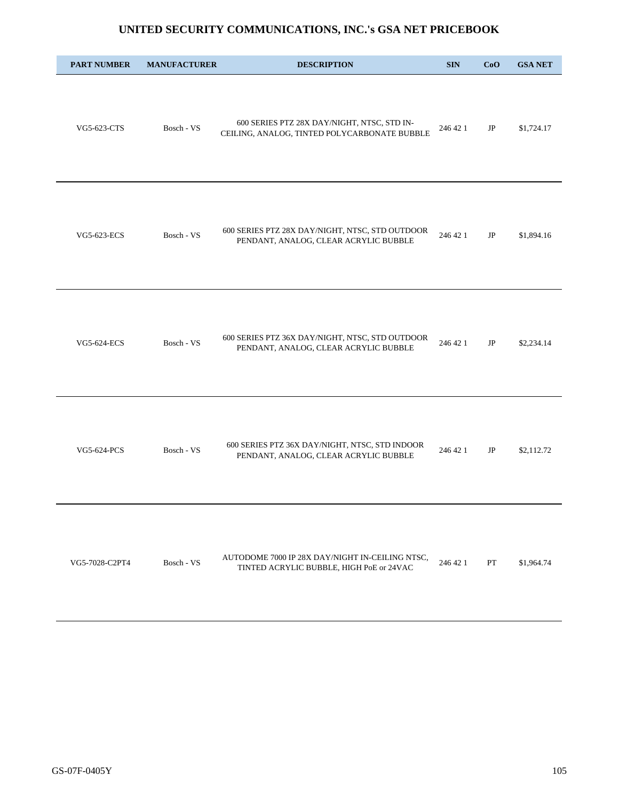| <b>PART NUMBER</b> | <b>MANUFACTURER</b> | <b>DESCRIPTION</b>                                                                          | <b>SIN</b> | CoO | <b>GSA NET</b> |
|--------------------|---------------------|---------------------------------------------------------------------------------------------|------------|-----|----------------|
| VG5-623-CTS        | Bosch - VS          | 600 SERIES PTZ 28X DAY/NIGHT, NTSC, STD IN-<br>CEILING, ANALOG, TINTED POLYCARBONATE BUBBLE | 246 42 1   | JP  | \$1,724.17     |
| VG5-623-ECS        | Bosch - VS          | 600 SERIES PTZ 28X DAY/NIGHT, NTSC, STD OUTDOOR<br>PENDANT, ANALOG, CLEAR ACRYLIC BUBBLE    | 246 42 1   | JP  | \$1,894.16     |
| VG5-624-ECS        | Bosch - VS          | 600 SERIES PTZ 36X DAY/NIGHT, NTSC, STD OUTDOOR<br>PENDANT, ANALOG, CLEAR ACRYLIC BUBBLE    | 246 42 1   | JP  | \$2,234.14     |
| VG5-624-PCS        | Bosch - VS          | 600 SERIES PTZ 36X DAY/NIGHT, NTSC, STD INDOOR<br>PENDANT, ANALOG, CLEAR ACRYLIC BUBBLE     | 246 42 1   | JP  | \$2,112.72     |
| VG5-7028-C2PT4     | Bosch - VS          | AUTODOME 7000 IP 28X DAY/NIGHT IN-CEILING NTSC,<br>TINTED ACRYLIC BUBBLE, HIGH PoE or 24VAC | 246 42 1   | PT  | \$1,964.74     |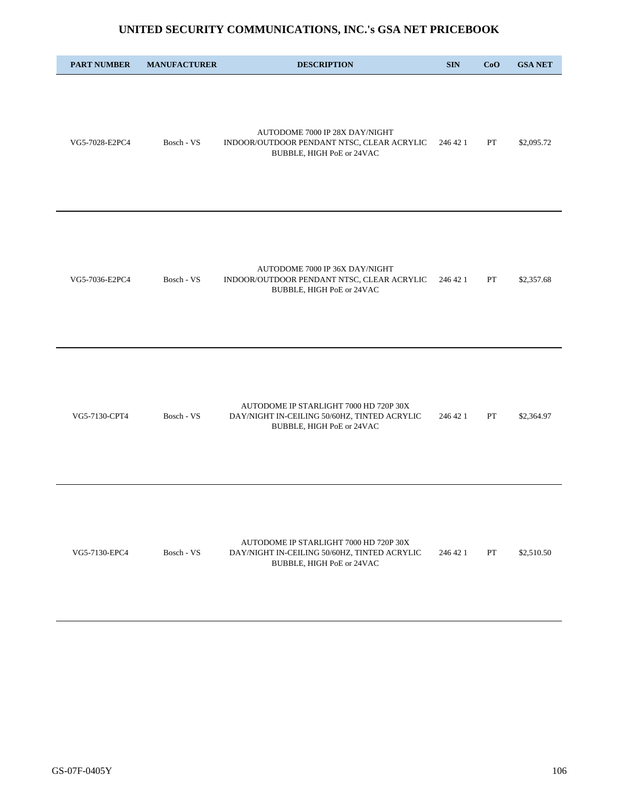| <b>PART NUMBER</b> | <b>MANUFACTURER</b> | <b>DESCRIPTION</b>                                                                                                  | <b>SIN</b> | CoO | <b>GSA NET</b> |
|--------------------|---------------------|---------------------------------------------------------------------------------------------------------------------|------------|-----|----------------|
| VG5-7028-E2PC4     | Bosch - VS          | AUTODOME 7000 IP 28X DAY/NIGHT<br>INDOOR/OUTDOOR PENDANT NTSC, CLEAR ACRYLIC<br>BUBBLE, HIGH PoE or 24VAC           | 246 42 1   | PT  | \$2,095.72     |
| VG5-7036-E2PC4     | Bosch - VS          | AUTODOME 7000 IP 36X DAY/NIGHT<br>INDOOR/OUTDOOR PENDANT NTSC, CLEAR ACRYLIC<br>BUBBLE, HIGH PoE or 24VAC           | 246 42 1   | PT  | \$2,357.68     |
| VG5-7130-CPT4      | Bosch - VS          | AUTODOME IP STARLIGHT 7000 HD 720P 30X<br>DAY/NIGHT IN-CEILING 50/60HZ, TINTED ACRYLIC<br>BUBBLE, HIGH PoE or 24VAC | 246 42 1   | PT  | \$2,364.97     |
| VG5-7130-EPC4      | Bosch - VS          | AUTODOME IP STARLIGHT 7000 HD 720P 30X<br>DAY/NIGHT IN-CEILING 50/60HZ, TINTED ACRYLIC<br>BUBBLE, HIGH PoE or 24VAC | 246 42 1   | PT  | \$2,510.50     |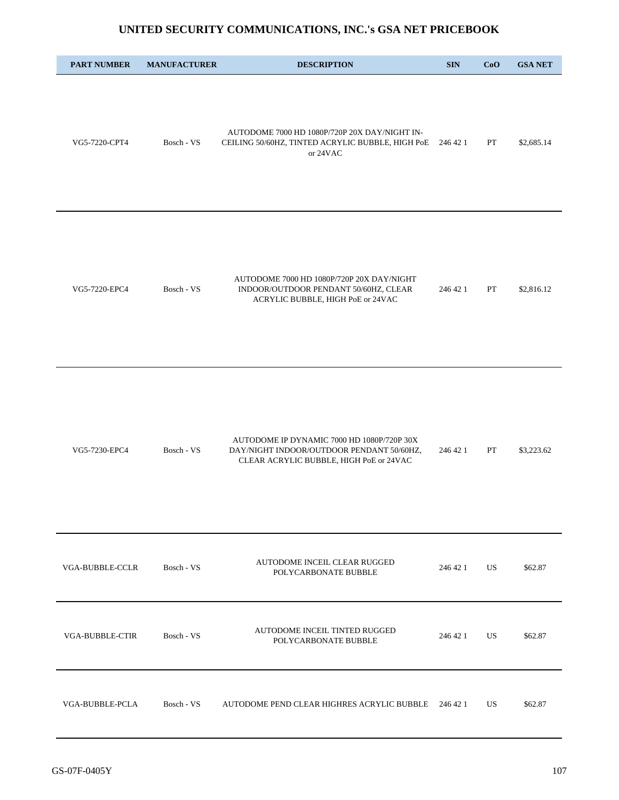| <b>PART NUMBER</b>     | <b>MANUFACTURER</b> | <b>DESCRIPTION</b>                                                                                                                 | <b>SIN</b> | CoO       | <b>GSA NET</b> |
|------------------------|---------------------|------------------------------------------------------------------------------------------------------------------------------------|------------|-----------|----------------|
| VG5-7220-CPT4          | Bosch - VS          | AUTODOME 7000 HD 1080P/720P 20X DAY/NIGHT IN-<br>CEILING 50/60HZ, TINTED ACRYLIC BUBBLE, HIGH PoE 246 42 1<br>or 24VAC             |            | PT        | \$2,685.14     |
| VG5-7220-EPC4          | Bosch - VS          | AUTODOME 7000 HD 1080P/720P 20X DAY/NIGHT<br>INDOOR/OUTDOOR PENDANT 50/60HZ, CLEAR<br>ACRYLIC BUBBLE, HIGH PoE or 24VAC            | 246 42 1   | PT        | \$2,816.12     |
| VG5-7230-EPC4          | Bosch - VS          | AUTODOME IP DYNAMIC 7000 HD 1080P/720P 30X<br>DAY/NIGHT INDOOR/OUTDOOR PENDANT 50/60HZ,<br>CLEAR ACRYLIC BUBBLE, HIGH PoE or 24VAC | 246 42 1   | PT        | \$3,223.62     |
| <b>VGA-BUBBLE-CCLR</b> | Bosch - VS          | AUTODOME INCEIL CLEAR RUGGED<br>POLYCARBONATE BUBBLE                                                                               | 246 42 1   | US        | \$62.87        |
| <b>VGA-BUBBLE-CTIR</b> | Bosch - VS          | AUTODOME INCEIL TINTED RUGGED<br>POLYCARBONATE BUBBLE                                                                              | 246 42 1   | US        | \$62.87        |
| VGA-BUBBLE-PCLA        | Bosch - VS          | AUTODOME PEND CLEAR HIGHRES ACRYLIC BUBBLE                                                                                         | 246 42 1   | <b>US</b> | \$62.87        |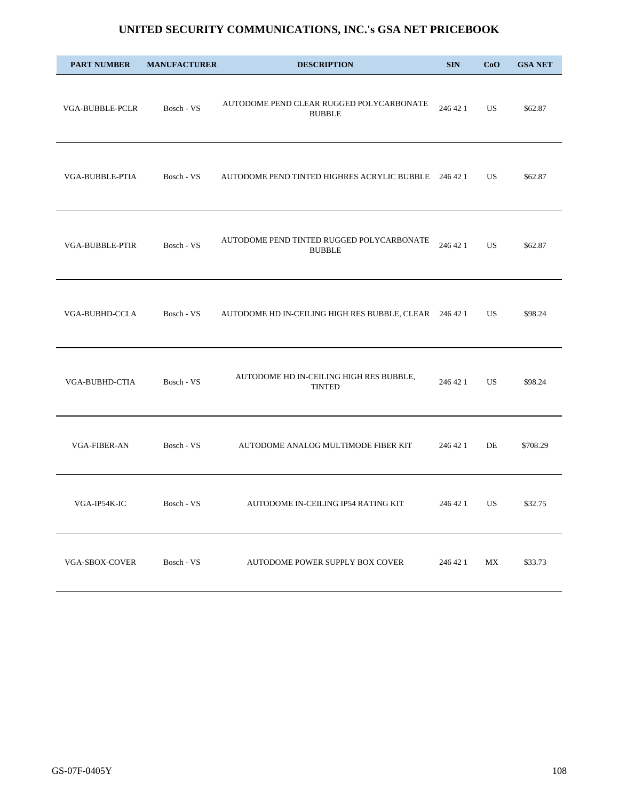| <b>PART NUMBER</b>     | <b>MANUFACTURER</b>   | <b>DESCRIPTION</b>                                         | <b>SIN</b> | CoO | <b>GSA NET</b> |
|------------------------|-----------------------|------------------------------------------------------------|------------|-----|----------------|
| VGA-BUBBLE-PCLR        | Bosch - VS            | AUTODOME PEND CLEAR RUGGED POLYCARBONATE<br><b>BUBBLE</b>  | 246 42 1   | US. | \$62.87        |
| VGA-BUBBLE-PTIA        | Bosch - VS            | AUTODOME PEND TINTED HIGHRES ACRYLIC BUBBLE 246 42 1       |            | US. | \$62.87        |
| <b>VGA-BUBBLE-PTIR</b> | Bosch - VS            | AUTODOME PEND TINTED RUGGED POLYCARBONATE<br><b>BUBBLE</b> | 246 42 1   | US. | \$62.87        |
| <b>VGA-BUBHD-CCLA</b>  | Bosch - VS            | AUTODOME HD IN-CEILING HIGH RES BUBBLE, CLEAR 246 42 1     |            | US  | \$98.24        |
| VGA-BUBHD-CTIA         | Bosch - $\mathrm{VS}$ | AUTODOME HD IN-CEILING HIGH RES BUBBLE,<br><b>TINTED</b>   | 246 42 1   | US. | \$98.24        |
| <b>VGA-FIBER-AN</b>    | Bosch - VS            | AUTODOME ANALOG MULTIMODE FIBER KIT                        | 246 42 1   | DE  | \$708.29       |
| VGA-IP54K-IC           | Bosch - VS            | AUTODOME IN-CEILING IP54 RATING KIT                        | 246 42 1   | US  | \$32.75        |
| VGA-SBOX-COVER         | Bosch - VS            | AUTODOME POWER SUPPLY BOX COVER                            | 246 42 1   | MX  | \$33.73        |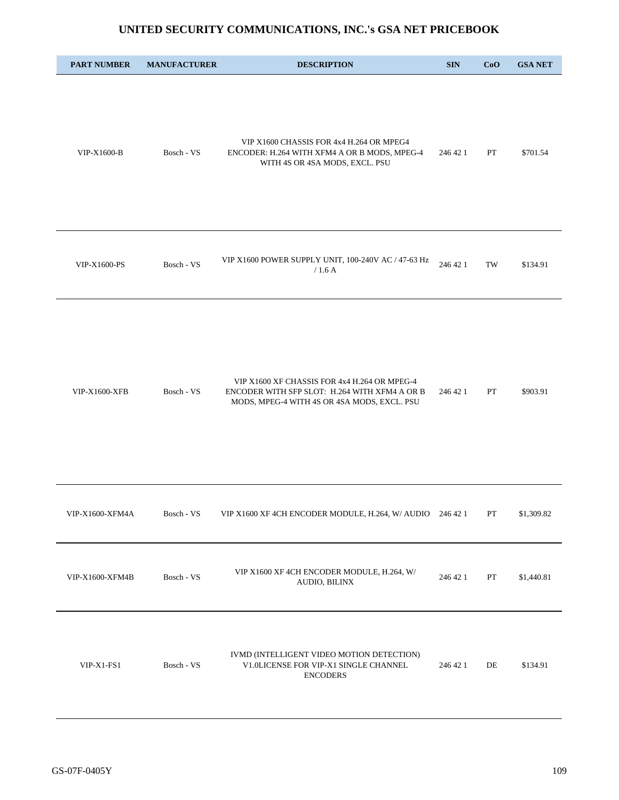| <b>PART NUMBER</b>    | <b>MANUFACTURER</b> | <b>DESCRIPTION</b>                                                                                                                           | <b>SIN</b> | CoO         | <b>GSA NET</b> |
|-----------------------|---------------------|----------------------------------------------------------------------------------------------------------------------------------------------|------------|-------------|----------------|
| VIP-X1600-B           | Bosch - VS          | VIP X1600 CHASSIS FOR 4x4 H.264 OR MPEG4<br>ENCODER: H.264 WITH XFM4 A OR B MODS, MPEG-4<br>WITH 4S OR 4SA MODS, EXCL. PSU                   | 246 42 1   | PT          | \$701.54       |
| VIP-X1600-PS          | Bosch - VS          | VIP X1600 POWER SUPPLY UNIT, 100-240V AC / 47-63 Hz<br>/1.6A                                                                                 | 246 42 1   | TW          | \$134.91       |
| <b>VIP-X1600-XFB</b>  | Bosch - VS          | VIP X1600 XF CHASSIS FOR 4x4 H.264 OR MPEG-4<br>ENCODER WITH SFP SLOT: H.264 WITH XFM4 A OR B<br>MODS, MPEG-4 WITH 4S OR 4SA MODS, EXCL. PSU | 246 42 1   | PT          | \$903.91       |
| $\tt VIP-X1600-XFM4A$ | Bosch - VS          | VIP X1600 XF 4CH ENCODER MODULE, H.264, W/ AUDIO 246 42 1                                                                                    |            | ${\cal PT}$ | \$1,309.82     |
| VIP-X1600-XFM4B       | Bosch - VS          | VIP X1600 XF 4CH ENCODER MODULE, H.264, W/<br>AUDIO, BILINX                                                                                  | 246 42 1   | ${\cal PT}$ | \$1,440.81     |
| VIP-X1-FS1            | Bosch - VS          | IVMD (INTELLIGENT VIDEO MOTION DETECTION)<br>V1.0LICENSE FOR VIP-X1 SINGLE CHANNEL<br><b>ENCODERS</b>                                        | 246 42 1   | DE          | \$134.91       |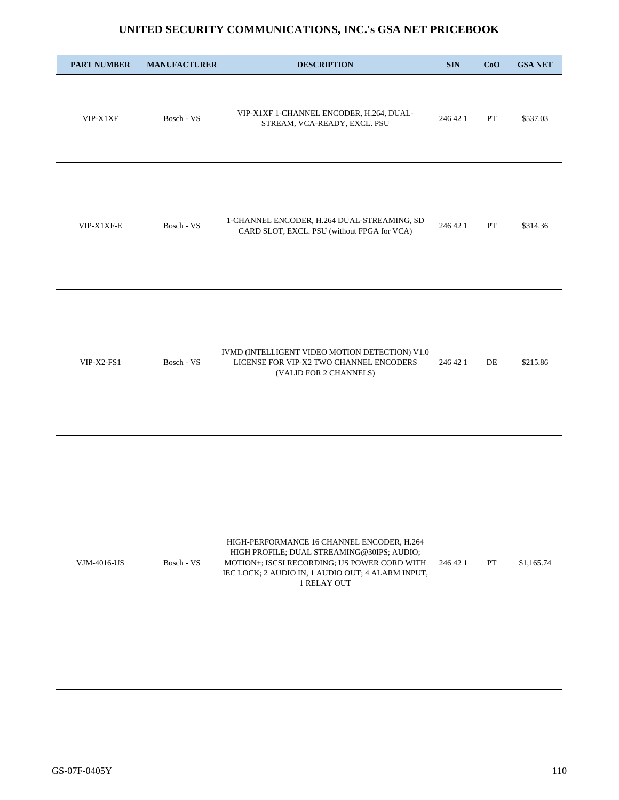| <b>PART NUMBER</b> | <b>MANUFACTURER</b> | <b>DESCRIPTION</b>                                                                                                                                                                                           | <b>SIN</b> | CoO | <b>GSA NET</b> |
|--------------------|---------------------|--------------------------------------------------------------------------------------------------------------------------------------------------------------------------------------------------------------|------------|-----|----------------|
| VIP-X1XF           | Bosch - VS          | VIP-X1XF 1-CHANNEL ENCODER, H.264, DUAL-<br>STREAM, VCA-READY, EXCL. PSU                                                                                                                                     | 246 42 1   | PT  | \$537.03       |
| VIP-X1XF-E         | Bosch - VS          | 1-CHANNEL ENCODER, H.264 DUAL-STREAMING, SD<br>CARD SLOT, EXCL. PSU (without FPGA for VCA)                                                                                                                   | 246 42 1   | PT  | \$314.36       |
| $VIP-X2-FS1$       | Bosch - VS          | IVMD (INTELLIGENT VIDEO MOTION DETECTION) V1.0<br>LICENSE FOR VIP-X2 TWO CHANNEL ENCODERS<br>(VALID FOR 2 CHANNELS)                                                                                          | 246 42 1   | DE  | \$215.86       |
| VJM-4016-US        | Bosch - VS          | HIGH-PERFORMANCE 16 CHANNEL ENCODER, H.264<br>HIGH PROFILE; DUAL STREAMING@30IPS; AUDIO;<br>MOTION+; ISCSI RECORDING; US POWER CORD WITH<br>IEC LOCK; 2 AUDIO IN, 1 AUDIO OUT; 4 ALARM INPUT,<br>1 RELAY OUT | 246 42 1   | PT  | \$1,165.74     |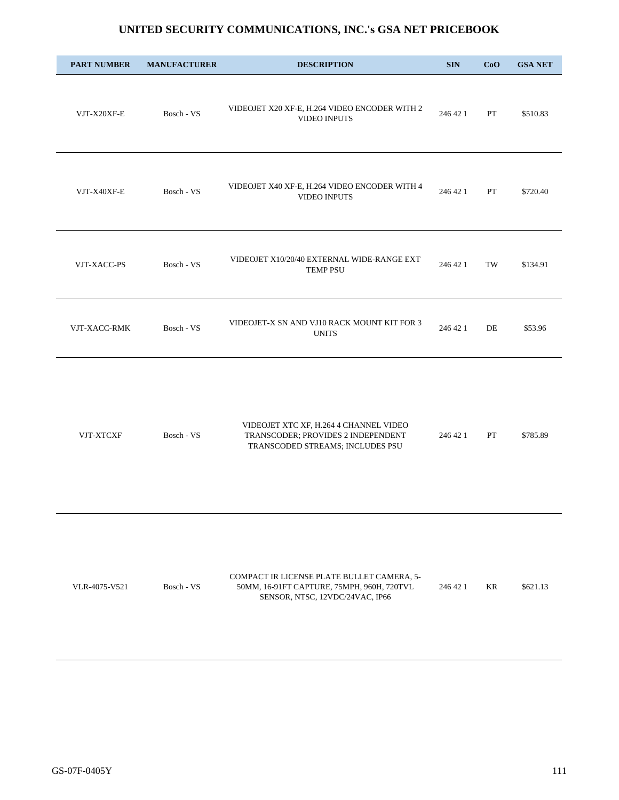| <b>PART NUMBER</b> | <b>MANUFACTURER</b> | <b>DESCRIPTION</b>                                                                                               | <b>SIN</b> | CoO                 | <b>GSA NET</b> |
|--------------------|---------------------|------------------------------------------------------------------------------------------------------------------|------------|---------------------|----------------|
| VJT-X20XF-E        | Bosch - VS          | VIDEOJET X20 XF-E, H.264 VIDEO ENCODER WITH 2<br><b>VIDEO INPUTS</b>                                             | 246 42 1   | PT                  | \$510.83       |
| VJT-X40XF-E        | Bosch - VS          | VIDEOJET X40 XF-E, H.264 VIDEO ENCODER WITH 4<br>VIDEO INPUTS                                                    | 246 42 1   | PT                  | \$720.40       |
| VJT-XACC-PS        | Bosch - VS          | VIDEOJET X10/20/40 EXTERNAL WIDE-RANGE EXT<br><b>TEMP PSU</b>                                                    | 246 42 1   | $\operatorname{TW}$ | \$134.91       |
| VJT-XACC-RMK       | Bosch - VS          | VIDEOJET-X SN AND VJ10 RACK MOUNT KIT FOR 3<br><b>UNITS</b>                                                      | 246 42 1   | DE                  | \$53.96        |
| VJT-XTCXF          | Bosch - VS          | VIDEOJET XTC XF, H.264 4 CHANNEL VIDEO<br>TRANSCODER; PROVIDES 2 INDEPENDENT<br>TRANSCODED STREAMS; INCLUDES PSU | 246 42 1   | PT                  | \$785.89       |
|                    |                     |                                                                                                                  |            |                     |                |

|               |            | COMPACT IR LICENSE PLATE BULLET CAMERA. 5- |          |    |          |
|---------------|------------|--------------------------------------------|----------|----|----------|
| VLR-4075-V521 | Bosch - VS | 50MM, 16-91FT CAPTURE, 75MPH, 960H, 720TVL | 246 42 1 | KR | \$621.13 |
|               |            | SENSOR, NTSC, 12VDC/24VAC, IP66            |          |    |          |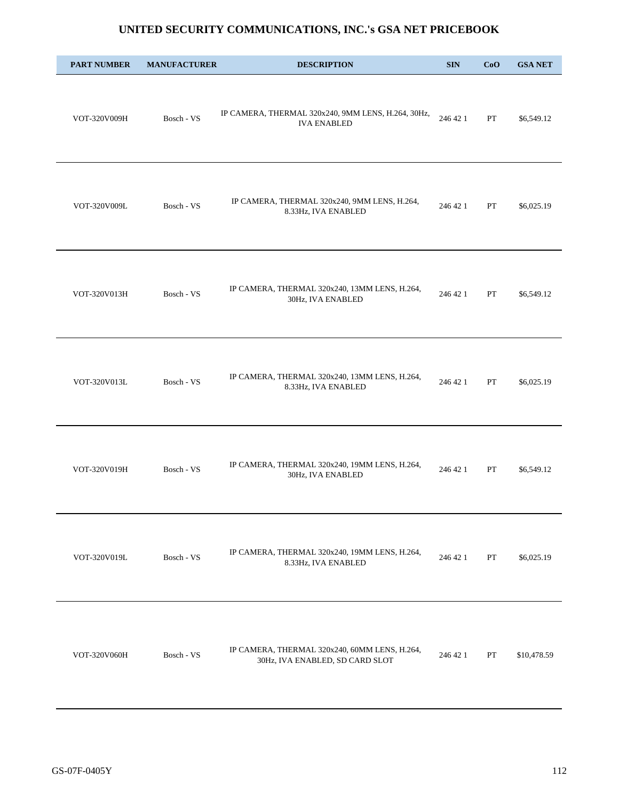| <b>PART NUMBER</b> | <b>MANUFACTURER</b> | <b>DESCRIPTION</b>                                                               | <b>SIN</b> | CoO | <b>GSA NET</b> |
|--------------------|---------------------|----------------------------------------------------------------------------------|------------|-----|----------------|
| VOT-320V009H       | Bosch - VS          | IP CAMERA, THERMAL 320x240, 9MM LENS, H.264, 30Hz,<br><b>IVA ENABLED</b>         | 246 42 1   | PT  | \$6,549.12     |
| VOT-320V009L       | Bosch - VS          | IP CAMERA, THERMAL 320x240, 9MM LENS, H.264,<br>8.33Hz, IVA ENABLED              | 246 42 1   | PT  | \$6,025.19     |
| VOT-320V013H       | Bosch - VS          | IP CAMERA, THERMAL 320x240, 13MM LENS, H.264,<br>30Hz, IVA ENABLED               | 246 42 1   | PT  | \$6,549.12     |
| VOT-320V013L       | Bosch - VS          | IP CAMERA, THERMAL 320x240, 13MM LENS, H.264,<br>8.33Hz, IVA ENABLED             | 246 42 1   | PT  | \$6,025.19     |
| VOT-320V019H       | Bosch - VS          | IP CAMERA, THERMAL 320x240, 19MM LENS, H.264,<br>30Hz, IVA ENABLED               | 246 42 1   | PT  | \$6,549.12     |
| VOT-320V019L       | Bosch - VS          | IP CAMERA, THERMAL 320x240, 19MM LENS, H.264,<br>8.33Hz, IVA ENABLED             | 246 42 1   | PT  | \$6,025.19     |
| VOT-320V060H       | Bosch - VS          | IP CAMERA, THERMAL 320x240, 60MM LENS, H.264,<br>30Hz, IVA ENABLED, SD CARD SLOT | 246 42 1   | PT  | \$10,478.59    |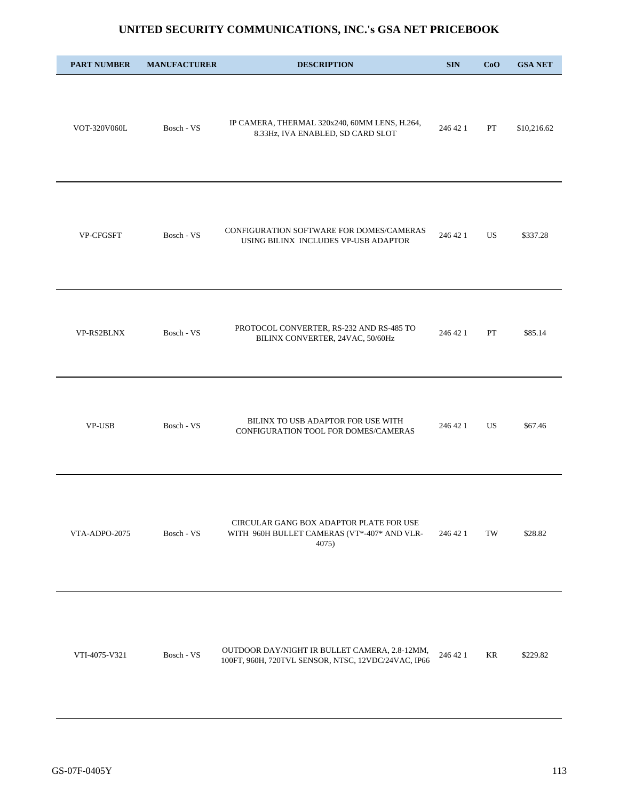| <b>PART NUMBER</b> | <b>MANUFACTURER</b> | <b>DESCRIPTION</b>                                                                                   | <b>SIN</b> | CoO | <b>GSA NET</b> |
|--------------------|---------------------|------------------------------------------------------------------------------------------------------|------------|-----|----------------|
| VOT-320V060L       | Bosch - VS          | IP CAMERA, THERMAL 320x240, 60MM LENS, H.264,<br>8.33Hz, IVA ENABLED, SD CARD SLOT                   | 246 42 1   | PT  | \$10,216.62    |
| VP-CFGSFT          | Bosch - VS          | CONFIGURATION SOFTWARE FOR DOMES/CAMERAS<br>USING BILINX INCLUDES VP-USB ADAPTOR                     | 246 42 1   | US  | \$337.28       |
| VP-RS2BLNX         | Bosch - VS          | PROTOCOL CONVERTER, RS-232 AND RS-485 TO<br>BILINX CONVERTER, 24VAC, 50/60Hz                         | 246 42 1   | PT  | \$85.14        |
| <b>VP-USB</b>      | Bosch - VS          | BILINX TO USB ADAPTOR FOR USE WITH<br>CONFIGURATION TOOL FOR DOMES/CAMERAS                           | 246 42 1   | US. | \$67.46        |
| VTA-ADPO-2075      | Bosch - VS          | CIRCULAR GANG BOX ADAPTOR PLATE FOR USE<br>WITH 960H BULLET CAMERAS (VT*-407* AND VLR-<br>4075)      | 246 42 1   | TW  | \$28.82        |
| VTI-4075-V321      | Bosch - VS          | OUTDOOR DAY/NIGHT IR BULLET CAMERA, 2.8-12MM,<br>100FT, 960H, 720TVL SENSOR, NTSC, 12VDC/24VAC, IP66 | 246 42 1   | KR  | \$229.82       |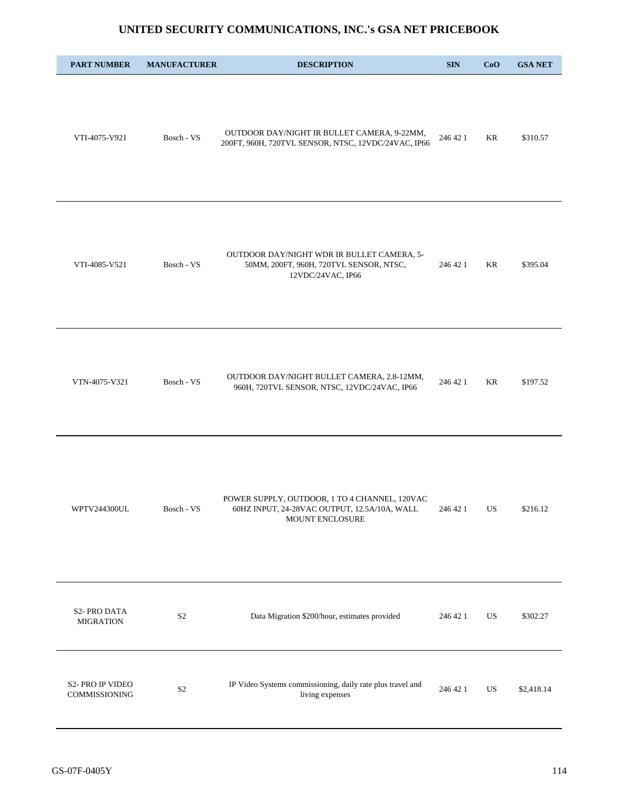| <b>PART NUMBER</b>                | <b>MANUFACTURER</b>   | <b>DESCRIPTION</b>                                                                                               | <b>SIN</b> | CoO | <b>GSA NET</b> |
|-----------------------------------|-----------------------|------------------------------------------------------------------------------------------------------------------|------------|-----|----------------|
| VTI-4075-V921                     | Bosch - VS            | OUTDOOR DAY/NIGHT IR BULLET CAMERA, 9-22MM,<br>200FT, 960H, 720TVL SENSOR, NTSC, 12VDC/24VAC, IP66               | 246 42 1   | KR  | \$310.57       |
| VTI-4085-V521                     | Bosch - VS            | OUTDOOR DAY/NIGHT WDR IR BULLET CAMERA, 5-<br>50MM, 200FT, 960H, 720TVL SENSOR, NTSC,<br>12VDC/24VAC, IP66       | 246 42 1   | KR  | \$395.04       |
| VTN-4075-V321                     | Bosch - VS            | OUTDOOR DAY/NIGHT BULLET CAMERA, 2.8-12MM,<br>960H, 720TVL SENSOR, NTSC, 12VDC/24VAC, IP66                       | 246 42 1   | KR  | \$197.52       |
| WPTV244300UL                      | Bosch - $\mathrm{VS}$ | POWER SUPPLY, OUTDOOR, 1 TO 4 CHANNEL, 120VAC<br>60HZ INPUT, 24-28VAC OUTPUT, 12.5A/10A, WALL<br>MOUNT ENCLOSURE | 246 42 1   | US  | \$216.12       |
| S2-PRO DATA<br><b>MIGRATION</b>   | S <sub>2</sub>        | Data Migration \$200/hour, estimates provided                                                                    | 246 42 1   | US  | \$302.27       |
| S2- PRO IP VIDEO<br>COMMISSIONING | S <sub>2</sub>        | IP Video Systems commissioning, daily rate plus travel and<br>living expenses                                    | 246 42 1   | US  | \$2,418.14     |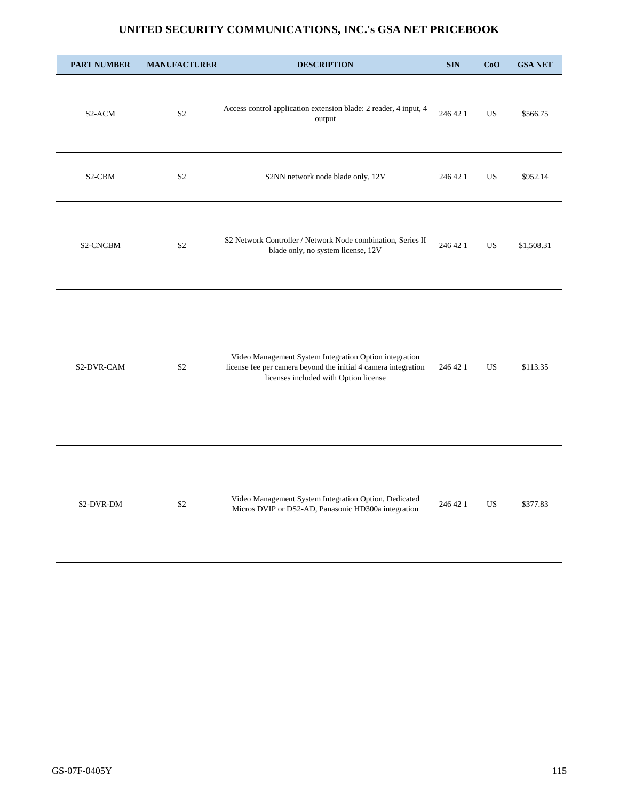| <b>PART NUMBER</b> | <b>MANUFACTURER</b> | <b>DESCRIPTION</b>                                                                                                                                                | <b>SIN</b> | CoO       | <b>GSA NET</b> |
|--------------------|---------------------|-------------------------------------------------------------------------------------------------------------------------------------------------------------------|------------|-----------|----------------|
| S2-ACM             | S <sub>2</sub>      | Access control application extension blade: 2 reader, 4 input, 4<br>output                                                                                        | 246 42 1   | <b>US</b> | \$566.75       |
| S2-CBM             | S <sub>2</sub>      | S2NN network node blade only, 12V                                                                                                                                 | 246 42 1   | US        | \$952.14       |
| S2-CNCBM           | S <sub>2</sub>      | S2 Network Controller / Network Node combination, Series II<br>blade only, no system license, 12V                                                                 | 246 42 1   | <b>US</b> | \$1,508.31     |
| S2-DVR-CAM         | S <sub>2</sub>      | Video Management System Integration Option integration<br>license fee per camera beyond the initial 4 camera integration<br>licenses included with Option license | 246 42 1   | US.       | \$113.35       |
| S2-DVR-DM          | S <sub>2</sub>      | Video Management System Integration Option, Dedicated<br>Micros DVIP or DS2-AD, Panasonic HD300a integration                                                      | 246 42 1   | <b>US</b> | \$377.83       |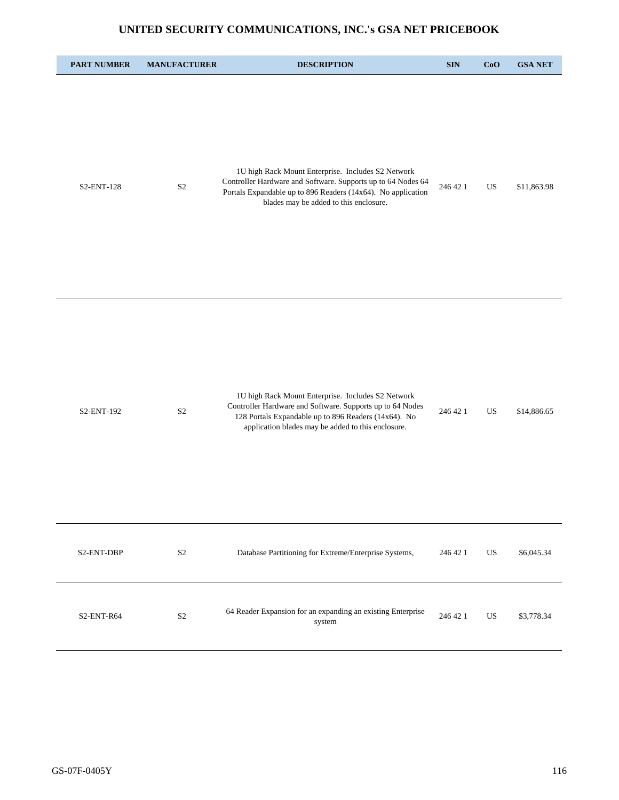| <b>PART NUMBER</b> | <b>MANUFACTURER</b> | <b>DESCRIPTION</b>                                                                                                                                                                                                            | <b>SIN</b> | CoO       | <b>GSA NET</b> |
|--------------------|---------------------|-------------------------------------------------------------------------------------------------------------------------------------------------------------------------------------------------------------------------------|------------|-----------|----------------|
| S2-ENT-128         | $\mathbf{S}2$       | 1U high Rack Mount Enterprise. Includes S2 Network<br>Controller Hardware and Software. Supports up to 64 Nodes 64<br>Portals Expandable up to 896 Readers (14x64). No application<br>blades may be added to this enclosure.  | 246 42 1   | US        | \$11,863.98    |
| S2-ENT-192         | $\mathbf{S}2$       | 1U high Rack Mount Enterprise. Includes S2 Network<br>Controller Hardware and Software. Supports up to 64 Nodes<br>128 Portals Expandable up to 896 Readers (14x64). No<br>application blades may be added to this enclosure. | 246 42 1   | US        | \$14,886.65    |
| S2-ENT-DBP         | S <sub>2</sub>      | Database Partitioning for Extreme/Enterprise Systems,                                                                                                                                                                         | 246 42 1   | <b>US</b> | \$6,045.34     |
| S2-ENT-R64         | $\mathbf{S2}$       | 64 Reader Expansion for an expanding an existing Enterprise<br>system                                                                                                                                                         | 246 42 1   | US        | \$3,778.34     |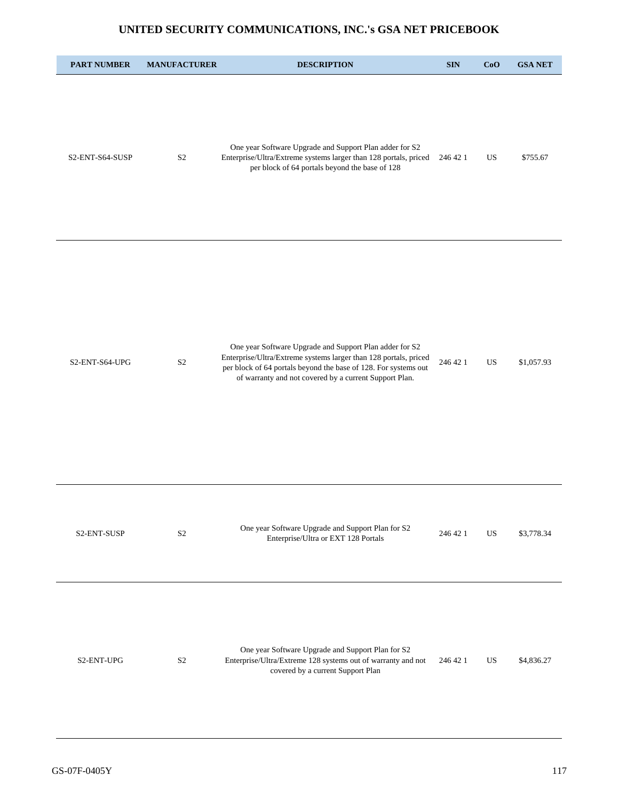| <b>PART NUMBER</b> | <b>MANUFACTURER</b> | <b>DESCRIPTION</b>                                                                                                                                                                                                                                       | <b>SIN</b> | CoO       | <b>GSA NET</b> |
|--------------------|---------------------|----------------------------------------------------------------------------------------------------------------------------------------------------------------------------------------------------------------------------------------------------------|------------|-----------|----------------|
| S2-ENT-S64-SUSP    | S <sub>2</sub>      | One year Software Upgrade and Support Plan adder for S2<br>Enterprise/Ultra/Extreme systems larger than 128 portals, priced<br>per block of 64 portals beyond the base of 128                                                                            | 246 42 1   | US        | \$755.67       |
| S2-ENT-S64-UPG     | S <sub>2</sub>      | One year Software Upgrade and Support Plan adder for S2<br>Enterprise/Ultra/Extreme systems larger than 128 portals, priced<br>per block of 64 portals beyond the base of 128. For systems out<br>of warranty and not covered by a current Support Plan. | 246 42 1   | <b>US</b> | \$1,057.93     |
| S2-ENT-SUSP        | S <sub>2</sub>      | One year Software Upgrade and Support Plan for S2<br>Enterprise/Ultra or EXT 128 Portals                                                                                                                                                                 | 246 42 1   | US.       | \$3,778.34     |
| S2-ENT-UPG         | S <sub>2</sub>      | One year Software Upgrade and Support Plan for S2<br>Enterprise/Ultra/Extreme 128 systems out of warranty and not<br>covered by a current Support Plan                                                                                                   | 246 42 1   | US        | \$4,836.27     |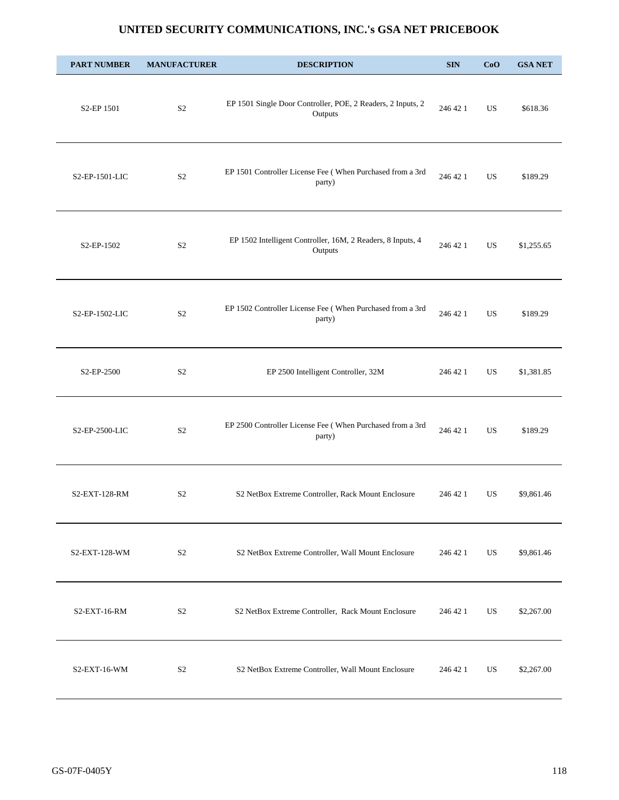| <b>PART NUMBER</b>      | <b>MANUFACTURER</b> | <b>DESCRIPTION</b>                                                     | <b>SIN</b> | CoO       | <b>GSA NET</b> |
|-------------------------|---------------------|------------------------------------------------------------------------|------------|-----------|----------------|
| S2-EP 1501              | S <sub>2</sub>      | EP 1501 Single Door Controller, POE, 2 Readers, 2 Inputs, 2<br>Outputs | 246 42 1   | US.       | \$618.36       |
| S2-EP-1501-LIC          | S <sub>2</sub>      | EP 1501 Controller License Fee (When Purchased from a 3rd<br>party)    | 246 42 1   | US.       | \$189.29       |
| S <sub>2</sub> -EP-1502 | S <sub>2</sub>      | EP 1502 Intelligent Controller, 16M, 2 Readers, 8 Inputs, 4<br>Outputs | 246 42 1   | US.       | \$1,255.65     |
| S2-EP-1502-LIC          | S <sub>2</sub>      | EP 1502 Controller License Fee (When Purchased from a 3rd<br>party)    | 246 42 1   | <b>US</b> | \$189.29       |
| S2-EP-2500              | S <sub>2</sub>      | EP 2500 Intelligent Controller, 32M                                    | 246 42 1   | US.       | \$1,381.85     |
| S2-EP-2500-LIC          | S <sub>2</sub>      | EP 2500 Controller License Fee (When Purchased from a 3rd<br>party)    | 246 42 1   | US.       | \$189.29       |
| S2-EXT-128-RM           | S <sub>2</sub>      | S2 NetBox Extreme Controller, Rack Mount Enclosure                     | 246 42 1   | US        | \$9,861.46     |
| S2-EXT-128-WM           | S <sub>2</sub>      | S2 NetBox Extreme Controller, Wall Mount Enclosure                     | 246 42 1   | US        | \$9,861.46     |
| S2-EXT-16-RM            | S <sub>2</sub>      | S2 NetBox Extreme Controller, Rack Mount Enclosure                     | 246 42 1   | US        | \$2,267.00     |
| S2-EXT-16-WM            | S <sub>2</sub>      | S2 NetBox Extreme Controller, Wall Mount Enclosure                     | 246 42 1   | US        | \$2,267.00     |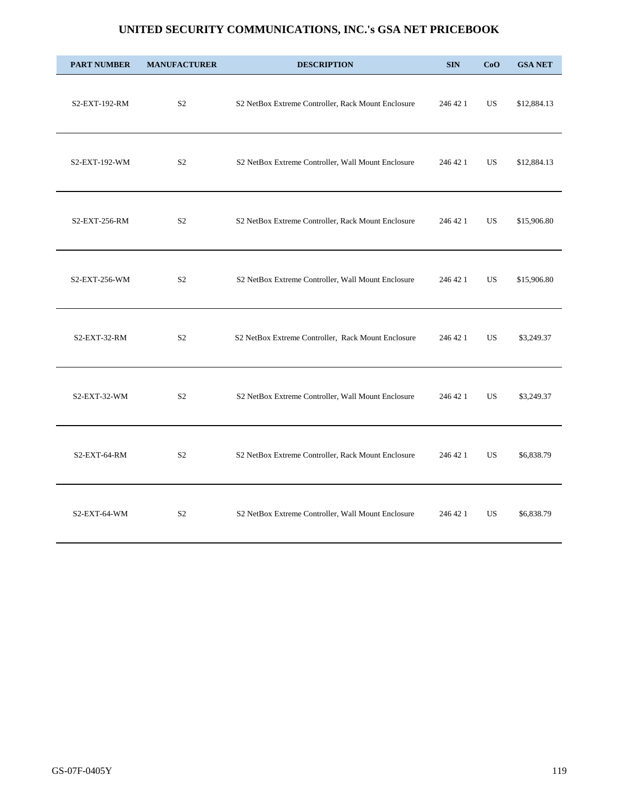| <b>PART NUMBER</b> | <b>MANUFACTURER</b> | <b>DESCRIPTION</b>                                 | <b>SIN</b> | CoO       | <b>GSA NET</b> |
|--------------------|---------------------|----------------------------------------------------|------------|-----------|----------------|
| S2-EXT-192-RM      | S <sub>2</sub>      | S2 NetBox Extreme Controller, Rack Mount Enclosure | 246 42 1   | <b>US</b> | \$12,884.13    |
| S2-EXT-192-WM      | S <sub>2</sub>      | S2 NetBox Extreme Controller, Wall Mount Enclosure | 246 42 1   | <b>US</b> | \$12,884.13    |
| S2-EXT-256-RM      | S <sub>2</sub>      | S2 NetBox Extreme Controller, Rack Mount Enclosure | 246 42 1   | <b>US</b> | \$15,906.80    |
| S2-EXT-256-WM      | S <sub>2</sub>      | S2 NetBox Extreme Controller, Wall Mount Enclosure | 246 42 1   | <b>US</b> | \$15,906.80    |
| $S2$ -EXT-32-RM    | S <sub>2</sub>      | S2 NetBox Extreme Controller, Rack Mount Enclosure | 246 42 1   | <b>US</b> | \$3,249.37     |
| $S2$ -EXT-32-WM    | S <sub>2</sub>      | S2 NetBox Extreme Controller, Wall Mount Enclosure | 246 42 1   | <b>US</b> | \$3,249.37     |
| $S2$ -EXT-64-RM    | S <sub>2</sub>      | S2 NetBox Extreme Controller, Rack Mount Enclosure | 246 42 1   | US        | \$6,838.79     |
| $S2$ -EXT-64-WM    | S <sub>2</sub>      | S2 NetBox Extreme Controller, Wall Mount Enclosure | 246 42 1   | <b>US</b> | \$6,838.79     |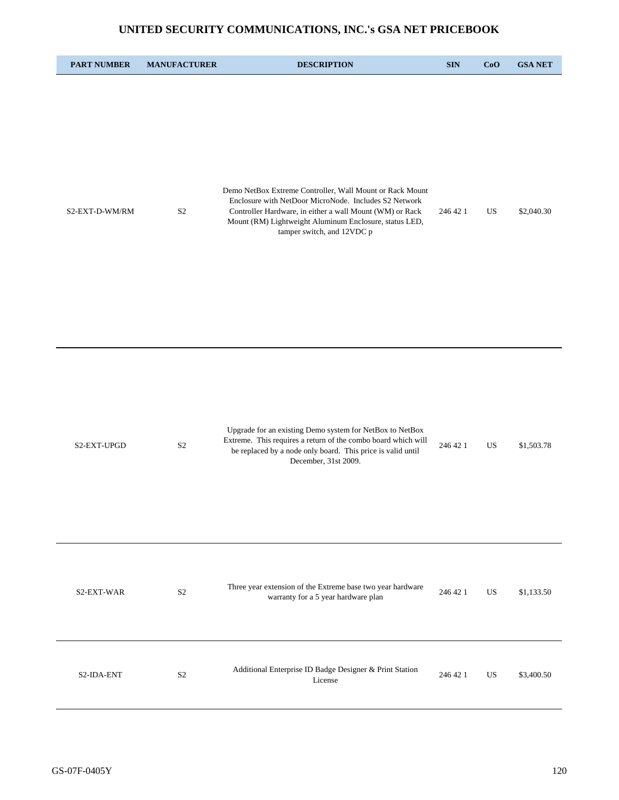| <b>PART NUMBER</b> | <b>MANUFACTURER</b> | <b>DESCRIPTION</b>                                                                                                                                                                                                                                                    | <b>SIN</b> | CoO | <b>GSA NET</b> |
|--------------------|---------------------|-----------------------------------------------------------------------------------------------------------------------------------------------------------------------------------------------------------------------------------------------------------------------|------------|-----|----------------|
| S2-EXT-D-WM/RM     | S <sub>2</sub>      | Demo NetBox Extreme Controller, Wall Mount or Rack Mount<br>Enclosure with NetDoor MicroNode. Includes S2 Network<br>Controller Hardware, in either a wall Mount (WM) or Rack<br>Mount (RM) Lightweight Aluminum Enclosure, status LED,<br>tamper switch, and 12VDC p | 246 42 1   | US  | \$2,040.30     |
| S2-EXT-UPGD        | S <sub>2</sub>      | Upgrade for an existing Demo system for NetBox to NetBox<br>Extreme. This requires a return of the combo board which will<br>be replaced by a node only board. This price is valid until<br>December, 31st 2009.                                                      | 246 42 1   | US  | \$1,503.78     |
| S2-EXT-WAR         | S <sub>2</sub>      | Three year extension of the Extreme base two year hardware<br>warranty for a 5 year hardware plan                                                                                                                                                                     | 246 42 1   | US. | \$1,133.50     |
| S2-IDA-ENT         | S <sub>2</sub>      | Additional Enterprise ID Badge Designer & Print Station<br>License                                                                                                                                                                                                    | 246 42 1   | US  | \$3,400.50     |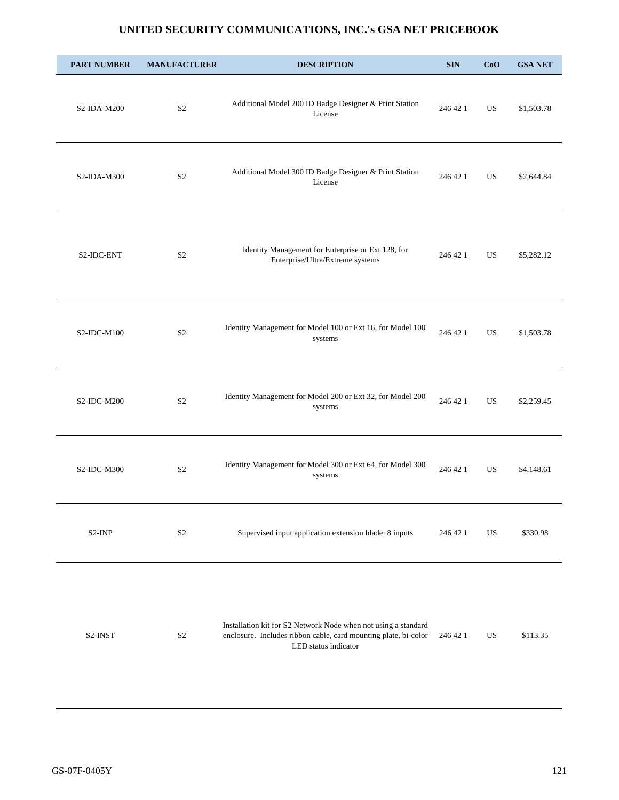| <b>PART NUMBER</b> | <b>MANUFACTURER</b> | <b>DESCRIPTION</b>                                                                                                                                        | <b>SIN</b> | CoO | <b>GSA NET</b> |
|--------------------|---------------------|-----------------------------------------------------------------------------------------------------------------------------------------------------------|------------|-----|----------------|
| $S2$ -IDA-M200     | S <sub>2</sub>      | Additional Model 200 ID Badge Designer & Print Station<br>License                                                                                         | 246 42 1   | US  | \$1,503.78     |
| $S2$ -IDA-M300     | S <sub>2</sub>      | Additional Model 300 ID Badge Designer & Print Station<br>License                                                                                         | 246 42 1   | US  | \$2,644.84     |
| S2-IDC-ENT         | S <sub>2</sub>      | Identity Management for Enterprise or Ext 128, for<br>Enterprise/Ultra/Extreme systems                                                                    | 246 42 1   | US. | \$5,282.12     |
| $S2$ -IDC-M $100$  | S <sub>2</sub>      | Identity Management for Model 100 or Ext 16, for Model 100<br>systems                                                                                     | 246 42 1   | US  | \$1,503.78     |
| $S2$ -IDC-M200     | S <sub>2</sub>      | Identity Management for Model 200 or Ext 32, for Model 200<br>systems                                                                                     | 246 42 1   | US  | \$2,259.45     |
| $S2$ -IDC-M300     | S <sub>2</sub>      | Identity Management for Model 300 or Ext 64, for Model 300<br>systems                                                                                     | 246 42 1   | US  | \$4,148.61     |
| S2-INP             | S <sub>2</sub>      | Supervised input application extension blade: 8 inputs                                                                                                    | 246 42 1   | US  | \$330.98       |
|                    |                     |                                                                                                                                                           |            |     |                |
| S2-INST            | S <sub>2</sub>      | Installation kit for S2 Network Node when not using a standard<br>enclosure. Includes ribbon cable, card mounting plate, bi-color<br>LED status indicator | 246 42 1   | US  | \$113.35       |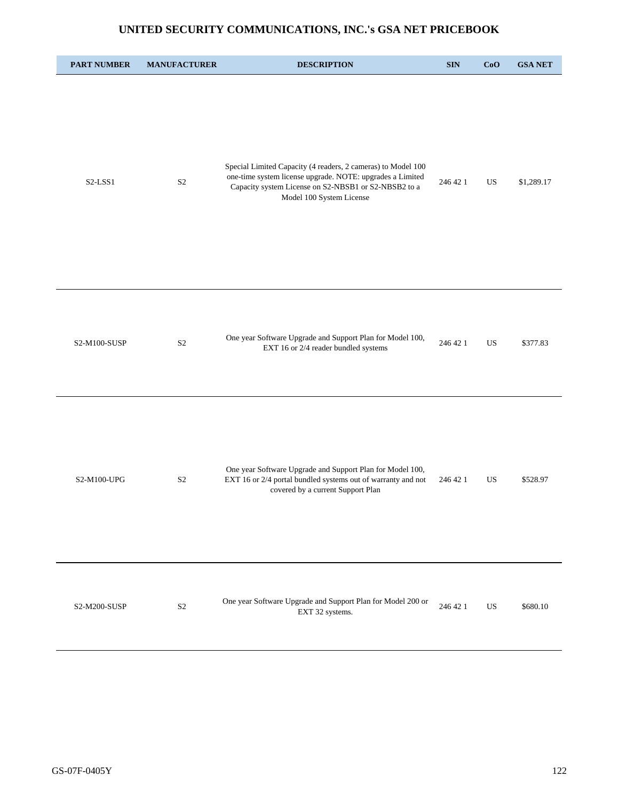| <b>PART NUMBER</b> | <b>MANUFACTURER</b> | <b>DESCRIPTION</b>                                                                                                                                                                                            | $\mathbf{SIN}$ | CoO | <b>GSA NET</b> |
|--------------------|---------------------|---------------------------------------------------------------------------------------------------------------------------------------------------------------------------------------------------------------|----------------|-----|----------------|
| S2-LSS1            | $\mathbf{S}2$       | Special Limited Capacity (4 readers, 2 cameras) to Model 100<br>one-time system license upgrade. NOTE: upgrades a Limited<br>Capacity system License on S2-NBSB1 or S2-NBSB2 to a<br>Model 100 System License | 246 42 1       | US  | \$1,289.17     |
| S2-M100-SUSP       | S <sub>2</sub>      | One year Software Upgrade and Support Plan for Model 100,<br>EXT 16 or 2/4 reader bundled systems                                                                                                             | 246 42 1       | US  | \$377.83       |
| S2-M100-UPG        | S <sub>2</sub>      | One year Software Upgrade and Support Plan for Model 100,<br>EXT 16 or 2/4 portal bundled systems out of warranty and not<br>covered by a current Support Plan                                                | 246 42 1       | US  | \$528.97       |
| S2-M200-SUSP       | $\mathbf{S}2$       | One year Software Upgrade and Support Plan for Model 200 or<br>EXT 32 systems.                                                                                                                                | 246 42 1       | US  | \$680.10       |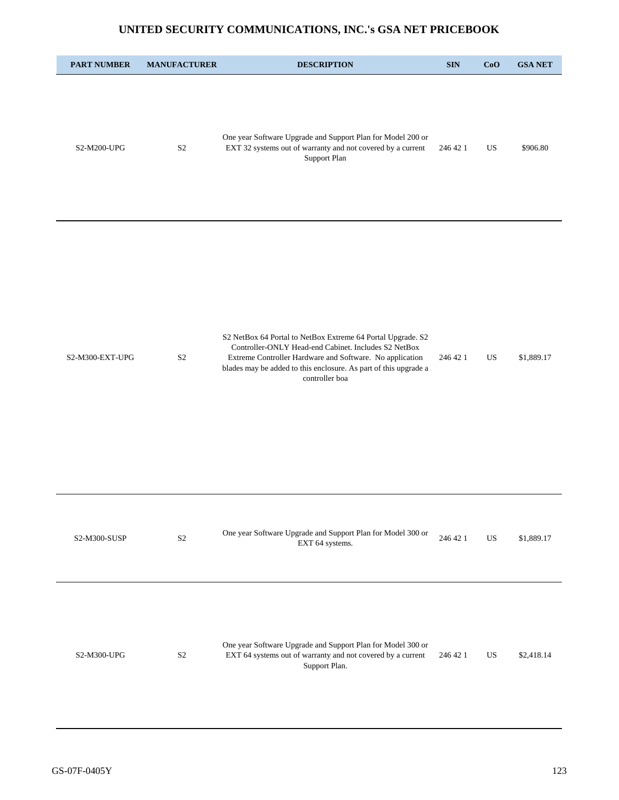| <b>PART NUMBER</b> | <b>MANUFACTURER</b> | <b>DESCRIPTION</b>                                                                                                                                                                                                                                                    | <b>SIN</b> | CoO | <b>GSA NET</b> |
|--------------------|---------------------|-----------------------------------------------------------------------------------------------------------------------------------------------------------------------------------------------------------------------------------------------------------------------|------------|-----|----------------|
| S2-M200-UPG        | S <sub>2</sub>      | One year Software Upgrade and Support Plan for Model 200 or<br>EXT 32 systems out of warranty and not covered by a current<br>Support Plan                                                                                                                            | 246 42 1   | US  | \$906.80       |
| S2-M300-EXT-UPG    | S <sub>2</sub>      | S2 NetBox 64 Portal to NetBox Extreme 64 Portal Upgrade. S2<br>Controller-ONLY Head-end Cabinet. Includes S2 NetBox<br>Extreme Controller Hardware and Software. No application<br>blades may be added to this enclosure. As part of this upgrade a<br>controller boa | 246 42 1   | US  | \$1,889.17     |
| S2-M300-SUSP       | $\rm S2$            | One year Software Upgrade and Support Plan for Model 300 or<br>EXT 64 systems.                                                                                                                                                                                        | 246 42 1   | US  | \$1,889.17     |
| S2-M300-UPG        | S <sub>2</sub>      | One year Software Upgrade and Support Plan for Model 300 or<br>EXT 64 systems out of warranty and not covered by a current<br>Support Plan.                                                                                                                           | 246 42 1   | US  | \$2,418.14     |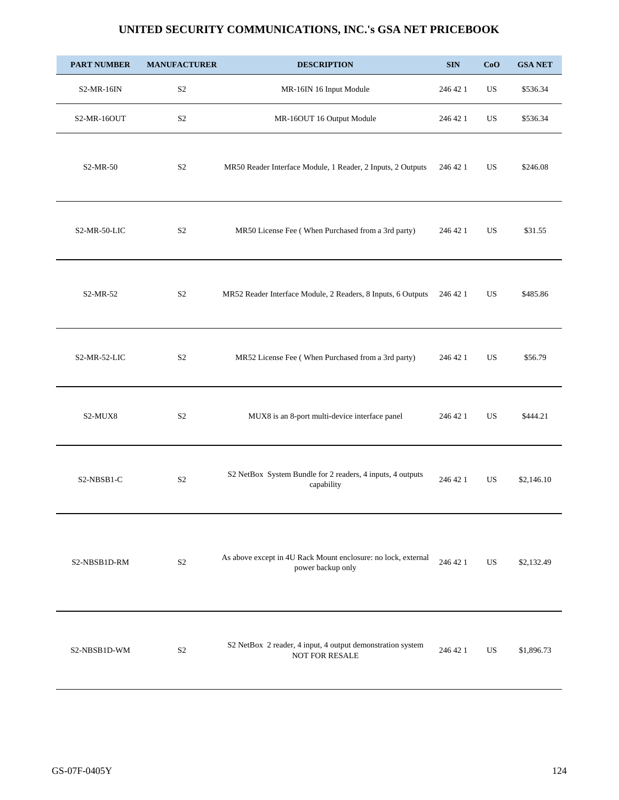| <b>PART NUMBER</b> | <b>MANUFACTURER</b> | <b>DESCRIPTION</b>                                                                 | $\mathbf{SIN}$ | CoO         | <b>GSA NET</b> |
|--------------------|---------------------|------------------------------------------------------------------------------------|----------------|-------------|----------------|
| $S2-MR-16IN$       | S <sub>2</sub>      | MR-16IN 16 Input Module                                                            | 246 42 1       | $_{\rm US}$ | \$536.34       |
| S2-MR-16OUT        | $\mathbf{S}2$       | MR-16OUT 16 Output Module                                                          | 246 42 1       | US          | \$536.34       |
| S2-MR-50           | S <sub>2</sub>      | MR50 Reader Interface Module, 1 Reader, 2 Inputs, 2 Outputs                        | 246 42 1       | US          | \$246.08       |
| S2-MR-50-LIC       | S <sub>2</sub>      | MR50 License Fee (When Purchased from a 3rd party)                                 | 246 42 1       | US          | \$31.55        |
| S2-MR-52           | S <sub>2</sub>      | MR52 Reader Interface Module, 2 Readers, 8 Inputs, 6 Outputs                       | 246 42 1       | US          | \$485.86       |
| S2-MR-52-LIC       | S <sub>2</sub>      | MR52 License Fee (When Purchased from a 3rd party)                                 | 246 42 1       | US          | \$56.79        |
| S2-MUX8            | S <sub>2</sub>      | MUX8 is an 8-port multi-device interface panel                                     | 246 42 1       | <b>US</b>   | \$444.21       |
| S2-NBSB1-C         | S <sub>2</sub>      | S2 NetBox System Bundle for 2 readers, 4 inputs, 4 outputs<br>capability           | 246 42 1       | US.         | \$2,146.10     |
| S2-NBSB1D-RM       | S <sub>2</sub>      | As above except in 4U Rack Mount enclosure: no lock, external<br>power backup only | 246 42 1       | US.         | \$2,132.49     |
| S2-NBSB1D-WM       | S <sub>2</sub>      | S2 NetBox 2 reader, 4 input, 4 output demonstration system<br>NOT FOR RESALE       | 246 42 1       | US.         | \$1,896.73     |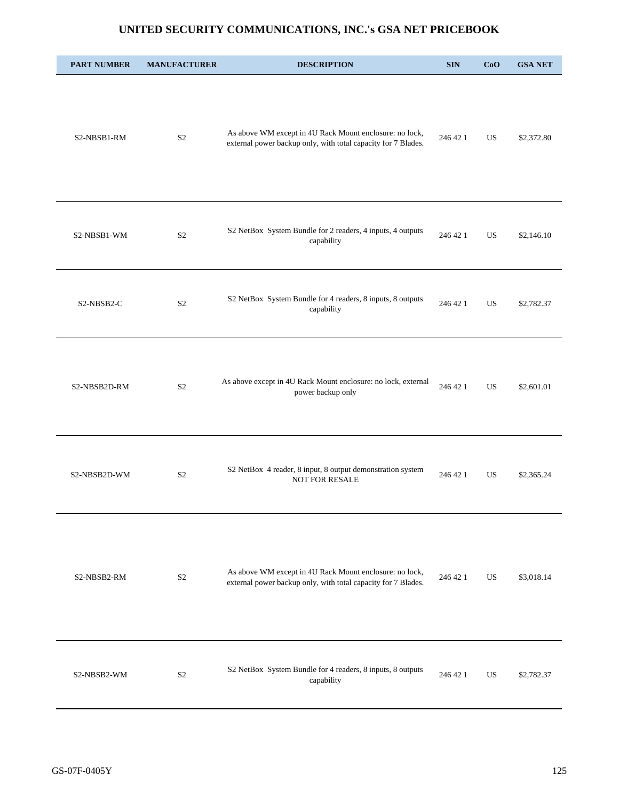| <b>PART NUMBER</b> | <b>MANUFACTURER</b> | <b>DESCRIPTION</b>                                                                                                       | <b>SIN</b> | CoO | <b>GSA NET</b> |
|--------------------|---------------------|--------------------------------------------------------------------------------------------------------------------------|------------|-----|----------------|
| S2-NBSB1-RM        | S <sub>2</sub>      | As above WM except in 4U Rack Mount enclosure: no lock,<br>external power backup only, with total capacity for 7 Blades. | 246 42 1   | US. | \$2,372.80     |
| S2-NBSB1-WM        | S <sub>2</sub>      | S2 NetBox System Bundle for 2 readers, 4 inputs, 4 outputs<br>capability                                                 | 246 42 1   | US. | \$2,146.10     |
| S2-NBSB2-C         | S <sub>2</sub>      | S2 NetBox System Bundle for 4 readers, 8 inputs, 8 outputs<br>capability                                                 | 246 42 1   | US. | \$2,782.37     |
| S2-NBSB2D-RM       | S <sub>2</sub>      | As above except in 4U Rack Mount enclosure: no lock, external<br>power backup only                                       | 246 42 1   | US. | \$2,601.01     |
| S2-NBSB2D-WM       | S <sub>2</sub>      | S2 NetBox 4 reader, 8 input, 8 output demonstration system<br><b>NOT FOR RESALE</b>                                      | 246 42 1   | US. | \$2,365.24     |
| S2-NBSB2-RM        | $\mathbf{S2}$       | As above WM except in 4U Rack Mount enclosure: no lock,<br>external power backup only, with total capacity for 7 Blades. | 246 42 1   | US  | \$3,018.14     |
| S2-NBSB2-WM        | S <sub>2</sub>      | S2 NetBox System Bundle for 4 readers, 8 inputs, 8 outputs<br>capability                                                 | 246 42 1   | US  | \$2,782.37     |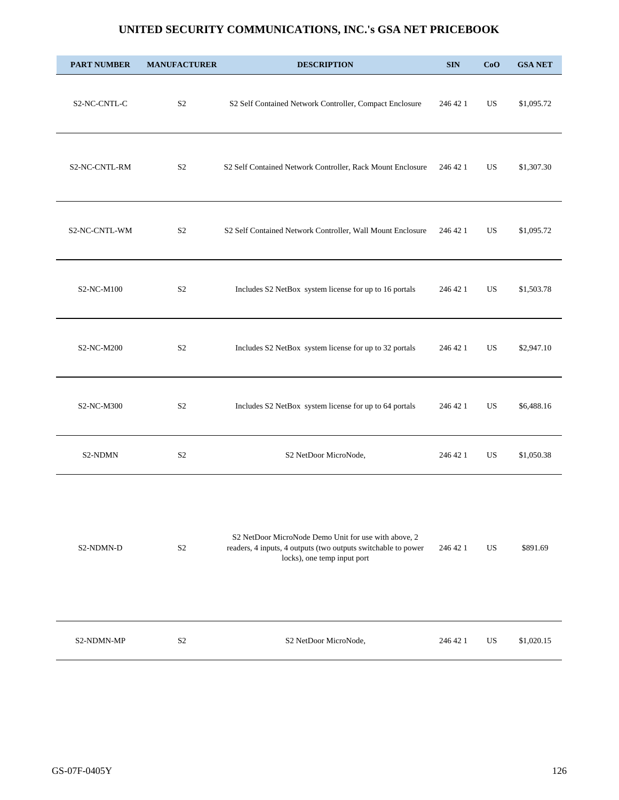| <b>PART NUMBER</b> | <b>MANUFACTURER</b> | <b>DESCRIPTION</b>                                                                                                                                   | <b>SIN</b> | CoO         | <b>GSA NET</b> |
|--------------------|---------------------|------------------------------------------------------------------------------------------------------------------------------------------------------|------------|-------------|----------------|
| S2-NC-CNTL-C       | S <sub>2</sub>      | S2 Self Contained Network Controller, Compact Enclosure                                                                                              | 246 42 1   | US          | \$1,095.72     |
| S2-NC-CNTL-RM      | S <sub>2</sub>      | S2 Self Contained Network Controller, Rack Mount Enclosure                                                                                           | 246 42 1   | US          | \$1,307.30     |
| S2-NC-CNTL-WM      | S <sub>2</sub>      | S2 Self Contained Network Controller, Wall Mount Enclosure                                                                                           | 246 42 1   | US          | \$1,095.72     |
| S2-NC-M100         | S <sub>2</sub>      | Includes S2 NetBox system license for up to 16 portals                                                                                               | 246 42 1   | US          | \$1,503.78     |
| S2-NC-M200         | S <sub>2</sub>      | Includes S2 NetBox system license for up to 32 portals                                                                                               | 246 42 1   | US          | \$2,947.10     |
| S2-NC-M300         | S <sub>2</sub>      | Includes S2 NetBox system license for up to 64 portals                                                                                               | 246 42 1   | US          | \$6,488.16     |
| S2-NDMN            | $\mathbf{S2}$       | S2 NetDoor MicroNode,                                                                                                                                | 246 42 1   | US          | \$1,050.38     |
| S2-NDMN-D          | $\rm S2$            | S2 NetDoor MicroNode Demo Unit for use with above, 2<br>readers, 4 inputs, 4 outputs (two outputs switchable to power<br>locks), one temp input port | 246 42 1   | $_{\rm US}$ | \$891.69       |
| S2-NDMN-MP         | S <sub>2</sub>      | S2 NetDoor MicroNode,                                                                                                                                | 246 42 1   | US          | \$1,020.15     |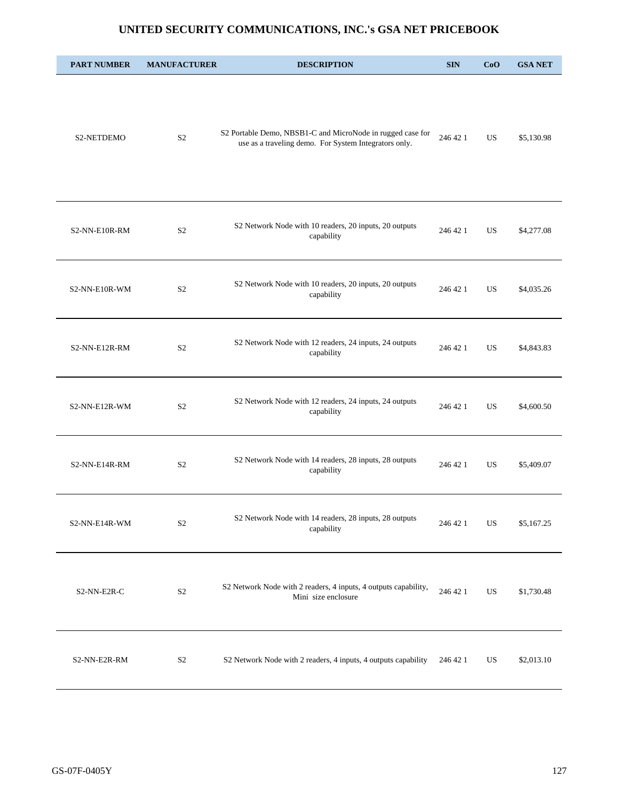| <b>PART NUMBER</b> | <b>MANUFACTURER</b> | <b>DESCRIPTION</b>                                                                                                  | <b>SIN</b> | CoO       | <b>GSA NET</b> |
|--------------------|---------------------|---------------------------------------------------------------------------------------------------------------------|------------|-----------|----------------|
| S2-NETDEMO         | S <sub>2</sub>      | S2 Portable Demo, NBSB1-C and MicroNode in rugged case for<br>use as a traveling demo. For System Integrators only. | 246 42 1   | US.       | \$5,130.98     |
| S2-NN-E10R-RM      | S <sub>2</sub>      | S2 Network Node with 10 readers, 20 inputs, 20 outputs<br>capability                                                | 246 42 1   | US        | \$4,277.08     |
| S2-NN-E10R-WM      | S <sub>2</sub>      | S2 Network Node with 10 readers, 20 inputs, 20 outputs<br>capability                                                | 246 42 1   | US        | \$4,035.26     |
| S2-NN-E12R-RM      | S <sub>2</sub>      | S2 Network Node with 12 readers, 24 inputs, 24 outputs<br>capability                                                | 246 42 1   | <b>US</b> | \$4,843.83     |
| S2-NN-E12R-WM      | S <sub>2</sub>      | S2 Network Node with 12 readers, 24 inputs, 24 outputs<br>capability                                                | 246 42 1   | <b>US</b> | \$4,600.50     |
| S2-NN-E14R-RM      | S <sub>2</sub>      | S2 Network Node with 14 readers, 28 inputs, 28 outputs<br>capability                                                | 246 42 1   | US        | \$5,409.07     |
| S2-NN-E14R-WM      | S <sub>2</sub>      | S2 Network Node with 14 readers, 28 inputs, 28 outputs<br>capability                                                | 246 42 1   | <b>US</b> | \$5,167.25     |
| S2-NN-E2R-C        | S <sub>2</sub>      | S2 Network Node with 2 readers, 4 inputs, 4 outputs capability,<br>Mini size enclosure                              | 246 42 1   | US        | \$1,730.48     |
| S2-NN-E2R-RM       | S <sub>2</sub>      | S2 Network Node with 2 readers, 4 inputs, 4 outputs capability                                                      | 246 42 1   | US        | \$2,013.10     |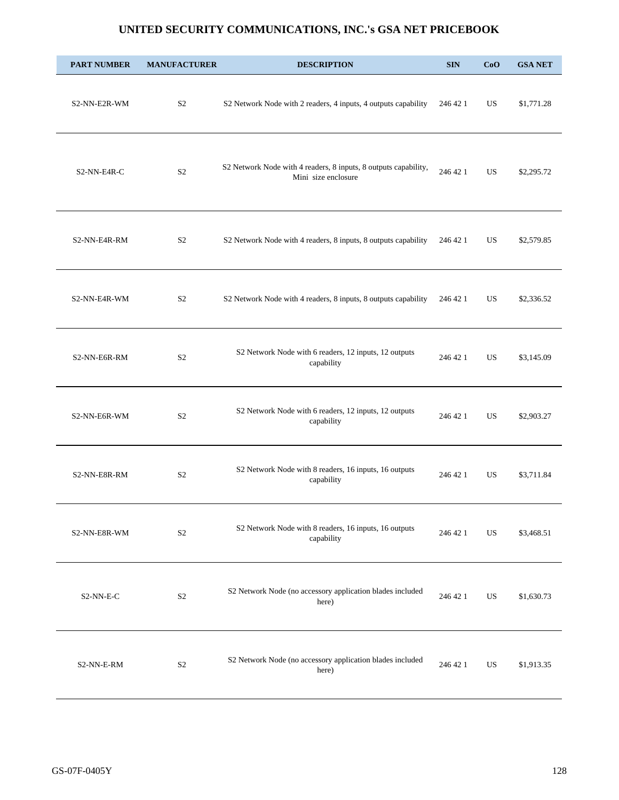| <b>PART NUMBER</b>     | <b>MANUFACTURER</b> | <b>DESCRIPTION</b>                                                                     | <b>SIN</b> | CoO | <b>GSA NET</b> |
|------------------------|---------------------|----------------------------------------------------------------------------------------|------------|-----|----------------|
| S2-NN-E2R-WM           | S <sub>2</sub>      | S2 Network Node with 2 readers, 4 inputs, 4 outputs capability                         | 246 42 1   | US. | \$1,771.28     |
| S2-NN-E4R-C            | S <sub>2</sub>      | S2 Network Node with 4 readers, 8 inputs, 8 outputs capability,<br>Mini size enclosure | 246 42 1   | US. | \$2,295.72     |
| S2-NN-E4R-RM           | S <sub>2</sub>      | S2 Network Node with 4 readers, 8 inputs, 8 outputs capability                         | 246 42 1   | US  | \$2,579.85     |
| S2-NN-E4R-WM           | S <sub>2</sub>      | S2 Network Node with 4 readers, 8 inputs, 8 outputs capability                         | 246 42 1   | US. | \$2,336.52     |
| S2-NN-E6R-RM           | S <sub>2</sub>      | S2 Network Node with 6 readers, 12 inputs, 12 outputs<br>capability                    | 246 42 1   | US. | \$3,145.09     |
| S2-NN-E6R-WM           | S <sub>2</sub>      | S2 Network Node with 6 readers, 12 inputs, 12 outputs<br>capability                    | 246 42 1   | US. | \$2,903.27     |
| S2-NN-E8R-RM           | S <sub>2</sub>      | S2 Network Node with 8 readers, 16 inputs, 16 outputs<br>capability                    | 246 42 1   | US. | \$3,711.84     |
| S2-NN-E8R-WM           | S <sub>2</sub>      | S2 Network Node with 8 readers, 16 inputs, 16 outputs<br>capability                    | 246 42 1   | US  | \$3,468.51     |
| S <sub>2</sub> -NN-E-C | S <sub>2</sub>      | S2 Network Node (no accessory application blades included<br>here)                     | 246 42 1   | US  | \$1,630.73     |
| S2-NN-E-RM             | S <sub>2</sub>      | S2 Network Node (no accessory application blades included<br>here)                     | 246 42 1   | US. | \$1,913.35     |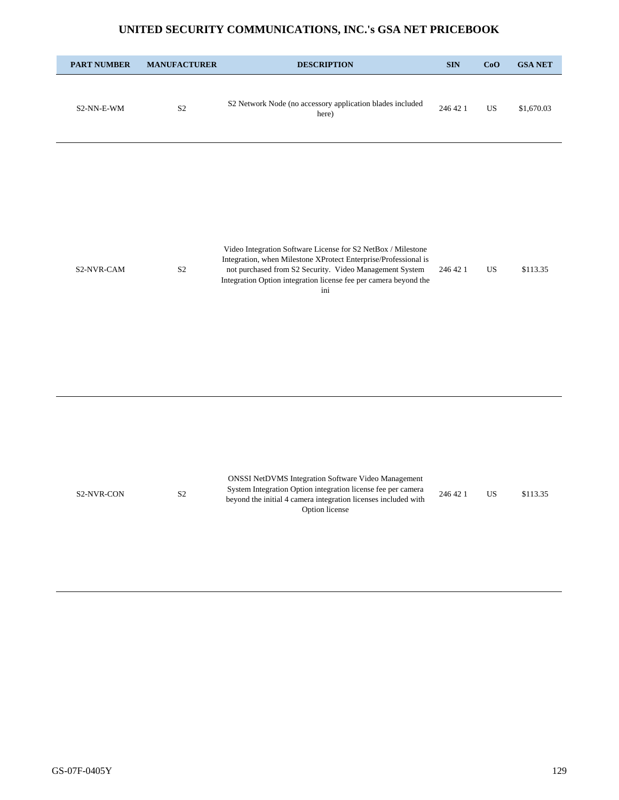| <b>PART NUMBER</b> | <b>MANUFACTURER</b> | <b>DESCRIPTION</b>                                                                                                                                                                                                                                                    | <b>SIN</b> | CoO       | <b>GSA NET</b> |
|--------------------|---------------------|-----------------------------------------------------------------------------------------------------------------------------------------------------------------------------------------------------------------------------------------------------------------------|------------|-----------|----------------|
| S2-NN-E-WM         | S <sub>2</sub>      | S2 Network Node (no accessory application blades included<br>here)                                                                                                                                                                                                    | 246 42 1   | <b>US</b> | \$1,670.03     |
| S2-NVR-CAM         | S <sub>2</sub>      | Video Integration Software License for S2 NetBox / Milestone<br>Integration, when Milestone XProtect Enterprise/Professional is<br>not purchased from S2 Security. Video Management System<br>Integration Option integration license fee per camera beyond the<br>ini | 246 42 1   | <b>US</b> | \$113.35       |
| S2-NVR-CON         | S <sub>2</sub>      | <b>ONSSI NetDVMS Integration Software Video Management</b><br>System Integration Option integration license fee per camera<br>beyond the initial 4 camera integration licenses included with<br>Option license                                                        | 246 42 1   | <b>US</b> | \$113.35       |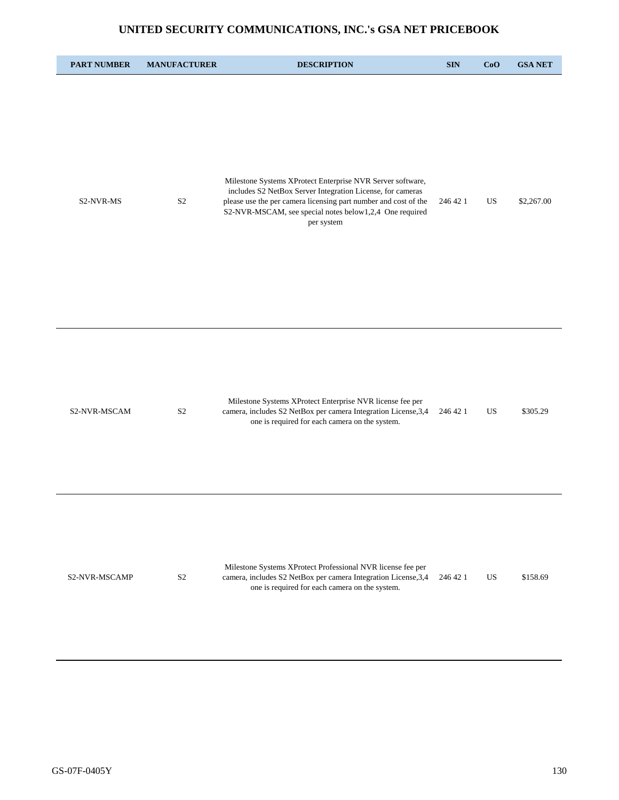| <b>PART NUMBER</b> | <b>MANUFACTURER</b> | <b>DESCRIPTION</b>                                                                                                                                                                                                                                                   | <b>SIN</b> | CoO       | <b>GSA NET</b> |
|--------------------|---------------------|----------------------------------------------------------------------------------------------------------------------------------------------------------------------------------------------------------------------------------------------------------------------|------------|-----------|----------------|
| S2-NVR-MS          | S <sub>2</sub>      | Milestone Systems XProtect Enterprise NVR Server software,<br>includes S2 NetBox Server Integration License, for cameras<br>please use the per camera licensing part number and cost of the<br>S2-NVR-MSCAM, see special notes below1,2,4 One required<br>per system | 246 42 1   | US        | \$2,267.00     |
| S2-NVR-MSCAM       | S <sub>2</sub>      | Milestone Systems XProtect Enterprise NVR license fee per<br>camera, includes S2 NetBox per camera Integration License, 3,4<br>one is required for each camera on the system.                                                                                        | 246 42 1   | <b>US</b> | \$305.29       |
| S2-NVR-MSCAMP      | S <sub>2</sub>      | Milestone Systems XProtect Professional NVR license fee per<br>camera, includes S2 NetBox per camera Integration License, 3,4<br>one is required for each camera on the system.                                                                                      | 246 42 1   | US        | \$158.69       |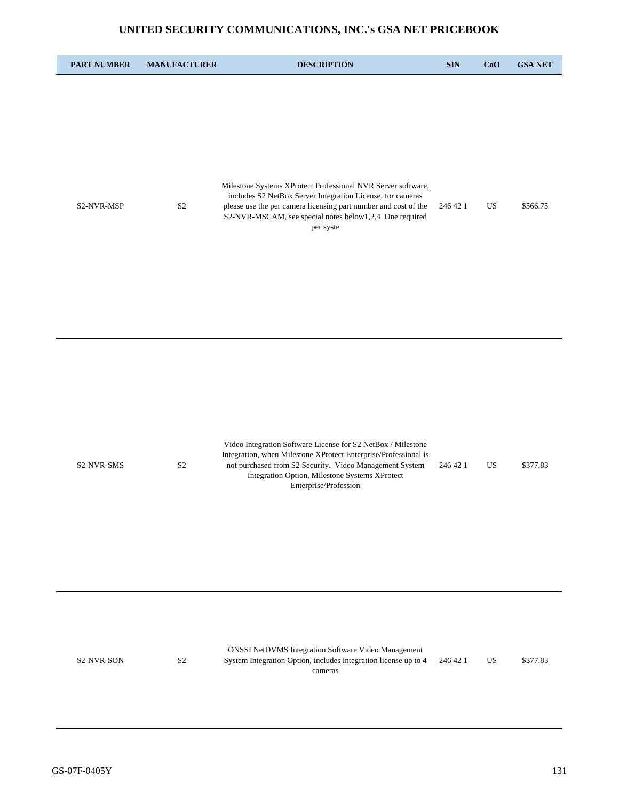| <b>PART NUMBER</b> | <b>MANUFACTURER</b> | <b>DESCRIPTION</b>                                                                                                                                                                                                                                                    | <b>SIN</b> | CoO | <b>GSA NET</b> |
|--------------------|---------------------|-----------------------------------------------------------------------------------------------------------------------------------------------------------------------------------------------------------------------------------------------------------------------|------------|-----|----------------|
| S2-NVR-MSP         | $\mathbf{S}2$       | Milestone Systems XProtect Professional NVR Server software,<br>includes S2 NetBox Server Integration License, for cameras<br>please use the per camera licensing part number and cost of the<br>S2-NVR-MSCAM, see special notes below1,2,4 One required<br>per syste | 246 42 1   | US  | \$566.75       |
| S2-NVR-SMS         | S <sub>2</sub>      | Video Integration Software License for S2 NetBox / Milestone<br>Integration, when Milestone XProtect Enterprise/Professional is<br>not purchased from S2 Security. Video Management System<br>Integration Option, Milestone Systems XProtect<br>Enterprise/Profession | 246 42 1   | US  | \$377.83       |
| S2-NVR-SON         | S <sub>2</sub>      | <b>ONSSI NetDVMS Integration Software Video Management</b><br>System Integration Option, includes integration license up to 4<br>cameras                                                                                                                              | 246 42 1   | US  | \$377.83       |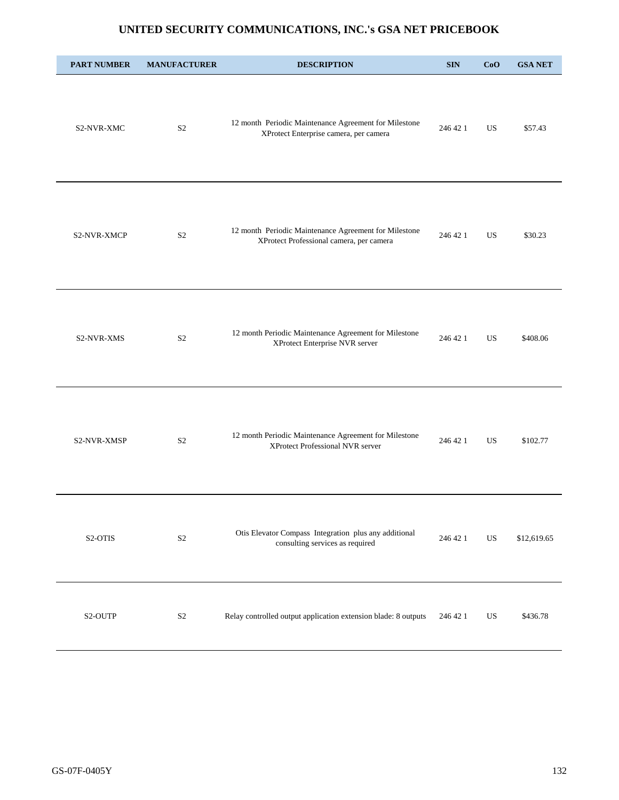| <b>PART NUMBER</b> | <b>MANUFACTURER</b> | <b>DESCRIPTION</b>                                                                                | <b>SIN</b> | CoO       | <b>GSA NET</b> |
|--------------------|---------------------|---------------------------------------------------------------------------------------------------|------------|-----------|----------------|
| S2-NVR-XMC         | S <sub>2</sub>      | 12 month Periodic Maintenance Agreement for Milestone<br>XProtect Enterprise camera, per camera   | 246 42 1   | US        | \$57.43        |
| S2-NVR-XMCP        | S <sub>2</sub>      | 12 month Periodic Maintenance Agreement for Milestone<br>XProtect Professional camera, per camera | 246 42 1   | US        | \$30.23        |
| <b>S2-NVR-XMS</b>  | S <sub>2</sub>      | 12 month Periodic Maintenance Agreement for Milestone<br>XProtect Enterprise NVR server           | 246 42 1   | <b>US</b> | \$408.06       |
| S2-NVR-XMSP        | S <sub>2</sub>      | 12 month Periodic Maintenance Agreement for Milestone<br>XProtect Professional NVR server         | 246 42 1   | US        | \$102.77       |
| S2-OTIS            | $\mathbf{S}2$       | Otis Elevator Compass Integration plus any additional<br>consulting services as required          | 246 42 1   | US        | \$12,619.65    |
| S2-OUTP            | S <sub>2</sub>      | Relay controlled output application extension blade: 8 outputs                                    | 246 42 1   | US        | \$436.78       |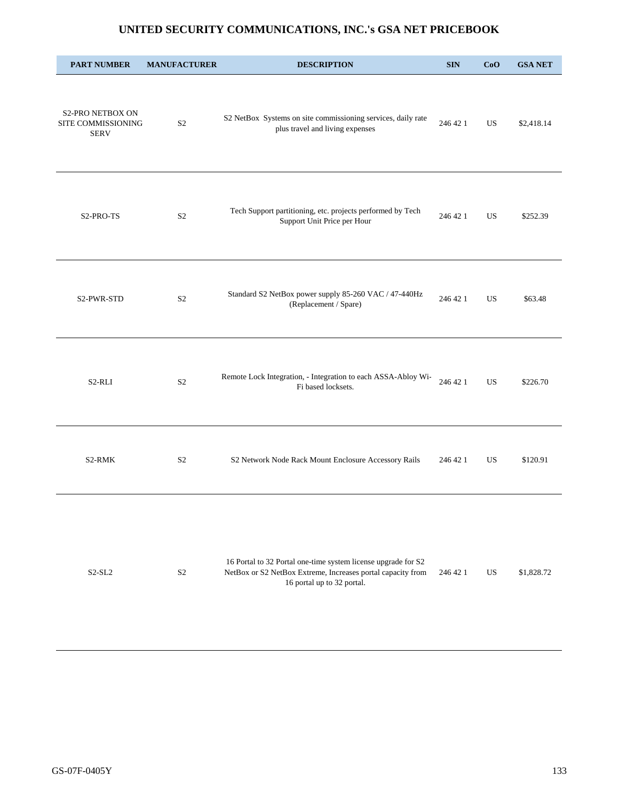| <b>PART NUMBER</b>                                           | <b>MANUFACTURER</b> | <b>DESCRIPTION</b>                                                                                                                                         | <b>SIN</b> | CoO | <b>GSA NET</b> |
|--------------------------------------------------------------|---------------------|------------------------------------------------------------------------------------------------------------------------------------------------------------|------------|-----|----------------|
| <b>S2-PRO NETBOX ON</b><br>SITE COMMISSIONING<br><b>SERV</b> | S <sub>2</sub>      | S2 NetBox Systems on site commissioning services, daily rate<br>plus travel and living expenses                                                            | 246 42 1   | US  | \$2,418.14     |
| S <sub>2</sub> -PRO-TS                                       | S <sub>2</sub>      | Tech Support partitioning, etc. projects performed by Tech<br>Support Unit Price per Hour                                                                  | 246 42 1   | US  | \$252.39       |
| S2-PWR-STD                                                   | S <sub>2</sub>      | Standard S2 NetBox power supply 85-260 VAC / 47-440Hz<br>(Replacement / Spare)                                                                             | 246 42 1   | US. | \$63.48        |
| S2-RLI                                                       | S <sub>2</sub>      | Remote Lock Integration, - Integration to each ASSA-Abloy Wi-<br>Fi based locksets.                                                                        | 246 42 1   | US. | \$226.70       |
| S2-RMK                                                       | S <sub>2</sub>      | S2 Network Node Rack Mount Enclosure Accessory Rails                                                                                                       | 246 42 1   | US. | \$120.91       |
| $S2-SL2$                                                     | $\mathbf{S2}$       | 16 Portal to 32 Portal one-time system license upgrade for S2<br>NetBox or S2 NetBox Extreme, Increases portal capacity from<br>16 portal up to 32 portal. | 246 42 1   | US  | \$1,828.72     |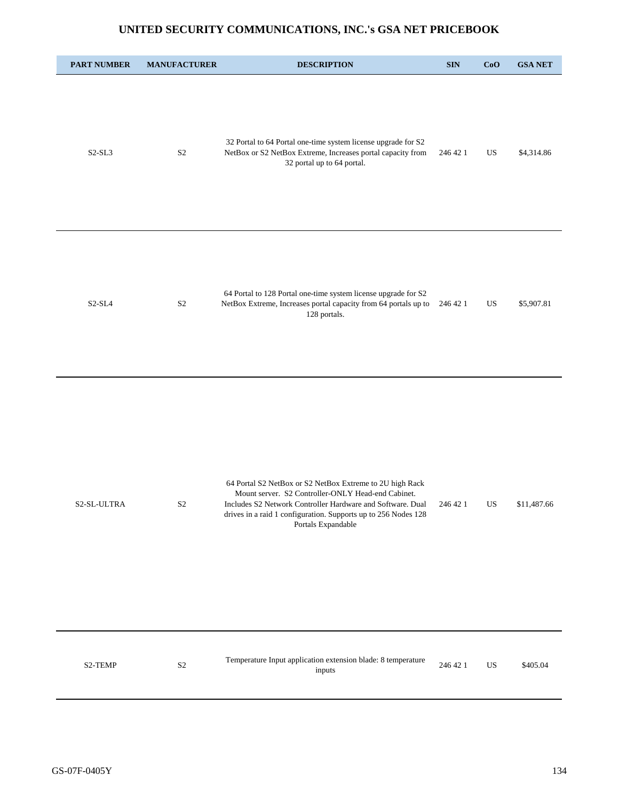| <b>PART NUMBER</b> | <b>MANUFACTURER</b> | <b>DESCRIPTION</b>                                                                                                                                                                                                                                                   | $\mathbf{SIN}$ | CoO         | <b>GSA NET</b> |
|--------------------|---------------------|----------------------------------------------------------------------------------------------------------------------------------------------------------------------------------------------------------------------------------------------------------------------|----------------|-------------|----------------|
| $S2-SL3$           | S <sub>2</sub>      | 32 Portal to 64 Portal one-time system license upgrade for S2<br>NetBox or S2 NetBox Extreme, Increases portal capacity from<br>32 portal up to 64 portal.                                                                                                           | 246 42 1       | US          | \$4,314.86     |
| $S2-SL4$           | S <sub>2</sub>      | 64 Portal to 128 Portal one-time system license upgrade for S2<br>NetBox Extreme, Increases portal capacity from 64 portals up to<br>128 portals.                                                                                                                    | 246 42 1       | US          | \$5,907.81     |
| S2-SL-ULTRA        | S <sub>2</sub>      | 64 Portal S2 NetBox or S2 NetBox Extreme to 2U high Rack<br>Mount server. S2 Controller-ONLY Head-end Cabinet.<br>Includes S2 Network Controller Hardware and Software. Dual<br>drives in a raid 1 configuration. Supports up to 256 Nodes 128<br>Portals Expandable | 246 42 1       | US          | \$11,487.66    |
| S2-TEMP            | $\mathbf{S2}$       | Temperature Input application extension blade: 8 temperature<br>inputs                                                                                                                                                                                               | 246 42 1       | $_{\rm US}$ | \$405.04       |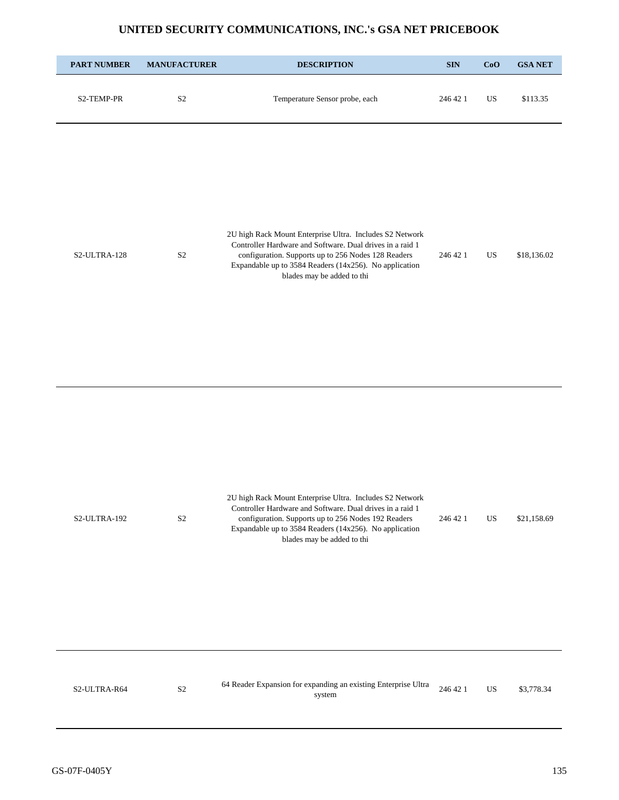| <b>PART NUMBER</b> | <b>MANUFACTURER</b> | <b>DESCRIPTION</b>                                                                                                                                                                                                                                                   | $\mathbf{SIN}$ | CoO         | <b>GSA NET</b> |
|--------------------|---------------------|----------------------------------------------------------------------------------------------------------------------------------------------------------------------------------------------------------------------------------------------------------------------|----------------|-------------|----------------|
| S2-TEMP-PR         | $\mathbf{S2}$       | Temperature Sensor probe, each                                                                                                                                                                                                                                       | 246 42 1       | $_{\rm US}$ | \$113.35       |
| S2-ULTRA-128       | S <sub>2</sub>      | 2U high Rack Mount Enterprise Ultra. Includes S2 Network<br>Controller Hardware and Software. Dual drives in a raid 1<br>configuration. Supports up to 256 Nodes 128 Readers<br>Expandable up to 3584 Readers (14x256). No application<br>blades may be added to thi | 246 42 1       | US          | \$18,136.02    |
| S2-ULTRA-192       | S <sub>2</sub>      | 2U high Rack Mount Enterprise Ultra. Includes S2 Network<br>Controller Hardware and Software. Dual drives in a raid 1<br>configuration. Supports up to 256 Nodes 192 Readers<br>Expandable up to 3584 Readers (14x256). No application<br>blades may be added to thi | 246 42 1       | US          | \$21,158.69    |
| S2-ULTRA-R64       | S <sub>2</sub>      | 64 Reader Expansion for expanding an existing Enterprise Ultra<br>system                                                                                                                                                                                             | 246 42 1       | US          | \$3,778.34     |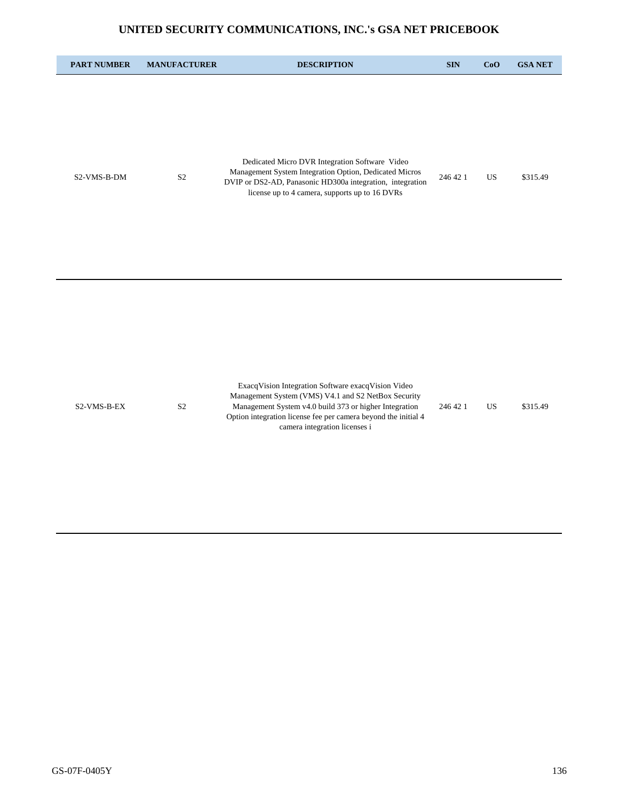| <b>PART NUMBER</b> | <b>MANUFACTURER</b> | <b>DESCRIPTION</b>                                                                                                                                                                                                                                                     | <b>SIN</b> | CoO       | <b>GSA NET</b> |
|--------------------|---------------------|------------------------------------------------------------------------------------------------------------------------------------------------------------------------------------------------------------------------------------------------------------------------|------------|-----------|----------------|
| S2-VMS-B-DM        | $\rm S2$            | Dedicated Micro DVR Integration Software Video<br>Management System Integration Option, Dedicated Micros<br>DVIP or DS2-AD, Panasonic HD300a integration, integration<br>license up to 4 camera, supports up to 16 DVRs                                                | 246 42 1   | <b>US</b> | \$315.49       |
| S2-VMS-B-EX        | $\mathbf{S2}$       | ExacqVision Integration Software exacqVision Video<br>Management System (VMS) V4.1 and S2 NetBox Security<br>Management System v4.0 build 373 or higher Integration<br>Option integration license fee per camera beyond the initial 4<br>camera integration licenses i | 246 42 1   | <b>US</b> | \$315.49       |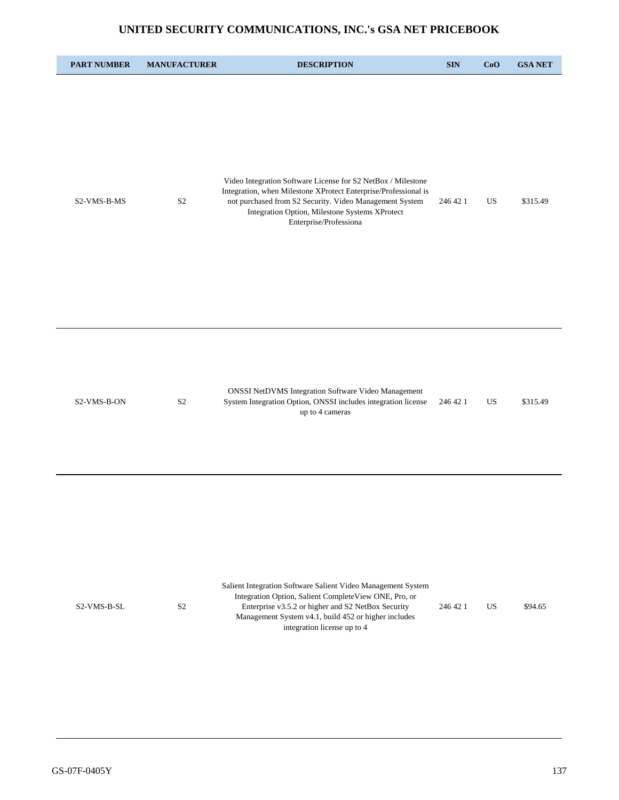## **UNITED SECURITY COMMUNICATIONS, INC.'s GSA NET PRICEBOOK**

| <b>PART NUMBER</b> | <b>MANUFACTURER</b> | <b>DESCRIPTION</b>                                                                                                                                                                                                                                                     | $\mathbf{SIN}$ | CoO | <b>GSA NET</b> |
|--------------------|---------------------|------------------------------------------------------------------------------------------------------------------------------------------------------------------------------------------------------------------------------------------------------------------------|----------------|-----|----------------|
| S2-VMS-B-MS        | S <sub>2</sub>      | Video Integration Software License for S2 NetBox / Milestone<br>Integration, when Milestone XProtect Enterprise/Professional is<br>not purchased from S2 Security. Video Management System<br>Integration Option, Milestone Systems XProtect<br>Enterprise/Professiona | 246 42 1       | US  | \$315.49       |
| S2-VMS-B-ON        | S <sub>2</sub>      | <b>ONSSI NetDVMS Integration Software Video Management</b><br>System Integration Option, ONSSI includes integration license<br>up to 4 cameras                                                                                                                         | 246 42 1       | US  | \$315.49       |
| S2-VMS-B-SL        | S <sub>2</sub>      | Salient Integration Software Salient Video Management System<br>Integration Option, Salient CompleteView ONE, Pro, or<br>Enterprise v3.5.2 or higher and S2 NetBox Security<br>Management System v4.1, build 452 or higher includes<br>integration license up to 4     | 246 42 1       | US. | \$94.65        |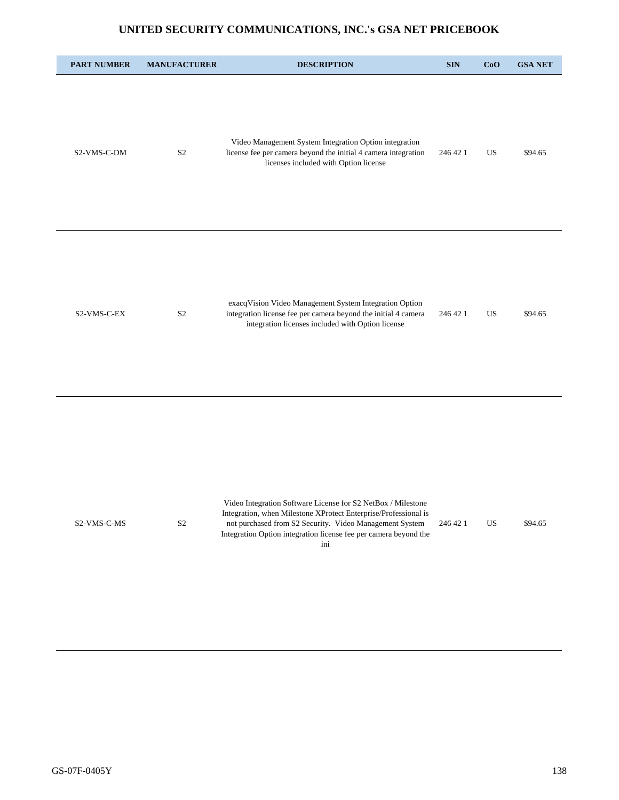## **UNITED SECURITY COMMUNICATIONS, INC.'s GSA NET PRICEBOOK**

| <b>PART NUMBER</b> | <b>MANUFACTURER</b> | <b>DESCRIPTION</b>                                                                                                                                                                                                                                                    | <b>SIN</b> | CoO | <b>GSA NET</b> |
|--------------------|---------------------|-----------------------------------------------------------------------------------------------------------------------------------------------------------------------------------------------------------------------------------------------------------------------|------------|-----|----------------|
| S2-VMS-C-DM        | S <sub>2</sub>      | Video Management System Integration Option integration<br>license fee per camera beyond the initial 4 camera integration<br>licenses included with Option license                                                                                                     | 246 42 1   | US  | \$94.65        |
| S2-VMS-C-EX        | $\mathbf{S2}$       | exacqVision Video Management System Integration Option<br>integration license fee per camera beyond the initial 4 camera<br>integration licenses included with Option license                                                                                         | 246 42 1   | US  | \$94.65        |
| S2-VMS-C-MS        | $\mathbf{S2}$       | Video Integration Software License for S2 NetBox / Milestone<br>Integration, when Milestone XProtect Enterprise/Professional is<br>not purchased from S2 Security. Video Management System<br>Integration Option integration license fee per camera beyond the<br>ini | 246 42 1   | US  | \$94.65        |